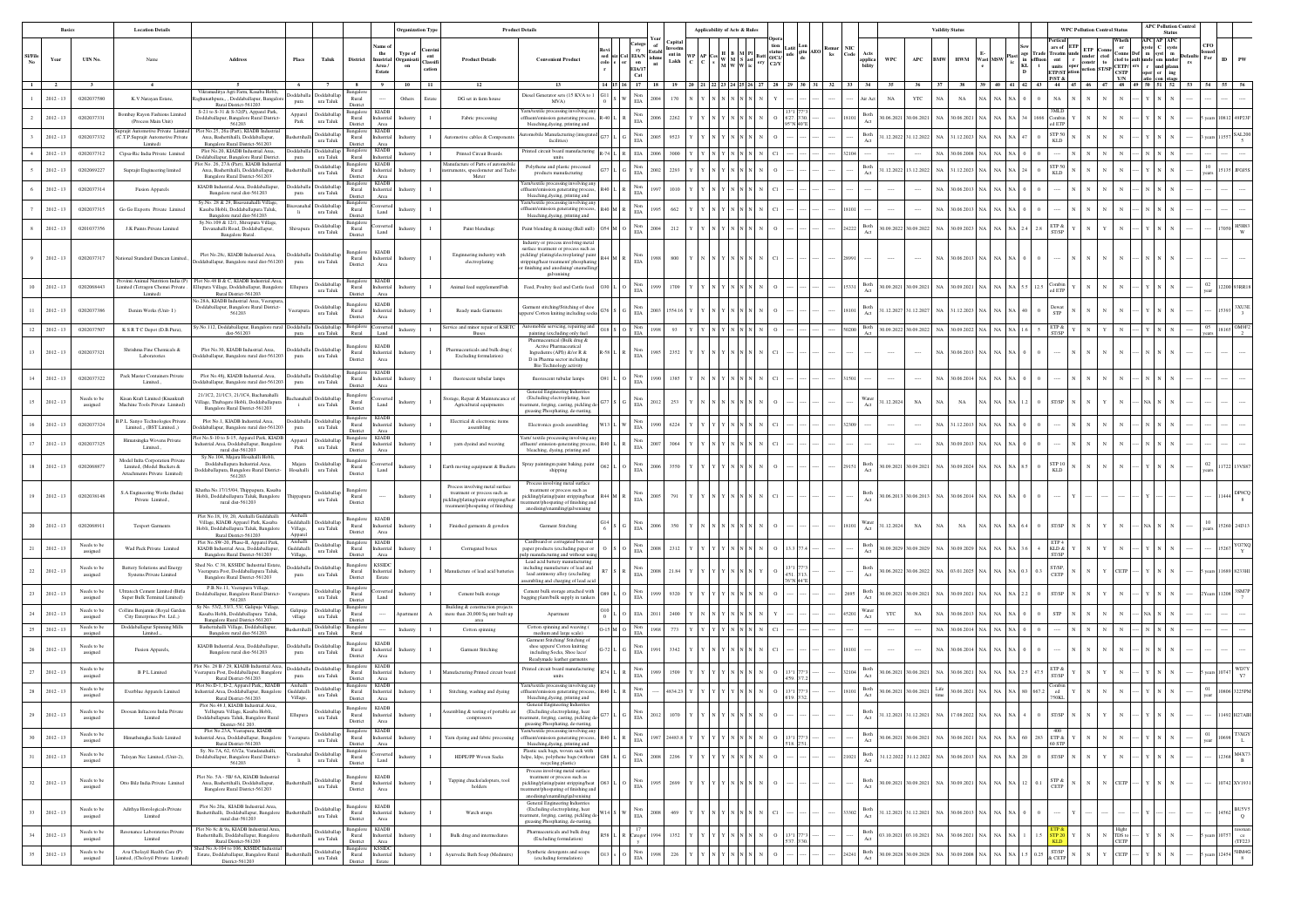|                |                        |                                    | <b>Location Details</b>                                                                      |                                                                                                                                                   |                                                                                |                                                                             |                                                    |                                                                                         |                                                                                                                                              | <b>Product Details</b>                                                                                                                                                                                       |             |                                                                      |                                                                                                                                                                                                                                                                                                                                                                                                                                                                                                                                                                        | Applicability of Acts & Rules                             |  |    |        |                                                     | <b>Vaildity State</b> |                                                    |                     |                                                                                                                                                                                                                                                                                                                                                                                                                                                                                                                                                                   | <b>WPC Pollution Control Status</b> | <b>APC Pollution Control</b><br>Status |    |            |                                   |
|----------------|------------------------|------------------------------------|----------------------------------------------------------------------------------------------|---------------------------------------------------------------------------------------------------------------------------------------------------|--------------------------------------------------------------------------------|-----------------------------------------------------------------------------|----------------------------------------------------|-----------------------------------------------------------------------------------------|----------------------------------------------------------------------------------------------------------------------------------------------|--------------------------------------------------------------------------------------------------------------------------------------------------------------------------------------------------------------|-------------|----------------------------------------------------------------------|------------------------------------------------------------------------------------------------------------------------------------------------------------------------------------------------------------------------------------------------------------------------------------------------------------------------------------------------------------------------------------------------------------------------------------------------------------------------------------------------------------------------------------------------------------------------|-----------------------------------------------------------|--|----|--------|-----------------------------------------------------|-----------------------|----------------------------------------------------|---------------------|-------------------------------------------------------------------------------------------------------------------------------------------------------------------------------------------------------------------------------------------------------------------------------------------------------------------------------------------------------------------------------------------------------------------------------------------------------------------------------------------------------------------------------------------------------------------|-------------------------------------|----------------------------------------|----|------------|-----------------------------------|
| <b>SI/File</b> | Year<br>$\overline{2}$ | UIN No.<br>$\overline{\mathbf{3}}$ | Name                                                                                         | Address<br>- 5                                                                                                                                    | Taluk<br>Place<br>6 1                                                          | District<br>7 S                                                             | ame o<br>the<br>Area /<br>Estate                   | Convir<br>Type of<br>ent<br>Inustrial Organisati<br>Classifi<br>on<br>cation<br>9 10 11 | <b>Product Details</b><br><b>12</b>                                                                                                          | <b>Convenient Product</b><br>13                                                                                                                                                                              | 14 15 16 17 | Catego<br>$\mathbf{r}$<br>Col EIA/N<br>or on<br><b>EIA/17</b><br>Cat | Capita<br>of<br>Estable estis $\begin{bmatrix} \text{with} & \text{with} \\ \text{with} \\ \text{in} \end{bmatrix}$ $\begin{bmatrix} \text{with} \\ \text{with} \\ \text{with} \\ \text{with} \end{bmatrix}$ $\begin{bmatrix} \text{with} \\ \text{with} \\ \text{with} \\ \text{with} \end{bmatrix}$ $\begin{bmatrix} \text{in} \\ \text{in} \\ \text{with} \\ \text{with} \end{bmatrix}$ $\begin{bmatrix} \text{in} \\ \text{in} \\ \text{in} \end{bmatrix}$ $\begin{bmatrix} \text{in} \\ \text{in} \\ \text{in$<br>18   19   20   21   22   23   24   25   26   27 |                                                           |  |    | $33 -$ | WPC<br>APC<br>pplica<br>ülitv<br>34<br>$35 -$<br>36 | <b>BMW</b><br>37      | <b>HWM</b><br><b>Wast MSW</b><br>38 39 40 41 42 43 | in efflu-<br>$KL$ t | ars of ETP<br>$\begin{array}{ll}\n\text{Area} & \text{Area} & \text{under} & \text{const} \\ \text{cm} & \text{cm} & \text{r} & \text{const} \\ \text{units} & \text{opt} & \text{const} & \text{tot} \\ \text{time} & \text{t} & \text{const} & \text{tot} \\ \text{time} & \text{t} & \text{const} & \text{cm} \\ \text{time} & \text{t} & \text{const} & \text{cm} \\ \text{time} & \text{t} & \text{t} & \text{c} & \text{c} \\ \text{time} & \text{t} & \text{c} & \text{c} & \text{c} \\ \text{t} & \text$<br>P/ST &<br>44 45 46 47 48 49 50 51 52 53 54 55 | Wheth<br>er<br>Y/N                  | <b>APC AP APC</b><br>e C syste         | rs | CFO<br>For |                                   |
|                | $2012 - 13$            | 0202037580                         | K.V.Narayan Estate,                                                                          | Vikramaditva Agri Farm, Kasaba Hobli,<br>zhunathpura,,,,Doddaballapur, Bangalo                                                                    | oddaballap<br>ddaballa                                                         | Bangalor<br>Rural                                                           |                                                    | Others<br>Estate                                                                        | DG set in farm house                                                                                                                         | Diesel Generator sets (15 KVA to 1                                                                                                                                                                           |             | $_{\rm Non}$                                                         | 170<br>2004                                                                                                                                                                                                                                                                                                                                                                                                                                                                                                                                                            |                                                           |  | 32 |        | YTC<br>$_{\rm NA}$                                  | NA                    | $_{\rm NA}$                                        |                     | NA                                                                                                                                                                                                                                                                                                                                                                                                                                                                                                                                                                |                                     |                                        |    |            |                                   |
|                | $2012 - 13$            | 0202037331                         | Bombay Rayon Fashions Limited<br>(Process Main Unit)                                         | Rural District-561203<br>S-21 to S-31 & S-32(P), Apparel Park,<br>Doddaballapur, Bangalore Rural District-                                        | ura Taluk<br>pura<br>Doddaballap<br>Apparel<br>Park<br>ura Taluk               | District<br>Bangalon<br>Rural                                               | KIADI<br>Industrial                                |                                                                                         | Fabric processing                                                                                                                            | MVA)<br>farn/textile processing involving any<br>fluent/emission generating process                                                                                                                          |             | EIA<br>Non<br>$\rm EIA$                                              | 2006<br>2262                                                                                                                                                                                                                                                                                                                                                                                                                                                                                                                                                           |                                                           |  |    |        | Both<br>0.06.2021 30.06.2021                        | N                     | .06.2021                                           |                     |                                                                                                                                                                                                                                                                                                                                                                                                                                                                                                                                                                   |                                     |                                        |    |            |                                   |
|                | $2012 - 13$            | 0202037332                         | Supraiit Automotive Private Limites<br>(C.T.P.Suprajit Automotive Private                    | 561203<br>Plot No.25, 26a (Part), KIADB Industrial<br>Area, Bashettihalli, Doddaballapur,                                                         | <b>Ooddaballar</b><br>ura Taluk                                                | District<br>Bangalore<br>Rural                                              | Area<br><b>KIADB</b><br>Industrial                 |                                                                                         | omotive cables & Componer                                                                                                                    | bleaching, dyeing, printing and<br>omobile Manufacturing (integrate<br>facilities)                                                                                                                           |             | $\mathop{\rm Non}\nolimits$<br>EIA                                   |                                                                                                                                                                                                                                                                                                                                                                                                                                                                                                                                                                        |                                                           |  |    |        | Both<br>1.12.2022 31.12.2022<br>Act                 |                       | 12.2023                                            |                     | STP 50<br>KLD                                                                                                                                                                                                                                                                                                                                                                                                                                                                                                                                                     |                                     |                                        |    |            |                                   |
|                | $2012 - 13$            | 0202037312                         | Limited)<br>Cipsa-Ric India Private Limited                                                  | Bangalore Rural District-561203<br>Plot No.20, KIADB Industrial.Area,<br>Doddaballapur, Bangalore Rural District                                  | <b>oddaballar</b><br>ura Taluk                                                 | District<br>Bangalor<br>Rural                                               | Area<br>KIADB<br>dustrial                          | Industry                                                                                | Printed Circuit Boards                                                                                                                       | rinted circuit board manufacturing<br>units                                                                                                                                                                  | 74 L R EIA  |                                                                      | 3000                                                                                                                                                                                                                                                                                                                                                                                                                                                                                                                                                                   |                                                           |  |    |        |                                                     | N/                    | .06.2008                                           |                     |                                                                                                                                                                                                                                                                                                                                                                                                                                                                                                                                                                   |                                     |                                        |    |            |                                   |
|                | $2012 - 13$            | 0202069227                         | Suprajit Engineering limited                                                                 | lot No. 26, 27A (Part), KIADB Industrial<br>Area, Bashettihalli, Doddaballapur                                                                    | <b>Ooddaballar</b>                                                             | Bangalore<br>Rural                                                          | <b>KIADB</b><br>dustrial                           |                                                                                         | lanufacture of Parts of automobile<br>nents, speedometer and Tacho                                                                           | Polythene and plastic processed<br>products manufacturing                                                                                                                                                    |             | Non<br>EIA                                                           | 229                                                                                                                                                                                                                                                                                                                                                                                                                                                                                                                                                                    |                                                           |  |    |        | Both<br>1.12.2022<br>13.12.202<br>Act               |                       | 12.2023                                            |                     | TP 50<br><b>KLD</b>                                                                                                                                                                                                                                                                                                                                                                                                                                                                                                                                               |                                     |                                        |    |            |                                   |
|                | $2012 - 13$            | 0202037314                         | Fusion Apparels                                                                              | Bangalore Rural District-561203<br>KIADB Industrial Area, Doddaballapur,<br>Bangalore rural dist-561203                                           | ura Taluk<br>Doddaballa<br>oddaball:<br>ura Taluk<br>pura                      | District<br>Bangalo<br>Rural                                                | Area<br><b>KIADB</b><br>ndustrial                  | Industr                                                                                 | Meter                                                                                                                                        | arn/textile processing involving an<br>ffluent/emission generating process                                                                                                                                   |             | Non<br>$_{\rm EIA}$                                                  |                                                                                                                                                                                                                                                                                                                                                                                                                                                                                                                                                                        |                                                           |  |    |        |                                                     | N/                    | 06.2013                                            |                     |                                                                                                                                                                                                                                                                                                                                                                                                                                                                                                                                                                   |                                     |                                        |    |            |                                   |
|                | $2012 - 13$            | 0202037315                         | Go Go Exports Private Limited                                                                | Sy.No. 28 & 29, Bisavanahalli Village,<br>Kasaba Hobli, Doddaballapura Taluk,                                                                     | Doddaballa<br>vanaha<br>ura Taluk<br>li.                                       | District<br>Bangalor<br>Rural                                               | Area<br>nyert<br>Land                              | dustr                                                                                   |                                                                                                                                              | bleaching, dyeing, printing and<br>Yarn/textile processing involving any<br>ffluent/emission generating process                                                                                              |             | Non<br>$_{\rm EIA}$                                                  |                                                                                                                                                                                                                                                                                                                                                                                                                                                                                                                                                                        |                                                           |  |    |        |                                                     | N                     | .06.2013                                           |                     |                                                                                                                                                                                                                                                                                                                                                                                                                                                                                                                                                                   |                                     |                                        |    |            |                                   |
|                | $2012 - 13$            | 0201037356                         | J.K Paints Private Limited                                                                   | Bangalore rural dist-561203<br>Sy.No.109 & 12/1, Shivapura Village<br>Devanahalli Road, Doddaballapur,<br>Bangalore Rural.                        | oddaballap<br>hivapu<br>ura Taluk                                              | Distric<br>Bangalor<br>Rural<br>District                                    | Land                                               | ndustry                                                                                 | Paint blendinge                                                                                                                              | bleaching, dyeing, printing and<br>Paint blending & mixing (Ball mill)                                                                                                                                       |             | Non<br>EIA                                                           | 212                                                                                                                                                                                                                                                                                                                                                                                                                                                                                                                                                                    |                                                           |  |    | 14222  | Both<br>80.09.2022 30.09.2022 NA                    |                       | 0.09.2023                                          |                     |                                                                                                                                                                                                                                                                                                                                                                                                                                                                                                                                                                   |                                     |                                        |    |            |                                   |
|                | $2012 - 13$            | 0202037317                         | National Standard Duncan Limited                                                             | Plot No.28c. KIADB Industrial Area.<br>oddaballapur, Bangalore rural dist-561203                                                                  | Doddaballa Doddaballar<br>ura Taluk<br>pura                                    | Bangalor<br>Rural<br>District                                               | <b>KIADB</b><br>dustrial<br>Area                   | Industry                                                                                | Enginnering industry with<br>electroplating                                                                                                  | Industry or process involving metal<br>arface treatment or process such a<br>pickling/plating/electroplating/pain<br>ipping/heat treatment/ phosphating<br>finishing and anodising/enamelling<br>galvanising |             | Non<br>$_{\rm EIA}$                                                  |                                                                                                                                                                                                                                                                                                                                                                                                                                                                                                                                                                        |                                                           |  |    |        |                                                     | NA                    | 0.6.2013                                           |                     |                                                                                                                                                                                                                                                                                                                                                                                                                                                                                                                                                                   |                                     |                                        |    |            |                                   |
|                | $2012 - 13$            | 0202068443                         | ovimi Animal Nutrition India (P<br>Limited (Tetragon Chemei Private<br>Limited)              | Plot No.48 B & C, KIADB Industrial.Are<br>llupura Village, Doddaballapur, Bangalore<br>Rural District-561203                                      | <b>Ooddaballap</b><br>Ellupur<br>ura Taluk                                     | Rural<br>District                                                           | <b>KIADI</b><br>Industrial<br>Area                 | Industry                                                                                | Animal feed supplementFish                                                                                                                   | Feed, Poultry feed and Cattle feed                                                                                                                                                                           |             | Non<br>$\rm EIA$                                                     | 1709                                                                                                                                                                                                                                                                                                                                                                                                                                                                                                                                                                   |                                                           |  |    |        | Both<br>0.09.2021 30.09.2021 NA                     |                       | 0.09.2021                                          |                     |                                                                                                                                                                                                                                                                                                                                                                                                                                                                                                                                                                   |                                     |                                        |    |            |                                   |
|                | $2012 - 13$            | 0202037386                         | Denim Works (Unit-1)                                                                         | o.28A, KIADB Industrial Area, Veerapura<br>Ooddaballapur, Bangalore Rural District-<br>561203                                                     | ddaballa<br>ura Taluk                                                          | Bangalo<br>Rural<br>District                                                | <b>KIADB</b><br>dustrial<br>Area                   | ndustr                                                                                  | Ready made Garments                                                                                                                          | Garment stitching/Stitching of shoe<br>ers/ Cotton kniting including sock                                                                                                                                    |             | Non<br>EIA                                                           | 003<br>1554.1                                                                                                                                                                                                                                                                                                                                                                                                                                                                                                                                                          |                                                           |  |    |        | <b>Both</b><br>1.12.2027<br>31.12.202               | NA                    | .12.2023                                           |                     |                                                                                                                                                                                                                                                                                                                                                                                                                                                                                                                                                                   |                                     |                                        |    |            |                                   |
| 12             | $2012 - 13$            | 0202037507                         | K S R T C Depot (D.B.Pura),                                                                  | y.No.112, Doddaballapur, Bangalore rural Doddaballa<br>dist-561203                                                                                | Doddaballar<br>ura Taluk<br>pura                                               | Bangalor<br>Rural                                                           | Land                                               | Industry<br>$\mathbf{I}$                                                                | Service and minor repair of KSRTC<br>Buses                                                                                                   | Automobile servicing, repairing and<br>painting (excluding only fuel                                                                                                                                         |             | Non<br>EIA                                                           | 8991<br>93                                                                                                                                                                                                                                                                                                                                                                                                                                                                                                                                                             |                                                           |  |    |        | Both<br>Act<br>30.09.2022 30.09.2022 NA             |                       | 80.09.2022 NA                                      |                     | ETP &<br>ST/SP                                                                                                                                                                                                                                                                                                                                                                                                                                                                                                                                                    |                                     |                                        |    |            | 18165 OM9F2                       |
| 13             | $2012 - 13$            | 0202037321                         | Shrishma Fine Chemicals &<br>Laboratories                                                    | Plot No.30, KIADB Industrial.Area,<br>ddaballapur, Bangalore rural dist-561203                                                                    | <b>hoddaballa</b><br>Doddaballa<br>ura Taluk<br>pura                           | Bangalo<br>Rural<br>District                                                | <b>KIADB</b><br>dustrial<br>Area                   | Industr                                                                                 | Pharmaceuticals and bulk drug<br>Excluding formulation)                                                                                      | Pharmaceutical (Bulk drug &<br>Active Pharmaceutical<br>Incredients (API)) &/or R &<br>D in Pharma sector including<br>Bio Technology activity                                                               |             | Non<br>$_{\rm EIA}$                                                  | 2352                                                                                                                                                                                                                                                                                                                                                                                                                                                                                                                                                                   |                                                           |  |    |        | $\cdots$                                            | <b>NA</b>             | 0.6.2013                                           |                     |                                                                                                                                                                                                                                                                                                                                                                                                                                                                                                                                                                   |                                     |                                        |    |            |                                   |
|                | $2012 - 13$            | 0202037322                         | Pack Master Containers Private<br>Limited.,                                                  | Plot No.48j, KIADB Industrial.Area,<br>daballapur, Bangalore rural dist-561203                                                                    | Doddaballa Doddaballap<br>ura Taluk<br>pura                                    | Bangalor<br>Rural<br>District                                               | dustrial<br>Area                                   |                                                                                         | fluorescent tubular lamps                                                                                                                    | fluorescent tubular lamps                                                                                                                                                                                    |             | Non<br>EIA                                                           |                                                                                                                                                                                                                                                                                                                                                                                                                                                                                                                                                                        |                                                           |  |    |        |                                                     | N                     | .06.2014                                           |                     |                                                                                                                                                                                                                                                                                                                                                                                                                                                                                                                                                                   |                                     |                                        |    |            |                                   |
|                | $2012 - 13$            | Needs to be<br>assigned            | Kisan Kraft Limited (Kisankraft<br>Machine Tools Private Limited)                            | 21/1C2, 21/1C3, 21/1C4, Bachanahalli<br>'illage. Thubagere Hobli, Doddaballapura<br>Bangalore Rural District-561203                               | <b>Ooddaballa</b><br>chanah<br>ura Taluk<br>$\ddot{i}$                         | Bangalor<br>Rural<br>District                                               | Land                                               | Industr                                                                                 | rage, Repair & Maintencance<br>Agricultural equipments                                                                                       | General Engineering Industries<br>(Excluding electroplating, heat<br>atment, forging, casting, pickling d<br>greasing Phosphating, de-rusting                                                                |             | Non<br>$\rm EIA$                                                     | 253                                                                                                                                                                                                                                                                                                                                                                                                                                                                                                                                                                    |                                                           |  |    |        | Nater<br>1.12.2024<br>NA                            |                       | NA                                                 |                     |                                                                                                                                                                                                                                                                                                                                                                                                                                                                                                                                                                   |                                     |                                        |    |            |                                   |
|                | $2012 - 13$            | 0202037324                         | B.P.L. Sanyo Technologies Private<br>Limited.,, (BST Limited.,)                              | Plot No.1, KIADB Industrial.Area,<br>oddaballapur, Bangalore rural dist-561203                                                                    | oddaball:<br>oddaballa<br>ura Taluk<br>pura                                    | Bangalor<br>Rural<br>District                                               | <b>KIADB</b><br>dustrial<br>Area                   |                                                                                         | Electrical & electronic items<br>assembling                                                                                                  | Electronics goods assembling                                                                                                                                                                                 |             | $_{\rm EIA}^{\rm Non}$                                               | 6224                                                                                                                                                                                                                                                                                                                                                                                                                                                                                                                                                                   |                                                           |  |    |        |                                                     | NA                    | .12.2013                                           |                     |                                                                                                                                                                                                                                                                                                                                                                                                                                                                                                                                                                   |                                     |                                        |    |            |                                   |
|                | $2012 - 13$            | 0202037325                         | Himatsingka Wovens Private<br>Limited.,                                                      | ot No.S-10 to S-15, Apparel Park, KIADE<br>ndustrial.Area, Doddaballapur, Bangalore<br>rural dist-561203                                          | Doddaballap<br>Apparel<br>Park<br>ura Taluk                                    | Bangalor<br>Rural<br>District                                               | <b>KIADB</b><br>dustrial<br>Area                   |                                                                                         | yarn dyeind and weaving                                                                                                                      | farn/ textile processing involving an<br>fluent/emission-generating proces<br>bleaching, dyeing, printing and                                                                                                |             | Non<br>EIA                                                           | 3064                                                                                                                                                                                                                                                                                                                                                                                                                                                                                                                                                                   |                                                           |  |    |        |                                                     | N/                    | 0.9.2013                                           |                     |                                                                                                                                                                                                                                                                                                                                                                                                                                                                                                                                                                   |                                     |                                        |    |            |                                   |
|                | $2012 - 13$            | 0202068877                         | Model Infra Corporation Private<br>Limited: (Model Buckets &<br>Attachments Private Limited) | y.No.104, Majara Hosahalli Hobli.<br>Doddaballapura Industrial.Area,<br>oddaballapura, Bangalore Rural District-<br>561203                        | Doddaballa<br>Majara<br>Hosahalli<br>ura Taluk                                 | Bangalor<br>Rural<br>District                                               | Land                                               | Industry<br>$\mathbf{I}$                                                                | Earth moving equipment & Bucke                                                                                                               | Spray paintingm paint baking, paint<br>shipping                                                                                                                                                              |             | Non<br>EIA                                                           | 3550                                                                                                                                                                                                                                                                                                                                                                                                                                                                                                                                                                   |                                                           |  |    |        | Both<br>0.09.2021 30.09.2021 NA                     |                       | 30.09.2024                                         |                     | <b>STP 10</b><br>KLD                                                                                                                                                                                                                                                                                                                                                                                                                                                                                                                                              |                                     |                                        |    |            |                                   |
|                | $2012 - 13$            | 0202038148                         | S.A Engineering Works (India)<br>Private Limited.,                                           | Khatha No.17/15/04, Thippapura, Kasaba<br>Hobli, Doddaballapura Taluk, Bangalore<br>rural dist-561203                                             | <b>Ooddaballa</b><br>Thippapu<br>ura Taluk                                     | Bangalo<br>Rural<br>District                                                |                                                    | Industry                                                                                | Process involving metal surface<br>treatment or process such as<br>sickling/plating/paint stripping/hea<br>treatment/phospating of finishing | Process involving metal surfac<br>treatment or process such as<br>sickling/plating/paint stripping/heat<br>nent/phospating of finishing and<br>anodising/enamiling/galvenising                               |             | $_{\rm EIA}^{\rm Non}$                                               | 791                                                                                                                                                                                                                                                                                                                                                                                                                                                                                                                                                                    |                                                           |  |    |        | Both<br>80.06.2013 30.06.2013 NA                    |                       | 0.06.2014                                          |                     |                                                                                                                                                                                                                                                                                                                                                                                                                                                                                                                                                                   |                                     |                                        |    |            |                                   |
|                | $2012 - 13$            | 0202068911                         | Texport Garments                                                                             | Plot No.18, 19, 20, Archalli Guddahalli<br>Village, KIADB Apparel Park, Kasaba<br>Hobli, Doddaballapura Taluk, Bangalore<br>Rural District-561203 | Archalli<br>Guddahalli<br><b>Ooddaballa</b><br>Village,<br>ura Taluk<br>Appare | Bangalore<br>Rural<br>District                                              | <b>KIADB</b><br>dustrial<br>Area                   | Industr                                                                                 | Finished garments & gowdon                                                                                                                   | Garment Stitching                                                                                                                                                                                            |             | Non<br>$_{\rm EIA}$                                                  | 2006<br>350                                                                                                                                                                                                                                                                                                                                                                                                                                                                                                                                                            |                                                           |  |    |        | Vater<br>1.12.2024<br>$_{\rm NA}$                   | NA                    | NA                                                 |                     | T/SP                                                                                                                                                                                                                                                                                                                                                                                                                                                                                                                                                              |                                     |                                        |    |            | 5260 24131                        |
|                | $2012 - 13$            | Needs to be<br>assigned            | Wad Pack Private Limited                                                                     | Plot No.SW-20, Phase-II, Apparel Park,<br>KIADB Industrial Area. Doddaballapur.<br>Bangalore Rural District-561203                                | Archalli<br>Doddaballap<br>Guddahalli<br>ura Taluk<br>Village.                 | Bangalon<br>Rural<br>District                                               | <b>KIADB</b><br>Industrial<br>Area                 | Industry                                                                                | Corrugated boxes                                                                                                                             | Cardboard or corrugated box and<br>paper products (excluding paper or<br>lp manufacturing and without usin                                                                                                   |             | Non<br>$\rm EIA$                                                     | 2312                                                                                                                                                                                                                                                                                                                                                                                                                                                                                                                                                                   |                                                           |  |    |        | Both<br>0.09.2029 30.09.2029 NA                     |                       | 0.09.2029 N/                                       |                     | KLD &                                                                                                                                                                                                                                                                                                                                                                                                                                                                                                                                                             |                                     |                                        |    |            |                                   |
| 22             | $2012 - 13$            | Needs to be<br>assigned            | <b>Battery Solutions and Energy</b><br>Systems Private Limited                               | hed No. C 38, KSSIDC Industrial Estate<br>Veerapura Post. Doddaballapura Taluk.<br>Bangalore Rural District-561203                                | ddabal<br>ddaball<br>$\,$ ura Taluk<br>pura                                    | Bangalo<br>Rural<br>District                                                | <b>KSSIDC</b><br>dustrial<br>Estate                | Industry<br>-1                                                                          | Manufacture of lead acid batterie                                                                                                            | Lead acid battery manufacturing<br>scluding manufacture of lead and<br>lead antimony alloy (excluding<br>sembling and charging of lead acid                                                                  |             | Nos<br>EIA                                                           |                                                                                                                                                                                                                                                                                                                                                                                                                                                                                                                                                                        |                                                           |  |    |        | 0.06.2022 30.06.2022                                | NA                    | 3.01.2025                                          |                     |                                                                                                                                                                                                                                                                                                                                                                                                                                                                                                                                                                   |                                     |                                        |    |            |                                   |
|                | $2012 - 13$            | Needs to be<br>assigned            | Ultratech Cement Limited (Birla<br>Super Bulk Terminal Limited)                              | P.B.No.11, Veerapura Village<br>Doddaballapur, Bangalore Rural District-<br>561203                                                                | Doddaballap<br>eerapu<br>ura Taluk                                             | Bangalor<br>Rural<br>Distric                                                | Land                                               | ndustr                                                                                  | Cement bulk storage                                                                                                                          | Cement bulk storage attached with<br>agging plant/bulk supply in tankers                                                                                                                                     |             | $_{\rm EIA}^{\rm Non}$                                               | 9320                                                                                                                                                                                                                                                                                                                                                                                                                                                                                                                                                                   |                                                           |  |    |        | $_{\rm Both}$<br>0.9.202<br>30.09.202<br>Act        |                       | 09.2021                                            |                     |                                                                                                                                                                                                                                                                                                                                                                                                                                                                                                                                                                   |                                     |                                        |    |            |                                   |
|                | $2012 - 13$            | Needs to be<br>assigned            | Collins Benjamin (Royal Garder<br>City Enterprises Pvt. Ltd.,)                               | No. 53/2, 53/3, 53/, Galipuje Village,<br>Kasaba Hobli, Doddaballapura Taluk,<br>Bangalore Rural District-561203                                  | <b>Ooddaballa</b><br>Galipuj<br>$\,$ ura Taluk<br>village                      | Rural<br>District                                                           |                                                    | $\Lambda$                                                                               | Building & construction projec<br>more than 20,000 Sq mtr built up<br>area                                                                   | Apartment                                                                                                                                                                                                    |             | <b>EIA</b>                                                           |                                                                                                                                                                                                                                                                                                                                                                                                                                                                                                                                                                        |                                                           |  |    |        | Nater<br>YTC<br>NA                                  | N/                    | 0.6.2013                                           |                     |                                                                                                                                                                                                                                                                                                                                                                                                                                                                                                                                                                   |                                     |                                        |    |            |                                   |
| 25             | $2012 - 13$            | Needs to be<br>assigned            | Doddaballapur Spinning Mills<br>Limited.,                                                    | Bashettahalli Village, Doddaballapur,<br>Bangalore rural dist-561203                                                                              | ashettih<br>ura Taluk                                                          | oddaballap Bangalon<br>Rural                                                |                                                    | Industry                                                                                | Cotton spinning                                                                                                                              | Cotton spinning and weaving (<br>medium and large scale)                                                                                                                                                     | 15 M O      | Non<br>$_{\rm EIA}$                                                  | 968<br>773                                                                                                                                                                                                                                                                                                                                                                                                                                                                                                                                                             |                                                           |  |    |        |                                                     | N                     | 0.06.2014                                          |                     |                                                                                                                                                                                                                                                                                                                                                                                                                                                                                                                                                                   |                                     |                                        |    |            |                                   |
|                | $2012 - 13$            | Needs to be<br>assigned            | Fusion Apparels,                                                                             | KIADB Industrial.Area, Doddaballapur,<br>Bangalore rural dist-561203                                                                              | oddaball<br>eddaballar<br>ura Taluk<br>pura                                    | Bangalor<br>Rural<br>District                                               | <b>KIADB</b><br>dustrial<br>$\operatorname{Area}$  |                                                                                         | Garment Stitching                                                                                                                            | Garment Stitching/ Stitching of<br>shoe uppers/ Cotton knitting<br>including Socks, Shoe lace,                                                                                                               |             | Nos<br>$EIA$                                                         |                                                                                                                                                                                                                                                                                                                                                                                                                                                                                                                                                                        |                                                           |  |    |        |                                                     |                       | .06.2014                                           |                     |                                                                                                                                                                                                                                                                                                                                                                                                                                                                                                                                                                   |                                     |                                        |    |            |                                   |
|                | $2012 - 13$            | Needs to be<br>assigned            | $\, {\bf B} \, {\bf P} \, {\bf L}$ Limited                                                   | ot No. 28 B / 29, KIADB Industrial Area<br>erapura Post, Doddaballapur, Bangalore<br>Rural District-561203                                        | <b>Ooddaballa</b> Doddaballar<br>ura Taluk<br>pura                             | Bangalor<br>Rural<br>District                                               | KIADB<br>dustrial<br>Area                          | $\mathbf{I}$                                                                            | <b>Ianufacturing Printed circuit boar</b>                                                                                                    | Readymade leather garments<br>Printed circuit board manufacturing<br>units                                                                                                                                   |             | $_{\rm EIA}^{\rm Non}$                                               | 1509                                                                                                                                                                                                                                                                                                                                                                                                                                                                                                                                                                   |                                                           |  |    |        | Both<br>0.06.2021 30.06.2021                        | N/                    | 0.6.2021                                           | 47.                 | ETP &                                                                                                                                                                                                                                                                                                                                                                                                                                                                                                                                                             |                                     |                                        |    |            | WD7                               |
|                | $2012 - 13$            | Needs to be<br>assigned            | Everblue Apparels Limited                                                                    | Plot No.D-1, D-2. Apparel Park., KIADB<br>adustrial. Area, Doddaballapur, Bangalore<br>Rural District-561203                                      | Archall<br>Doddaballar<br>Guddahall<br>ura Taluk<br>Village,                   | Bangalor<br>Rural<br>District                                               | <b>KIADB</b><br>ndustrial<br>Area                  |                                                                                         | Stitching, washing and dyeing                                                                                                                | farn/textile processing involving an<br>luent/emission generating process<br>bleaching, dyeing, printing and                                                                                                 |             | Non<br>EIA                                                           | 4834.23                                                                                                                                                                                                                                                                                                                                                                                                                                                                                                                                                                |                                                           |  |    |        | $_{\rm Both}$<br>0.06.2021 30.06.2021<br>Act        |                       | .06.2021                                           | 667                 |                                                                                                                                                                                                                                                                                                                                                                                                                                                                                                                                                                   |                                     |                                        |    | $_{01}$    |                                   |
|                | $2012 - 13$            | Needs to be                        | Doosan Infracore India Private                                                               | Plot No.48 J, KIADB Industrial.Area,<br>Yellupura Village, Kasaba Hobli,<br>laballapura Taluk. Bangalore Rur                                      | <b>Ooddaballa</b><br>Ellupura<br>ura Taluk                                     | Bangalon<br>Rural<br>District                                               | $\operatorname{KIADB}$<br>dustrial<br>Area         |                                                                                         | sembling & testing of portable a                                                                                                             | General Engineering Ind<br>(Excluding electroplating, heat<br>tent, foreing, casting, pick                                                                                                                   |             | Non                                                                  |                                                                                                                                                                                                                                                                                                                                                                                                                                                                                                                                                                        |                                                           |  |    |        |                                                     |                       |                                                    |                     |                                                                                                                                                                                                                                                                                                                                                                                                                                                                                                                                                                   |                                     |                                        |    |            |                                   |
|                | $2012 - 13$            | Needs to be<br>assigned            | Himathsingka Seide Limited                                                                   | District-561 203.<br>Plot No.23A, Veerapura, KIADB<br>ndustrial.Area, Doddaballapur, Bangalore<br>Rural District-561203                           | Doddaballap<br>ura Taluk                                                       | Bangalore<br>Rural<br>District                                              | <b>KIADB</b><br>Industrial<br>Area                 |                                                                                         | Yarn dyeing and fabric processin                                                                                                             | greasing Phosphating, de-rusting,<br>Yarn/textile processing involving any<br>effluent/emission generating process<br>bleaching, dyeing, printing and                                                        |             | $_{\rm EIA}^{\rm Non}$                                               | 987<br>24483.8                                                                                                                                                                                                                                                                                                                                                                                                                                                                                                                                                         | $\mathbf{Y}=\mathbf{N} \cdot \mathbf{N} \cdot \mathbf{N}$ |  |    |        | Both<br>Act<br>0.06.2021 30.06.2021 NA              |                       | 0.06.2021                                          | 283                 | ETP &<br>SO <sub>STP</sub>                                                                                                                                                                                                                                                                                                                                                                                                                                                                                                                                        |                                     |                                        |    | 01<br>year | $_{0698}$ T3XGY<br>$\mathbf L$    |
| 31             | $2012 - 13$            | Needs to be<br>assigned            | Tulsyan Nec Limited, (Unit-2),                                                               | Sy. No.7A, 62, 63/2a, Varadanahalli,<br>Doddaballapur, Bangalore Rural District-<br>561203                                                        | aradanahal Doddaballap<br>ura Taluk<br>li.                                     | Bangalor<br>Rural<br>District                                               | Land                                               | Industry                                                                                | HDPE/PP Woven Sacks                                                                                                                          | Plastic sack bags, woven sack with<br>hdpe, Idpe, polythene bags (without<br>recycling plastic)                                                                                                              |             | $_{\rm EIA}^{\rm Non}$                                               | 2296<br>2008                                                                                                                                                                                                                                                                                                                                                                                                                                                                                                                                                           | $\mathbf Y-\mathbf N-\mathbf N-\mathbf N$                 |  |    |        | ${\it Both}$<br>1.12.2022 31.12.2022<br>Act         | NA                    | 0.06.2013 NA                                       |                     | ST/SP                                                                                                                                                                                                                                                                                                                                                                                                                                                                                                                                                             |                                     |                                        |    |            | M4X73<br>12368<br>$\mathbf{B}$    |
| 32             | $2012 - 13$            | Needs to be<br>assigned            | Otto Bilz India Private Limited                                                              | Plot No. 5A - 5B/ 6A, KIADB Industrial<br>Area, Bashettihalli, Doddaballapur,<br>Bangalore Rural District-561203                                  | Doddaballap<br>$\,$ ura Taluk                                                  | $\begin{array}{c} \text{Bangalore} \\ \text{Rural} \end{array}$<br>District | <b>KIADB</b><br>dustrial<br>Area                   | ndustry                                                                                 | Tapping chucks/adopters, tool<br>holders                                                                                                     | Process involving metal surface<br>treatment or process such as<br>pickling/plating/paint stripping/heat<br>atment/phospating of finishing and<br>unodising/enamiling/galvenising                            |             | Non<br>$_{\rm EIA}$                                                  | 2699<br>995                                                                                                                                                                                                                                                                                                                                                                                                                                                                                                                                                            | YNNN                                                      |  |    |        | $_{\rm Both}$<br>0.09.2021 30.09.2021 NA            |                       | 30.09.2021 NA                                      | $_{0.1}$            | STP &<br>CETP                                                                                                                                                                                                                                                                                                                                                                                                                                                                                                                                                     | CETP                                |                                        |    |            | 10742 XV1931                      |
| 33             | $2012 - 13$            | Needs to be<br>assigned            | Adithya Horologicals Private<br>Limited                                                      | Plot No.20a, KIADB Industrial.Area,<br>Bashettihalli, Doddaballapur, Bangalore<br>rural dist-561203                                               | <b>Ooddaballa</b><br>ura Taluk                                                 | Bangalor<br>$\operatorname{Rural}$<br>District                              | <b>KIADB</b><br>ndustrial<br>$\operatorname{Area}$ | ndustr                                                                                  | Watch straps                                                                                                                                 | General Engineering Industries<br>(Excluding electroplating, heat<br>atment, foreing, casting, pickling d<br>greasing Phosphating, de-rusting                                                                |             | $_{\rm ELA}^{\rm Non}$                                               | 469                                                                                                                                                                                                                                                                                                                                                                                                                                                                                                                                                                    |                                                           |  |    | 3302   | Both<br>1.12.2021 31.12.2021 NA                     |                       | 0.6.2013                                           |                     |                                                                                                                                                                                                                                                                                                                                                                                                                                                                                                                                                                   |                                     |                                        |    |            | <b>BUSVS</b><br>14562<br>Q        |
| 34             | $2012 - 13$            | Needs to be<br>assigned            | Resonance Laborateries Private<br>Limited                                                    | Plot No 8c & 9a, KIADB Industrial. Area<br>Bashettihalli, Doddaballapur, Bangalore<br>Rural District-561203                                       | Doddaballap<br>ura Taluk                                                       | Bangalor<br>Rural<br>District                                               | <b>KIADB</b><br>Industrial<br>Area                 |                                                                                         | Bulk drug and intermediates                                                                                                                  | Pharmaceuticals and bulk drug<br>(Excluding formulation)                                                                                                                                                     |             |                                                                      | 1352<br>994                                                                                                                                                                                                                                                                                                                                                                                                                                                                                                                                                            |                                                           |  |    |        | Both<br>03.10.2021 03.10.2021 NA<br>Act             |                       | 0.06.2021                                          |                     |                                                                                                                                                                                                                                                                                                                                                                                                                                                                                                                                                                   | TDS to<br>CETP                      |                                        |    | ears 10757 | resonan<br>$_{\rm cc}$<br>(TF223) |
|                | $2012 - 13$            | Needs to be<br>assigned            | Ava Cholavil Health Care (P)<br>mited (Cholovil Private Limited                              | hed No A-104 to 106 KSSIDC Industria<br>Estate, Doddaballapur, Bangalore Rural<br>District-561203                                                 | Doddaballap<br>ura Taluk                                                       | Bangalore<br>Rural                                                          | <b>KSSIDC</b><br>Industrial                        | Industry                                                                                | Ayurvedic Bath Soap (Medimitx)                                                                                                               | Synthetic detergents and soaps<br>(excluding formulation)                                                                                                                                                    |             | $_{\rm EIA}^{\rm Non}$                                               | 1998<br>226                                                                                                                                                                                                                                                                                                                                                                                                                                                                                                                                                            |                                                           |  |    |        | $_{\rm Both}$<br>0.09.2028 30.09.2028 NA<br>Act     |                       | $0.09.2008$ NA                                     | 0.25                | ST/SP<br>& CETE                                                                                                                                                                                                                                                                                                                                                                                                                                                                                                                                                   | <b>ETP</b>                          |                                        |    | 12454      | 5HM4G<br>8                        |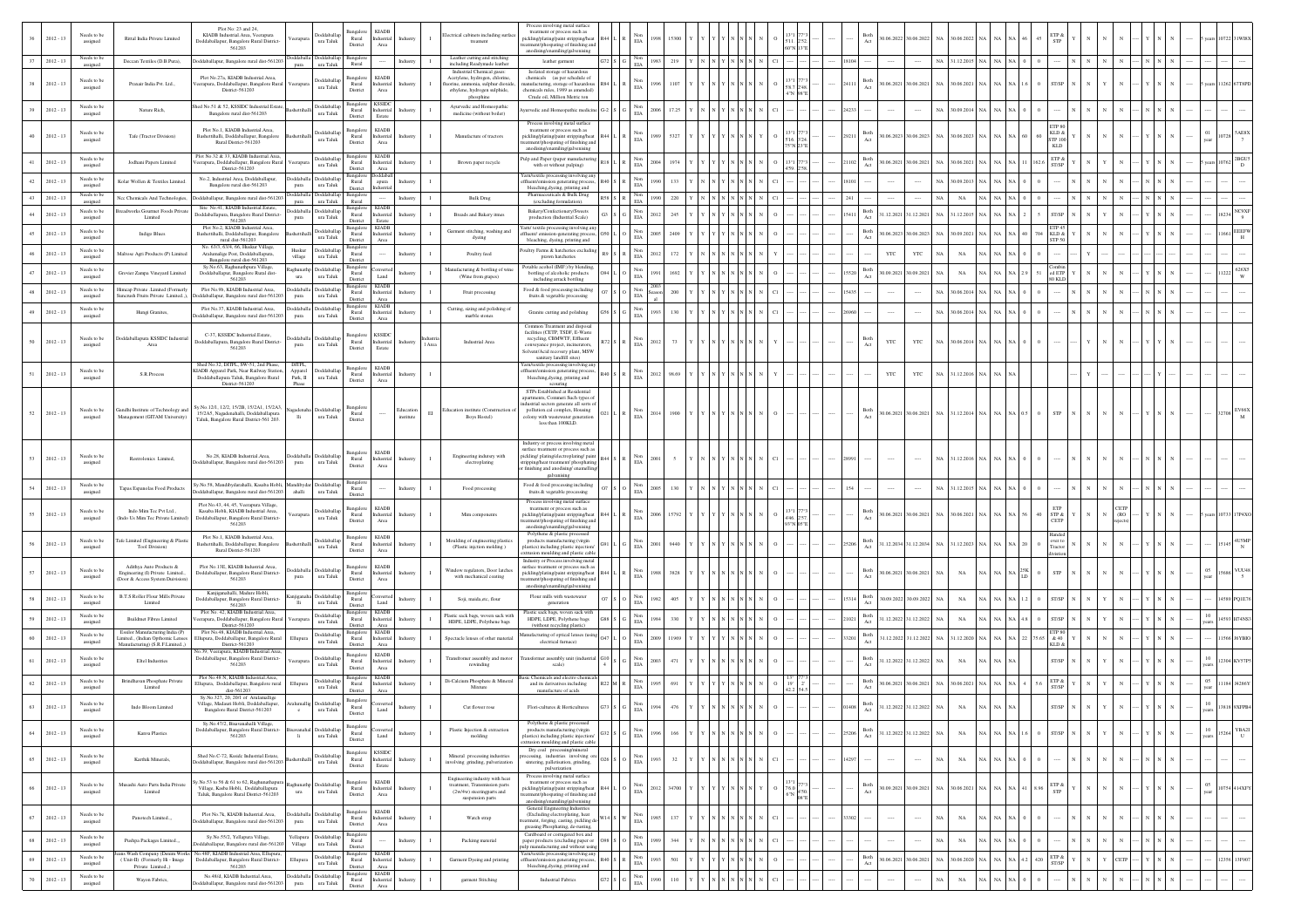|    | $2012 - 13$ | Needs to be<br>assigned                   | Rittal India Private Limited                                                                    | Plot No: 23 and 24.<br>KIADB Industrial Area, Veerapura<br>eerapu<br>Doddaballapur, Bangalore Rural District-<br>561203                                                                      | <b>Joddaballa</b><br>$\,$ ura Taluk        | KIAD<br>Rural<br>ndustrial<br>District<br>Area                                                | Industry                     | lectrical cabinets including surfa<br>treament                                                                                           | Process involving metal surface<br>treatment or process such as<br>pickling/plating/paint stripping/hea<br>atment/phospating of finishing and                                                   |        | $\rm EIA$                              |               |  |          |        |       | 3oth               | 0.06.2022 30.06.2022                            | NA               | 30.06.2022       |               |                                           |                 |            |  |        |                                  |
|----|-------------|-------------------------------------------|-------------------------------------------------------------------------------------------------|----------------------------------------------------------------------------------------------------------------------------------------------------------------------------------------------|--------------------------------------------|-----------------------------------------------------------------------------------------------|------------------------------|------------------------------------------------------------------------------------------------------------------------------------------|-------------------------------------------------------------------------------------------------------------------------------------------------------------------------------------------------|--------|----------------------------------------|---------------|--|----------|--------|-------|--------------------|-------------------------------------------------|------------------|------------------|---------------|-------------------------------------------|-----------------|------------|--|--------|----------------------------------|
|    | $2012 - 13$ | Needs to be<br>assigne                    | Deccan Textiles (D.B.Pura).                                                                     | oddaballapur. Bangalore rural dist-561203                                                                                                                                                    | Doddaballa Doddaballap<br>ura Taluk        | Bangalon<br>Rural                                                                             | Industry                     | Leather cutting and stitching<br>including Readymade leather                                                                             | anodising/enamiling/galvenising<br>leather surment                                                                                                                                              | 72 S G | Non<br>EIA                             | 1983<br>219   |  |          |        |       |                    |                                                 |                  | NA 31.12.2015 NA |               |                                           |                 |            |  |        |                                  |
|    | $2012 - 13$ | Needs to be<br>assigned                   | Praxair India Pvt. Ltd.,                                                                        | Plot No.27a, KIADB Industrial.Area<br>'eerapura, Doddaballapur, Bangalore Rural<br>Veerapur<br>District-561203                                                                               | Doddaballa<br>ura Taluk                    | <b>Bangalor</b><br><b>KIADE</b><br>Rural<br>ndustrial<br>District<br>Area                     | Industr                      | Industrial Chemical gases<br>Acetylene, hydrogen, chlorine<br>aorine, ammonia, sulphur dioxid<br>ethylene, hydrogen sulphide,            | Isolated storage of hazardou<br>chemicals (as per schedule of<br>mufacturing, storage of hazardou<br>themicals rules, 1989 as amended)<br>Crude oil, Million Metric ton                         |        | Non<br>EIA                             |               |  |          | V 98"E | 24111 | <b>Both</b><br>Act | 0.06.2021 30.06.2021                            | NA 30.06.2021    |                  | NA            | ST/SP                                     |                 |            |  |        |                                  |
|    | $2012 - 13$ | Needs to be<br>assigned                   | Nature Rich                                                                                     | ed No.51 & 52, KSSIDC Industrial.Estate<br>Bangalore rural dist-561203                                                                                                                       | Doddaballag<br>ura Taluk                   | <b>KSSID</b><br>Bangalor<br>Rural<br>dustrial                                                 |                              | phosphine<br>Ayurvedic and Homeopathi<br>medicine (without boiler)                                                                       | urvedic and Homeopathic medicine                                                                                                                                                                |        | $_{\rm EIA}^{\rm Non}$                 | 2006<br>17.25 |  |          |        | 4233  |                    |                                                 | NA 30.09.2014    |                  |               |                                           |                 |            |  |        |                                  |
|    | $2012 - 13$ | Needs to be<br>assigned                   | Tafe (Tractor Division)                                                                         | Plot No.1, KIADB Industrial.Area,<br>Bashettihalli, Doddaballapur, Bangalore<br>Rural District-561203                                                                                        | Doddaballa<br>ura Taluk                    | District<br>Estate<br><b>KIADE</b><br>Rural<br>Industrial<br>District<br>Area                 | Industry                     | Manufacture of tractors                                                                                                                  | Process involving metal surface<br>treatment or process such as<br>pickling/plating/paint stripping/heat<br>atment/phospating of finishing and                                                  |        | Non<br>EIA                             | 5327          |  |          |        | 29211 | 3oth<br>Act        | 0.06.2023 30.06.2023 NA 30.06.2023 NA           |                  |                  |               | ETP <sub>S</sub><br>KLD &<br>TP 10<br>KLD |                 |            |  |        |                                  |
|    | $2012 - 13$ | Needs to be<br>assigned                   | Jodhani Papers Limited                                                                          | Plot No.32 & 33, KIADB Industrial.Area<br>erapura, Doddaballapur, Bangalore Rural                                                                                                            | Doddaballap<br>ura Taluk                   | <b>KIADI</b><br>Bangalori<br>Rural<br>ndustrial                                               |                              | Brown paper recycle                                                                                                                      | anodising/enamiling/galvenising<br>Pulp and Paper (paper manufacturing<br>with or without pulping)                                                                                              |        | Non<br>EIA                             |               |  |          |        |       | Both<br>Act        | 0.06.2021 30.06.2021                            | NA 30.06.2021    |                  |               | ETP &<br>ST/SP                            |                 |            |  |        | 2BGU                             |
|    | $2012 - 13$ | Needs to be                               | Kolar Wollen & Textiles Limited                                                                 | District-561203<br>No.2, Industrial Area, Doddaballapur,<br>Bangalore rural dist 561203                                                                                                      | Doddaballa Doddaballa                      | District<br>Area<br>apura<br>Rural                                                            | ndustry                      |                                                                                                                                          | arn/textile processing involving an<br>aent/emission generating process                                                                                                                         |        | Non                                    |               |  |          |        |       |                    |                                                 |                  | 0.09.201         |               |                                           |                 |            |  |        |                                  |
| 43 | $2012 - 13$ | assigned<br><b>Needs</b> to b<br>assigned | Nec Chemicals And Technologies                                                                  | pura<br>ddaball<br>oddaballapur, Bangalore rural dist-56120<br>pura                                                                                                                          | ura Taluk<br><b>Doddaball</b><br>ura Taluk | District<br>Rural                                                                             | Industry                     | <b>Bulk Drug</b>                                                                                                                         | bleaching, dyeing, printing and<br>uticals & Bulk Drug<br>(excluding formulation)                                                                                                               |        | EIA<br>Non<br>EIA                      | 220           |  |          |        | 241   |                    |                                                 | NA               | $_{\rm NA}$      |               |                                           |                 |            |  |        |                                  |
|    | $2012 - 13$ | Needs to be<br>assigned                   | readworks Gourmet Foods Priva<br>Limited                                                        | Site No.41 KIADR Industrial Estate<br>Doddaballapura, Bangalore Rural District<br>pura<br>561203                                                                                             | Doddaballa Doddaballar<br>ura Taluk        | <b>KIADB</b><br>ansalor<br>Rural<br>Industrial<br>District<br>Estate                          | ndustr                       | Breads and Bakery itmes                                                                                                                  | Bakery/Confectionery/Sweets<br>production (Industrial Scale)                                                                                                                                    |        | Non<br>EIA                             | 2012          |  |          |        | 5411  | Both<br>Act        | 1.12.2021 31.12.2021                            | NA.              | 1.12.2015        |               | <b>ST/SP</b>                              |                 |            |  |        | $_{\mathrm{NC9XF}}$<br>8234<br>9 |
|    | $2012 - 13$ | Needs to be<br>assigned                   | Indigo Blues                                                                                    | Plot No.2, KIADB Industrial Area<br>Bashettihalli, Doddaballapur, Bangalore                                                                                                                  | Doddaballap<br>ura Taluk                   | <b>KIADB</b><br>Rural<br>Industrial                                                           | Industry                     | Garment stitching, washing and<br>dyeing                                                                                                 | arn/ textile processing involving an<br>ffluent/ emission-generating proces                                                                                                                     |        | Non<br>$\rm EIA$                       |               |  |          |        |       | Both<br>Act        | 0.06.2023 30.06.2023                            | NA 30.09.2021    |                  | NA            | KLD &                                     |                 |            |  |        | EEEFW<br>H                       |
|    | $2012 - 13$ | Needs to be                               | Maltose Agri Products (P) Limited                                                               | rural dist-561203<br>No. 63/3, 63/4, 66, Huskur Village,<br>Huskur<br>Aralumalige Post, Doddaballapura,                                                                                      | Doddaballar<br>ura Taluk                   | District<br>Area<br>3angalor<br>Rural                                                         | Industry                     | Poultry feed                                                                                                                             | bleaching, dyeing, printing and<br>oultry Farms & hatcheries excludin                                                                                                                           |        | Non<br>ELA                             | 172           |  |          |        |       | YTC                | YTC                                             | $_{\rm NA}$      | $_{\rm NA}$      |               | STP 50                                    |                 |            |  |        |                                  |
| 47 | $2012 - 13$ | assigned<br>Needs to be                   | Grovier Zampa Vineyard Limited                                                                  | village<br>Bangalore rural dist-561203<br>$\label{eq:1} \begin{array}{ll} \text{Sy.No.63, Raghunathpura Village,} \\ \text{Doddaballapur, Bangalore Rural dist-} \end{array}$                | ghunathp Doddaballa                        | District<br>Bangalore<br>Rural                                                                | Industr                      | lanufacturing & bottling of wine                                                                                                         | prawn hatcheries<br>Potable acohol (IMF:) by blendin<br>bottling of alcoholic products                                                                                                          |        | $_{\rm EIA}^{\rm Non}$                 |               |  |          |        |       | Both<br>Act        | 0.09.2021 30.09.2021                            | NA               | NA               |               |                                           | d ETP           |            |  |        | 626X5                            |
|    |             | assigned<br>Needs to be                   | Himcap Private .Limited (Formerly                                                               | ura<br>561203<br>Plot No.9b, KIADB Industrial Area.                                                                                                                                          | ura Taluk<br>Doddaballa Doddaballar        | Land<br>District<br><b>KIADI</b><br>3angalor                                                  |                              | (Wine from grapes)                                                                                                                       | including arrack bottling<br>Food & food processing including                                                                                                                                   |        | Non                                    |               |  |          |        |       |                    |                                                 |                  |                  |               |                                           |                 |            |  |        |                                  |
|    | $2012 - 13$ | assigned<br>Needs to be                   | ncrush Fruits Private Limited.,)                                                                | daballapur, Bangalore rural dist-561203<br>pura<br>Plot No.37, KIADB Industrial.Area,                                                                                                        | ura Taluk<br>Doddaballa Doddaballa         | Rural<br>Industrial<br>District<br>Area<br><b>KIADE</b><br>langalo                            |                              | Fruit processing<br>Cutting, sizing and polishing of                                                                                     | fruits & vegetable processing                                                                                                                                                                   |        | $_{\rm EIA}$                           |               |  |          |        |       |                    |                                                 | NA               | 0.06.201         |               |                                           |                 |            |  |        |                                  |
|    | $2012 - 13$ | assigned                                  | Hungi Granites,                                                                                 | oddaballapur, Bangalore rural dist-56120<br>pura                                                                                                                                             | ura Taluk                                  | Rural<br>Industrial<br>District                                                               | adustry                      | marble stones                                                                                                                            | Granite cutting and polishing<br>Common Treatment and disposal                                                                                                                                  |        | Non<br>EIA                             | 1993          |  |          |        |       |                    |                                                 | NA.              | 30.06.2014       |               |                                           |                 |            |  |        |                                  |
| 50 | $2012 - 13$ | Needs to be<br>assigned                   | Doddaballapura KSSIDC Indu<br>Area                                                              | C-37, KSSIDC Industrial.Estate,<br>Ooddaballapura, Bangalore Rural District-<br>pura<br>561203                                                                                               | <b>Ooddaballa</b> Doddaballa<br>ura Taluk  | <b>KSSID</b><br>3angalor<br>Rural<br>dustrial<br>District<br>Estate                           | Industry<br>Area             | Industrial Area                                                                                                                          | facilities (CETP, TSDF, E-Wast-<br>recycling, CBMWTF, Effluent<br>conveyance project, incinerators,<br>Solvent/Acid recovery plant, MSW<br>sanitary landfill sites)                             |        | Non<br>EIA                             | 73            |  |          |        |       | 3oth<br>Act<br>YTC | YTC                                             |                  | NA 30.06.2014 NA |               |                                           |                 |            |  |        |                                  |
|    | $2012 - 13$ | Needs to be<br>assigned                   | S.R.Process                                                                                     | Shed No.32, DITPL, SW-51, 2nd Phase,<br>DITPL.<br>KIADB Apparel Park, Near Railway Station<br>Apparel<br>Doddaballapura Taluk, Bangalore Rural<br>Park, II                                   | Doddaballa<br>ura Taluk                    | <b>KIADB</b><br>Bangalon<br>Rural<br>ndustrial<br>District<br>Area                            | Industry                     |                                                                                                                                          | Yarn/textile processing involving an<br>ffluent/emission generating proces<br>bleaching, dyeing, printing and                                                                                   |        | Non<br>ELA                             | 2012<br>98.69 |  |          |        |       | YTC                | YTC                                             |                  | NA 31.12.2016 NA | NA            |                                           |                 |            |  |        |                                  |
| 52 | $2012 - 13$ | Needs to be<br>assigned                   | Gandhi Institute of Technology and<br>Management (GITAM University)                             | District-561203<br>Phase<br>Sy.No.12/1, 12/2, 15/2B, 15/2A1, 15/2A3<br>15/2A5, Nagadenahalli, Doddaballapura<br>lli<br>Taluk, Bangalore Rural District-561 203.                              | gadenaha Doddaballap<br>ura Taluk          | langalor<br>Rural<br>District                                                                 | Education<br>EI<br>institute | ducation institute (Construction<br>Boys Hostel)                                                                                         | scouring<br>STPs Established at Residential<br>spartments, Commeri Such types of<br>dustrial sectors generate all sorts o<br>pollution.cal complex. Housing<br>olony with wastewater generation |        | $_{\rm EIA}^{\rm Non}$                 | 1900<br>2014  |  |          |        |       | Both<br>Act        | 0.06.2021 30.06.2021 NA 31.12.2014 NA NA NA 0.5 |                  |                  |               | ${\rm STP}$<br>$\Omega$                   |                 |            |  |        | 32708                            |
|    |             |                                           |                                                                                                 |                                                                                                                                                                                              | Doddaball                                  | <b>KIADB</b><br>lansalo                                                                       |                              |                                                                                                                                          | less than 100KLD.<br>Industry or process involving metal<br>surface treatment or process such as                                                                                                |        |                                        |               |  |          |        |       |                    |                                                 |                  |                  |               |                                           |                 |            |  |        |                                  |
| 53 | $2012 - 13$ | Needs to be<br>assigned                   | Restrolonics Limited                                                                            | No.28, KIADB Industrial.Area,<br><b>Ooddaballa</b><br>boddaballapur, Bangalore rural dist-561203<br>pura                                                                                     | ura Taluk                                  | Rural<br>ndustrial<br>District<br>Area                                                        | Industry                     | Engineering indutsry with<br>electroplating                                                                                              | pickling/plating/electroplating/pain<br>ripping/heat treatment/ phosphatin<br>finishing and anodising/enamelling                                                                                |        | Non<br>EIA                             | 200           |  |          |        |       |                    |                                                 | NA               | 31.12.2016       |               |                                           |                 |            |  |        |                                  |
|    | $2012 - 13$ | Needs to be                               | Tapas Espanolas Food Products                                                                   | Sv.No.58, Mandibydarahalli, Kasaba Hobli, Mandibydar Doddaballap                                                                                                                             |                                            | Bangalo<br>Rural                                                                              | Industry                     | Food processing                                                                                                                          | Food & food processing including                                                                                                                                                                |        | Non<br>EIA                             | 2005          |  |          |        | 154   |                    |                                                 | NA 31.12.2015    |                  |               |                                           |                 |            |  |        |                                  |
|    | $2012 - 13$ | assigned<br>Needs to be<br>assigned       | Indo Mim Tec Pvt Ltd.<br>Indo Us Mim Tec Private Limited                                        | oddaballapur, Bangalore rural dist-561203<br>ahalli<br>Plot No.43, 44, 45, Veerapura Village,<br>Kasaba Hobli, KIADB Industrial Area<br>eerapura<br>Doddaballapur, Bangalore Rural District- | ura Taluk<br>Doddaballa<br>ura Taluk       | District<br><b>KIADB</b><br>3angalor<br>Rural<br>dustrial<br>District<br>Area                 | ndustry                      | Mim components                                                                                                                           | fruits & vegetable processing<br>Process involving metal surface<br>treatment or process such as<br>pickling/plating/paint stripping/heat<br>nent/phospating of finishing and                   |        | Non<br>EIA                             | 2006<br>5792  |  |          |        |       | 3oth<br>Act        | 0.06.2021 30.06.2021                            | NA 30.06.2021    |                  |               | ETP<br>STP &<br>CETP                      |                 | <b>ETP</b> |  |        |                                  |
|    | $2012 - 13$ | Needs to be<br>assigned                   | Tafe Limited (Engineering & Plasti<br>Tool Division)                                            | 561203<br>Plot No.1, KIADB Industrial Area,<br>Bashettihalli, Doddaballapur, Bangalon<br>Rural District-561203                                                                               | Doddaballap<br>ura Taluk                   | Bangalore<br><b>KIADE</b><br>Rural<br>dustrial<br>Area<br>District                            | adustr                       | Moulding of engineering plastics<br>(Plastic injction molding)                                                                           | anodising/enamiling/galvenising<br>Polythene & plastic processed<br>products manufacturing (virgin<br>plastics) including plastic injection                                                     |        | Non<br>EIA                             | 3440          |  |          |        |       | Both<br>Act        | 1.12.2034 31.12.2034                            | NA               | 31.12.2023 NA    |               |                                           | wer to<br>racto |            |  |        |                                  |
|    | $2012 - 13$ | Needs to be<br>assigned                   | Adithya Auto Products &<br>Engineering (I) Private Limited.,<br>(Door & Access System Duivision | Plot No.13E, KIADB Industrial Area.<br><b>Moddaballa</b><br>Doddaballapur, Bangalore Rural District-<br>pura<br>561203                                                                       | Doddaballa<br>ura Taluk                    | 3angalor<br><b>KIADB</b><br>Rural<br>ndustrial<br>District<br>Area                            | ıdustr                       | Window regulators, Door latches<br>with mechanical coating                                                                               | rusion moulding and plastic cable<br>Industry or Process involving metal<br>surface treatment or process such as<br>pickling/plating/paint stripping/heat<br>atment/phospating of finishing an  |        | Non<br>EIA                             | 1981<br>3828  |  |          |        |       | Both<br>Act        | 0.06.2021 30.06.2021                            | $_{\rm NA}$      | $_{\rm NA}$      |               |                                           | STP             |            |  |        |                                  |
|    | $2012 - 13$ | Needs to be                               | <b>B.T.S Roller Flour Mills Private</b>                                                         | Kanjiganahalli, Madure Hobli,<br>Doddaballapur, Bangalore Rural District-                                                                                                                    | njiganaha Doddaballap                      | langale                                                                                       | Industry                     | Soji, maida, etc, flour                                                                                                                  | anodising/enamiling/galvenising<br>Flour mills with wastewater                                                                                                                                  |        | Non<br>ELA                             |               |  |          |        |       | Both<br>Act        | 0.09.2022 30.09.2022                            |                  | <b>NA</b>        |               |                                           | <b>T/SP</b>     |            |  |        |                                  |
|    | $2012 - 13$ | assigned<br>Needs to be                   | Limited<br><b>Buildmet Fibres Limited</b>                                                       | lli<br>561203<br>Plot No. 42, KIADB Industrial.Area,<br>rapura, Doddaballapur, Bangalore Rura                                                                                                | ura Taluk<br>Doddaballar                   | Rural<br>District<br>$\mbox{\textsf{Land}}$<br><b>KIAD</b><br>Bangalore<br>Rural<br>ndustrial |                              | Plastic sack bags, woven sack with                                                                                                       | generation<br>Plastic sack bags, woven sack with<br>HDPE, LDPE, Polythene bags                                                                                                                  |        | Non                                    |               |  |          |        |       | Both<br>Act        | 1.12.2022 31.12.2022                            | NA               | NA               |               |                                           |                 |            |  |        |                                  |
|    | $2012 - 13$ | assigned<br>Needs to be                   | Essilor Manufacturing India (P)<br>Limited., (Indian Opthomic Lenses                            | District-561203<br>Plot No.48 KIADR Industrial Area<br>Ellupura, Doddaballapur, Bangalore Rural<br>Ellupur                                                                                   | ura Taluk<br>Doddaballar                   | District<br>Area<br><b>KIADE</b><br>langalo<br>Rural<br>ndustrial                             |                              | HDPE, LDPE, Polythene bags<br>Spectacle lenses of other materia                                                                          | (without recycling plastic)<br>lanufacturing of optical lenses (usin                                                                                                                            |        | $_{\rm EIA}$<br>$_{\rm EIA}^{\rm Non}$ |               |  |          |        |       | Both               | 1.12.2022 31.12.2022                            | NA               | 1.12.2020        |               | <b>ETP SI</b><br>75.65                    | & 40            |            |  |        | 1566 J6YBIO                      |
|    |             | assigned                                  | Manufacturing) (S.R.F.Limited.,)                                                                | District-561203<br>lo.39, Veerapura, KIADB Industrial.Area                                                                                                                                   | ura Taluk                                  | District<br><b>KIADB</b><br>Bangalor                                                          |                              |                                                                                                                                          | electrical furnace)                                                                                                                                                                             |        |                                        |               |  |          |        |       | Act                |                                                 |                  |                  |               | KLD 8                                     |                 |            |  |        |                                  |
|    | $2012 - 13$ | Needs to be<br>assigned                   | Eltel Industries                                                                                | Doddaballapur, Bangalore Rural District-<br>eerapu<br>561203                                                                                                                                 | Doddaballa<br>ura Taluk                    | Rural<br>dustrial<br>District<br>Area                                                         |                              | Transfromer assembly and motor<br>rewinding                                                                                              | ransformer assembly unit (industri<br>scale)                                                                                                                                                    |        | $_{\rm EIA}^{\rm Non}$                 |               |  |          |        |       | Both<br>Act        | 1.12.2022 31.12.2022                            |                  | NA               |               |                                           | ST/SP           |            |  |        |                                  |
|    | $2012 - 13$ | Needs to be<br>assigned                   | Brindhavan Phosphate Private<br>Limited                                                         | Plot No.48 N, KIADB Industrial Area.<br>:<br>Hupura, Doddaballapur, Bangalore rural<br>dist-561203                                                                                           | Doddaballar<br>ura Taluk                   | KIAD<br>Bangalor<br>ndustrial<br>Rural<br>District<br>Area                                    |                              | Di-Calcium Phosphate & Mineral<br>Mixture                                                                                                | lasic Chemicals and electro chemi<br>and its derivatives including<br>manufacture of acids                                                                                                      |        | $_{\rm EIA}^{\rm Non}$                 |               |  |          |        |       | Both<br>Act        | 0.06.2021 30.06.2021                            | NA 30.06.2021    |                  |               | ETP &<br>ST/SP                            |                 |            |  | $05\,$ |                                  |
|    | $2012 - 13$ | Needs to be<br>assigned                   | Indo Bloom Limited                                                                              | Sv.No.327, 20, 20/1 of Arulamalligs<br>Village, Madauri Hobli, Doddaballapur<br>aluma<br>Bangalore Rural District-561203<br>$\circ$                                                          | Doddaballa<br>$\,$ ura Taluk               | 3angalor<br>$\rm{Rural}$<br>Land<br>District                                                  |                              | Cut flower rose                                                                                                                          | Flori-cultures & Horticultures                                                                                                                                                                  |        | Non<br>$\rm EIA$                       |               |  |          |        |       | Both<br>Act        | 1.12.2022 31.12.2022                            | $_{\rm NA}$      | $_{\rm NA}$      |               |                                           | <b>T/SP</b>     |            |  |        |                                  |
| 64 | $2012 - 13$ | Needs to be<br>assigned                   | Kanva Plastics                                                                                  | Sy.No.47/2, Bisavanahalli Village<br>Doddaballapur, Bangalore Rural District-<br>561203<br>- li                                                                                              | Doddaballa<br>ura Taluk                    | Bangalore<br>Rural<br>Land<br>District                                                        | Industr                      | Plastic Injection & extraction<br>molding                                                                                                | olythene & plastic processed<br>products manufacturing (virgin<br>plastics) including plastic injection<br>rusion moulding and plastic cable                                                    |        | Non<br>$_{\rm EIA}$                    | 1996<br>166   |  |          |        | 25206 | Both<br>Act        | 1.12.2022 31.12.2022                            | $_{\rm NA}$      | NA               | NA .<br>NA NA | ST/SP                                     |                 |            |  | 10     | YBA2I<br>5264<br>$\cup$          |
| 65 | $2012 - 13$ | Needs to be<br>assigned                   | Karthik Minerals,                                                                               | Shed No.C-72. Ksside Industrial.Estate<br>oddaballapur, Bangalore rural dist-561203                                                                                                          | Doddaballar<br>ura Taluk                   | <b>KSSIDC</b><br>Bangalore<br>Rural<br>Industrial<br>District<br>Estate                       | ndustry                      | Mineral processing industries<br>involving grinding, pulverization                                                                       | Dry coal processing/mineral<br>sing, industries involving o<br>sintering, palletisation, grinding,<br>pulverization                                                                             |        | Non<br>EIA                             | 1993<br>32    |  |          |        | 14297 | $\cdots$           |                                                 | NA               | $_{\rm NA}$      |               |                                           |                 |            |  |        |                                  |
| 66 | $2012 - 13$ | Needs to be<br>assigned                   | Musashi Auto Parts India Private<br>Limited                                                     | .<br>No.53 to 56 & 61 to 62, Raghunathapus<br>ighunat<br>Village, Kasba Hobli, Doddaballapura<br>ura<br>Taluk, Bangalore Rural District-561203                                               | Doddaballa<br>$\,$ ura Taluk               | <b>KIADE</b><br>Rural<br>Industrial<br>District<br>Area                                       | Industry<br>I.               | Engineering industry with heat<br>treatment. Transmission parts<br>$(2\mathrm{w}/4\mathrm{w})$ steering<br>parts and<br>suspension parts | Process involving metal surface<br>treatment or process such as<br>pickling/plating/paint stripping/heat<br>atment/phospating of finishing and<br>anodising/enamiling/galvenising               |        | Non<br>$\rm EIA$                       | 2012<br>34700 |  | $\Omega$ |        |       | Both<br>Act        | 0.09.2021 30.09.2021                            | NA 30.06.2021    |                  | NA 1<br>NA NA | ETP &<br>8.96<br>STP                      |                 |            |  | 05     | 10754 414XFY                     |
| 67 | $2012 - 13$ | Needs to be<br>assigned                   | Panotech Limited                                                                                | Plot No.7k, KIADB Industrial.Area,<br>boddaballapur, Bangalore rural dist-561203<br>pura                                                                                                     | oddaballa Doddaballa<br>ura Taluk          | Bangalore<br><b>KIADB</b><br>Rural<br>ndustrial<br>District<br>Area                           | ndustry                      | Watch strap                                                                                                                              | General Engineering Industries<br>(Excluding electroplating, heat<br>atment, forging, casting, pickling d<br>greasing Phosphating, de-rusting,                                                  |        | $_{\rm EIA}^{\rm Non}$                 | 137<br>1985   |  | C1       |        | 33302 | $\cdots$           | $\cdots$                                        | NA               | $_{\rm NA}$      | NA I          |                                           |                 |            |  |        |                                  |
| 68 | $2012 - 13$ | Needs to be<br>assigned                   | Pushpa Packages Limited                                                                         | Sy.No.55/2, Yellapura Village,<br>Yellapura<br>oddaballapur, Bangalore rural dist-561203<br>Village                                                                                          | Doddaballa<br>ura Taluk                    | 3angalor<br>Rural<br>District                                                                 | Industry                     | Packing material                                                                                                                         | Cardboard or corrugated box and<br>paper products (excluding paper or<br>p manufacturing and without usin                                                                                       |        | Non<br>EIA                             | 344           |  | C1       |        |       |                    |                                                 | $_{\rm NA}$      | $_{\rm NA}$      | NA            |                                           |                 |            |  |        |                                  |
| 69 | $2012 - 13$ | Needs to be<br>assigned                   | ins Wash Company (Denim Works<br>(Unit-II) (Formerly Hi - Image<br>Private Limited.,)           | No.48F, KIADB Industrial.Area, Ellupur<br>Doddaballapur, Bangalore Rural District-<br>Ellupura<br>561203                                                                                     | <b>boddaballag</b><br>ura Taluk            | <b>KIADE</b><br><b>Bangalore</b><br>Rural<br>Industrial<br>Area<br>District                   | Industry                     | Garment Dyeing and printing                                                                                                              | Yarn/textile processing involving an<br>ffluent/emission generating process<br>bleaching, dyeing, printing and                                                                                  |        | $_{\rm EIA}^{\rm Non}$                 | 1993<br>501   |  |          |        |       | Both<br>Act        | 0.06.2021 30.06.2021                            | NA 30.06.2020 NA |                  |               | $ETP \&$<br>420                           | ST/SP           | CETP       |  |        | 12356 13F907                     |
|    | $2012 - 13$ | Needs to be<br>assigned                   | Wayon Fabrics,                                                                                  | No.48/d, KIADB Industrial Area.<br>oddaballapur, Bangalore rural dist-561203<br>pura                                                                                                         | Doddaballa Doddaballap<br>ura Taluk        | KIADB<br>Bangalore<br>Rural<br>Industrial<br>District<br>Area                                 |                              | garment Stitching                                                                                                                        | Industrial Fabrics                                                                                                                                                                              |        | $_{\rm EIA}^{\rm Non}$                 | 1990<br>110   |  |          |        |       |                    |                                                 |                  | $_{\rm NA}$      |               |                                           |                 |            |  |        |                                  |
|    |             |                                           |                                                                                                 |                                                                                                                                                                                              |                                            |                                                                                               |                              |                                                                                                                                          |                                                                                                                                                                                                 |        |                                        |               |  |          |        |       |                    |                                                 |                  |                  |               |                                           |                 |            |  |        |                                  |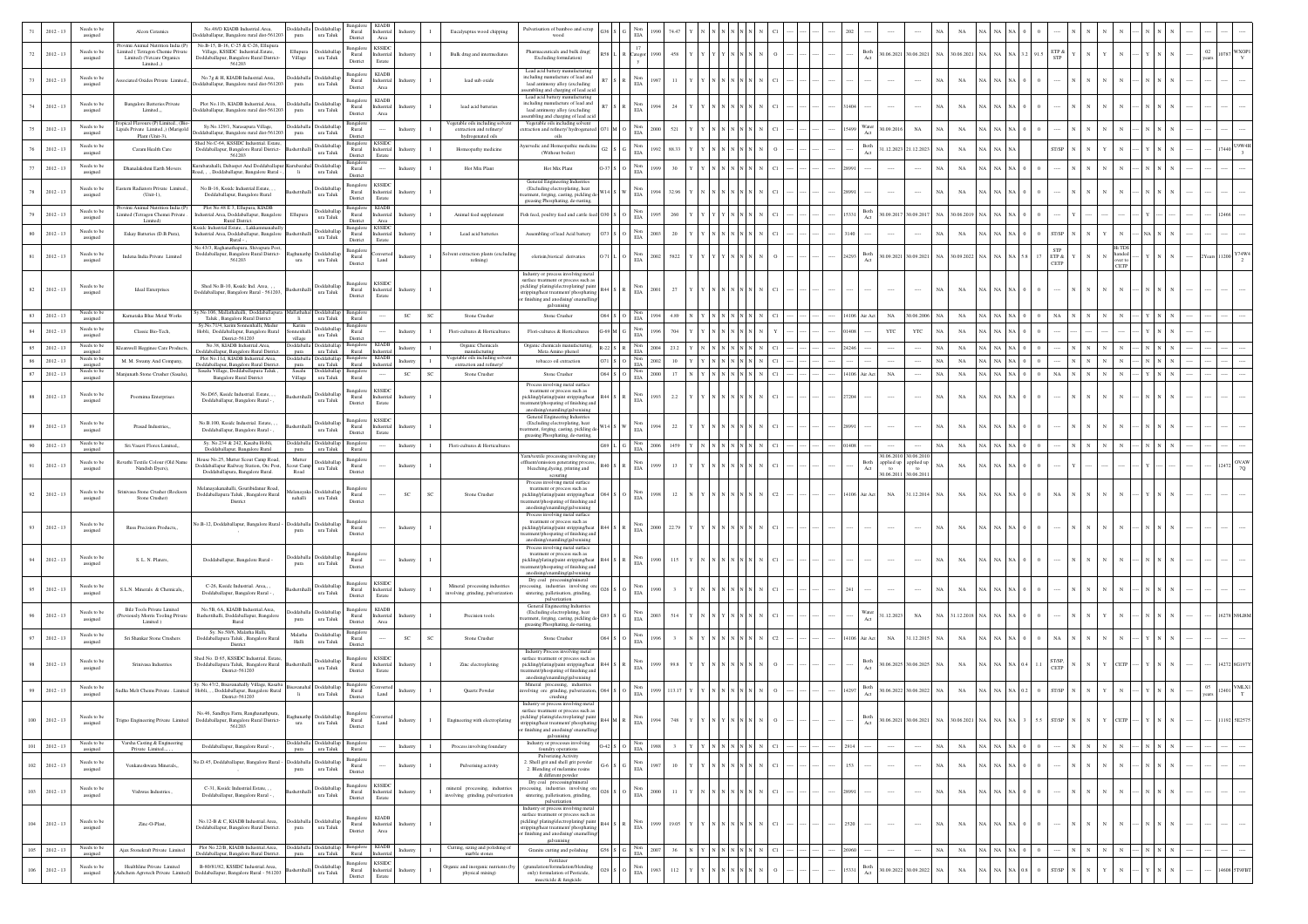|             | $2012 - 13$                | Needs to be<br>assigned                       | Alcon Ceramics                                                                                                   | No.48/O KIADB Industrial.Area,<br>ddaballapur, Bangalore rural dist-561203                                                       | Doddaballa Doddaballap<br>ura Taluk<br>pura                                    | Rural<br>District                                              | <b>KIADB</b><br>Industrial<br>Area                                              |                                             | Eucalyuptus wood chipping                                           | Pulverisation of bamboo and scrap<br>boow                                                                                                                 |                                                        | EIA                             |                           |    |                                                             |  |       |                               |                                         |                          |                            |    |                                                                      |                     |        |            |                                           |            |        |              |  |
|-------------|----------------------------|-----------------------------------------------|------------------------------------------------------------------------------------------------------------------|----------------------------------------------------------------------------------------------------------------------------------|--------------------------------------------------------------------------------|----------------------------------------------------------------|---------------------------------------------------------------------------------|---------------------------------------------|---------------------------------------------------------------------|-----------------------------------------------------------------------------------------------------------------------------------------------------------|--------------------------------------------------------|---------------------------------|---------------------------|----|-------------------------------------------------------------|--|-------|-------------------------------|-----------------------------------------|--------------------------|----------------------------|----|----------------------------------------------------------------------|---------------------|--------|------------|-------------------------------------------|------------|--------|--------------|--|
| 72          | $2012 - 13$                | Needs to be<br>assigned                       | Provimi Animal Nutrition India (P<br>imited (Tetragon Chemie Private<br>Limited) (Vetcare Organics<br>Limited.,) | No.B-15, B-16, C-25 & C-26, Ellupura<br>Village, KSSIDC Industrial.Estate,<br>Doddaballapur, Bangalore Rural District-<br>561203 | sddaballa<br>Ellupura<br>Village<br>ura Taluk                                  | Bangalore<br>Rural<br>District                                 | <b>KSSIDC</b><br>dustrial<br>Estate                                             |                                             | Bulk drug and intermediates                                         | Pharmaceuticals and bulk drug(<br>Excluding formulation)                                                                                                  |                                                        | 17<br>Catego                    | 458                       |    |                                                             |  |       | Both                          | 0.06.2021 30.06.2021 NA                 |                          | 0.06.2021                  |    | $\vert$ 91.                                                          | TP &                |        |            |                                           |            |        |              |  |
| 73          | $2012 - 13$                | Needs to be<br>assigned                       | ssociated Oxides Private Limited                                                                                 | No.7g & H, KIADB Industrial.Area,<br>ddaballapur, Bangalore rural dist-561203                                                    | oddaballa Doddaballa<br>$\,$ ura Taluk<br>pura                                 | Bangalo<br>Rural<br>District                                   | <b>KIADB</b><br>ndustrial<br>Area                                               | Industry                                    | lead sub oxide                                                      | Lead acid battery manufacturing<br>scluding manufacture of lead and<br>lead antimony alloy (excluding                                                     |                                                        | Non<br>$_{\rm EIA}$             | $\mathbf{H}$              |    |                                                             |  |       |                               | $\cdots$                                | NA                       | NA                         |    |                                                                      |                     |        |            |                                           |            |        |              |  |
| 74          | $2012 - 13$                | Needs to be<br>assigned                       | <b>Bangalore Batteries Private</b><br>Limited                                                                    | Plot No.11b, KIADB Industrial.Area,<br>ddaballapur, Bangalore rural dist-561203                                                  | Doddaballa<br>Doddaballap<br>ura Taluk<br>pura                                 | Bangalor<br>$\rm{Rural}$<br>District                           | <b>KIADB</b><br>dustrial<br>Area                                                |                                             | lead acid batteries                                                 | sembling and charging of lead acid<br>Lead acid battery manufacturing<br>including manufacture of lead and<br>lead antimony alloy (excluding              |                                                        | Non<br>$\rm EIA$                | 24                        |    |                                                             |  |       |                               |                                         | N                        | NA                         |    |                                                                      |                     |        |            |                                           |            |        |              |  |
|             | $2012 - 13$                | Needs to be<br>assigned                       | pical Flavours (P) Limited., (B<br>ipids Private Limited.,) (Marigold                                            | Sy.No.129/1, Narasapura Village,<br>ddaballapur, Bangalore rural dist-561203                                                     | Doddaballap<br><b>Ooddaballa</b><br>ura Taluk<br>pura                          | Rural                                                          |                                                                                 | Industry                                    | getable oils including solver<br>extraction and refinery/           | embling and charging of lead acid<br>Vegetable oils including solven<br>raction and refinery/ hydrogenated                                                |                                                        | $_{\rm EIA}^{\rm Non}$          | 521<br>2000               |    |                                                             |  |       | Water<br>0.09.2016            | $_{\rm NA}$                             | N                        | $_{\rm NA}$                |    |                                                                      |                     |        |            |                                           |            |        |              |  |
|             | $2012 - 13$                | Needs to be                                   | Plant (Unit-3),<br>Caram Health Care                                                                             | hed No.C-64, KSSIDC Industrial. Estate,<br>Doddaballapur, Bangalore Rural District-                                              | Doddaballap                                                                    | District<br>Bangalon<br>Rural                                  | <b>KSSIDC</b><br>dustrial                                                       | idustr                                      | hydrogenated oils<br>Homeopathy medicine                            | oils<br>vurvedic and Homeopathic medicine                                                                                                                 |                                                        | Non                             | 992<br>88.33              |    |                                                             |  |       | Both                          | 1.12.2023 21.12.2023                    |                          | $_{\rm NA}$                |    |                                                                      |                     |        |            |                                           |            |        |              |  |
|             | $2012 - 13$                | assigned<br>Needs to be                       | Dhanalakshmi Earth Movers                                                                                        | 561203<br>trubarahalli, Dabaspet And Doddaballapur Kurubaraha                                                                    | ura Taluk<br><b>Ooddaballap</b>                                                | District                                                       | Estate                                                                          |                                             | Hot Mix Plant                                                       | (Without boiler)<br>Hot Mix Plant                                                                                                                         |                                                        | $_{\rm EIA}$<br>Non             | 30                        |    |                                                             |  |       | Act                           |                                         | N/                       | $_{\rm NA}$                |    |                                                                      |                     |        |            |                                           |            |        |              |  |
|             |                            | assigned                                      |                                                                                                                  | ad, , , Doddaballapur, Bangalore Rural -                                                                                         | $\;$ H $\;$<br>$\,$ ura Taluk                                                  | Rural<br>District<br>Bangalon                                  | <b>KSSIDC</b>                                                                   | Industry                                    |                                                                     | General Engineering Industries                                                                                                                            |                                                        | EIA                             |                           |    |                                                             |  |       | $\cdots$                      |                                         |                          |                            |    |                                                                      |                     |        |            |                                           |            |        |              |  |
|             | $2012 - 13$                | Needs to be<br>assigned                       | Eastern Radiators Private Limited<br>(Unit-1).                                                                   | No.B-16. Ksside Industrial.Estate.<br>Doddaballapur, Bangalore Rural                                                             | <b>Ooddaballar</b><br>ura Taluk                                                | Rural<br>District                                              | Industrial<br>Estate                                                            | Industry                                    |                                                                     | (Excluding electroplating, heat<br>stment, forging, casting, pickling d<br>greasing Phosphating, de-rusting,                                              |                                                        | Non<br>EIA                      | 994<br>32.9               |    |                                                             |  |       |                               |                                         | N                        | $_{\rm NA}$                |    |                                                                      |                     |        |            |                                           |            |        |              |  |
|             | $2012 - 13$                | Needs to be<br>assigned                       | Provimi Animal Nutrition India (P<br>imited (Tetragon Chemei Private<br>Limited)                                 | Plot No.48 E 3, Ellupura, KIADB<br>dustrial. Area, Doddaballapur, Bangalore<br>Rural District.                                   | Doddaballap<br>Ellupur<br>ura Taluk                                            | Bangalor<br>Rural<br>District                                  | <b>KIADB</b><br>dustrial<br>Area                                                | idustry                                     | Animal feed supplement                                              | Fish feed, poultry feed and cattle feed (                                                                                                                 |                                                        | $_{\rm EIA}^{\rm Non}$          | 260                       |    |                                                             |  |       | Both<br>Act                   | 0.9.2017 30.09.2017                     | N                        | .06.2019                   |    |                                                                      |                     |        |            |                                           |            |        |              |  |
|             | $2012 - 13$                | Needs to be<br>assigned                       | Eskay Batteries (D.B.Pura),                                                                                      | sside Industrial Estate. . Lakkammanahall<br>ndustrial Area, Doddaballapur, Bangalore                                            | <b>b</b> ddaballap<br>$\,$ ura Taluk                                           | Rural                                                          | <b>KSSIDC</b><br>Industrial                                                     | ndustr                                      | Lead acid batteries                                                 | Assembling of lead Acid battery                                                                                                                           |                                                        | $_{\rm Non}$<br>EIA             | 20<br>2003                |    |                                                             |  | 140   |                               |                                         |                          | $_{\rm NA}$                |    |                                                                      | T/SP                |        |            |                                           |            |        |              |  |
|             | $2012 - 13$                | Needs to be<br>assigned                       | Indena India Private Limited                                                                                     | Rural -<br>io.43/3, Raghanathapura, Shivapura Post<br>Doddaballapur, Bangalore Rural District-<br>561203                         | <b>Ooddaballa</b><br>ura<br>ura Taluk                                          | District<br>Bangalor<br>Rural                                  | Estate<br>Land                                                                  | Industry                                    | olvent extraction plants (excludin<br>refining)                     | olerisin, biotical derivaties                                                                                                                             |                                                        | $_{\rm EIA}^{\rm Non}$          | 5822<br>2002              |    |                                                             |  | 24293 | $_{\rm Both}$<br>Act          | 0.09.2021 30.09.2021                    | $\mathbf{NA}$            | 0.09.2022                  |    |                                                                      | <b>STP</b><br>ETP & |        |            | ver to                                    |            |        |              |  |
|             |                            |                                               |                                                                                                                  | Shed No.B-10, Kssidc Ind. Area.                                                                                                  |                                                                                | District<br>Bangalo                                            | <b>KSSIDC</b>                                                                   |                                             |                                                                     | Industry or process involving metal<br>surface treatment or process such as                                                                               |                                                        |                                 |                           |    |                                                             |  |       |                               |                                         |                          |                            |    |                                                                      | CETP                |        |            | CETP                                      |            |        |              |  |
| 82          | $2012 - 13$                | Needs to be<br>assigned                       | Ideal Enterprises                                                                                                | Ooddaballapur, Bangalore Rural - 561203                                                                                          | Doddaballap<br>ura Taluk                                                       | Rural<br>District                                              | Industrial<br>Estate                                                            | Industry                                    |                                                                     | pickling/plating/electroplating/pain<br>ipping/heat treatment/ phosphating<br>finishing and anodising/ enamelling<br>galvanising                          |                                                        | Non<br>EIA                      | 27                        |    |                                                             |  |       |                               | $\cdots$                                | NA                       | $_{\rm NA}$                |    |                                                                      |                     |        |            |                                           |            |        |              |  |
| 83          | $2012 - 13$                | Needs to be<br>assigned                       | Karnataka Blue Metal Works                                                                                       | y.No.106, Mallathahalli, Doddaballapura<br>Taluk, Bangalore Rural District<br>Sv.No.71/4, karim Sonnenhalli, Madua               | Doddaballap Bangalor<br>ıllathaha<br>$\mathbf{H}$<br>ura Taluk<br>Karim        | Rural<br>Bangalo                                               |                                                                                 | $_{\rm SC}$<br><b>SC</b>                    | Stone Crusher                                                       | Stone Crusher                                                                                                                                             |                                                        | $S$ O $_{EIA}$                  | 994<br>4.89               |    |                                                             |  |       | 14106 Air Act<br>$_{\rm NA}$  | 30.06.2006                              | <b>NA</b>                | $_{\rm NA}$                |    |                                                                      | <b>NA</b>           |        |            |                                           |            |        |              |  |
| 84          | $2012 - 13$                | Needs to be<br>assigned                       | Classic Bio-Tech,                                                                                                | Hobli, Doddaballapur, Bangalore Rural<br>District-561203                                                                         | oddaballap<br><b>ionnenhalli</b><br>$\,$ ura Taluk<br>village                  | Rural<br>District                                              |                                                                                 | Industry                                    | Flori-cultures & Horticultures                                      | Flori-cultures & Horticultures                                                                                                                            |                                                        | Non<br>EIA                      |                           |    |                                                             |  |       | YTC                           | YTC                                     |                          | $_{\rm NA}$                |    |                                                                      |                     |        |            |                                           |            |        |              |  |
| 85          | $2012 - 13$                | <b>Needs</b> to be<br>assigned<br>Needs to be | Kleanwell Hegginee Care Product                                                                                  | No.38, KIADB Industrial.Area,<br>Ooddaballapur, Bangalore Rural District.<br>Plot No.11d. KIADB Industrial.Area.                 | ddaballap<br><b>Ooddaballa</b><br>ura Taluk<br>pura<br>sddaballar<br>Doddaball | Bangalon<br>Rural<br>Bangalon                                  | KIADB<br>histria<br><b>KIADB</b>                                                | Industry                                    | Organic Chemicals<br>manufacturing<br>Vegetable oils including solv | Organic chemicals manufacturing,<br>Meta Amino phenol                                                                                                     | 22 S R                                                 | Non<br>EIA                      | 23.2<br>2004              |    |                                                             |  | 24246 |                               |                                         | $N_A$                    | NA                         |    |                                                                      |                     |        |            |                                           |            |        |              |  |
| 86<br>87    | $2012 - 13$<br>$2012 - 13$ | assigned<br>Needs to be                       | M. M. Swamy And Company<br>Manjunath Stone Crusher (Sasalu)                                                      | Doddaballapur, Bangalore Rural District.<br>Sasalu Village, Doddaballapura Taluk,                                                | ura Taluk Rural<br>pura<br>Sasalu<br>Doddaballap                               | sangalor                                                       |                                                                                 | Industry<br>$\mathbf{I}$<br>SC<br><b>SC</b> | extraction and refinery/<br>Stone Crusher                           | tobacco oil extraction<br>Stone Crusher                                                                                                                   | O64 S O $\frac{\text{Non}}{\text{EIA}}$                | $S = O = \frac{N \circ n}{EIA}$ | 10<br>2002<br>17<br>2000  | N. | NNNN                                                        |  |       | $_{\rm NA}$<br>14106 Air Act  |                                         | $_{\rm NA}$<br><b>NA</b> | $_{\rm NA}$<br>$_{\rm NA}$ |    | NA.                                                                  | NA                  |        |            |                                           |            |        |              |  |
| $^{\rm 88}$ | $2012 - 13$                | assigned<br>Needs to be                       | Poornima Enterprises                                                                                             | Bangalore Rural District<br>No.D65, Kssidc Industrial. Estate, ,                                                                 | ura Taluk<br>Village<br><b>b</b> ddaballap                                     | Rural<br>Bangalor<br>Rural                                     | <b>KSSIDC</b><br>Industrial                                                     | $\mathbf{I}$<br>Industry                    |                                                                     | Process involving metal surface<br>treatment or process such as<br>pickling/plating/paint stripping/heat                                                  |                                                        |                                 | 2.2<br>993                |    |                                                             |  | 7204  | $\cdots$                      | $\cdots$                                | NA                       | $_{\rm NA}$                |    |                                                                      |                     |        |            |                                           |            |        |              |  |
|             |                            | assigned<br>Needs to be                       |                                                                                                                  | Doddaballapur, Bangalore Rural -<br>No B 100 Ksside Industrial Estate                                                            | $\,$ ura Taluk<br>Doddaballar                                                  | District<br>Bangalor                                           | .<br>Estati<br><b>KSSIDC</b>                                                    |                                             |                                                                     | atment/phospating of finishing and<br>anodising/enamiling/galvenising<br>General Engineering Indu<br>(Excluding electroplating, heat                      |                                                        | EIA<br>Nos                      |                           |    |                                                             |  |       |                               |                                         |                          |                            |    |                                                                      |                     |        |            |                                           |            |        |              |  |
|             | $2012 - 13$                | assigned                                      | Prasad Industries,                                                                                               | Doddaballapur, Bangalore Rural - .                                                                                               | ura Taluk                                                                      | Rural<br>District                                              | dustrial<br>Estate                                                              | dustry                                      |                                                                     | atment, forging, casting, pickling d<br>greasing Phosphating, de-rusting,                                                                                 |                                                        | $_{\rm EIA}$                    | 22                        |    |                                                             |  |       |                               | $\cdots$                                | $_{\rm NA}$              | $_{\rm NA}$                |    |                                                                      |                     |        |            |                                           |            |        |              |  |
|             | $2012 - 13$                | Needs to be<br>assigne                        | Sri. Vasavi Florex Limited.                                                                                      | Sy. No.234 & 242, Kasaba Hobli,<br>Doddaballapur, Bangalore Rural<br>House No.25, Mutter Scout Camp Road,                        | oddaballap<br>Idaball<br>ura Taluk<br>Mutter                                   | Bangalor<br>Rural<br>Bangalor                                  |                                                                                 | $\mathbf{I}$<br>Industry                    | Flori-cultures & Horticultures                                      | Yarn/textile processing involving any                                                                                                                     |                                                        | Non<br>EIA                      | 1459<br>2006              |    |                                                             |  |       |                               | $\cdots$<br>0.06.2010<br>30.06.20       | NA                       | $_{\rm NA}$                |    |                                                                      |                     |        |            |                                           |            |        |              |  |
|             | $2012 - 13$                | Needs to be<br>assigned                       | Revathi Textile Colour (Old Name<br>Nandish Dyers),                                                              | Ooddaballapur Railway Station, Otc Post,<br>Doddaballapura, Bangalore Rural.                                                     | <b>Ooddaballap</b><br>out Camp<br>ura Taluk<br>Road                            | $\rm{Rural}$<br>District                                       |                                                                                 | Industry                                    |                                                                     | ffluent/emission generating process<br>bleaching, dyeing, printing and<br>scouring<br>Process involving metal surface                                     |                                                        | Non<br>$\rm EIA$                | 13                        |    |                                                             |  |       | Both<br>Act<br>to<br>0.06.201 | applied up applied up<br>to<br>30.06.20 |                          | $_{\rm NA}$                |    |                                                                      |                     |        |            |                                           |            |        |              |  |
| 92          | $2012 - 13$                | Needs to be<br>assigned                       | rinivasa Stone Crusher (Rocksor<br>Stone Crusher)                                                                | Melanavakanahalli, Gouribidanur Road.<br>Doddaballapura Taluk, Bangalore Rural<br>District                                       | <b>Ooddaballa</b><br>lanayak<br>nahalli<br>$\,$ ura Taluk                      | Bangalor<br>Rural<br>District                                  |                                                                                 | $\mathsf{SC}$<br>sc                         | Stone Crusher                                                       | treatment or process such as<br>pickling/plating/paint stripping/heat<br>atment/phospating of finishing and<br>$\!$ anodising/enamiling/galvenising       |                                                        | EIA                             | 12                        |    |                                                             |  | 1106  | $_{\rm NA}$<br>ir Act         | 31.12.2014                              | NA                       | $_{\rm NA}$                |    |                                                                      |                     |        |            |                                           |            |        |              |  |
| 93          | $2012 - 13$                | Needs to be<br>assigned                       | Russ Precision Products,,                                                                                        | lo.B-12, Doddaballapur, Bangalore Rural -                                                                                        | <b>boddaballa</b><br>Doddaball<br>$\,$ ura Taluk<br>pura                       | Bangalor<br>Rural                                              |                                                                                 | Industry<br>$\mathbf I$                     |                                                                     | Process involving metal surface<br>treatment or process such as<br>pickling/plating/paint stripping/heat                                                  |                                                        | Non<br>EIA                      | 22.79<br>2000             |    |                                                             |  |       | 1.111                         | 1.111                                   | NA                       | $_{\rm NA}$                |    |                                                                      |                     |        |            |                                           |            |        |              |  |
|             |                            | Needs to be                                   |                                                                                                                  |                                                                                                                                  | ddaball<br><b>Ooddaballa</b>                                                   | District<br>Bangalor                                           |                                                                                 |                                             |                                                                     | atment/phospating of finishing and<br>anodising/enamiling/galvenising<br>Process involving metal surface<br>treatment or process such as                  |                                                        |                                 |                           |    |                                                             |  |       |                               |                                         |                          |                            |    |                                                                      |                     |        |            |                                           |            |        |              |  |
|             | $2012 - 13$                | assigned                                      | S. L. N. Platers,                                                                                                | Doddaballapur, Bangalore Rural -                                                                                                 | $\,$ ura Taluk<br>pura                                                         | Rural<br>District                                              |                                                                                 | Industry                                    |                                                                     | pickling/plating/paint stripping/heat<br>atment/phospating of finishing and<br>$\!$ anodising/enamiling/galvenising<br>Dry coal processing/mineral        |                                                        | EIA                             | 115                       |    |                                                             |  |       | $\cdots$                      | $\cdots$                                | NA                       | $_{\rm NA}$                |    |                                                                      |                     |        |            |                                           |            |        |              |  |
|             | $2012 - 13$                | Needs to be<br>assigned                       | S.L.N. Minerals & Chemicals,                                                                                     | C-26. Ksside Industrial. Area.,<br>Doddaballapur, Bangalore Rural -                                                              | Doddaballa<br>ura Taluk                                                        | Bangalor<br>Rural<br>District                                  | <b>KSSIDC</b><br>lustrial<br>Estate                                             | dustry                                      | Mineral processing industries<br>involving grinding, pulverization  | essing, industries involving or<br>sintering, palletisation, grinding,<br>pulverization                                                                   |                                                        | Non<br>ELA                      |                           |    |                                                             |  |       |                               | $\cdots$                                | NA                       | $_{\rm NA}$                |    |                                                                      |                     |        |            |                                           |            |        |              |  |
|             | $2012 - 13$                | Needs to be<br>assigned                       | <b>Bilz Tools Private Limited</b><br>Previously Morris Tooling Privat<br>Limited )                               | No.5B, 6A. KIADB Industrial.Area.<br>Bashettihalli, Doddaballapur, Bangalore<br>Rural                                            | ddaballa<br>Doddaballa<br>pura<br>ura Taluk                                    | Bangalor<br>Rural<br>District                                  | <b>KIADB</b><br>dustrial<br>Area                                                | ndustr                                      | Precision tools                                                     | General Engineering Industries<br>(Excluding electroplating, heat<br>stment, forging, casting, pickling de<br>greasing Phosphating, de-rusting,           |                                                        | Non<br>EIA                      | 514<br>2003               |    |                                                             |  |       | Vater<br>1.12.2023<br>Act     | $_{\rm NA}$                             |                          | 12.2018                    |    |                                                                      |                     |        |            |                                           |            |        |              |  |
|             | $2012 - 13$                | Needs to be<br>assigned                       | Sri Shankar Stone Crushers                                                                                       | Sy. No.50/6, Malatha Halli,<br>Doddaballapura Taluk, Bangalore Rural<br>District                                                 | Malatha<br>Doddaballap<br>ura Taluk<br>Halli                                   | Bangalor<br>Rural<br>Distric                                   |                                                                                 | $\mathsf{SC}$<br>SC                         | Stone Crusher                                                       | Stone Crusher                                                                                                                                             |                                                        | $_{\rm EIA}^{\rm Non}$          |                           |    |                                                             |  |       | $_{\rm NA}$<br><b>Vir Act</b> | 31.12.2015 NA                           |                          | $_{\rm NA}$                |    |                                                                      |                     |        |            |                                           |            |        |              |  |
| 98          | $2012 - 13$                | Needs to be<br>assigned                       | Srinivasa Industries                                                                                             | Shed No. D 65, KSSIDC Industrial, Estate<br>Doddaballapura Taluk, Bangalore Rural<br>District-561203                             | ddaball<br>ura Taluk                                                           | Bangalor<br>Rural<br>District                                  | <b>KSSIDC</b><br>dustrial<br>Estate                                             | ndustry                                     | Zinc electropleting                                                 | Industry Process involving metal<br>outface treatment or process such as<br>pickling/plating/paint stripping/heat<br>nent/phospating of finishing and     |                                                        | $_{\rm EIA}^{\rm Non}$          | 99.S                      |    |                                                             |  |       | Both                          | 0.06.2025 30.06.2025 NA                 |                          | $_{\rm NA}$                | NA |                                                                      | ST/SP,<br>CETP      |        |            | CETP                                      |            |        |              |  |
|             | $2012 - 13$                | Needs to be<br>assigned                       | iudha Melt Chems Private . Limited                                                                               | Sy. No.47/2, Bisavanahally Village, Kasaba<br>Hobli, , , Doddaballapur, Bangalore Rural                                          | Doddaballap<br><b>Sisayanahal</b><br>$\,$ H $\,$<br>ura Taluk                  | Rural                                                          | Land                                                                            | 1<br>Industry                               | Quartz Powder                                                       | anodising/enamiling/galvenising<br>Mineral processing, industries<br>volving ore grinding pulverization                                                   |                                                        | $_{\rm Non}$<br>EIA             | 113.17<br>999             |    |                                                             |  | 4297  | $\operatorname{Both}$         | 0.06.2022 30.06.2022                    | NA                       | $_{\rm NA}$                |    |                                                                      | T/SP                |        |            |                                           |            | $05\,$ | VMLXI        |  |
| 100         | $2012 - 13$                | assigned                                      | Trigno Engineering Private Limited                                                                               | District-561203<br>No.46, Sandhya Farm, Ranghanathpura,<br>Doddaballapur, Bangalore Rural District                               | ura Taluk<br>ura                                                               | District<br>Rural                                              | Land                                                                            | Industry                                    | Engineering with electroplating                                     | crushing<br>Industry or process involving metal<br>surface treatment or process such as<br>kline/plati<br>stripping/heat treatment/ phosphating           | $_{\rm R44}$ $\rm _M$ $\rm _R$ $\rm _{EIA}^{\rm ~N0u}$ |                                 | 1994<br>748               |    |                                                             |  |       |                               | 30.06.2021 30.06.2021 NA 30.06.2021 NA  |                          |                            |    | NA NA 3 5.5 ST/SP                                                    |                     |        |            |                                           |            |        | 11192 SE2575 |  |
| 101         | $2012 - 13$                | Needs to be<br>assigned                       | Varsha Casting & Engineering<br>Private Limited.                                                                 | 561203<br>Doddaballapur, Bangalore Rural - ,                                                                                     | Indebbot<br>ura Taluk<br>pura                                                  | District<br>Rural                                              |                                                                                 | Industry<br>$\mathbf{I}$                    | Process involving foundary                                          | finishing and anodising/enamelling/<br>galvanising<br>Industry or processes involving<br>foundry operations                                               | $0-42$ S $\overline{O}$ $\overline{EIA}$               |                                 | 1988 3 Y Y N N N N N N C1 |    |                                                             |  | 2914  |                               |                                         | <b>NA</b>                | $_{\rm NA}$                |    | $\rm NA-NA$                                                          |                     |        |            |                                           |            |        |              |  |
| 102         | $2012 - 13$                | Needs to be                                   | Venkateshwara Minerals                                                                                           | Vo.D.45, Doddaballapur, Bangalore Rural -                                                                                        | <b>Ooddaballa</b><br>Doddaballap                                               | Bangalor<br>Rural                                              |                                                                                 | Industry                                    | Pulverising activity                                                | Pulverizing Activity<br>2. Shell grit and shell grit powder                                                                                               |                                                        | Non                             | 10<br>1987                |    | $N$ $\,$ $N$ $\,$ $\,$ $N$ $\,$ $\,$ $N$ $\,$ $\,$ $\,$ $N$ |  | 153   | $\cdots$                      | $\cdots$                                | NA                       | $_{\rm NA}$                |    | NA <sub>1</sub>                                                      |                     |        |            |                                           |            |        |              |  |
|             |                            | assigned<br>Needs to be                       |                                                                                                                  | C-31. Ksside Industrial.Estate                                                                                                   | $\,$ ura Taluk<br>pura<br>Doddaballap                                          | District<br>Bangalore                                          | <b>KSSIDC</b>                                                                   |                                             | mineral processing, industries                                      | 2. Blending of melamine resins<br>& different powder<br>Dry coal processing/mineral<br>cessing, industries involving on                                   |                                                        | $_{\rm EIA}$<br>Non             |                           |    |                                                             |  |       |                               |                                         |                          |                            |    |                                                                      |                     |        |            |                                           |            |        |              |  |
| 103         | $2012 - 13$                | assigned                                      | Vishwas Industries                                                                                               | Doddaballapur, Bangalore Rural - ,                                                                                               | ura Taluk                                                                      | Rural<br>District                                              | dustrial<br>Estate                                                              |                                             | involving grinding, pulverization                                   | sintering, palletisation, grinding,<br>pulverization<br>Industry or process involving metal                                                               |                                                        | $_{\rm EIA}$                    | 2000<br>11                |    |                                                             |  |       |                               |                                         | N <sub>A</sub>           | $_{\rm NA}$                |    |                                                                      |                     |        |            |                                           |            |        |              |  |
| 104         | $2012 - 13$                | Needs to be<br>assigned                       | Zinc-O-Plast,                                                                                                    | No.12-B & C. KIADB Industrial Area.<br>Doddaballapur, Bangalore Rural District.                                                  | Doddaballa Doddaballap<br>ura Taluk<br>pura                                    | Bangalon<br>Rural<br>District                                  | <b>KLADB</b><br>$\label{thm:1} \text{Industrial} \quad \text{Industry}$<br>Area | $\mathbf{I}$                                |                                                                     | surface treatment or process such as<br>pickling/plating/electroplating/pain<br>ripping/heat treatment/ phosphating<br>finishing and anodising/enamelling |                                                        | Non<br>$_{\rm EIA}$             | 19.05<br>999              |    |                                                             |  | 2520  | $\cdots$                      | $\cdots$                                | NA                       | $_{\rm NA}$                |    |                                                                      |                     |        |            |                                           |            |        |              |  |
| 105         | $2012 - 13$                | Needs to be<br>assigned                       | Ajax Stonekraft Private Limited                                                                                  | Plot No.22/B, KIADB Industrial.Area,<br>Doddaballapur, Bangalore Rural District.                                                 | Doddaballap<br>Doddaball:<br>Doddaballap Bangalore<br>ura Taluk Rural<br>pura  |                                                                | <b>KIADB</b><br>Industrial                                                      | Industry<br>$\;$ I                          | Cutting, sizing and polishing of<br>marble stones                   | galvanising<br>Granite cutting and polishing                                                                                                              |                                                        | $\rm G$ $\quad$ Non $\rm EIA$   | 2007 36 N Y N N N N N C1  |    |                                                             |  | 26960 |                               |                                         | $_{\rm NA}$              | $_{\rm NA}$                |    | NA NA NA $\begin{array}{ c c c } \hline 0 & 0 \\ \hline \end{array}$ |                     | N<br>N | $_{\rm N}$ | $\mathbf{N}=\cdots=\mathbf{N}=\mathbf{N}$ | $_{\rm N}$ |        |              |  |
| 106         | $2012 - 13$                | Needs to be                                   | Healthline Private Limited                                                                                       | B-80/81/82, KSSIDC Industrial.Area,                                                                                              | <b>Ooddaballap</b>                                                             | Bangalore                                                      | <b>KSSIDC</b><br>Industrial                                                     | Industry                                    | Organic and inorganic nutrients (b                                  | Fertilizer<br>(granulation/formulation/blending                                                                                                           |                                                        | Non                             | 112<br>1983               |    |                                                             |  | 5331  | Both                          | 0.09.2022 30.09.2022 NA                 |                          | $_{\rm NA}$                |    |                                                                      | ST/SP               |        |            |                                           |            |        |              |  |
|             |                            | assigned                                      | Ashchem Agrotech Private Limit                                                                                   | Doddaballapur, Bangalore Rural - 561203                                                                                          | $\,$ ura Taluk                                                                 | $\begin{array}{c} \text{Rural} \\ \text{District} \end{array}$ | Estate                                                                          |                                             | physical mixing)                                                    | only) formulation of Pesticide,<br>insecticide & fungicide                                                                                                |                                                        | $\rm EIA$                       |                           |    |                                                             |  |       |                               |                                         |                          |                            |    |                                                                      |                     |        |            |                                           |            |        |              |  |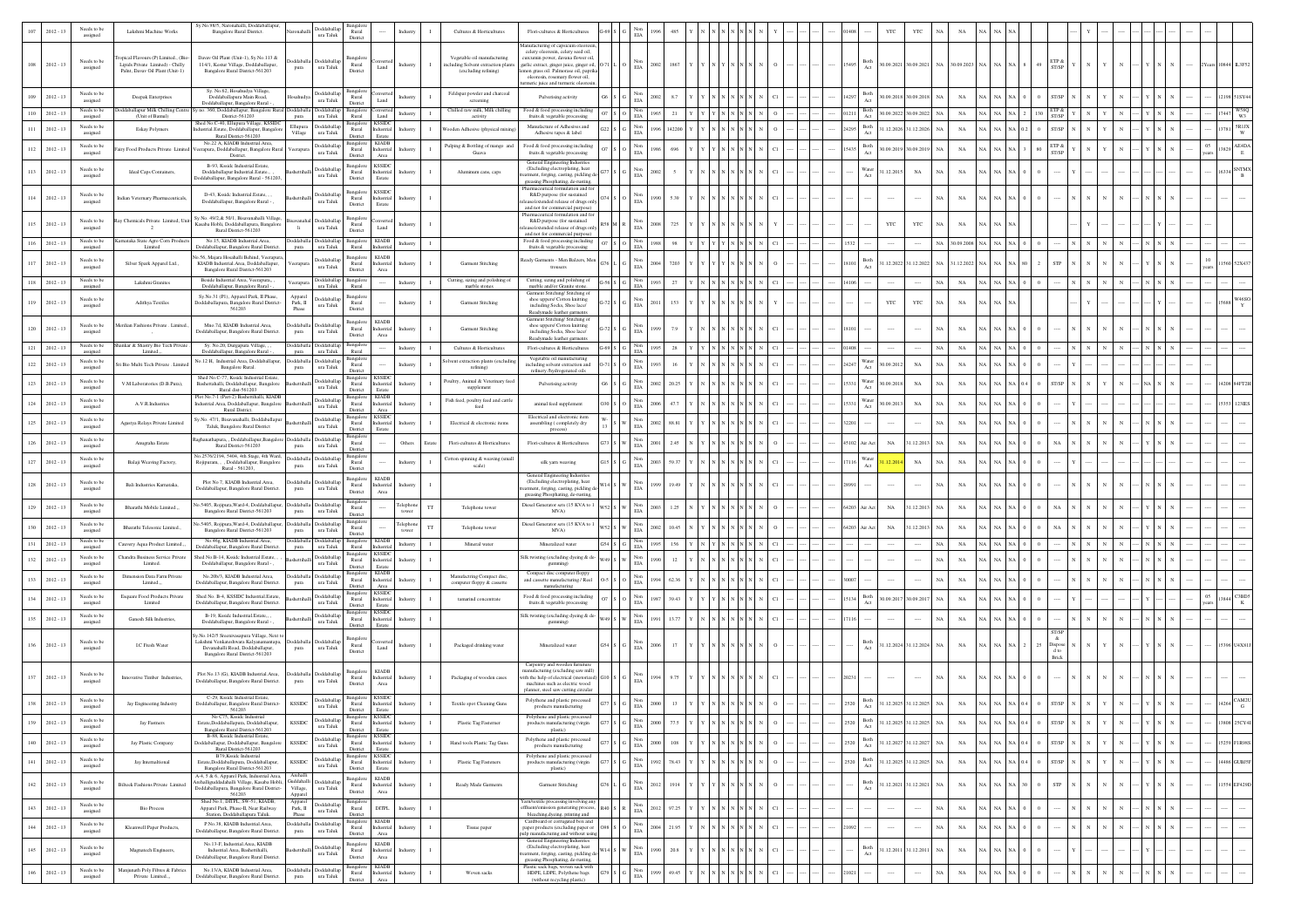|         | $012 - 13$  | Needs to be<br>assigned                | Lakshmi Machine Works                                                                                     | Sy.No.98/5, Naronahalli, Doddaballapur<br>Bangalore Rural District.                                                                                     | Doddaballap<br>ura Taluk                                         | Rural<br>Distric                                                           |                                       |                                  | Cultures & Horticulture                                                                   | Flori-cultures & Horticultures                                                                                                                                                                                                                                        | EIA                                 |                 |                                        |                                    |  |       |                           | YTC                      |                |                 |        |                         |  |  |    |       |                                    |
|---------|-------------|----------------------------------------|-----------------------------------------------------------------------------------------------------------|---------------------------------------------------------------------------------------------------------------------------------------------------------|------------------------------------------------------------------|----------------------------------------------------------------------------|---------------------------------------|----------------------------------|-------------------------------------------------------------------------------------------|-----------------------------------------------------------------------------------------------------------------------------------------------------------------------------------------------------------------------------------------------------------------------|-------------------------------------|-----------------|----------------------------------------|------------------------------------|--|-------|---------------------------|--------------------------|----------------|-----------------|--------|-------------------------|--|--|----|-------|------------------------------------|
|         | $2012 - 13$ | Needs to be<br>assigned                | opical Flavours (P) Limited., (Bio<br>Lipids Private Limited) - Chilly<br>Palnt, Davav Oil Plant (Unit-1) | Davav Oil Plant (Unit-1), Sy.No.113 &<br>114/1, Kestur Village, Doddaballapur,<br>Bangalore Rural District-561203<br>Sy. No.62, Hosahudya Village       | <b>Ooddaballa</b><br>Doddaballa<br>ura Taluk<br>pura             | Bangalo<br>Rural<br>District                                               | Land                                  | Industry                         | Vegetable oil manufacturing<br>ncluding Solvent extraction plants<br>(excluding refining) | nufacturing of capsicum ole<br>celery oleoresin, celery seed oil.<br>urcumin power, davana flower oil,<br>garlic extract, ginger juice, ginger oil,<br>emon grass oil. Palmorase oil, paprika<br>oleoresin, rosemary flower oil,<br>meric juice and turmeric oleoresi | $_{\rm EIA}^{\rm Non}$              | 2002<br>1867    |                                        |                                    |  | 5495  | 3oth                      | 80.09.2021 30.09.2021 NA |                | $30.09.2023$ NA |        | ETP &<br>ST/SP          |  |  |    |       |                                    |
|         | $2012 - 13$ | Needs to be<br>assigned                | Deepak Enterprises                                                                                        | Doddaballapura Main Road,<br>Doddaballapur, Bangalore Rural                                                                                             | Doddaballap<br>ura Taluk                                         | Bangalor<br>Rural<br>Distric                                               | Land                                  |                                  | Feldspar powder and charcoal<br>screening                                                 | Pulverising activity                                                                                                                                                                                                                                                  | $_{\rm ELA}^{\rm Non}$              | 8.              |                                        |                                    |  |       | Both                      | 0.09.2018 30.09.2018     |                | NA              |        |                         |  |  |    |       |                                    |
|         | $2012 - 13$ | Needs to be<br>assigned<br>Needs to be | aballapur Milk Chilling Centr<br>(Unit of Bamul)                                                          | no. 360, Doddaballapur, Bangalore Rural<br>District-561203<br>Shed No.C-40, Ellupura Village, KSSIDC                                                    | oddaballa<br>ura Taluk<br>Doddaballar<br>Ellupur                 | Rural<br>Bangalor                                                          | land<br>KSSIDC                        | Industry                         | Chilled raw milk, Milk chilling<br>activity                                               | Food & food processing including<br>fruits & vegetable processing<br>Manufacture of Adhesives and                                                                                                                                                                     | Non<br>EIA                          | 965<br>21       |                                        |                                    |  |       | Both<br>Both              | 30.09.2022 30.09.2022 NA |                | $_{\rm NA}$     |        |                         |  |  |    | 17447 | W58C<br>W3                         |
|         | $2012 - 13$ | assigned                               | Eskay Polymers                                                                                            | strial.Estate, Doddaballapur, Bangalore<br>Rural District-561203<br>No.22 A, KIADB Industrial.Area                                                      | ura Taluk<br>Village                                             | Rural<br>District<br>Bangalo                                               | dustrial<br>Estate<br><b>KIADB</b>    |                                  | oden Adhesive (physical mixin                                                             | Adhesive tapes & label                                                                                                                                                                                                                                                | $_{\rm ELA}^{\rm Non}$              | 14220           |                                        |                                    |  | 14295 | Act                       | 1.12.2026 31.12.2026     |                | $_{\rm NA}$     |        |                         |  |  |    |       | $\frac{\texttt{SRIX}}{\texttt{W}}$ |
| 112     | $2012 - 13$ | Needs to be<br>assigned                | siry Food Products Private Limited                                                                        | eerapura, Doddaballapur, Bangalore Rural<br>District.                                                                                                   | sddaballa<br>ura Taluk                                           | Rural<br>District                                                          | ndustrial<br>Area                     | Industr                          | Pulping & Bottling of mango and<br>Guava                                                  | Food & food processing including<br>fruits & vegetable processing<br>General Engineering Industries                                                                                                                                                                   | Non<br>EIA                          | 696             |                                        |                                    |  | 5435  | $_{\rm Both}$<br>Act      | 0.09.2019 30.09.2019     | NA             | $_{\rm NA}$     |        | TP &                    |  |  | 05 |       | AE4DA<br>$\;$ E                    |
| 113     | $2012 - 13$ | Needs to be<br>assigned                | Ideal Caps Containers,                                                                                    | B-93. Ksside Industrial Estate.<br>Doddaballapur Industrial.Estate.,<br>oddaballapur, Bangalore Rural - 561203.                                         | oddaballa<br>ura Taluk                                           | Bangalon<br>Rural<br>District                                              | <b>KSSIDC</b><br>ndustrial<br>Estate  | ndustr                           | Aluminum cans, caps                                                                       | (Excluding electroplating, heat<br>stment, forging, casting, pickling d<br>greasing Phosphating, de-rusting,                                                                                                                                                          | EIA                                 |                 |                                        |                                    |  |       | Vater<br>1.12.2015<br>Act | $_{\rm NA}$              |                | $_{\rm NA}$     |        |                         |  |  |    |       |                                    |
| 114     | $2012 - 13$ | Needs to be<br>assigned                | Indian Veternary Pharmaceuticals                                                                          | D-43. Ksside Industrial.Estate<br>Doddaballapur, Bangalore Rural -                                                                                      | <b>oddaballa</b><br>ura Taluk                                    | Bangalo<br>Rural<br>District                                               | <b>KSSIDC</b><br>dustrial<br>Estate   | ndustr                           |                                                                                           | harmaceutical formulation and fo<br>R&D purpose (for sustained<br>se/extended release of drugs onl                                                                                                                                                                    | Non<br>$\rm EIA$                    |                 |                                        |                                    |  |       |                           | $\cdots$                 | N/             | NA              |        |                         |  |  |    |       |                                    |
| 115     | $2012 - 13$ | Needs to be<br>assigned                | Ray Chemicals Private Limited, Un                                                                         | Sy No. 49/2,& 50/1, Bisavanahalli Village,<br>.<br>Kasaba Hobli, Doddaballapura, Bangalore<br>Rural District-561203                                     | Doddaballa<br>$\,$ ura Taluk<br>li.                              | Bangalor<br>Rural<br>District                                              | Land                                  | Industr                          |                                                                                           | and not for commercial purpose)<br>harmaceutical formulation and fo<br>R&D purpose (for sustained<br>ase/extended release of drugs only                                                                                                                               | Non<br>$\rm EIA$                    | 725             |                                        |                                    |  |       | YTC                       | YTC                      | NA             | $_{\rm NA}$     |        |                         |  |  |    |       |                                    |
| 116     | $2012 - 13$ | <b>Needs</b> to b<br>assigned          | mataka State Agro Corn Pr<br>Limited                                                                      | No.15, KIADB Industrial.Area<br>Doddaballapur, Bangalore Rural District.                                                                                | ddabal<br>oddabal<br>ura Taluk<br>pura                           | Bangalor<br>Rural                                                          | <b>KIADB</b><br>lustrial              | Industry<br>$\mathbf{I}$         |                                                                                           | and not for commercial purpose)<br>Food & food processing including<br>fruits & vegetable processing                                                                                                                                                                  | Non<br>EIA                          | 1988<br>98      |                                        |                                    |  |       |                           |                          | NA             | 0.9.2008 NA     | NA     |                         |  |  |    |       |                                    |
| 117     | $2012 - 13$ | Needs to be<br>assigned                | Silver Spark Apparel Ltd.,                                                                                | 5.56, Majara Hosahalli Behind, Veerapur<br>KIADB Industrial Area. Doddaballapur.<br>Bangalore Rural District-561203                                     | oddaballa<br>erapu<br>ura Taluk                                  | Bangalor<br>Rural<br>District                                              | <b>KIADB</b><br>dustrial<br>Area      | Industr                          | Garment Stitching                                                                         | Ready Garments - Men Balzers, Mer<br>trousers                                                                                                                                                                                                                         | Non<br>EIA                          | 7203            |                                        |                                    |  |       | 3oth                      | 1.12.2022 31.12.2022 NA  |                | 1.12.2022       |        | <b>STP</b>              |  |  |    |       |                                    |
| 118     | $2012 - 13$ | Needs to be<br>assigned                | Lakshmi Granites                                                                                          | Beside Industrial Area, Veerapura,<br>Doddaballapur, Bangalore Rural -                                                                                  | oddaballa<br>eerapura<br>ura Taluk                               | Bangalo<br>Rural                                                           |                                       | Industry                         | Cutting, sizing and polishing of<br>marble stones                                         | Cutting, sizing and polishing of<br>marble and/or Granite stone                                                                                                                                                                                                       | Non<br>EIA                          |                 |                                        |                                    |  |       |                           |                          |                | $_{\rm NA}$     |        |                         |  |  |    |       |                                    |
| 119     | $2012 - 13$ | Needs to be<br>assigned                | Adithya Textiles                                                                                          | Sy.No.31 (P1), Apparel Park, II Phase,<br>Doddaballapura, Bangalore Rural District<br>561203                                                            | Appare<br><b>ddaballap</b><br>Park, II<br>ura Taluk<br>Phase     | Bangalor<br>Rural<br>District                                              |                                       | Industry                         | Garment Stitching                                                                         | Garment Stitching/ Stitching of<br>shoe uppers/ Cotton knitting<br>including Socks, Shoe lace,                                                                                                                                                                        | EIA                                 | 153             |                                        |                                    |  |       | YTC                       | YTC                      |                | $_{\rm NA}$     |        |                         |  |  |    |       |                                    |
| 120     | $2012 - 13$ | Needs to be<br>assigned                | Merdian Fashions Private . Limite                                                                         | Mno.7d, KIADB Industrial.Area,<br>Doddaballapur, Bangalore Rural District.                                                                              | oddaball<br><b>oddaballa</b><br>ura Taluk                        | Bangalor<br>Rural                                                          | <b>KIADB</b><br>dustrial              | Industr                          | Garment Stitching                                                                         | Readymade leather garments<br>Garment Stitching/ Stitching of<br>shoe uppers/ Cotton knitting<br>including Socks, Shoe lace/                                                                                                                                          | Non<br>$\rm EIA$                    |                 |                                        |                                    |  |       |                           | $\cdots$                 | N/             | NA              |        |                         |  |  |    |       |                                    |
| 121     | $2012 - 13$ | Needs to be                            | Shankar & Shastry Bio Tech Priva                                                                          | Sy. No.20, Durgapura Village,                                                                                                                           | pura<br>oddaball<br>oddaball                                     | District<br>Bangale                                                        | Area                                  | Industry                         | Cultures & Horticulture                                                                   | Readymade leather garments<br>Flori-cultures & Horticultures                                                                                                                                                                                                          | Non                                 | 28              |                                        |                                    |  |       |                           |                          | N              | $_{\rm NA}$     |        |                         |  |  |    |       |                                    |
| $122\,$ | $2012 - 13$ | assigned<br>Needs to be<br>assigned    | Limited<br>Sri Bio Multi Tech Private . Limit                                                             | Doddaballapur, Bangalore Rural -<br>No.12 H, Industrial Area, Doddaballapur,<br>Bangalore Rural.                                                        | pura<br>ura Taluk<br>Doddaballa Doddaballar<br>ura Taluk<br>pura | Rural<br>Bangalor<br>Rural                                                 |                                       | Industry                         | olvent extraction plants (excludi<br>refining)                                            | Vegetable oil manufacturing<br>including solvent extraction and                                                                                                                                                                                                       | $_{\rm EIA}$<br>Non<br>$_{\rm EIA}$ |                 |                                        |                                    |  | 4247  | ater<br>0.9.2012          | $_{\rm NA}$              | NA             | $_{\rm NA}$     |        |                         |  |  |    |       |                                    |
| 123     | $2012 - 13$ | Needs to be                            | V.M.Laboratories (D.B.Pura),                                                                              | Shed No.C-77. Ksside Industrial Estate.<br>Bashettahalli, Doddaballapur, Bangalore                                                                      | <b>Ooddaballa</b>                                                | District<br>Bangalor<br>Rural                                              | <b>KSSIDC</b><br>dustrial             |                                  | Poultry, Animal & Veterinary feed                                                         | refinery /hydrogenated oils<br>Pulverising activity                                                                                                                                                                                                                   | $_{\rm EIA}^{\rm Non}$              |                 |                                        |                                    |  |       | ater<br>0.09.2018         | $_{\rm NA}$              | N/             | NA              |        |                         |  |  |    |       |                                    |
| 124     | $2012 - 13$ | assigned<br>Needs to be                | A.V.R.Industries                                                                                          | Rural dist-561203<br>Plot No.7-1 (Part-2) Bashettihalli, KIADB<br>ndustrial.Area, Doddaballapur, Bangalore                                              | ura Taluk<br>Doddaballap                                         | District<br>Bangalon<br>Rural                                              | Estate<br><b>KIADB</b><br>dustrial    | Industr                          | supplement<br>Fish feed, poultry feed and cattle                                          | animal feed supplemen                                                                                                                                                                                                                                                 | Non<br>EIA                          |                 |                                        |                                    |  |       | Act<br>Water<br>0.09.2013 | $_{\rm NA}$              | N/             | NA              |        |                         |  |  |    |       |                                    |
|         | $2012 - 13$ | assigned<br>Needs to be                | Agastya Relays Private Limited                                                                            | Rural District.<br>sy.No. 47/1, Bisavanahalli, Doddaballapui                                                                                            | ura Taluk<br>Doddaballap                                         | District<br>Bangalor<br>Rural                                              | Area<br><b>KSSIDC</b><br>dustrial     |                                  | Electrical & electronic items                                                             | Electrical and electronic item<br>assembling (completely dry                                                                                                                                                                                                          | $_{\rm Non}$                        |                 |                                        |                                    |  |       |                           |                          |                | $_{\rm NA}$     |        |                         |  |  |    |       |                                    |
|         |             | assigned<br>Needs to be                |                                                                                                           | Taluk, Bangalore Rural District<br>ighanathapura, , Doddaballapur, Bangalore                                                                            | ura Taluk<br><b>Joddaballa</b><br>Doddaball                      | District                                                                   | Estate                                |                                  |                                                                                           | process)                                                                                                                                                                                                                                                              | EIA<br>Non                          |                 |                                        |                                    |  |       |                           |                          |                |                 |        |                         |  |  |    |       |                                    |
| 126     | $2012 - 13$ | assigned<br>Needs to be                | Anugraha Estate                                                                                           | Rural District-561203<br>o.2576/2194, 5404, 4th Stage, 4th Ward,                                                                                        | ura Taluk<br>pura<br>Doddaballa<br>Doddaballa                    | Rural<br>District<br>Bangalor                                              |                                       | Others<br>Estate                 | Flori-cultures & Horticulture<br>Cotton spinning & weaving (small                         | Flori-cultures & Horticultures                                                                                                                                                                                                                                        | $\rm EIA$<br>Non                    |                 |                                        |                                    |  | 102   | $_{\rm NA}$<br>ir Act     | 31.12.2013               | N/             | $_{\rm NA}$     |        |                         |  |  |    |       |                                    |
| 127     | $2012 - 13$ | assigned                               | Balaji Weaving Factory.                                                                                   | Rojipuram, , , Doddaballapur, Bangalore<br>Rural - 561203.                                                                                              | ura Taluk<br>pura                                                | Rural<br>District                                                          | <b>KIADB</b>                          | Industry                         | scale)                                                                                    | silk yarn weaving<br>General Engineering Industries                                                                                                                                                                                                                   | $_{\rm EIA}$                        | 593             |                                        |                                    |  |       | Nater<br>Act              | $_{\rm NA}$              | N <sub>A</sub> | $_{\rm NA}$     |        |                         |  |  |    |       |                                    |
| $128\,$ | $2012 - 13$ | Needs to be<br>assigned                | Bali Industries Karnataka,                                                                                | Plot No 7, KIADB Industrial.Area,<br>Doddaballapur, Bangalore Rural District.                                                                           | oddaball<br>oddaball:<br>$\,$ ura Taluk<br>pura                  | Bangalor<br>Rural<br>District                                              | dustrial<br>Area                      | Industr                          |                                                                                           | (Excluding electroplating, heat<br>nent, forging, casting, pickling de<br>greasing Phosphating, de-rusting                                                                                                                                                            | Non<br>$_{\rm EIA}$                 | 19.49           |                                        |                                    |  |       |                           |                          | NA             | $_{\rm NA}$     |        |                         |  |  |    |       |                                    |
| 129     | $2012 - 13$ | Needs to be<br>assigned                | Bharathi Mobile Limited                                                                                   | o.5405, Rojipura, Ward-4, Doddaballapur,<br>Bangalore Rural District-561203                                                                             | Doddaballa<br><b>Ooddaball</b><br>ura Taluk<br>pura              | Bangalo<br>Rural<br>District                                               |                                       | Felephon<br>$_{\rm TT}$<br>tower | Telephone tower                                                                           | Diesel Generator sets (15 KVA to 1<br>MVA)                                                                                                                                                                                                                            | $_{\rm Non}$<br>$\rm EIA$           |                 |                                        |                                    |  | 54203 | $_{\rm NA}$<br>ir Act     | 31.12.2013               | NA             | NA              |        |                         |  |  |    |       |                                    |
| 130     | $2012 - 13$ | Needs to be<br>assigned                | Bharathi Telesonic Limited.                                                                               | lo.5405, Rojipura, Ward-4, Doddaballapu<br>Bangalore Rural District-561203                                                                              | <b>Ooddaballa</b><br>Doddaballa<br>ura Taluk<br>pura             | Bangalon<br>Rural<br>District                                              |                                       | Telephon<br>$_{\rm TT}$<br>tower | Telephone tower                                                                           | Diesel Generator sets (15 KVA to<br>MVA)                                                                                                                                                                                                                              | Non<br>$_{\rm EIA}$                 |                 |                                        |                                    |  | 54203 | $_{\rm NA}$<br>ir Act     | 31.12.2013               | N <sub>A</sub> | NA              |        |                         |  |  |    |       |                                    |
| 131     | $2012 - 13$ | Needs to be<br>assigned                | Cauvery Aqua Product Limited.                                                                             | No.46g, KIADB Industrial Area.<br>loddaballapur, Bangalore Rural District                                                                               | oddaballa<br>sddaballar<br>ura Taluk<br>pura                     | Bangalon<br>Rural<br>Bangalor                                              | <b>KIADB</b><br><b>SSID</b>           | Industry                         | Mineral water                                                                             | Mineralized water                                                                                                                                                                                                                                                     | Non<br>$_{\rm EIA}$                 | 156             |                                        |                                    |  |       |                           |                          | N/             | $_{\rm NA}$     |        |                         |  |  |    |       |                                    |
| 132     | $2012 - 13$ | Needs to be<br>assigned                | Chandra Business Service Privat<br>Limited.                                                               | Shed No.B-14. Ksside Industrial.Estate.<br>Doddaballapur, Bangalore Rural -                                                                             | <b>Ooddaballar</b><br>ura Taluk                                  | Rural<br>District                                                          | dustrial<br>Estate                    | ndustr                           |                                                                                           | Silk twisting (excluding dyeing & de<br>gumming)                                                                                                                                                                                                                      | Non<br>$_{\rm EIA}$                 | 12              |                                        |                                    |  |       |                           |                          | N/             | $_{\rm NA}$     |        |                         |  |  |    |       |                                    |
| 133     | $2012 - 13$ | Needs to be<br>assigned                | Dimension Data Farm Private<br>Limited                                                                    | No.20b/3, KIADB Industrial.Area,<br>Doddaballapur, Bangalore Rural District.                                                                            | Doddaballa<br><b>Ooddaball</b><br>ura Taluk<br>pura              | Bangalore<br>Rural<br>District                                             | <b>KIADB</b><br>dustrial<br>Area      | ndustr                           | Manufactring Compact disc,<br>computer floppy & cassette                                  | Compact disc computer floppy<br>and cassette manufacturing / Reel<br>manufacturing                                                                                                                                                                                    | $_{\rm EIA}^{\rm Non}$              |                 |                                        |                                    |  |       |                           |                          | $N_A$          | NA              |        |                         |  |  |    |       |                                    |
| 134     | $2012 - 13$ | Needs to be<br>assigned                | Esquare Food Products Private<br>Limited                                                                  | Shed No. B-4, KSSIDC Industrial.Estate,<br>Ooddaballapur, Bangalore Rural District.                                                                     | Doddaballap<br>ura Taluk                                         | Bangalon<br>$\rm{Rural}$<br>District                                       | KSSID<br>dustrial<br>Estate           |                                  | tamarind concentrate                                                                      | Food & food processing including<br>fruits & vegetable processing                                                                                                                                                                                                     | $_{\rm Non}$<br>$\rm EIA$           |                 |                                        |                                    |  |       | Both                      | 0.09.2017 30.09.2017     | N/             | $_{\rm NA}$     |        |                         |  |  | 05 |       | C3BD5                              |
|         | $2012 - 13$ | Needs to be<br>assigned                | Ganesh Silk Industries,                                                                                   | B-19, Ksside Industrial Estate<br>Doddaballapur, Bangalore Rural -                                                                                      | Doddaballap<br>ura Taluk                                         | Bangalor<br>Rural<br>District                                              | <b>KSSIDC</b><br>dustrial<br>Estate   |                                  |                                                                                           | Silk twisting (excluding dyeing & de<br>gumming)                                                                                                                                                                                                                      | $\mathop{\rm Non}\nolimits$<br>EIA  |                 |                                        |                                    |  |       |                           |                          |                | $_{\rm NA}$     |        |                         |  |  |    |       |                                    |
| 136     | $2012 - 13$ | Needs to be<br>assigned                | <b>I.C Fresh Water</b>                                                                                    | y.No.142/5 Sreenivasapura Village, Next t<br>akshmi Venkateshwara Kalyanamantapa,<br>Devanahalli Road, Doddaballapur<br>Bangalore Rural District-561203 | <b>Moddaball</b><br>Doddaball<br>ura Taluk<br>pura               | Bansalo<br>Rural<br>District                                               | Land                                  | Industry                         | Packaged drinking water                                                                   | Mineralized water                                                                                                                                                                                                                                                     | Non<br>EIA                          | 17<br>2006      |                                        |                                    |  |       | Both<br>Act               | 1.12.2024 31.12.2024 NA  |                | $_{\rm NA}$     |        | <b>Jispose</b><br>Rrick |  |  |    |       |                                    |
| 137     | $2012 - 13$ | Needs to be<br>assigned                | Innovative Timber Industries,                                                                             | Plot No.13 (G), KIADB Industrial Area,<br>Doddaballapur, Bangalore Rural District.                                                                      | ddaball<br>ura Taluk<br>pura                                     | Bangalor<br>Rural<br>District                                              | <b>KIADB</b><br>dustrial<br>Area      | Industry                         | Packaging of wooden cases                                                                 | Carpentry and wooden furnity<br>nufacturing (excluding saw mill)<br>with the help of electrical (motoriz<br>nachines such as electric wood                                                                                                                            | Non<br>EIA                          |                 |                                        |                                    |  |       |                           |                          | NA             | $_{\rm NA}$     |        |                         |  |  |    |       |                                    |
| 138     | $2012 - 13$ | Needs to be                            | Jay Engineering Industry                                                                                  | C-29, Ksside Industrial Estate<br>Doddaballapur, Bangalore Rural District-                                                                              | <b>Ooddaballap</b><br><b>KSSIDC</b>                              | Rural                                                                      | <b>CSSID</b><br>dustrial              | ndustr                           | Textile spot Cleaning Guns                                                                | planner, steel saw cutting circular<br>Polythene and plastic processed                                                                                                                                                                                                | Non                                 |                 |                                        |                                    |  |       | $_{\rm Both}$<br>Act      | 1.12.2025 31.12.2025     | $\mathbf{A}$   | $_{\rm NA}$     |        |                         |  |  |    |       |                                    |
| 139     | $2012 - 13$ | assigned<br>Needs to be                | Jay Fastners                                                                                              | 561203<br>o C75. Ksside Industrial<br>Estate,Doddaballapura, Doddaballapur,                                                                             | $\,$ ura Taluk<br>Doddaballar<br><b>KSSIDC</b>                   | District<br>Rural                                                          | <b>KSSIDC</b><br>Industrial           | Industry                         | Plastic Tag Fastemer                                                                      | products manufacturing<br>lythene and plastic processes<br>products manufacturing (virgin                                                                                                                                                                             | $\rm EIA$<br>Non<br>ELA             | 2000<br>77.5    |                                        |                                    |  |       | Both<br>Act               | 1.12.2025 31.12.2025 NA  |                | NA              |        | ST/SP                   |  |  |    |       | 13808 25CY4I                       |
| 140     | $2012 - 13$ | assigned<br>Needs to be                | Jay Plastic Company                                                                                       | Bangalore Rural District-561203<br>B-88. Ksside Industrial Estate.<br>oddaballapur, Doddaballapur, Bangalore                                            | ura Taluk<br><b>Joddaballap</b><br><b>KSSIDC</b><br>ura Taluk    | District<br>Bangalore<br>Rural                                             | Estate<br><b>KSSIDC</b><br>Industrial | ndustry                          | Hand tools Plastic Tag Guns                                                               | plastic)<br>Polythene and plastic processed                                                                                                                                                                                                                           | $_{\rm EIA}^{\rm Non}$              | $108\,$<br>0005 |                                        | $\,$ N $\,$ N $\,$ N $\,$ N        |  | 520   | Both<br>Act               | 1.12.2027 31.12.2027 NA  |                | $_{\rm NA}$     | NA 0.4 | ST/SP                   |  |  |    |       | 15259 FIR98S                       |
| 141     | $2012 - 13$ | assigned<br>Needs to be                | Jay Internaltional                                                                                        | Rural District-561203<br>B79, Ksside Industrial<br>Estate,Doddaballapura, Doddaballapur,                                                                | Doddaballap<br>KSSIDC                                            | District<br>Bangalore<br>$\rm{Rural}$                                      | Estate<br><b>KSSIDO</b><br>ndustrial  | Industry                         | Plastic Tag Fasteners                                                                     | products manufacturing<br>Polythene and plastic processed                                                                                                                                                                                                             | $_{\rm Non}$                        | 78.43<br>1992   | $N \mid N \mid N \mid N \mid N \mid N$ |                                    |  |       | Both                      | 1.12.2025 31.12.2025 NA  |                | $_{\rm NA}$     | NA 0.4 | ST/SP                   |  |  |    |       | 4486 GUBJ5F                        |
|         |             | assigned<br>Needs to be                |                                                                                                           | Bangalore Rural District-561203<br>A-4, 5 & 6, Apparel Park, Industrial Area,<br>rehalliguddadahalli Village, Kasaba Hobli,                             | ura Taluk<br>Archalli<br>Guddahalli<br>Doddaballap               | District<br>Bangalore                                                      | Estate<br><b>KIADB</b>                |                                  |                                                                                           | $\begin{minipage}{.4\linewidth} \textbf{products manufacturing (virgin} \\ \textbf{plastic)} \end{minipage}$                                                                                                                                                          | $_{\rm EIA}$                        |                 |                                        | n N N N                            |  |       |                           |                          |                |                 |        | ${\rm STP}$             |  |  |    |       |                                    |
| 142     | $2012 - 13$ | assigned<br>Needs to be                | <b>Bilteck Fashions Private Limited</b>                                                                   | Joddaballapura, Bangalore Rural District-<br>561203<br>Shed No.1, DITPL, SW-51, KIADB.                                                                  | Village,<br>ura Taluk<br>Appare<br>Apparel<br>oddaballap         | $\begin{array}{c} \text{Rural} \\ \text{District} \end{array}$<br>Bangalor | ndustrial<br>Area                     | Industry                         | Ready Made Garments                                                                       | Garment Stitiching<br>Yarn/textile processing involving any                                                                                                                                                                                                           | $_{\rm ELA}^{\rm Non}$              | 1914<br>1012    |                                        |                                    |  |       | Both<br>Act               | 1.12.2021 31.12.2021 NA  |                | $_{\rm NA}$     |        |                         |  |  |    |       | 1554 EF429E                        |
| $143\,$ | $2012 - 13$ | assigned                               | <b>Bio Process</b>                                                                                        | Apparel Park, Phase-II, Near Railway<br>Station, Doddaballapura Taluk.<br>P.No.38, KIADB Industrial.Area,                                               | Park, II<br>ura Taluk<br>${\tt Phase}$                           | Rural<br>District<br>Bangalore                                             | DITPL.<br>KIADI                       | Industry                         |                                                                                           | ffluent/emission generating process<br>bleaching, dyeing, printing and<br>Cardboard or corrugated box and                                                                                                                                                             | $_{\rm EIA}^{\rm Non}$              | 97.25           |                                        | ${\bf N}$ $\,$ N $\,$ N $\,$ N     |  |       |                           | $\cdots$                 | $N_A$          | $_{\rm NA}$     |        |                         |  |  |    |       |                                    |
| 144     | $2012 - 13$ | Needs to be<br>assigned                | Kleanwell Paper Products,                                                                                 | Doddaballapur, Bangalore Rural District.                                                                                                                | oddaballa Doddaballap<br>$\,$ ura Taluk<br>pura                  | $\rm{Rural}$<br>District                                                   | dustrial<br>Area                      |                                  | Tissue paper                                                                              | paper products (excluding paper or<br>ulp manufacturing and without using<br>General Engineering Industries                                                                                                                                                           | Non<br>$_{\rm EIA}$                 | 21.95<br>2004   |                                        | $\,$ N $\,$ N $\,$ N $\,$ N $\,$ N |  |       |                           |                          | N              | $_{\rm NA}$     |        |                         |  |  |    |       |                                    |
| 145     | $2012 - 13$ | Needs to be<br>assigned                | Magnatech Engineers,                                                                                      | No.13-F, Industrial.Area, KIADB<br>Industrial Area Bashettihalli<br>Doddaballapur, Bangalore Rural District.                                            | <b>Doddaballap</b><br>ura Taluk                                  | Bangalor<br>$\begin{array}{c} \text{Rural} \\ \text{District} \end{array}$ | <b>KIADB</b><br>dustrial<br>Area      | ndustr                           |                                                                                           | (Excluding electroplating, heat<br>stment, forging, casting, pickling d<br>greasing Phosphating, de-rusting,                                                                                                                                                          | Non<br>EIA                          | 20.8<br>1990    |                                        |                                    |  |       | Both                      | 1.12.2011 31.12.2011     | <b>NA</b>      | $_{\rm NA}$     |        |                         |  |  |    |       |                                    |
| 146     | $2012 - 13$ | Needs to be<br>assigned                | Manjunath Poly Fibres & Fabrics<br>Private Limited                                                        | No.13/A, KIADB Industrial.Area,<br>Doddaballapur, Bangalore Rural District                                                                              | Doddaballap<br>ddaball<br>pura<br>ura Taluk                      | Bangalore<br>Rural<br>District                                             | <b>KIADB</b><br>dustrial<br>Area      | $\mathbf{I}$<br>ndustry          | Woven sacks                                                                               | Plastic sack bags, woven sack with<br>HDPE, LDPE, Polythene bags<br>(without recycling plastic)                                                                                                                                                                       | $_{\rm EIA}^{\rm Non}$              | 49.45           |                                        |                                    |  |       |                           |                          | $N_A$          | $_{\rm NA}$     |        |                         |  |  |    |       |                                    |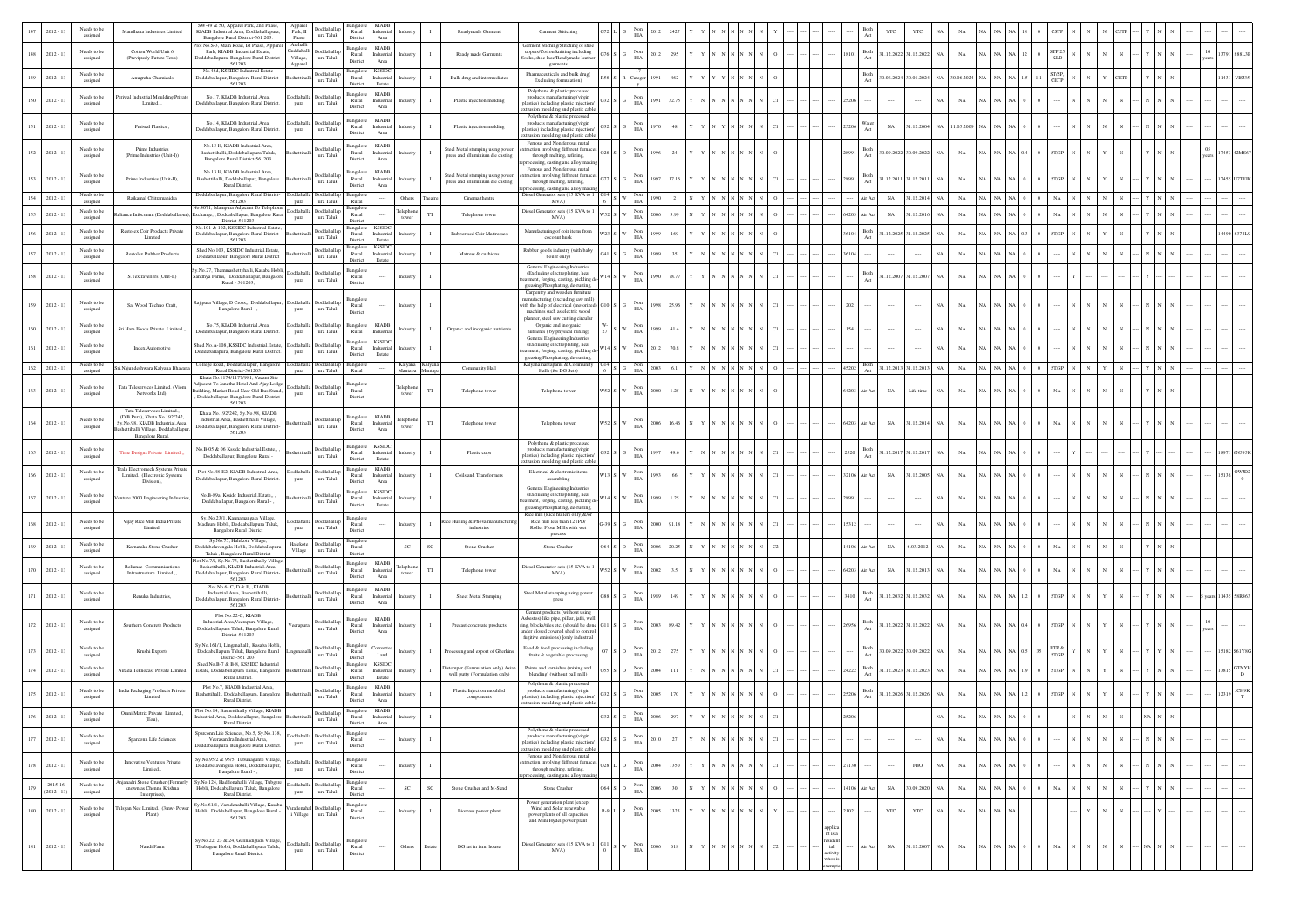|                   | $2012 - 13$              | Needs to be<br>assigned             | Mandhana Industries Limited                                                                                                          | SW-49 & 50, Apparel Park, 2nd Phase<br>KIADB Industrial.Area. Doddaballapura.<br>Bangalore Rural District-561 203.                                                                              | Appan<br>oddaballag<br>Park, II<br>ura Taluk<br>Phase                   | Rural<br>District                                                           | <b>KIADI</b><br>Industrial<br>Industry<br>Area                 |             | Readymade Garment                                                    | Garment Stitiching                                                                                                                                                                                 | EΙA                           |               |                             |  |                          |                  | YTC                   | YTC                       |               |                                                              |                           |               |   |            |  |             |
|-------------------|--------------------------|-------------------------------------|--------------------------------------------------------------------------------------------------------------------------------------|-------------------------------------------------------------------------------------------------------------------------------------------------------------------------------------------------|-------------------------------------------------------------------------|-----------------------------------------------------------------------------|----------------------------------------------------------------|-------------|----------------------------------------------------------------------|----------------------------------------------------------------------------------------------------------------------------------------------------------------------------------------------------|-------------------------------|---------------|-----------------------------|--|--------------------------|------------------|-----------------------|---------------------------|---------------|--------------------------------------------------------------|---------------------------|---------------|---|------------|--|-------------|
| 148               | $2012 - 13$              | Needs to be<br>assigned             | Cotton World Unit 6<br>(Previpusly Future Texx)                                                                                      | lot No.S-3, Main Road, Ist Phase, Apparel<br>Park, KIADB Industrial Estate,<br>oddaballapura, Bangalore Rural District-<br>561203                                                               | Guddahalli<br>ddaball<br>Village,<br>$\,$ ura Taluk<br>Apparel          | Bangalore<br>Rural<br>District                                              | <b>KIADB</b><br>Industrial<br>Industry<br>Area                 |             | Ready made Garments                                                  | Garment Stiching/Stitching of shoe<br>uppers/Cotton knitting including<br>Socks, shoe lace/Readymede leather                                                                                       | Non<br>EIA                    | 2012<br>295   |                             |  |                          | Both             | 1.12.2022             | 1.12.2022                 | $_{\rm NA}$   |                                                              |                           | TP 25<br>KLD  |   |            |  |             |
| 149               | $2012 - 13$              | Needs to be<br>assigned             | Anugraha Chemicals                                                                                                                   | No.48d, KSSIDC Industrial Estate<br>Doddaballapur, Bangalore Rural District-<br>561203                                                                                                          | Doddaballar<br>ura Taluk                                                | Bangalore<br>Rural<br>District                                              | <b>KSSID</b><br>Industrial<br>ıdustr<br>Estate                 |             | Bulk drug and intermediates                                          | garments<br>Pharmaceuticals and bulk drug(<br>Excluding formulation)                                                                                                                               | Catego                        | 462           |                             |  |                          | Both<br>Act      | 0.06.2024             | 0.06.202                  | 06.2024       |                                                              | $_{\rm NA}$               | T/SP,<br>CETP |   |            |  |             |
| 150               | $2012 - 13$              | Needs to be<br>assigned             | riwal Industrial Moulding Priva<br>Limited                                                                                           | No.17, KIADB Industrial Area.<br>Doddaballapur, Bangalore Rural District.                                                                                                                       | oddaballa<br>Doddaballar<br>ura Taluk<br>pura                           | Bangalore<br>Rural<br>District                                              | <b>KIADB</b><br>Industrial<br>ndustry<br>Area                  |             | Plastic injection molding                                            | Polythene & plastic processed<br>products manufacturing (virgin<br>plastics) including plastic injection<br>rusion moulding and plastic cable                                                      | Non<br>$_{\rm EIA}$           |               |                             |  |                          |                  |                       |                           | $_{\rm NA}$   |                                                              |                           |               |   |            |  |             |
| $151 - 2012 - 13$ |                          | Needs to be<br>assigned             | Periwal Plastics,                                                                                                                    | No.14, KIADB Industrial.Area,<br>Doddaballapur, Bangalore Rural District.                                                                                                                       | Doddaball<br>oddaball:<br>ura Taluk<br>pura                             | Bangalore<br>Rural<br>District                                              | <b>KIADB</b><br>dustrial<br>ndustry<br>$_{\rm Area}$           |             | Plastic injection molding                                            | Polythene & plastic processed<br>products manufacturing (virgin<br>plastics) including plastic injection/<br>xtrusion moulding and plastic cable                                                   | $_{\rm EIA}^{\rm Non}$        |               |                             |  |                          |                  | NA                    | 1.12.2004                 | NA 11.05.2009 |                                                              |                           |               |   |            |  |             |
| $152 - 2012 - 13$ |                          | Needs to be<br>assigned             | Prime Industries<br>(Prime Industries (Unit-I))                                                                                      | No.13 H. KIADB Industrial.Area.<br>Bashettihalli, Doddaballapura Taluk,<br>Bangalore Rural District-561203                                                                                      | oddaball:<br>ura Taluk                                                  | Bangalor<br>Rural<br>District                                               | <b>KIADB</b><br>ndustrial<br>Industry<br>Area                  |             | Steel Metal stamping using power<br>press and alluminium die casting | Ferrous and Non ferrous metal<br>raction involving different furnace<br>through melting, refining,                                                                                                 | Non<br>EIA                    | 24            |                             |  |                          | Both             | 0.09.2022             | 30.09.2022                | $_{\rm NA}$   |                                                              | I NA I                    | ST/SP         |   |            |  |             |
| $153 - 2012 - 13$ |                          | Needs to be<br>assigned             | Prime Industries (Unit-II)                                                                                                           | No. 13 H. KIADB Industrial. Area,<br>Bashettihalli, Doddaballapur, Bangalor<br>Rural District.                                                                                                  | Doddaballa<br>$\,$ ura Taluk                                            | Bangalore<br>Rural<br>District                                              | <b>KIADB</b><br>dustrial<br>Industry<br>Area                   |             | Steel Metal stamping using power<br>press and alluminium die casting | cessing, casting and alloy maki<br>Ferrous and Non ferrous metal<br>raction involving different furnace<br>through melting, refining,                                                              | Non<br>$\rm EIA$              |               |                             |  |                          | Both             | 1.12.2011             | 31.12.2011                | NA            |                                                              | NA NA                     | <b>ST/SP</b>  |   |            |  |             |
| 154               | $2012 - 13$              | Needs to be<br>assigned             | Rajkamal Chitramanidra                                                                                                               | Doddaballapur, Bangalore Rural District-<br>561203                                                                                                                                              | <b>hoddaball</b><br><b>Indebbot</b><br>ura Taluk<br>pura                | Bansalo<br>Rural                                                            | Others                                                         |             | Cinema theatre                                                       | ssing, casting and alloy maki<br>Diesel Generator sets (15 KVA to 1<br>MVA)                                                                                                                        | Non<br>$_{\rm EIA}$           |               |                             |  |                          | ir Act           | $_{\rm NA}$           | 1.12.2014                 | NA            |                                                              | NA NA                     |               |   |            |  |             |
| 155               | $2012 - 13$              | Needs to be<br>assigned             | ice Infocomm (Doddaballapu                                                                                                           | No.4071, Islampura Adjacent To Telephone Doddaballa<br>xchange, , Doddaballapur, Bangalore Rura<br>District-561203                                                                              | Doddaballar<br>ura Taluk<br>pura                                        | Bangalore<br>Rural<br>District                                              | Telephon<br>tower                                              | TT          | Telephone tower                                                      | Diesel Generator sets (15 KVA to<br>MVA)                                                                                                                                                           | Non<br>$_{\rm EIA}$           |               |                             |  | 64203                    | <b>Vir Act</b>   | NA                    | 1.12.201                  | $_{\rm NA}$   |                                                              | $\mathrm{NA}-\mathrm{NA}$ | NA            |   |            |  |             |
| 156               | $2012 - 13$              | Needs to be<br>assigned             | Restolex Coir Products Private<br>Limited                                                                                            | No.101 & 102. KSSIDC Industrial Estate<br>Doddaballapur, Bangalore Rural District-<br>561203                                                                                                    | oddaballag<br>ura Taluk                                                 | Bangalore<br>Rural<br>District                                              | <b>KSSID</b><br>ndustrial<br>Industry<br>Estate                |             | <b>Rubberised Coir Mattresses</b>                                    | Manufacturing of coir items from<br>coconut husk                                                                                                                                                   | $_{\rm Non}$<br>$\rm EIA$     |               |                             |  |                          | Both<br>Act      | 1.12.2025             | 1.12.202                  | $_{\rm NA}$   |                                                              | NA NA (                   | <b>ST/SP</b>  |   |            |  |             |
| 157               | $2012 - 13$              | Needs to be<br>assigned             | Restolex Rubber Products                                                                                                             | Shed No.103, KSSIDC Industrial.Estate,<br>Doddaballapur, Bangalore Rural District                                                                                                               | Doddaballap<br>ura Taluk                                                | Bangalore<br>Rural                                                          | <b>KSSID</b><br>Industrial<br>Industr                          |             | Matress & cushions                                                   | Rubber goods industry (with baby<br>boiler only)                                                                                                                                                   | Non<br>$\rm EIA$              | 35            |                             |  |                          |                  |                       |                           | $_{\rm NA}$   |                                                              | $_{\rm NA}$               |               |   |            |  |             |
| 158 2012-13       |                          | Needs to be<br>assigned             | S.Textravellers (Unit-II)                                                                                                            | .No.27. Thammashettyhalli, Kasaba Hobli<br>Sandhya Farms, Doddaballapur, Bangalore<br>Rural - 561203,                                                                                           | <b>boddaballag</b><br>ddabal<br>$\,$ ura Taluk<br>pura                  | District<br>Bangalor<br>Rural<br>District                                   | Estate<br>Industry                                             |             |                                                                      | General Engineering Industries<br>(Excluding electroplating, heat<br>tment, forging, casting, pickling d                                                                                           | Non<br>EIA                    | 78.7          |                             |  |                          | Both             | 1.12.2007             | 31.12.2007                | $_{\rm NA}$   |                                                              |                           |               |   |            |  |             |
| 159               | $2012 - 13$              | Needs to be<br>assigned             | Sai Wood Techno Craft,                                                                                                               | tajipura Village, D Cross,, Doddaballapur<br>Bangalore Rural - ,                                                                                                                                | Doddaballa<br>Doddaballa<br>ura Taluk<br>pura                           | <b>Bangalor</b><br>Rural<br>District                                        | Industry                                                       |             |                                                                      | greasing Phosphating, de-rusting,<br>Carpentry and wooden furni<br>anufacturing (excluding saw mill)<br>with the help of electrical (motorized<br>machines such as electric wood                   | Non<br>EIA                    | 25.96         |                             |  |                          |                  |                       | $\cdots$                  | $_{\rm NA}$   |                                                              |                           |               |   |            |  |             |
|                   | $2012 - 13$              | Needs to be<br>assigned             | Sri Hara Foods Private Limited                                                                                                       | No.75. KIADB Industrial Area<br>Doddaballapur, Bangalore Rural District.                                                                                                                        | <b>boddaballa</b><br>Doddaballa<br>ura Taluk<br>pura                    | Bangalore<br>Rural                                                          | <b>KIADB</b><br>Industry<br>Industrial                         |             | Organic and inorganic nutrients                                      | planner, steel saw cutting circular<br>Organic and inorganic<br>nutrients (by physical mixing)                                                                                                     | $_{\rm EIA}$                  | 41.4          |                             |  |                          |                  |                       |                           | NA            |                                                              | NA NA                     |               |   |            |  |             |
| 161               | $2012 - 13$              | Needs to be<br>assigned             | Index Automotive                                                                                                                     | hed No.A-108, KSSIDC Industrial.Estate,<br>Doddaballapura, Bangalore Rural District.                                                                                                            | ddaballag<br>oddaball<br>ura Taluk<br>pura                              | Bangalore<br>Rural                                                          | <b>KSSIDC</b><br>Industrial<br>Industry                        |             |                                                                      | General Engineering Indu<br>(Excluding electroplating, heat<br>stment, forging, casting, pickling d                                                                                                | Non<br>EIA                    | 70.           |                             |  |                          |                  |                       |                           | $_{\rm NA}$   |                                                              | <b>NA</b>                 |               |   |            |  |             |
| $162 - 2012 - 13$ |                          | Needs to be                         | Sri.Najundeshwara Kalyana Bhava                                                                                                      | College Road, Doddaballapur, Bangalore                                                                                                                                                          | Doddaballa Doddaballar                                                  | District<br>Bangalor                                                        | Estate<br>Kalyana<br>Mantapa                                   | Kalyan:     | Community Hall                                                       | greasing Phosphating, de-rusting<br>Kalyanamantapams & Community<br>Halls (for DG Sets)                                                                                                            |                               | 2003<br>6.1   |                             |  | 45202                    | Both<br>Act      | 31.12.2013 31.12.2013 | NA                        | $_{\rm NA}$   | $\mathrm{NA}$   $\mathrm{NA}$   $\mathrm{NA}$   $\mathbb{C}$ |                           | ST/SP         |   |            |  |             |
| $163 - 2012 - 13$ |                          | assigned<br>Needs to be<br>assigned | Tata Teleservices Limited. (Viom<br>Networks Ltd),                                                                                   | Rural District-561203<br>Khata No.1174/1177/981, Vacant Site<br>djacent To Janatha Hotel And Ajay Lodge<br>uilding, Market Road Near Old Bus Stand,<br>Doddaballapur, Bangalore Rural District- | ura Taluk<br>pura<br>Doddaball:<br>Doddaballa<br>$\,$ ura Taluk<br>pura | Rural<br>Bangalo<br>Rural<br>District                                       | Telephon<br>tower                                              | $_{\rm TT}$ | Telephone tower                                                      | Telephone tower                                                                                                                                                                                    | Non<br>$_{\rm EIA}$           | 2000<br>1.25  |                             |  | 64203                    | Air Act          | $_{\rm NA}$           | Life time<br>NA.          | NA            |                                                              | NA NA                     | NA            |   |            |  |             |
| $164$ 2012 - 13   |                          | Needs to be<br>assigned             | Tata Teleservices Limited.,<br>(D.B.Pura). Khata No.192/242.<br>Sv.No.98. KIADB Industrial.Area.<br>settihalli Village, Doddaballapu | 561203<br>Khata No.192/242, Sv.No.98, KIADB<br>Industrial.Area, Bashettihalli Village,<br>Joddaballapur, Bangalore Rural District-                                                              | <b>Joddaballa</b><br>$\,$ ura Taluk                                     | Rural<br>District                                                           | <b>KIADI</b><br>Telephor<br>ndustrial<br>tower<br>Area         | $_{\rm TT}$ | Telephone tower                                                      | Telephone tower                                                                                                                                                                                    | Non<br>$\rm EIA$              | 2006<br>16.46 |                             |  | 64203                    | <b>\ir Act</b>   | $_{\rm NA}$           | 31.12.2014<br>NA.         | NA            |                                                              |                           | NA            |   |            |  |             |
|                   |                          | Needs to be                         | Bangalore Rural.                                                                                                                     | 561203<br>No.B-05 & 06 Ksside Industrial.Estate,                                                                                                                                                | Doddaballa                                                              | Bangalore                                                                   | <b>KSSIDC</b>                                                  |             |                                                                      | Polythene & plastic processed<br>products manufacturing (virgin                                                                                                                                    |                               |               |                             |  |                          | Both             |                       |                           |               |                                                              |                           |               |   |            |  |             |
| 165               | $2012 - 13$              | assigned                            | Time Designs Private Limited.<br><b>Trala Electromech Systems Private</b>                                                            | Doddaballapur, Bangalore Rural -<br>Plot No.48-E2, KIADB Industrial Area.                                                                                                                       | ura Taluk<br>Doddaballa Doddaballa                                      | Rural<br>District<br>Bangalore                                              | dustria<br>idustr<br>Estate<br><b>KIADB</b>                    |             | Plastic cups                                                         | lastics) including plastic injection<br>trusion moulding and plastic cable                                                                                                                         | $_{\rm EIA}^{\rm Non}$<br>Non |               |                             |  |                          |                  | 1.12.2017             | 31.12.2017                | $_{\rm NA}$   |                                                              |                           |               |   |            |  |             |
|                   | $2012 - 13$              | Needs to be<br>assigned             | Limited., (Electronic Systems<br>Division)                                                                                           | Doddaballapur, Bangalore Rural District.                                                                                                                                                        | ura Taluk<br>pura                                                       | Rural<br>Distric                                                            | dustrial<br>adustry<br>Area<br><b>KSSIDC</b>                   |             | Coils and Transformers                                               | Electrical & electronic items<br>assembling<br>General Engineering Industries                                                                                                                      | $_{\rm EIA}$                  |               |                             |  |                          | ir Ac            | $_{\rm NA}$           | 1.12.2005                 | NA            |                                                              |                           |               |   |            |  |             |
| 167               | $2012 - 13$              | Needs to be<br>assigned             | ture 2000 Engineering Indust                                                                                                         | No.B-89a. Ksside Industrial.Estate<br>Doddaballapur, Bangalore Rural - ,                                                                                                                        | Doddaballa<br>ura Taluk                                                 | Bangalor<br>Rural<br>District                                               | dustrial<br>Industr<br>Estate                                  |             |                                                                      | (Excluding electroplating, heat<br>stment, forging, casting, pickling d<br>greasing Phosphating, de-rusting,                                                                                       | Non<br>$_{\rm EIA}$           | 1.25          |                             |  |                          |                  |                       |                           | $_{\rm NA}$   |                                                              | NA                        |               |   |            |  |             |
|                   | $2012 - 13$              | Needs to be<br>assigned             | Vijay Rice Mill India Private<br>Limited.                                                                                            | Sy. No.23/1, Kannamangala Village,<br>Madhure Hobli, Doddaballapura Taluk,<br>Bangalore Rural District                                                                                          | Doddaballar<br>ddaball<br>ura Taluk<br>pura                             | Bangalor<br>Rural<br>District                                               | Industry                                                       |             | Rice Hulling & Phova manufactur<br>industries                        | Rice mill (Rice hullers only)&/o<br>Rice mill less than 12TPD/<br>Roller Flour Mills with wet<br>process                                                                                           | Non<br>$_{\rm EIA}$           |               |                             |  |                          |                  |                       |                           | $_{\rm NA}$   |                                                              |                           |               |   |            |  |             |
| 169               | $2012 - 13$              | Needs to be<br>assigned             | Karnataka Stone Crusher                                                                                                              | Sy.No.75, Halekote Village,<br>Doddabelavengala Hobli, Doddaballapura<br>Taluk, Bangalore Rural District                                                                                        | Halekote<br>Doddaballag<br>Village<br>ura Taluk                         | 3angalo<br>Rural<br>District                                                | SC                                                             | SC          | Stone Crusher                                                        | Stone Crusher                                                                                                                                                                                      | Non<br>$\rm EIA$              | 2006<br>20.2  |                             |  | 4106                     |                  | $_{\rm NA}$           | 5.03.2012                 | NA            |                                                              |                           |               |   |            |  |             |
| $170 - 2012 - 13$ |                          | Needs to be<br>assigned             | Reliance Communications<br>Infrastructure Limited.,,                                                                                 | st No.7/J. Sv.No.73. Bashettihally Villag<br>Bashettihalli, KIADB Industrial.Area,<br>Doddaballapur, Bangalore Rural District-<br>561203                                                        | <b>Joddaballa</b><br>$\,$ ura Taluk                                     | Bangalore<br>Rural<br>District                                              | <b>KIADB</b><br>Telephon<br>ndustrial<br>tower<br>Area         | TT          | Telephone tower                                                      | Diesel Generator sets (15 KVA to 1<br>MVA)                                                                                                                                                         | Non<br>EIA                    | 3.5<br>2002   |                             |  | 64203                    | Air Act          | $_{\rm NA}$           | 1.12.2013                 | NA            |                                                              | NA NA                     | NA            |   |            |  |             |
| 171               | $2012 - 13$              | Needs to be<br>assigned             | Renuka Industries                                                                                                                    | Plot No.6- C, D & E, ,KIADB<br>Industrial.Area. Bashettihalli.<br>Doddaballapur, Bangalore Rural District-<br>561203                                                                            | Doddaballa<br>ura Taluk                                                 | Bangalor<br>Rural<br>District                                               | <b>KIADB</b><br>dustrial<br>Industr<br>Area                    |             | Sheet Metal Stamping                                                 | Steel Metal stamping using power<br>press                                                                                                                                                          | Non<br>ELA                    | 149           |                             |  |                          | Both<br>Act      | 1.12.2032             | 31.12.2032<br>$_{\rm NA}$ | $_{\rm NA}$   |                                                              | NA NA                     | ST/SP         |   |            |  |             |
| $172 - 2012 - 13$ |                          | Needs to be<br>assigned             | Southern Concrete Products                                                                                                           | Plot No.22-C, KIADB<br>Industrial.Area, Veerapura Village,<br>Doddaballapura Taluk, Bangalore Rural<br>District-561203                                                                          | Doddaballag<br>erapur.<br>$\,$ ura Taluk                                | Bangalore<br>Rural<br>District                                              | <b>KIADB</b><br>ndustrial<br>Industry<br>$\operatorname{Area}$ |             | Precast concreate products                                           | Cement products (without using<br>(sbestos) like pipe, pillar, jafri, wel<br>ring, blocks/tiles etc. (should be done<br>nder closed covered shed to contro<br>fugitive emissions) fonly industrial | $_{\rm EIA}^{\rm Non}$        | 89.42<br>2003 |                             |  |                          | Both<br>$\Delta$ | 1.12.2022 31.12.2022  |                           | $_{\rm NA}$   |                                                              |                           | ST/SP         |   |            |  |             |
| 173               | $2012 - 13$              | Needs to be<br>assigned             | Krushi Exports                                                                                                                       | No.161/1, Linganahalli, Kasaba Hobl<br>Doddaballapura Taluk, Bangalore Rural<br>District-561 203.                                                                                               | Doddaballag<br>$\,$ ura Taluk                                           | šangalo<br>Rural<br>District                                                | Industry<br>Land                                               |             | Processing and export of Gherkins                                    | Food & food processing including<br>fruits & vegetable processing                                                                                                                                  | Non<br>$\rm EIA$              | 27            |                             |  |                          | Both             | 0.09.202              | 0.09.202                  | NA            |                                                              |                           | ETP &         |   |            |  |             |
| 174               | $2012 - 13$              | Needs to be<br>assigned             | Grada Teknocast Private Limited                                                                                                      | Shed No.B-7 & B-8, KSSIDC Industrial<br>Estate, Doddaballapura Taluk, Bangalore<br>Rural District                                                                                               | Doddaballar<br>ura Taluk                                                | Bangalore<br>Rural<br>Distric                                               | <b>KSSIDO</b><br>lustria<br>Estate                             |             | Distemper (Formulation only) Asian<br>wall putty (Formulation only)  | Paints and varnishes (mixing and<br>blending) (without ball mill)                                                                                                                                  | Non<br>$_{\rm EIA}$           |               |                             |  |                          | Both<br>Act      | 1.12.2023             | 31.12.2023<br>$_{\rm NA}$ | $_{\rm NA}$   |                                                              | NA NA                     | ST/SP         |   |            |  |             |
| 175               | $2012 - 13$              | Needs to be<br>assigned             | India Packaging Products Private<br>Limited                                                                                          | Plot No.7, KIADB Industrial Area,<br>Bashettihalli, Doddaballapura, Bangalor<br>Rural District.                                                                                                 | Doddaballa<br>ura Taluk                                                 | <b>Bangalore</b><br>Rural<br>District                                       | <b>KIADI</b><br>dustrial<br>Area                               |             | Plastic Injection moulded<br>components                              | Polythene & plastic processed<br>products manufacturing (virgin<br>plastics) including plastic injection/                                                                                          | Non<br>$_{\rm EIA}$           |               |                             |  |                          | Both             | 1.12.2026             | 31.12.202                 | $_{\rm NA}$   |                                                              | NA.                       | ST/SP         |   |            |  | <b>CH9B</b> |
|                   | $2012 - 13$              | Needs to be<br>assigned             | Omni Matrix Private Limited.<br>(Eou)                                                                                                | Plot No.14, Bashettihally Village, KIADB<br>ndustrial. Area, Doddaballapur, Bangalore<br>Rural District.                                                                                        | Doddaballap<br>ura Taluk                                                | Bangalore KIADB<br>Rural<br>District                                        | Industrial<br>Industr<br>Area                                  |             |                                                                      | rusion moulding and plastic cable                                                                                                                                                                  | Non                           |               |                             |  |                          |                  |                       |                           |               |                                                              |                           |               |   |            |  |             |
| 177               | $2012 - 13$              | Needs to be<br>assigned             | Sparconn Life Sciences                                                                                                               | parconn Life Sciences, No.5, Sy.No.138,<br>Veerasandra Industrial Area<br>Ooddaballapura, Bangalore Rural District.                                                                             | <b>boddaballap</b><br>Idabal<br>ura Taluk<br>pura                       | Bangalore<br>Rural<br>District                                              | Industry                                                       |             |                                                                      | Polythene & plastic processed<br>nroducts may<br>ring (virgin<br>plastics) including plastic injection<br>xtrusion moulding and plastic cable                                                      | Non<br>EIA                    | 27            | N N N N                     |  |                          |                  | $\cdots$              | $\cdots$                  | $_{\rm NA}$   |                                                              | I NA                      |               |   |            |  |             |
| $178 - 2012 - 13$ |                          | Needs to be<br>assigned             | Innovative Ventures Private<br>Limited.,                                                                                             | Sy.No.95/2 & 95/5, Tubunagunte Village,<br>Doddabelavangala Hobli, Doddaballapur<br>Bangalore Rural - ,                                                                                         | Doddaballap<br>oddaball<br>$\,$ ura Taluk<br>pura                       | Bangalore<br>$\begin{array}{c} \text{Rural} \\ \text{District} \end{array}$ | Industry                                                       |             |                                                                      | Ferrous and Non ferrous metal<br>traction involving different furnace<br>through melting, refining,<br>ig, casting and alloy mak                                                                   | Non<br>$\rm EIA$              | 1350<br>1004  | N N N N                     |  | 2130                     |                  |                       | $_{\rm FBO}$              | $_{\rm NA}$   |                                                              | NA NA                     |               |   |            |  |             |
| 179               | 2015-16<br>$(2012 - 13)$ | Needs to be<br>assigned             | njanadri Stone Crusher (Forma<br>known as Chenna Krishna<br>Enterprises).                                                            | Sy.No.124, Haddonahalli Village, Tubgere<br>Hobli, Doddaballapura Taluk, Bangalore<br>Rural District.                                                                                           | oddaball<br><b>boddaballag</b><br>ura Taluk<br>pura                     | Rural<br>District                                                           | $_{\rm SC}$                                                    | SC          | Stone Crusher and M-Sand                                             | Stone Crusher                                                                                                                                                                                      | $_{\rm EIA}^{\rm Non}$        | 30<br>2006    | $\,$ N $\,$ N $\,$ N $\,$ N |  | 14106                    | Air Act          | $_{\rm NA}$           | 0.09.2020                 | $_{\rm NA}$   |                                                              | $\rm NA-NA$               | $_{\rm NA}$   |   |            |  |             |
| 180               | $2012 - 13$              | Needs to be<br>assigned             | Isyan Nec Limited., (3mw- Pox<br>Plant)                                                                                              | Sy. No. 61/1, Varadenahalli Village, Kasaba<br>Hobli, Doddaballapur, Bangalore Rural -<br>561203                                                                                                | Doddaballa<br>ura Taluk<br>li Village                                   | Bangalore<br>Rural<br>$\rm District$                                        | Industry                                                       |             | Biomass power plant                                                  | Power generation plant [except<br>Wind and Solar renewable<br>power plants of all capacities<br>and Mini Hydel power plant                                                                         | Non<br>EIA                    | 1325<br>2005  |                             |  | 1021                     |                  | YTC                   | YTC                       | $_{\rm NA}$   |                                                              | NA NA                     |               |   |            |  |             |
| 181 2012-13       |                          | Needs to be<br>assigned             | Nandi Farm                                                                                                                           | Sy.No.22, 23 & 24, Gulinadiguda Village,<br>Thubagere Hobli, Doddaballapura Taluk,<br>Bangalore Rural District.                                                                                 | boddaballa Doddaballap<br>ura Taluk<br>pura                             | Bangalor<br>Rural<br>District                                               | Others                                                         | Estate      | DG set in farm house                                                 | Diesel Generator sets (15 KVA to 1<br>MVA)                                                                                                                                                         | Non<br>$_{\rm EIA}$           | 618<br>2006   |                             |  | nt is a<br>$^{\rm{int}}$ | Air Act          | $_{\mathrm{NA}}$      | 31.12.2007<br>NA          | $_{\rm NA}$   | NA NA NA 0                                                   |                           | $_{\rm NA}$   | N | $_{\rm N}$ |  |             |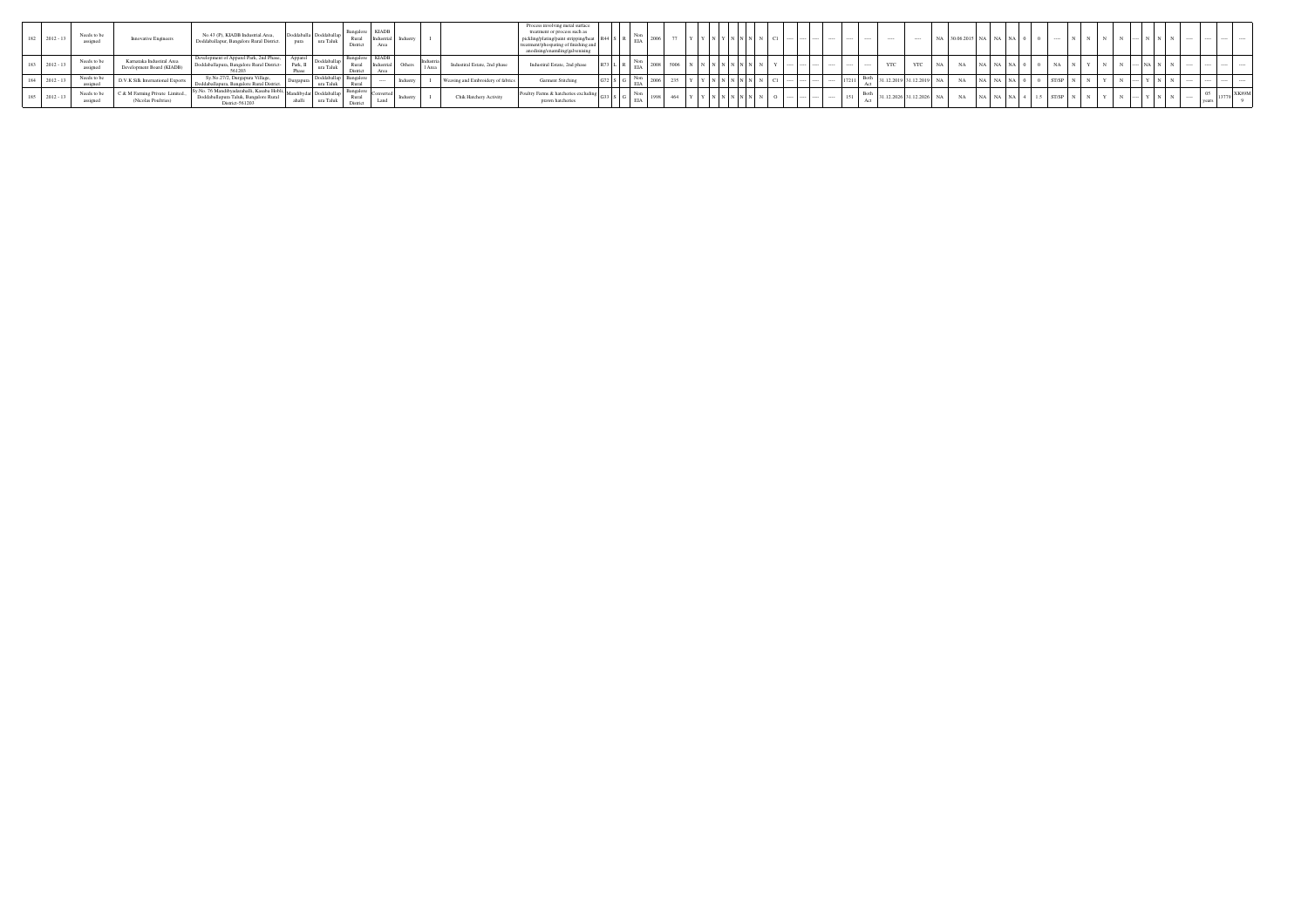| 182 2012-13 | Needs to be<br>assigned | Innovative Engineers                            | No.43 (P), KIADB Industrial Area.<br>Doddaballapur, Bangalore Rural District.                     | ura Taluk<br>pura              | Bangalo<br>Rural<br>District        | Industrial<br>Area   | l Indust         |                        | Process involving metal surface<br>treatment or process such as<br>g/plating/paint stripping/hea<br>hospating of finishin | ЕA         |  |       |       |  |  |     | <b>STATE</b>             | NA. | 30.06.2015 NA NA NA |     |      |  |  |  |       |              |
|-------------|-------------------------|-------------------------------------------------|---------------------------------------------------------------------------------------------------|--------------------------------|-------------------------------------|----------------------|------------------|------------------------|---------------------------------------------------------------------------------------------------------------------------|------------|--|-------|-------|--|--|-----|--------------------------|-----|---------------------|-----|------|--|--|--|-------|--------------|
| $2012 - 13$ | Needs to be<br>assigned | Karnataka Industiral Area<br>ment Board (KIADB) | and Dark, 2nd Dhasa.<br>Development<br><b>Rural District</b>                                      | Park, II<br>ura Taluk<br>Phase | <b>Bangalo</b><br>Rural<br>District | <b>KIADR</b><br>Area | Others<br>1 Area |                        |                                                                                                                           | <b>ELA</b> |  |       | INNNN |  |  |     | YTC<br>YTC               |     |                     |     |      |  |  |  | 11111 |              |
| $2012 - 13$ | Needs to be<br>assigned |                                                 | Sv.No.27/2. Durgapura Villag-<br>Bangalore Rural District                                         | ura Tabik                      | Rural                               |                      |                  |                        | Garment Stitching                                                                                                         |            |  |       |       |  |  | ۰.  |                          |     |                     |     |      |  |  |  |       |              |
| $2012 - 13$ | Needs to be<br>assigned | Farmine Private Limite<br>(Nicolas Poultries)   | v.No. 76 Mandibyadarahalli, Kasaba Hobli<br>Doddaballapura Taluk, Bangalore Rural<br>District-56. | ura Taluk<br>ahalli            | Range<br>Rural<br>District          | Lanc                 |                  | Chik Hatchery Activity | prawn hatcheries                                                                                                          | $EIA$ .    |  | N N N |       |  |  | Act | 31.12.2026 31.12.2026 NA |     |                     | NA. | I NA |  |  |  | ----  | <b>XK89M</b> |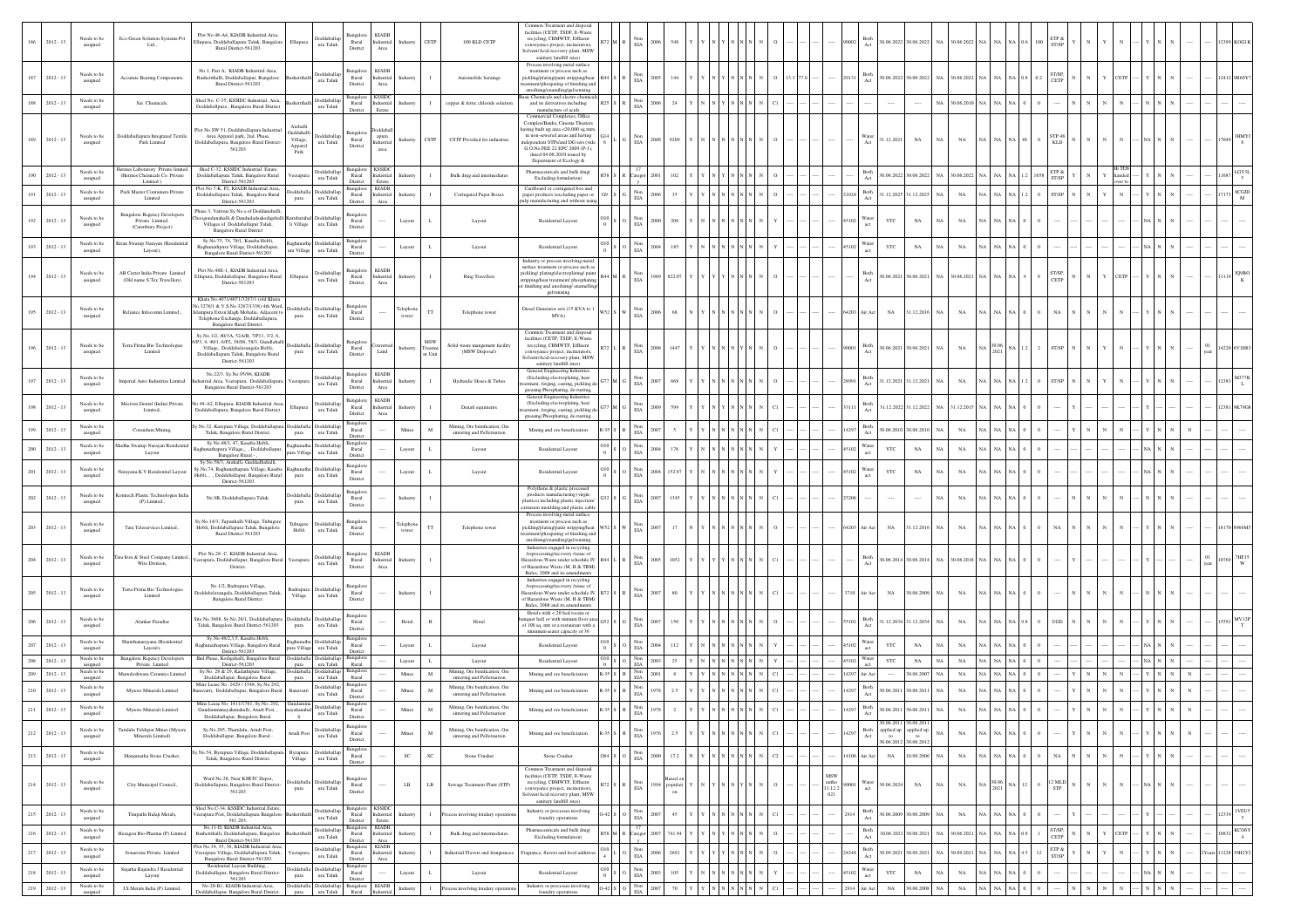| $186\,$<br>$2012 - 13$      | Needs to be<br>assigned                | Eco Green Solution Systems Pvt<br>Ltd.,                                         | Plot No.48-A4, KIADB Industrial.Area<br>Ilupura, Doddaballapura Taluk, Bangalor<br>Rural District-561203                                                                                     | Ellupura                                  | oddaballa<br>ura Taluk                        | Rural<br>District                                                           | KIADI<br>Industrial<br>Area          | Industry          | CETP                               | 100 KLD CETP                                                                                | Common Treatment and disposa<br>facilities (CETP, TSDF, E-Waste<br>recycling, CBMWTF, Effluent<br>onveyance project, incinerators<br>Solvent/Acid recovery plant, MSW<br>sanitary landfill sites)                                                                         |                     | Non<br>2006<br>$_{\rm EIA}$           | 548      |  |                 |                        |                        | Both                                                              | 30.06.2022 30.06.2022 NA 30.06.2022 NA NA                                                                                                                                                                                                                                                                                                                                 |             |             |                      | ETP &<br>ST/SP          |  |             |  |       |                 |
|-----------------------------|----------------------------------------|---------------------------------------------------------------------------------|----------------------------------------------------------------------------------------------------------------------------------------------------------------------------------------------|-------------------------------------------|-----------------------------------------------|-----------------------------------------------------------------------------|--------------------------------------|-------------------|------------------------------------|---------------------------------------------------------------------------------------------|---------------------------------------------------------------------------------------------------------------------------------------------------------------------------------------------------------------------------------------------------------------------------|---------------------|---------------------------------------|----------|--|-----------------|------------------------|------------------------|-------------------------------------------------------------------|---------------------------------------------------------------------------------------------------------------------------------------------------------------------------------------------------------------------------------------------------------------------------------------------------------------------------------------------------------------------------|-------------|-------------|----------------------|-------------------------|--|-------------|--|-------|-----------------|
| 187<br>$2012 - 13$          | Needs to b<br>assigned                 | <b>Accurate Bearing Components</b>                                              | No.1, Part A, KIADB Industrial.Area,<br>Bashettihalli, Doddaballapur, Bangalore<br>Rural District-561203                                                                                     |                                           | delsbbr<br>ura Taluk                          | langalor<br>Rural<br>District                                               | <b>KIADE</b><br>adustria<br>Area     | ndustr            |                                    | Automobile beraings                                                                         | Process involving metal surface<br>treatment or process such as<br>pickling/plating/paint stripping/heat<br>nent/phospating of finishing and<br>anodising/enamiling/galvenising                                                                                           |                     | <b>EIA</b>                            | 144      |  |                 |                        |                        | Both<br>Act                                                       | $0.06.2022 \hspace{0.2cm}   \hspace{0.2cm} 30.06.2022 \hspace{0.2cm}   \hspace{0.2cm} \text{NA} \hspace{0.2cm}   \hspace{0.2cm} 30.06.2022 \hspace{0.2cm}   \hspace{0.2cm} \text{NA} \hspace{0.2cm}   \hspace{0.2cm} \text{NA} \hspace{0.2cm}   \hspace{0.2cm} \text{NA} \hspace{0.2cm}   \hspace{0.2cm} \text{NA} \hspace{0.2cm}   \hspace{0.2cm} \text{NA} \hspace{0.2$ |             |             |                      | ST/SP,<br>CETP          |  | <b>ETP</b>  |  |       |                 |
| 188<br>$2012 - 13$          | Needs to be<br>assigned                | Sai Chemicals,                                                                  | Shed No. C-35, KSSIDC Industrial. Area,<br>Doddaballpura , Bangalore Rural District                                                                                                          |                                           | Doddaballap<br>ura Taluk                      | Rural<br>District                                                           | <b>KSSID</b><br>Industrial<br>Estate | Industr           |                                    | copper & ferric chloride solution                                                           | sic Chemicals and electro chemic<br>and its derivatives including<br>manufacture of acids                                                                                                                                                                                 | R25                 | Non<br>2006<br>EIA                    | 24       |  |                 |                        |                        |                                                                   |                                                                                                                                                                                                                                                                                                                                                                           | NA          | 30.06.2010  |                      |                         |  |             |  |       |                 |
| $2012 - 13$                 | Needs to be<br>assigned                | Doddaballapura Integrated Textile<br>Park Limited                               | Plot No SW 51, Doddaballapura Industrial<br>Area Apparel park, 2nd Phase,<br>Aoddaballapura, Bangalore Rural District-<br>561203                                                             | iuddahalli<br>Village,<br>Apparel<br>Park | <b>Ooddaballap</b><br>ura Taluk               | langalo<br>Rural<br>District                                                | apura<br>dustria<br>area             | Industry          | CSTP                               | CSTP Provided for industries                                                                | Commercial Complexes, Office<br>Complex/Banks, Cinema Theaters<br>aving built up area <20,000 sq.mtrs<br>in non-sewered areas and having<br>dependent STPs/and DG sets (vide<br>G.O.No.FEE 22 EPC 2009 (P-1).<br>dated 04.08.2010 issued by<br>Department of Ecology $\&$ |                     | Non<br>2008<br>$_{\rm EIA}$           | 9205     |  |                 |                        |                        | Vater<br>1.12.2021                                                | $_{\rm NA}$                                                                                                                                                                                                                                                                                                                                                               |             | $_{\rm NA}$ |                      | KLD                     |  |             |  |       |                 |
| $2012 - 13$                 | Needs to be<br>assigned                | Hermes Laboratory Private limited<br>(Hermes Chemicals Co. Private<br>Limited ) | Shed C-32, KSSIDC Industrial, Estate<br>Ooddaballapura Taluk, Bangalore Rural<br>District, 561203                                                                                            |                                           | Doddaballar<br>ura Taluk                      | Bangalore KSSIDC<br>Rural<br>District                                       | adustria<br>Estate                   | dustr             |                                    | Bulk drug and intermediates                                                                 | Pharmaceuticals and bulk drug(<br>Excluding formulation)                                                                                                                                                                                                                  |                     | 17<br>atego                           | 102      |  |                 |                        |                        | Both<br>Act                                                       | 0.06.2022 30.06.2022 NA                                                                                                                                                                                                                                                                                                                                                   |             | 30.06.2022  |                      | ST/SP                   |  |             |  |       |                 |
| $2012 - 13$                 | Needs to be<br>assigned                | Pack Master Containers Private<br>Limited                                       | Plot No 7-K, P2, KIADB Industrial Area<br>Doddaballapura Taluk, Bangalore Rural                                                                                                              | pura                                      | boddaballa Doddaballap<br>ura Taluk           | Bangalo<br>Rural                                                            | KIADE<br>Industrial                  | ndustr            |                                    | Corrugated Paper Boxes                                                                      | Cardboard or corrugated box and<br>saper products (excluding paper or                                                                                                                                                                                                     |                     | $_{\rm EIA}^{\rm Non}$<br>2006        |          |  |                 |                        |                        | $_{\rm Act}^{\rm Both}$                                           | 31.12.2025 31.12.2025                                                                                                                                                                                                                                                                                                                                                     | NA.         | $_{\rm NA}$ |                      | ST/SP                   |  |             |  |       | <b>CGJI</b>     |
| 192<br>$2012 - 13$          | Needs to be<br>assigned                | <b>Bangalore Regency Developers</b><br>Private Limited.<br>(Catenbury Project)  | District-561203<br>hase 3. Various Sv.No.s of Doddanahalli<br>oogondanahalli & Dandudadaskodigehal<br>Villages of Doddaballapur Taluk,<br><b>Bangalore Rural District</b>                    | sbarahal<br>li Village                    | oddaball<br>$\,$ ura Taluk                    | District<br>angalo<br>Rural<br>District                                     | Area                                 | Layout            |                                    | Layout                                                                                      | pulp manufacturing and without using<br>Residential Layout                                                                                                                                                                                                                |                     | 2000<br>$\rm EIA$                     | 206      |  |                 |                        |                        | Water<br>YTC                                                      | $_{\rm NA}$                                                                                                                                                                                                                                                                                                                                                               | NA          | $_{\rm NA}$ |                      |                         |  |             |  |       |                 |
| $2012 - 13$                 | Needs to be<br>assigned                | Kiran Swarup Narayan (Residentia<br>Layout),                                    | Sy.No.75, 79, 78/1, Kasaba Hobli,<br>Raghunathpura Village, Doddaballapur,                                                                                                                   | ara Village                               | taghunathp Doddaballap<br>ura Taluk           | Bansale<br>Rural                                                            |                                      | Layout            |                                    | Layout                                                                                      | Residential Layout                                                                                                                                                                                                                                                        | 010                 | Non<br>2004<br>$_{\rm EIA}$           | 18:      |  |                 |                        |                        | Water<br>YTC<br>act                                               | $_{\rm NA}$                                                                                                                                                                                                                                                                                                                                                               |             | $_{\rm NA}$ |                      |                         |  |             |  |       |                 |
| $2012 - 13$<br>194          | Needs to be<br>assigned                | AB Carter India Private Limited<br>(Old name S.Tex Travellers)                  | Bangalore Rural District-561203<br>Plot No.48E-1, KIADB Industrial.Area,<br>Illupura, Doddaballapur, Bangalore Rural<br>District-561203                                                      | Ellupura                                  | Doddaballap<br>ura Taluk                      | District<br>ingalor<br>Rural<br>District                                    | <b>KIADB</b><br>Industrial<br>Area   | Industry          |                                    | <b>Ring Travellers</b>                                                                      | Industry or process involving metal<br>urface treatment or process such as<br>pickling/plating/electroplating/paint<br>tripping/heat treatment/ phosphating<br>finishing and anodising/enamelling                                                                         |                     | Non<br>1989<br>$\rm EIA$              | 822.07   |  |                 |                        |                        | Both                                                              | 30.06.2021 30.06.2021 NA 30.06.2021 NA NA                                                                                                                                                                                                                                                                                                                                 |             |             |                      | ST/SP,                  |  | CETP        |  |       |                 |
| $2012 - 13$<br>195          | Needs to be<br>assigned                | Reliance Infocomm Limited.,                                                     | Khata No.4071/4071/3267/1 (old Khata<br>o.3276/1 & V.S.No.3267/1338) 4th Ward<br>impura Exten.Idagh Mohalia, Adjacent to<br>Telephone Exchange, Doddaballapura,<br>Bangalore Rural District. | pura                                      | <b>Ooddaballa</b> Doddaballar<br>ura Taluk    | ansalo<br>Rural<br>District                                                 |                                      | elephon<br>tower  | TΤ                                 | Telephone tower                                                                             | galvanising<br>Diesel Generator sets (15 KVA to 1<br>MVA)                                                                                                                                                                                                                 |                     | Non<br>2006<br>$_{\rm EIA}$           | 68       |  |                 |                        | 64203 Air Act          | $_{\rm NA}$                                                       | 1.12.2016                                                                                                                                                                                                                                                                                                                                                                 | NA          | $_{\rm NA}$ |                      | NA                      |  |             |  |       |                 |
| $2012 - 13$<br>196          | Needs to be<br>assigned                | Terra Firma Bio Technologies<br>Limited                                         | Sy.No.1/2, 40/3A, 52A/B, 7/P11, 3/2, 6,<br>P3. 4. 40/1. 6/P2. 38/06. 58/3. Gundlahal<br>Village, Doddabelavangala Hobli,<br>Doddaballapura Taluk, Bangalore Rural<br>District-561203         | pura                                      | oddaballa Doddaballa<br>$\,$ ura Taluk        | Rural<br>District                                                           | Land                                 | Industry          | $_{\rm MSW}$<br>Treatme<br>st Unit | Solid waste mangement facility<br>(MSW Disposal)                                            | Common Treatment and disposal<br>facilities (CETP, TSDF, E-Waste<br>recycling, CBMWTF, Effluent<br>aveyance project, incinerators,<br>Solvent/Acid recovery plant, MSW<br>sanitary landfill sites)                                                                        |                     | Non<br>2008<br><b>EIA</b>             | 1447     |  |                 |                        | 90001                  | Both<br>Act                                                       | 30.06.2021 30.06.2021 NA                                                                                                                                                                                                                                                                                                                                                  |             | NA          | $\frac{30.06}{2021}$ | ST/SP                   |  |             |  |       | 4220 6V1H       |
| 197<br>$2012 - 13$          | Needs to be<br>assigned                | Imperial Auto Industries Limited                                                | No.22/3, Sv.No.95/96, KIADB<br>strial.Area, Veerapura, Doddaballapt<br>Bangalore Rural District-561203                                                                                       | :rapur                                    | <b>Ooddaballa</b><br>ura Taluk                | $\begin{array}{c} \text{Bangalore} \\ \text{Rural} \end{array}$<br>District | <b>KIADB</b><br>ndustrial<br>Area    | Industry          |                                    | Hydraulic Hoses & Tubes                                                                     | General Engineering Indu<br>(Excluding electroplating, heat<br>atment, forging, casting, pickling d<br>greasing Phosphating, de-rusting,                                                                                                                                  |                     | Non<br>EIA                            | 66       |  |                 |                        |                        | Both<br>Act                                                       | 1.12.2021 31.12.2021                                                                                                                                                                                                                                                                                                                                                      | NA          | $_{\rm NA}$ |                      | ST/SP                   |  |             |  |       |                 |
| $2012 - 13$<br>198          | Needs to be<br>assigned                | Mectren Dental (India) Private<br>Limited,                                      | o 48-A2, Ellupura, KIADB Industrial Area<br>Ooddaballapura, Bangalore Rural District.                                                                                                        | Ellupur                                   | oddaball<br>ura Taluk                         | Bangalo<br>Rural<br>District                                                | <b>KIADE</b><br>Industrial<br>Area   | Industry          |                                    | Denatl equiments                                                                            | General Engineering Industries<br>(Excluding electroplating, heat<br>tment, forging, casting, pickling d<br>greasing Phosphating, de-rusting,                                                                                                                             |                     | $_{\rm EIA}$                          |          |  |                 |                        |                        | Both                                                              | 1.12.2022 31.12.2022 NA 31.12.2015                                                                                                                                                                                                                                                                                                                                        |             |             |                      |                         |  |             |  |       |                 |
| $2012 - 13$                 | Needs to be<br>assigned                | Corandum Mining                                                                 | No.32, Karepura Village, Doddaballapur<br>Taluk, Bangalore Rural District.                                                                                                                   | pura                                      | oddaballa Doddaballar<br>ura Taluk            | Rural<br>District                                                           |                                      | Mines             |                                    | Mining, Ore benification, Ore<br>sintering and Pelletisation                                | Mining and ore beneficiation                                                                                                                                                                                                                                              |                     | Non<br>EIA                            |          |  |                 |                        | 14297                  | $\operatorname{Both}$<br>0.06.201<br>Act                          | 30.06.201                                                                                                                                                                                                                                                                                                                                                                 | NA          | NA          |                      |                         |  |             |  |       |                 |
| $2012 - 13$                 | Needs to be<br>assigned                | Madhu Swarup Narayan Resident<br>Layout                                         | Sy.No.48/1, 47, Kasaba Hobli<br>shunathapura Village., , Doddaballapur<br>Bangalore Rural -                                                                                                  | ura Village                               | aghunatha Doddaballap<br>$\,$ ura Taluk       | Bangalo<br>Rural<br>District                                                |                                      | Layout            |                                    | Layout                                                                                      | Residential Layout                                                                                                                                                                                                                                                        |                     | Non<br>2004<br>$\rm EIA$              |          |  |                 |                        | 45102                  | Water<br>YTC<br>act                                               | $_{\rm NA}$                                                                                                                                                                                                                                                                                                                                                               | NA          | $_{\rm NA}$ |                      |                         |  |             |  |       |                 |
| 20<br>$2012 - 13$           | Needs to be<br>assigned                | Narayana.K.V Residential Layout                                                 | Sv.No.58/3, Arahalli, Guddadhahalli,<br>y.No.74, Raghunathapura Village, Kasaba<br>Iobli, , , Doddaballapur, Bangalore Rural<br>District-561203                                              | pura                                      | Doddaball<br>$\,$ ura Taluk                   | Bangalo<br>Rural<br>District                                                |                                      | Layout            |                                    | Layout                                                                                      | Residential Lavout                                                                                                                                                                                                                                                        |                     | Non<br>$_{\rm EIA}$                   |          |  |                 |                        |                        | Water<br>YTC<br>act                                               | $_{\rm NA}$                                                                                                                                                                                                                                                                                                                                                               | NA          | NA          |                      |                         |  |             |  |       |                 |
| 202<br>$2012 - 13$          | Needs to be<br>assigned                | Komtech Plastic Technologies India<br>(P) Limited.,                             | No.9B, Doddaballapura Taluk.                                                                                                                                                                 | pura                                      | oddaballa Doddaballar<br>ura Taluk            | Bangalo<br>$\rm{Rural}$<br>District                                         |                                      | Industry          |                                    |                                                                                             | Polythene & plastic processed<br>products manufacturing (virgin<br>plastics) including plastic injection/<br>sion moulding and plastic cable                                                                                                                              |                     | Non<br>EIA                            | 134      |  |                 |                        |                        |                                                                   |                                                                                                                                                                                                                                                                                                                                                                           |             | $_{\rm NA}$ |                      |                         |  |             |  |       |                 |
| 203<br>$2012 - 13$          | Needs to be<br>assigned                | Tata Teleservices Limited.,                                                     | Sv.No.14/3. Tapasihalli Village. Tubugere<br>Hobli, Doddaballapura Taluk, Bangalore<br>Rural District-561203                                                                                 | ubugere<br>Hobli                          | Doddaballa<br>$\,$ ura Taluk                  | Bangalo<br>Rural<br>District                                                |                                      | elephon           | TΤ                                 | Telephone tower                                                                             | Process involving metal surface<br>treatment or process such as<br>pickling/plating/paint stripping/heat<br>atment/phospating of finishing and<br>anodising/ena<br>niling/galvenising                                                                                     | W52                 | EIA                                   | 17       |  |                 |                        | 64203 Air Act          | $_{\rm NA}$                                                       | 1.12.2016                                                                                                                                                                                                                                                                                                                                                                 | NA          | $_{\rm NA}$ |                      |                         |  |             |  |       |                 |
| $2012 - 13$                 | Needs to be<br>assigned                | lata Iron & Steel Company Limited<br>Wire Division                              | Plot No.28- C. KIADB Industrial Area<br>eerapura, Doddaballapur, Bangalore Rura<br>District.                                                                                                 | eerapu                                    | <b>oddaballa</b><br>ura Taluk                 | Bangalor<br>Rural<br>District                                               | <b>KIADE</b><br>adustrial<br>Area    | Industry          |                                    |                                                                                             | Industries engaged in recycling<br>overy /reuse of<br>/reprocessing/<br>Hazardous Waste under schedule IV<br>of Hazardous Waste (M, H & TBM)<br>Rules, 2008 and its amendments                                                                                            |                     | 2005<br><b>FIA</b>                    | 1052     |  |                 |                        |                        |                                                                   | 30.06.2014 30.06.2014 NA 30.06.2018                                                                                                                                                                                                                                                                                                                                       |             |             |                      |                         |  |             |  |       |                 |
| $2012 - 13$<br>205          | Needs to be<br>assigned                | Terra-Firma Bio Technologies<br>Limited                                         | No.1/2, Badrapura Village<br>oddabelavangala, Doddaballapura Taluk,<br>Bangalore Rural District.                                                                                             | Village                                   | adrapura Doddaballap<br>ura Taluk             | Bangalo<br>Rural<br>District                                                |                                      | Industry          |                                    |                                                                                             | Industries engaged in recycling<br>very /reuse of<br>/reprocessing/<br>Hazardous Waste under schedule IV<br>of Hazardous Waste (M, H & TBM)<br>Rules, 2008 and its amendments                                                                                             |                     | 2007<br>EIA                           | 80       |  |                 |                        | 710 Air Act            | $_{\rm NA}$                                                       | 30.06.2009                                                                                                                                                                                                                                                                                                                                                                | NA.         | $_{\rm NA}$ |                      |                         |  |             |  |       |                 |
| 206<br>$2012 - 13$          | Needs to be<br>assigned                | Alankar Paradise                                                                | ite No.3608, Sv.No.26/1. Doddaballapur<br>Taluk, Bangalore Rural District-561203                                                                                                             | pura                                      | <b>hoddaballa</b> Doddaballa<br>ura Taluk     | Bangalor<br>Rural<br>District                                               |                                      | Hotal             | H                                  | Hotal                                                                                       | Hotels with $<20$ bed rooms or<br>quet hall or with minium floor are<br>of 100 sq. mtr or a restaurant with a<br>minimum seater capacity of 36                                                                                                                            |                     | $_{\rm EIA}$                          |          |  |                 |                        |                        | Both<br>$\operatorname{Act}$                                      | 1.12.2034<br>31.12.2034                                                                                                                                                                                                                                                                                                                                                   | NA          | NA          |                      | <b>JGD</b>              |  |             |  |       |                 |
| 207<br>$2012 - 13$          | Needs to be<br>assigned                | Shanthanarayana (Residential<br>Layout),                                        | Sy.No.48/2,3,5, Kasaba Hobli<br>Raghunathapura Village, Bangalore Rural<br>District-561203                                                                                                   | ura Village                               | aghunatha Doddaballar<br>ura Taluk            | Bangale<br>Rural<br>District                                                |                                      | Layout            |                                    | Layout                                                                                      | Residential Layout                                                                                                                                                                                                                                                        |                     | Non<br>EIA                            |          |  |                 |                        | 45102                  | Water<br>act<br>YTC                                               | $_{\rm NA}$                                                                                                                                                                                                                                                                                                                                                               | NA          | $_{\rm NA}$ |                      |                         |  |             |  |       |                 |
| $2012 - 13$                 | Needs to be<br>assigned<br>Needs to be | <b>Bangalore Regency Developers</b><br>Private Limited                          | IInd Phase, Kodigehalli, Bangalore Rural<br>District-561203<br>Sy.No. 28 & 29, Kadathipura Village,                                                                                          | <b>oddaballa</b><br>pura<br>əddaball:     | <b>Ooddaballa</b><br>ura Taluk<br>)oddaballap | Bangalo<br>Rural<br>Bangalo                                                 |                                      | Layout            |                                    | Layout<br>Mining, Ore benification, Ore                                                     | Residential Layout                                                                                                                                                                                                                                                        |                     | Non<br>2003<br>EIA<br>Non             | 25       |  |                 |                        | 45102                  | Water<br>YTC<br>act                                               | $_{\rm NA}$                                                                                                                                                                                                                                                                                                                                                               | NA          | $_{\rm NA}$ |                      |                         |  |             |  |       |                 |
| $2012 - 13$<br>$2012 - 13$  | assigned<br>Needs to b                 | Murudeshwara Ceramics Limited<br>Mysore Minerals Limited                        | Doddaballapur, Bangalore Rural<br>Mine Lease No. 2429 / 1548, Sv.No.292<br>anavatti, Doddaballapur, Bangalore Rural                                                                          | pura                                      | ura Talul<br><b>Ooddaballap</b>               | Rural<br>Rural                                                              |                                      | Mines<br>Mines    |                                    | sintering and Pelletisation<br>Mining, Ore benification, Ore                                | Mining and ore beneficiation<br>Mining and ore beneficiation                                                                                                                                                                                                              | $-35$ $S$ R         | 2001<br>Non<br>1978                   | 2.3      |  |                 |                        | 14297 Air Act<br>14297 | $\operatorname{Both}$<br>0.06.201                                 | 30.06.2007<br>30.06.201                                                                                                                                                                                                                                                                                                                                                   | NA<br>NA.   | NA<br>NA    |                      |                         |  |             |  |       |                 |
| $2012 - 13$                 | assigned<br>Needs to be<br>assigned    | <b>Mysore Minerals Limited</b>                                                  | Mine Lease No. 1411/1761, Sy.No. 292,<br>Gundammanayakanahalli, Arudi Post, .                                                                                                                | yakanah                                   | ura Taluk<br>Doddaballap<br>ura Taluk         | District<br>Bangalo<br>Rural                                                |                                      | Mines             | $_{\rm M}$                         | sintering and Pelletisation<br>Mining, Ore benification, Ore<br>sintering and Pelletisation | Mining and ore beneficiation                                                                                                                                                                                                                                              | 35S                 | EIA<br>$_{\rm EIA}^{\rm Non}$<br>1978 |          |  |                 |                        | 14297                  | Act<br>Both<br>Act                                                | 0.06.2011<br>30.06.201                                                                                                                                                                                                                                                                                                                                                    | NA          | NA          |                      |                         |  |             |  |       |                 |
| 212<br>$2012 - 13$          | Needs to be<br>assigned                | Taridalu Feldspar Mines (Mysore<br>Minerals Limited)                            | <b>Doddaballanur Bangalore Rural</b><br>Sy.No.205, Tharidalu, Arudi Post,<br>Doddaballapur, Bangalore Rural -                                                                                | rudi Pos                                  | oddaballa<br>ura Taluk                        | District<br>Bangalo<br>Rural                                                |                                      | Mines             | M                                  | Mining, Ore benification, Ore<br>sintering and Pelletisation                                | Mining and ore beneficiation                                                                                                                                                                                                                                              |                     | Non<br>1976<br>$_{\rm EIA}$           | 2.5      |  |                 |                        | 4297                   | 0.6.20<br>spplied up<br>Both<br>$\mathop{\rm Act}\nolimits$<br>to | 0.06.20<br>applied up<br>to                                                                                                                                                                                                                                                                                                                                               |             | NA          |                      |                         |  |             |  |       |                 |
| 213<br>$2012 - 13$          | Needs to be                            | Manjunatha Stone Crusher,                                                       | No.54, Byrapura Village, Doddaballapu                                                                                                                                                        | Byrapura                                  | Doddaballap                                   | District<br>$\begin{array}{c} \text{Bangalor} \\ \text{Rural} \end{array}$  |                                      | $_{\rm SC}$       |                                    | Stone Crusher                                                                               | Stone Crusher                                                                                                                                                                                                                                                             | 364                 | Non<br>2000                           | 17.2     |  | $\overline{C2}$ |                        | 14106 Air Act          | 0.06.201<br>$_{\rm NA}$                                           | 0.06.201<br>0.09.2006                                                                                                                                                                                                                                                                                                                                                     | <b>NA</b>   | $_{\rm NA}$ |                      | $_{\rm NA}$             |  |             |  |       |                 |
| $_{\rm 214}$<br>$2012 - 13$ | assigned<br>Needs to be                | City Municipal Council,                                                         | Taluk, Bangalore Rural District.<br>Ward No.28, Near KSRTC Depot,<br>Doddaballapura, Bangalore Rural District-                                                                               | Village<br>oddaballa                      | ura Taluk<br>Doddaball                        | District<br>langale<br>Rural                                                |                                      | ${\bf L} {\bf B}$ | $\rm LB$                           | Sewage Treatment Plant (STP)                                                                | Common Treatment and disposal<br>facilities (CETP, TSDF, E-Waste<br>recycling, CBMWTF, Effluent                                                                                                                                                                           |                     | EIA<br>Non<br>EIA<br>1994             | populati |  |                 | MSW<br>autho $31.12.2$ | 90001                  | Water<br>act                                                      | 0.06.2024<br>$_{\rm NA}$                                                                                                                                                                                                                                                                                                                                                  | $_{\rm NA}$ | $_{\rm NA}$ | $\frac{30.0}{202}$   | $_{\rm STP}^{2\rm~MLD}$ |  |             |  |       |                 |
|                             | assigned<br>Needs to be                |                                                                                 | 561203<br>Shed No.C-34, KSSIDC Industrial.Estat                                                                                                                                              | pura                                      | ura Taluk<br>Doddaballap                      | District<br>Bangalor                                                        | <b>KSSID</b>                         |                   |                                    |                                                                                             | conveyance project, incinerators,<br>Solvent/Acid recovery plant, MSW<br>sanitary landfill sites)<br>Industry or processes involving                                                                                                                                      |                     | Non                                   |          |  |                 | 021                    |                        | Both                                                              |                                                                                                                                                                                                                                                                                                                                                                           |             |             |                      |                         |  |             |  |       | 1 VEUS          |
| 215<br>$2012 - 13$          | assigned<br>Needs to be                | Tirupathi Balaji Metals,                                                        | serapura Post, Doddaballapura Bangalore<br>561 203.<br>No.11-D, KIADB Industrial.Area,                                                                                                       |                                           | ura Taluk<br>Doddaballap                      | Rural<br>District<br>Bangalor                                               | Industrial<br>Estate<br><b>KIADE</b> | Industr           |                                    | cess involving fondary operatio                                                             | foundry operations<br>Pharmaceuticals and bulk drug(                                                                                                                                                                                                                      | $-42$ S $\parallel$ | 2007<br>$_{\rm EIA}$                  | 45       |  |                 |                        |                        | Both                                                              | 0.06.2009 30.06.2009                                                                                                                                                                                                                                                                                                                                                      | NA          | $_{\rm NA}$ |                      | ST/SP.                  |  |             |  | 12339 | $\sim$<br>KCO6Y |
| 216<br>$2012 - 13$          | assigned                               | Hexagon Bio-Pharma (P) Limited                                                  | Bashettihalli, Doddaballapura, Bangalore<br>Rural District-561203<br>ot No.34, 35, 36. KIADB Industrial Area                                                                                 |                                           | ura Taluk<br><b>Doddaballap</b>               | Rural<br>District<br>Bangalor                                               | Industria<br>Area<br><b>KIADE</b>    |                   |                                    | Bulk drug and intermediates                                                                 | Excluding formulation)                                                                                                                                                                                                                                                    | 58 M R              | 2003<br>Categor<br>$_{\rm Non}$       | 74194    |  |                 |                        |                        | Act                                                               | 0.06.2021 30.06.2021                                                                                                                                                                                                                                                                                                                                                      | NA          | 30.06.2021  |                      | CETP                    |  | <b>CETP</b> |  | 0832  | $\sim$ 4        |
| 217<br>$2012 - 13$          | Needs to be<br>assigned                | Sonarome Private Limited                                                        | 'eerapura Village, Doddaballapura Taluk,<br>Bangalore Rural District-561203<br>Residential Layout Building, ,                                                                                |                                           | ura Taluk<br>oddaballa Doddaballap            | Rural<br>District                                                           | Industrial<br>Area                   |                   |                                    | Industrial Flavors and frangrance                                                           | grance, flavors and food additive                                                                                                                                                                                                                                         |                     | 2006<br>EIA<br>Non                    |          |  |                 |                        |                        | Both<br>Act                                                       | .09.2021<br>30.09.202                                                                                                                                                                                                                                                                                                                                                     |             | 30.09.2021  |                      | $\text{ETP}$ &<br>ST/SP |  |             |  |       | 11228 39H2Y2    |
| 218<br>$2012 - 13$<br>219   | Needs to be<br>assigned<br>Needs to be | Sujatha Rajendra J Residential<br>Layout<br>1.S Metals India (P) Limited        | Doddaballapur, Bangalore Rural District-<br>561203<br>No-20-B1, KIADB Industrial Area,                                                                                                       | pura<br>oddaballa                         | ura Taluk<br><b>Ooddaballap</b>               | Rural<br>District<br>Bangalore                                              | <b>KIADB</b>                         | Layout            |                                    | Layout                                                                                      | Residential Layout<br>Industry or processes involving                                                                                                                                                                                                                     | 0-42 S Q            | 2003<br>$_{\rm EIA}$<br>Non           | 105      |  |                 |                        | 45102                  | Water<br><b>YTC</b><br>$\operatorname{act}$                       | $_{\rm NA}$                                                                                                                                                                                                                                                                                                                                                               | NA          | $_{\rm NA}$ |                      |                         |  |             |  |       | $\cdots$        |
| $2012 - 13$                 | assigned                               |                                                                                 | Doddaballapur, Bangalore Rural District.                                                                                                                                                     | pura                                      | ura Taluk                                     | Rural Industrial                                                            |                                      | Industry          |                                    | ocess involving fondary operatio                                                            | foundry operations                                                                                                                                                                                                                                                        |                     | 2007<br>$\rm EIA$                     |          |  |                 |                        | 2914 Air Act           | $_{\rm NA}$                                                       | 30.06.2008                                                                                                                                                                                                                                                                                                                                                                | NA          | $_{\rm NA}$ |                      |                         |  |             |  |       |                 |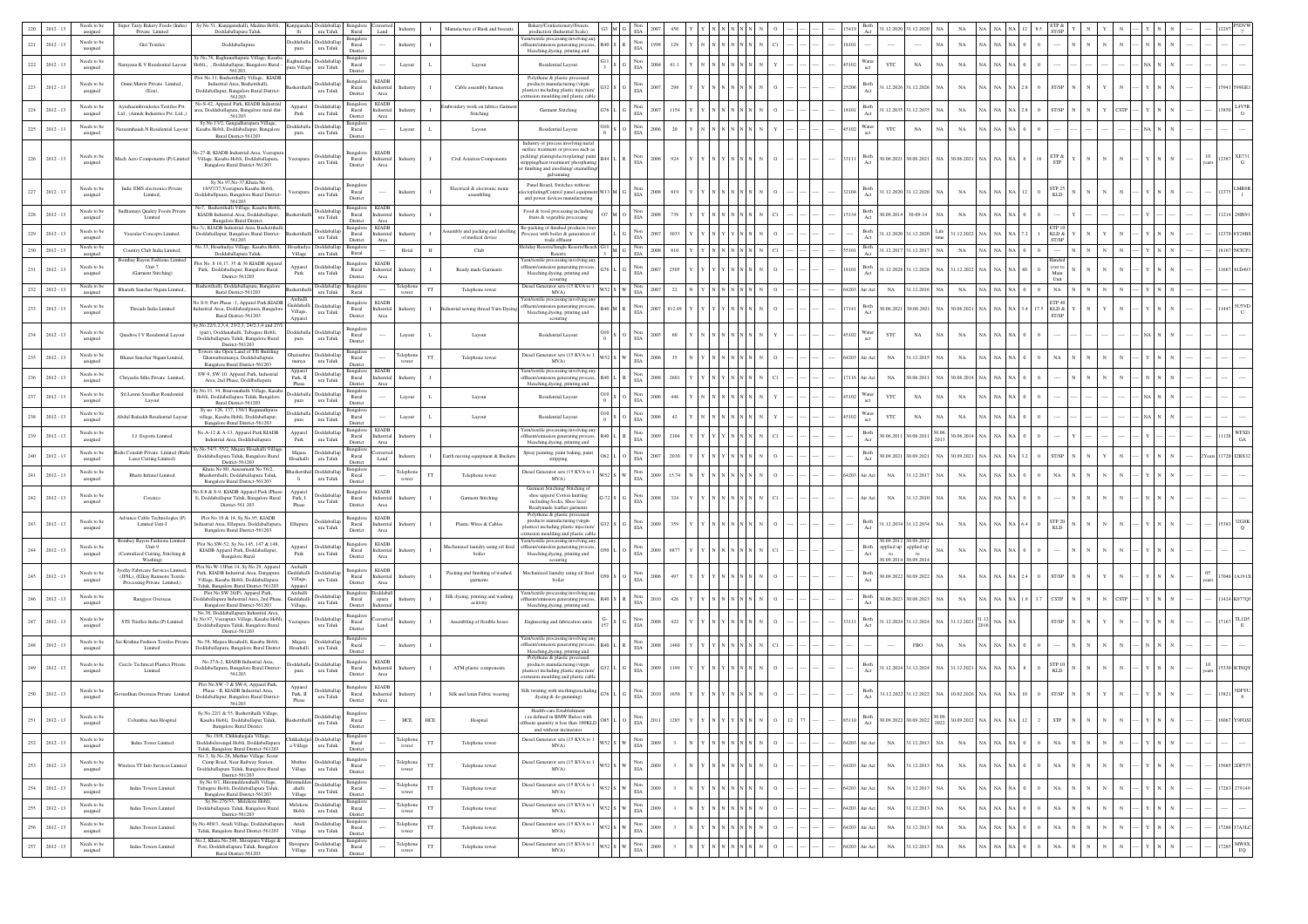|     | $2012 - 13$ | Needs to b                    | uper Tasty Bakery Foods (In<br>Private Limited                                                     | v No 51. Kaniiganahalli. Madina Hobli<br>Doddaballapura Taluk.                                                                                                      |                                               | ura Taluk                                       | Rural                                                                         |                                           | Manufacture of Rusk and biscuits                   | Bakery/Conf<br>roduction (Industrial Scale)                                                                                                            |            |                                           |      |  |  |  |                         | 1.12.2020                                | 31.12.2020                                |               |                  |     |                          |  |  |                  |
|-----|-------------|-------------------------------|----------------------------------------------------------------------------------------------------|---------------------------------------------------------------------------------------------------------------------------------------------------------------------|-----------------------------------------------|-------------------------------------------------|-------------------------------------------------------------------------------|-------------------------------------------|----------------------------------------------------|--------------------------------------------------------------------------------------------------------------------------------------------------------|------------|-------------------------------------------|------|--|--|--|-------------------------|------------------------------------------|-------------------------------------------|---------------|------------------|-----|--------------------------|--|--|------------------|
| 221 | $2012 - 13$ | <b>Veeds</b> to b<br>assigned | Giri Textiles                                                                                      | Doddaballapura                                                                                                                                                      | pura                                          | boddaballa Doddaballa<br>ura Taluk              | Rural                                                                         | Industry                                  |                                                    | Yarn/textile processing involving an<br>ffluent/emission generating process,                                                                           |            | Non<br>EIA                                |      |  |  |  |                         |                                          |                                           | $_{\rm NA}$   |                  |     |                          |  |  |                  |
| 222 | $2012 - 13$ | Needs to be<br>assigned       | Narayana K V Residential Layout                                                                    | ly.No.76, Raghunathapura Village, Kasaba<br>Hobli,, , Doddaballapur, Bangalore Rural -<br>561203.                                                                   |                                               | Rachunatha Doddaballa<br>pura Village ura Taluk | District<br>langalori<br>Rural<br>District                                    | Layout<br>L                               | Layout                                             | bleaching, dyeing, printing and<br>Residential Layout                                                                                                  |            | $_{\rm EIA}^{\rm Non}$                    |      |  |  |  | Vater                   | YTC                                      | $_{\rm NA}$<br>N <sub>A</sub>             | $_{\rm NA}$   |                  |     |                          |  |  |                  |
| 223 | $2012 - 13$ | Needs to be<br>assigned       | Omni Matrix Private Limited.<br>(Eou),                                                             | Plot No.11, Bashettihally Village, KIADB<br>Industrial.Area, Bashettihalli,<br>Doddaballapur, Bangalore Rural District-<br>561203                                   |                                               | Doddaballa<br>ura Taluk                         | Bangalore<br><b>KIADB</b><br>Rural<br>Industrial<br>District<br>Area          | Industry                                  | Cable assembly harness                             | Polythene & plastic processed<br>products manufacturing (virgin<br>astics) including plastic injection<br>rusion moulding and plastic cable            |            | Non<br>$_{\rm EIA}$                       |      |  |  |  | Both                    |                                          | 1.12.2026 31.12.2026<br>NA                | $_{\rm NA}$   |                  |     |                          |  |  |                  |
| 224 | $2012 - 13$ | Needs to b<br>assigned        | Ayeshaembroideries Textiles Pvt.<br>Ltd., (Amtek Industries Pvt. Ltd.,)                            | No-S-42. Apparel Park, KIADB Industria<br>rea, Doddaballapura, Bangalore rural dist<br>561203                                                                       | Apparel<br>$_{\rm Park}$                      | Doddaballap<br>ura Taluk                        | <b>Bangalor</b><br><b>KIADE</b><br>Rural<br>Industrial<br>District<br>Area    | dustr                                     | oidery work on fabrics Garn<br>Stitching           | Garment Stitching                                                                                                                                      |            | $_{\rm Non}$<br>$_{\rm EIA}$              |      |  |  |  | Both<br>Act             | 1.12.2035                                | 31.12.2035                                | NA            |                  |     |                          |  |  |                  |
| 225 | $2012 - 13$ | Needs to be<br>assigned       | arasimhaiah.N Residential Lavou                                                                    | Sy.No.13/2, Gangadharapura Village,<br>Kasaba Hobli, Doddaballapur, Bangalore                                                                                       | pura                                          | Doddaballa Doddaballa<br>ura Taluk              | langalor<br>Rural                                                             | Layout<br>$\mathbf{L}$                    | Layout                                             | Residential Layout                                                                                                                                     |            | $_{\rm EIA}^{\rm Non}$                    |      |  |  |  | Vater                   | YTC                                      | $_{\rm NA}$<br>N                          | $_{\rm NA}$   |                  |     |                          |  |  |                  |
|     |             |                               |                                                                                                    | Rural District-561203                                                                                                                                               |                                               |                                                 | District                                                                      |                                           |                                                    | Industry or process involving metal<br>surface treatment or process such as                                                                            |            |                                           |      |  |  |  |                         |                                          |                                           |               |                  |     |                          |  |  |                  |
|     | 226 2012-13 | Needs to be<br>assigned       | Mach Aero Components (P) Limited                                                                   | lo.27-B, KIADB Industrial.Area, Veerapur<br>Village, Kasaba Hobli, Doddaballapura,<br>Bangalore Rural District-561203                                               | Veerapura                                     | Doddaballa<br>ura Taluk                         | <b>KIADE</b><br>angalor<br>Rural<br>ndustrial<br>District<br>Area             | Industry                                  | Civil Aviation Components                          | pickling/plating/electroplating/paint<br>ripping/heat treatment/ phosphating<br>finishing and anodising/enamelling<br>galvanising                      |            | Non<br>EIA                                | 924  |  |  |  | Both<br>33111           |                                          | 10.06.2021 30.06.2021 NA 30.06.2021 NA N/ |               |                  |     | ETP &<br><b>STP</b>      |  |  | XE73             |
| 227 | $2012 - 13$ | Needs to b<br>assigned        | Indic EMS electronics Private<br>Limited,                                                          | Sy No 97, No-37, Khata No<br>18/97/37, Veerapura Kasaba Hobli,<br>Joddaballpaura, Bangalore Rural District-<br>561203                                               |                                               | <b>boddaballa</b><br>ura Taluk                  | langalor<br>Rural<br>District                                                 | Industry                                  | Electrical & electronic items<br>assembling        | Panel Board, Switches without<br>toplating/Control panel equipm<br>and power devices manufacturing                                                     |            | Non<br>EIA                                |      |  |  |  | Both                    |                                          | 1.12.2020 31.12.2020 NA                   | $_{\rm NA}$   |                  |     | <b>STP 25</b><br>KLD     |  |  |                  |
| 228 | $2012 - 13$ | Needs to be<br>assigned       | Sudhamayi Quality Foods Private<br>Limited                                                         | No7. Bashettihalli Village. Kasaba Hobli<br>KIADB Industrial.Area, Doddaballapur,<br>Bangalore Rural District.                                                      |                                               | Doddaballa<br>ura Taluk                         | <b>KIADB</b><br>langalore<br>Rural<br>ndustrial<br>District<br>Area           |                                           |                                                    | Food & food processing including<br>fruits & vegetable processing                                                                                      |            | $_{\rm EIA}^{\rm Non}$                    |      |  |  |  | Both<br>Act             | 0.09.2014                                | $30 - 09 - 14$                            | NA            |                  |     |                          |  |  |                  |
| 229 | $2012 - 13$ | Needs to be<br>assigned       | Vascular Concepts Limited,                                                                         | -7c, KIADB Industrial.Area, Bashettih<br>Doddaballapur, Bangalore Rural District-                                                                                   |                                               | Doddaballa<br>ura Taluk                         | <b>KIADB</b><br>langalori<br>Rural<br>Industrial                              | Industr                                   | embly and packing and labelli<br>of medical device | Re-packing of finished products (we<br>ocess) with boiler & generation of                                                                              |            | Non<br>$_{\rm EIA}$                       |      |  |  |  | Both                    |                                          | Life<br>1.12.2020 31.12.2020              | 31.12.2022    |                  |     | KLD &                    |  |  |                  |
| 230 | $2012 - 13$ | Needs to be<br>assigned       | Country Club India Limited.                                                                        | 561203<br>Vo.33, Hosahudya Village, Kasaba Hobli<br>Doddaballapura Taluk.                                                                                           | Village                                       | Doddaballa<br>ura Taluk                         | District<br>Area<br>3angalor<br>$\cdots$<br>Rural                             | Hotal<br>H                                | Club                                               | trade effluent<br>oliday Resorts/Jungle Resorts/Beach<br>Resorts                                                                                       | $^{1}$ M G | Non<br>$_{\rm EIA}$                       | 810  |  |  |  | Both                    |                                          | 1.12.2017 31.12.2017 NA                   | NA            | NA               |     | ST/SP                    |  |  | 18167 NCICPI     |
| 231 | $2012 - 13$ | Needs to b                    | Bombay Rayon Fashions Limite<br>Unit 7                                                             | fot No. S 16,17, 35 & 36 KIADB Apparel<br>Park, Doddaballapur, Bangalore Rural                                                                                      | Apparel<br>Park                               | Doddaball                                       | KIADB<br><b>Bangalore</b><br>Rural<br>dustrial                                | dustry                                    | Ready made Garments                                | Yarn/textile processing involving any<br>ffluent/emission generating process                                                                           |            | Non<br>EIA                                | 2505 |  |  |  | Both<br>Act             |                                          | 1.12.2028 31.12.2028<br>NA                | 31.12.2022 NA |                  |     | over to<br>Main          |  |  | 667 81D49        |
| 232 | $2012 - 13$ | assigned<br>Needs to b        | (Garment Stitching)                                                                                | District-561203<br>lashettihalli, Doddaballapura, Bangalor                                                                                                          |                                               | ura Taluk<br>Doddaball                          | District<br>$\operatorname{Area}$<br>Bangalor                                 | elephon<br>TT                             |                                                    | bleaching, dyeing, printing and<br>scouring<br>Diesel Generator sets (15 KVA to                                                                        |            |                                           | 22   |  |  |  |                         |                                          | 31.12.2016 NA                             |               |                  |     | NA                       |  |  |                  |
|     |             | assigned                      | Bharath Sanchar Nigam Limited.                                                                     | Rural District-561203<br>lo S-9, Part Phase -1, Apparel Park, KIADB                                                                                                 | lashettihal<br>Archall                        | ura Taluk                                       | <b>KIADB</b><br><b>Bangalore</b>                                              |                                           | Telephone tower                                    | MVA)<br>Yarn/textile processing involving any                                                                                                          |            | EIA                                       |      |  |  |  | 64203<br>ir Act         | NA                                       |                                           | $_{\rm NA}$   |                  |     | ETP $40$                 |  |  |                  |
| 233 | $2012 - 13$ | Needs to be<br>assigned       | Threads India Limited                                                                              | ial Area, Doddabaalpaura, Bangalor<br>Rural District-561203<br>y.No.22/1,2,3,4, 23/2,3, 24/2,3,4 and 27/                                                            | Village,<br>Apparel                           | Guddahalli Doddaballar<br>ura Taluk             | Rural<br>dustrial<br>District<br>Area                                         | dustry                                    | ial sewing thread Yarn Dye                         | ffluent/emission generating process<br>bleaching, dyeing, printing and<br>scouring                                                                     |            | Non<br>$_{\rm EIA}$                       |      |  |  |  | Both                    | 0.06.2021                                | 0.06.202<br>NA                            | 0.6.2021      |                  | 175 | KLD &<br>ST/SP           |  |  |                  |
| 234 | $2012 - 13$ | Needs to be<br>assigned       | <b>Ouadros J V Residential Layout</b>                                                              | (part), Ooddanahalli, Tubagere Hobli,<br>Doddaballapura Taluk, Bangalore Rural<br>District-561203                                                                   | pura                                          | boddaballa Doddaball<br>ura Taluk               | 3angalor<br>Rural<br>District                                                 | Layout<br>L.                              | Layout                                             | Residential Layout                                                                                                                                     |            | Non<br>EIA                                |      |  |  |  |                         | YTC                                      | $_{\rm NA}$                               | NA            |                  |     |                          |  |  |                  |
| 235 | $2012 - 13$ | Needs to be<br>assigned       | Bharat Sanchar Nigam Limited,                                                                      | owers site Open Land of T/E Building<br>Ghatisubramanya, Doddaballapura<br><b>Bangalore Rural District, 561203</b>                                                  | manya                                         | Ghatisubra Doddaballa<br>ura Taluk              | langalo<br>Rural<br>District                                                  | Felephon<br>tower<br>$_{\rm TT}$          | Telephone tower                                    | Diesel Generator sets (15 KVA to<br>MVA)                                                                                                               |            | Non<br>EIA                                |      |  |  |  | 64203<br>\ir Act        | $_{\rm NA}$                              | 31.12.2015<br>NA                          | NA            |                  |     |                          |  |  |                  |
| 236 | $2012 - 13$ | Needs to be<br>assigned       | Chrysalis Silks Private Limited,                                                                   | SW-9, SW-10. Apparel Park, Industrial<br>Area, 2nd Phase, Doddballapura                                                                                             | Apparel<br>Park, II<br>Phase                  | Doddaballa<br>ura Taluk                         | <b>KIADE</b><br>3angalor<br>Rural<br>dustrial<br>District                     | ndustr                                    |                                                    | Yarn/textile processing involving ant<br>ffluent/emission generating process<br>bleaching, dyeing, printing and                                        |            | $_{\rm EIA}^{\rm Non}$                    |      |  |  |  | r Ac                    | $_{\rm NA}$                              | 0.06.2011                                 | .06.201       |                  |     |                          |  |  |                  |
| 237 | $2012 - 13$ | Needs to be<br>assigned       | Sri.Laxmi Sreedhar Residential<br>Layout                                                           | v.No.33, 34, Bisayanahalli Village, Kasab<br>Hobli, Doddaballapura Taluk, Bangalore                                                                                 | pura                                          | Doddaballa Doddaballap<br>ura Taluk             | angale<br>Rural                                                               | $\mathbf{L}$<br>Layout                    | Layout                                             | Residential Layout                                                                                                                                     |            | $_{\rm EIA}^{\rm Non}$                    |      |  |  |  | Nater                   | YTC                                      | $_{\rm NA}$                               | $_{\rm NA}$   |                  |     |                          |  |  |                  |
| 238 | $2012 - 13$ | Needs to be                   | Abdul Rafeekh Residential Layou                                                                    | Rural District-561203<br>Sy no. 126, 137, 138/1 Ragunathpura<br>village, Kasaba Hobli, Doddaballapur,                                                               |                                               | Doddaballa Doddaballar<br>ura Taluk             | District<br>3angalor<br>Rural                                                 | Layout                                    | Layout                                             | Residential Layout                                                                                                                                     |            | $_{\rm EIA}^{\rm Non}$                    |      |  |  |  | Water<br>act            | YTC                                      | NA                                        | NA            |                  |     |                          |  |  |                  |
| 239 | $2012 - 13$ | assigned<br>Needs to b        | J.J. Exports Limited                                                                               | Bangalore Rural District-561203<br>No.A-12 & A-13, Apparel Park KIADB                                                                                               | pura<br>Apparel                               | Doddaballa                                      | District<br>ngalore<br><b>KIADE</b><br>Rural<br>Industrial                    | idustr                                    |                                                    | arn/textile processing involving any<br>luent/emission generating process                                                                              |            | Non                                       |      |  |  |  | Both                    | 0.06.2011                                | 30.06<br>30.06.2011                       | 0.06.2014     |                  |     |                          |  |  | WFXD             |
|     |             | assigned<br>Needs to be       | chi Consfab Private Limited (Ri-                                                                   | Industrial Area, Doddaballapura<br>y.No.54/3, 55/2, Majara Hosahalli Village,                                                                                       | Park<br>Maiara                                | ura Taluk<br>Doddaballa                         | District<br>Area<br>langalori                                                 |                                           |                                                    | bleaching, dyeing, printing and<br>Spray painting, paint baking, paint                                                                                 |            | $_{\rm EIA}$                              |      |  |  |  | Act<br>Both             |                                          | 2013                                      |               |                  |     |                          |  |  | $_{\mathrm{GA}}$ |
| 240 | $2012 - 13$ | assigned                      | Laser Cutting Limited)                                                                             | Doddaballapura Taluk, Bangalore Rural<br>District-561203<br>Khata No 80, Assessment No 56/2.                                                                        | Hosahalli                                     | ura Taluk<br>shettihal Doddaball                | Rural<br>Land<br>District<br>ansalor                                          | $\mathbf{I}$                              | Earth moving equipment & Bucket                    | stripping                                                                                                                                              |            | $_{\rm EIA}^{\rm Non}$                    |      |  |  |  |                         | 0.09.202                                 | 30.09.2021<br>N <sub>A</sub>              | 0.9.2021      |                  |     |                          |  |  |                  |
| 241 | $2012 - 13$ | Needs to be<br>assigned       | Bharti Infratel Limited                                                                            | Bhashettihalli, Doddaballapura Taluk,<br>Bangalore Rural District-561203                                                                                            | li.                                           | ura Taluk                                       | Rural<br>District                                                             | elephon<br>$_{\rm TT}$<br>tower           | Telephone tower                                    | Diesel Generator sets (15 KVA to<br>MVA)<br>Garment Stitching/ Stitching of                                                                            |            | $_{\rm EIA}^{\rm Non}$                    |      |  |  |  | <b>Vir Act</b><br>64203 | $_{\rm NA}$                              | 1.12.2017                                 | NA            |                  |     |                          |  |  |                  |
| 242 | $2012 - 13$ | Needs to b<br>assigned        | Corenco                                                                                            | io.S-8 & S-9, KIADB Apparel Park (Phase-<br>I), Doddaballapur Taluk, Bangalore Rural<br>District-561 203.                                                           | Apparel<br>Park, I<br>Phase                   | Doddaballa<br>ura Taluk                         | KIADB<br>Bangalore<br>Rural<br>dustrial<br>District<br>$\operatorname{Area}$  | dustry                                    | Garment Stitching                                  | shoe uppers/ Cotton knitting<br>including Socks, Shoe lace/<br>teadymade leather garments<br>Polythene & plastic processed                             |            | $_{\rm EIA}^{\rm Non}$                    | 324  |  |  |  | r Act                   | $_{\rm NA}$                              | 1.12.2010<br>NA                           | NA            |                  |     |                          |  |  |                  |
| 243 | $2012 - 13$ | Needs to be<br>assigned       | Advance Cable Technologies (P)<br>Limited Unti-I<br>Bombay Rayon Fashions Limited                  | Plot No 10 & 14, Sv.No.95, KIADB<br>dustrial Area, Ellupura, Doddaballapura<br>Bangalore Rural District-561203                                                      | Ellupura                                      | Doddaballa<br>ura Taluk                         | 3angalor<br><b>KIADB</b><br>Rural<br>ndustrial<br>District<br>Area            | idustr                                    | Plastic Wires & Cables                             | products manufacturing (virgin<br>lastics) including plastic injection/<br>trusion moulding and plastic cable<br>Yarn/textile processing involving ant |            | Nor<br>EIA                                |      |  |  |  | Both                    | 0.09.2012                                | 1.12.2034 31.12.2034<br>N/<br>30.09.201   | $_{\rm NA}$   |                  |     | STP <sub>20</sub><br>KLD |  |  |                  |
| 244 | $2012 - 13$ | Needs to be<br>assigned       | Unit-9<br>(Centralized Cutting, Stitching &<br>Washing)                                            | Plot No.SW-52, Sy.No.145, 147 & 148,<br>KIADB Apparel Park, Doddaballapur,<br><b>Bangalore Rural</b>                                                                | Apparel<br>$_{\rm Park}$                      | Doddaballa<br>ura Taluk                         | <b>KIADB</b><br><b>Bangalor</b><br>Rural<br>ndustrial<br>Area<br>District     | idustr                                    | schanized laundry using oil fired<br>boiler        | uent/emission generating process<br>bleaching, dyeing, printing and<br>scouring                                                                        |            | $_{\rm EIA}^{\rm Non}$                    | 687  |  |  |  | Both                    | applied up applied up<br>to<br>0.09.2014 | to<br>0.09.201                            | NA            |                  |     |                          |  |  |                  |
| 245 | $2012 - 13$ | Needs to be<br>assigned       | yothy Fabricare Services Limited<br>(JFSL), (Elkay Ramsons Textile<br>Processing Private Limited,) | Plot No.W-13Part 14, Sy.No.29, Apparel<br>Park, KIADB Industrial.Area, Dargapura<br>Village, Kasaba Hobli, Doddaballapura<br>Taluk, Bangalore Rural District-561203 | Archalli<br>Guddahalli<br>Village,<br>Apparel | Doddaball<br>ura Taluk                          | <b>KIADB</b><br>langalori<br>Rural<br>ndustrial<br>District<br>Area<br>addaha | Industr                                   | Packing and finishing of washed<br>garments        | Mechanized laundry using oil fired<br>boiler                                                                                                           |            | $_{\rm EIA}$                              |      |  |  |  | Both                    | 0.09.2022                                | 30.09.2022<br>NA                          | NA            |                  |     |                          |  |  |                  |
|     | $2012 - 13$ | Needs to be<br>assigned       | Rangjyot Overseas                                                                                  | Plot No.SW 26(P), Apparel Park,<br>oddaballapura Industrial Area, 2nd Phase.<br>Bangalore Rural District-561203                                                     | Archalli<br>Guddahalli<br>Village,            | Doddaballa<br>ura Taluk                         | langalo<br>Rural<br>apura<br>District                                         | Industry                                  | Silk dyeing, printing and washing<br>acitivity     | Yarn/textile processing involving an<br>fluent/emission generating process<br>bleaching, dyeing, printing and                                          |            | $_{\rm Non}$<br>$_{\rm EIA}$              | 426  |  |  |  | Both<br>Act             | 0.06.2023                                | 30.06.202                                 | $_{\rm NA}$   |                  |     | CSTP                     |  |  |                  |
| 247 | $2012 - 13$ | Needs to be<br>assigned       | STS Titeflex India (P) Limited                                                                     | No.38, Doddaballapura Industrial.Area,<br>y.No.97, Veerapura Village, Kasaba Hobli<br>Doddaballapura Taluk, Bangalore Rural<br>District-561203                      | /eerapura                                     | Doddaballa<br>ura Taluk                         | 3angalor<br>Rural<br>Land<br>District                                         | Industry                                  | Assembling of flexible hoses                       | Engineering and fabrication untis                                                                                                                      |            | $$\rm{Non}\atop{\rm{ELA}}$$               | 422  |  |  |  | Both                    | 1.12.2024                                | 31.12.2024<br>NA                          | 1.12.2021     |                  |     |                          |  |  |                  |
|     | $2012 - 13$ | Needs to be<br>assigned       | Sai Krishna Fashion Textiles Priv<br>Limited                                                       | No.58, Majara Hosahalli, Kasaba Hobli,<br>Doddaballapura, Bangalore Rural District                                                                                  | Majara<br>Hosahalli                           | Doddaballa<br>ura Taluk                         | 3angalor<br>Rural<br>District                                                 | Industry                                  |                                                    | Yarn/textile processing involving an<br>fluent/emission generating process,<br>bleaching, dyeing, printing and                                         |            | $_{\rm EIA}^{\rm Non}$                    |      |  |  |  |                         |                                          | $_{\rm FBO}$                              | NA            |                  |     |                          |  |  |                  |
|     | $2012 - 13$ | Needs to be<br>assigned       | Carelo Technical Plastics Private<br>Limited                                                       | No.27A-2, KIADB Industrial.Area,<br>Ooddaballapura, Bangalore Rural District<br>561203                                                                              | pura                                          | <b>hoddaballa</b> Doddaballa<br>ura Taluk       | <b>Bangalore</b><br><b>KIADE</b><br>Rural<br>dustrial<br>District<br>Area     |                                           | ATM plastic components                             | Polythene & plastic processed<br>products manufacturing (virgin<br>plastics) including plastic injection/<br>rusion moulding and plastic cable         |            | Non<br>$_{\rm EIA}$                       |      |  |  |  | Both                    |                                          | 1.12.2024 31.12.2024 NA                   | 1.12.2021     |                  |     | <b>STP10</b><br>KLD      |  |  |                  |
| 250 | $2012 - 13$ | Needs to be<br>assigned       | ardhan Overseas Private Limit                                                                      | Plot No.SW -7 & SW-8, Apparel Park,<br>Phase - II, KIADB Industrial.Area,<br>Doddaballapur, Bangalore Rural District-<br>561203                                     | Apparel<br>Park, II<br>Phase                  | Doddaballa<br>ura Taluk                         | KIADB<br>3angalor<br>Rural<br>dustrial<br>District<br>$_{\rm Area}$           | dustr                                     | Silk and lenin Fabric weaving                      | Silk twisting with sticthing(excluding<br>dyeing & de-gumming)                                                                                         |            | Non<br>EIA                                |      |  |  |  | Both                    |                                          | 1.12.2022 31.12.2022<br>NA                |               | 10.02.2026 NA NA |     | ST/SP                    |  |  | 5DFY<br>3821     |
|     | 2012 -      | Needs to be<br>assigned       | Columbia Asia Hospital                                                                             | Sv.No.22/1 & 55. Bashettihalli Village.<br>Kasaba Hobli, Doddaballapur Taluk,<br>Bangalore Rural District.                                                          |                                               | <b>Doddaball</b><br>ura Taluk                   | angalor<br>Rural<br>District                                                  | HCE                                       | Hospita                                            | Health-care Establishment<br>s defined in BMW Rules) with<br>ffluent quantity is less than 100KLD<br>and without incinerator                           |            | EIA                                       |      |  |  |  |                         |                                          | 2022                                      | .09.20        |                  |     |                          |  |  |                  |
| 252 | $2012 - 13$ | Needs to be<br>assigned       | <b>Indus Tower Limited</b>                                                                         | No.19/8, Chikkahejjala Village,<br>Doddabelavengal Hobli, Doddaballapura<br>Taluk, Bangalore Rural District-561203                                                  |                                               | Chikkahejjal Doddaballap<br>a Village ura Taluk | Bangalor<br>Rural<br>District                                                 | Felephone<br>TT<br>tower                  | Telephone tower                                    | Diesel Generator sets (15 KVA to 1<br>MVA)                                                                                                             |            | $_{\rm EIA}^{\rm Non}$                    |      |  |  |  | 6420<br>ir Act          | $_{\rm NA}$                              | 1.12.2013<br>N                            | $_{\rm NA}$   |                  |     | $_{\rm NA}$              |  |  | $\cdots$         |
| 253 | $2012 - 13$ | Needs to be<br>assigned       | Vireless TT Info Services Limited                                                                  | No.3, Sy.No.28, Muthur Village, Scout<br>Camp Road, Near Railway Station.<br>Doddaballapura Taluk, Bangalore Rural<br>District-561203                               | Muthur<br>Village                             | Doddaballa<br>ura Taluk                         | <b>Bangalore</b><br>Rural<br>District                                         | elephone<br>TT<br>tower                   | Telephone tower                                    | Diesel Generator sets (15 KVA to 1<br>MVA)                                                                                                             |            | Non<br>$_{\rm EIA}$                       |      |  |  |  | 64203<br>r Ac           | $_{\rm NA}$                              | 1.12.2013<br>N/                           | $_{\rm NA}$   | N/               |     | NA                       |  |  | 5685 2DF575      |
| 254 | $2012 - 13$ | Needs to be<br>assigned       | Indus Towers Limited                                                                               | Sy.No.9/1, Hiremuddenahalli Village,<br>Tubugere Hobli, Doddaballapura Taluk,<br>Bangalore Rural District-561203                                                    | ahalli<br>Village                             | Doddaballag<br>ura Taluk                        | 3angalor<br>Rural<br>District                                                 | <b>Telephon</b><br>$_{\rm TT}$<br>tower   | Telephone tower                                    | Diesel Generator sets (15 KVA to 1<br>MVA)                                                                                                             |            | $\mathop{\rm Non}\nolimits$<br>$\rm{EIA}$ |      |  |  |  | 64203<br>ir Act         | NA                                       | 31.12.2013 NA                             | $_{\rm NA}$   | na I na          |     | NA                       |  |  | 7283 279149      |
| 255 | $2012 - 13$ | Needs to be<br>assigned       | <b>Indus Towers Limited</b>                                                                        | Sy.No.276/33, Melekote Hobli,<br>Doddaballapura Taluk, Bangalore Rural                                                                                              | Hobli                                         | Melekote Doddaballa<br>ura Taluk                | langalor<br>Rural                                                             | Felephon<br>TT<br>tower                   | Telephone tower                                    | Diesel Generator sets (15 KVA to 1<br>MVA)                                                                                                             |            | $_{\rm EIA}^{\rm Non}$                    |      |  |  |  | 6420<br>ir Act          | $_{\rm NA}$                              | 1.12.2013                                 | $_{\rm NA}$   |                  |     | NA                       |  |  | $\cdots$         |
| 256 | $2012 - 13$ | Needs to b                    | Indus Towers Limited                                                                               | District-561203<br>y.No.409/3, Arudi Village, Doddaballapur.                                                                                                        |                                               | Doddaballa                                      | District<br>angalo<br>Rural                                                   | elephon<br>$_{\rm TT}$                    | Telephone tower                                    | Diesel Generator sets (15 KVA to 1<br>MVA)                                                                                                             |            | Non                                       |      |  |  |  | 64203<br>ir Act         | NA                                       | 1.12.2013<br>NA                           | $_{\rm NA}$   | N/               |     | NA                       |  |  | 7286 37A3LC      |
| 257 | $2012 - 13$ | assigned<br>Needs to be       | Indus Towers Limited                                                                               | Taluk, Bangalore Rural District-561203<br>No.2, Khata No.246, Shivapura Village &<br>Post, Doddaballapura Taluk, Bangalore                                          | Village                                       | ura Taluk<br>Shivapura Doddaballa               | District<br>3angalori<br>Rural                                                | tower<br>Felephon<br>tower<br>$_{\rm TT}$ | Telephone tower                                    | Diesel Generator sets (15 KVA to 1                                                                                                                     |            | $_{\rm EIA}$<br>Non                       |      |  |  |  | 64203<br>ir Ac          | $_{\rm NA}$                              | 1.12.2013<br>NA                           | $_{\rm NA}$   | N                |     | NA                       |  |  | $7285$ MW8X      |
|     |             | assigned                      |                                                                                                    | Rural District-561203                                                                                                                                               | Village                                       | ura Taluk                                       | District                                                                      |                                           |                                                    | MVA)                                                                                                                                                   |            | $_{\rm EIA}$                              |      |  |  |  |                         |                                          |                                           |               |                  |     |                          |  |  | ${\rm EQ}$       |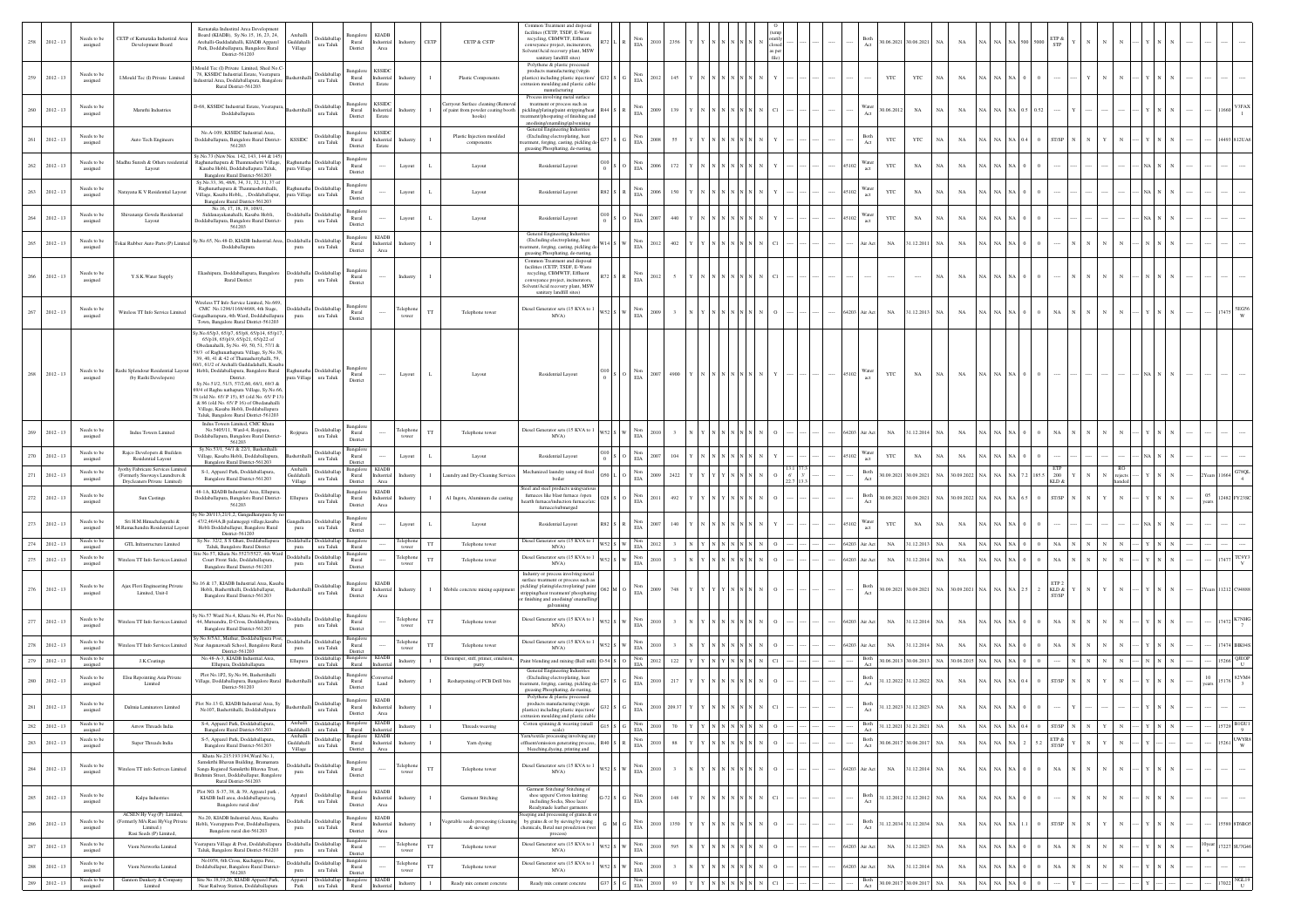|     |                    |                         |                                                                                                   |                                                                                                                                                                                                                       |                                   |                                                                                                           |                                                                             |                                                 |              |                                                                       | Common Treatment and disposa                                                                                                                                                                         |             |                                                                                              |      |              |  |  |  |               |                        |                          |              |                  |       |             |                                |  |  |  |       |                                                             |
|-----|--------------------|-------------------------|---------------------------------------------------------------------------------------------------|-----------------------------------------------------------------------------------------------------------------------------------------------------------------------------------------------------------------------|-----------------------------------|-----------------------------------------------------------------------------------------------------------|-----------------------------------------------------------------------------|-------------------------------------------------|--------------|-----------------------------------------------------------------------|------------------------------------------------------------------------------------------------------------------------------------------------------------------------------------------------------|-------------|----------------------------------------------------------------------------------------------|------|--------------|--|--|--|---------------|------------------------|--------------------------|--------------|------------------|-------|-------------|--------------------------------|--|--|--|-------|-------------------------------------------------------------|
|     | 258 2012-13        | Needs to be<br>assigned | CETP of Karnataka Industiral Area<br>Development Board                                            | Karnataka Industiral Area Development<br>Board (KIADB), Sy.No.15, 16, 23, 24,<br>Arehalli-Guddadahalli, KIADB Apparel<br>Park, Doddaballapura, Bangalore Rural<br>District-561203                                     | Archall<br>Guddahalli<br>Village  | ddaballa<br>ura Taluk                                                                                     | Rural<br>District                                                           | KIADI<br>Industrial<br>Industry<br>Area         | CETP         | CETP & CSTP                                                           | facilities (CETP, TSDF, E-Waste<br>recycling, CBMWTF, Effluent<br>veyance project, incinerators,<br>Solvent/Acid recovery plant, MSW                                                                 |             | EIA                                                                                          |      | 2356         |  |  |  |               |                        | 0.06.2021 30.06.2021 NA  |              | $_{\rm NA}$      | NA I  |             | :TP &<br><b>STP</b>            |  |  |  |       |                                                             |
|     | $259 - 2012 - 13$  | Needs to be<br>assigned | LMould Tec (I) Private Limited                                                                    | I.Mould Tec (I) Private Limited, Shed No.C<br>78. KSSIDC Industrial.Estate. Veerapura<br>dustrial.Area, Doddaballapura, Bangalor                                                                                      |                                   | <b>boddaballa</b><br>ura Taluk                                                                            | ıngalor<br>Rural                                                            | <b>KSSID</b><br>Industria<br>Industr            |              | Plastic Component                                                     | sanitary landfill sites)<br>Polythene & plastic processed<br>products manufacturing (virgin<br>lastics) including plastic injection                                                                  |             | EIA                                                                                          | 2012 | 145          |  |  |  |               | YTC                    | YTC                      | NA           | $_{\rm NA}$      |       |             |                                |  |  |  |       |                                                             |
|     | $260 = 2012 - 13$  | Needs to be             | Maruthi Industrie                                                                                 | Rural District-561203<br>D-68. KSSIDC Industrial Estate, Veerapr                                                                                                                                                      |                                   | Doddaballa                                                                                                | District<br>langalore<br>Rural                                              | Estate<br><b>KSSIDC</b><br>Industria<br>Industr | $\mathbf{L}$ | arryout Surface cleaning (Remov<br>of paint from powder coating booth | trusion moulding and plastic cable<br>manufacturing<br>Process involving metal surface<br>treatment or process such as<br>pickling/plating/paint stripping/heat                                      |             | Nor<br>$_{\rm EIA}$                                                                          |      | 139          |  |  |  |               | Water<br>0.06.2012     | $_{\rm NA}$              | NA           | $_{\rm NA}$      |       |             |                                |  |  |  |       |                                                             |
|     |                    | assigned<br>Needs to be |                                                                                                   | Doddaballapura<br>No.A-109, KSSIDC Industrial.Area,                                                                                                                                                                   |                                   | ura Taluk<br>Doddaballa                                                                                   | District<br>Bangalore                                                       | Estate<br><b>KSSIDC</b>                         |              | hooks)<br>Plastic Injection moulded                                   | tment/phospating of finishing and<br>anodising/enamiling/galvenising<br>General Engineering Industries<br>(Excluding electroplating, heat                                                            |             | Non                                                                                          |      |              |  |  |  |               | Both                   |                          |              |                  |       |             |                                |  |  |  |       |                                                             |
| 261 | $2012 - 13$        | assigned                | Auto Tech Engineers                                                                               | Ooddaballapura, Bangalore Rural District-<br>561203<br>y.No.73 (New Nos. 142, 143, 144 & 145)                                                                                                                         | <b>KSSIDC</b>                     | ura Taluk                                                                                                 | Rural<br>District                                                           | Industrial<br>Industr<br>Estate                 |              | $\mathop{\mathsf{components}}$                                        | tment, forging, casting, pickling d<br>greasing Phosphating, de-rusting,                                                                                                                             |             | EIA                                                                                          |      |              |  |  |  |               | YTC<br>Act             | YTC                      | NA           | NA               |       |             | <b>ST/SP</b>                   |  |  |  |       |                                                             |
| 262 | $2012 - 13$        | Needs to be<br>assigned | Madhu Suresh & Others residentia<br>Layout                                                        | Raghunathapura & Thammashetti Village,<br>Kasaba Hobli, Doddaballapura Taluk,<br>Bangalore Rural District-561203                                                                                                      | pura Village                      | Doddaballa<br>ura Taluk                                                                                   | langalor<br>Rural<br>District                                               | Layout                                          |              | Layout                                                                | Residential Layout                                                                                                                                                                                   |             | $_{\rm EIA}$                                                                                 |      | 172          |  |  |  |               | Nater<br>YTC           | $_{\rm NA}$              | NA           | $_{\rm NA}$      |       |             |                                |  |  |  |       |                                                             |
| 263 | $2012 - 13$        | Needs to be<br>assigned | Narayana K V Residential Layout                                                                   | sy.No.33, 36, 48/6, 34, 31, 32, 31, 37 o<br>Raghunathapura & Thammashettihalli.<br>Village, Kasaba Hobli,, , Doddaballapur,<br>Bangalore Rural District-561203                                                        |                                   | Raghunatha Doddaballar<br>oura Village ura Taluk                                                          | 3angalor<br>Rural<br>District                                               | Layout                                          |              | Layout                                                                | Residential Layout                                                                                                                                                                                   |             | Non<br>$_{\rm EIA}$                                                                          |      |              |  |  |  |               | Water<br>YTC<br>act    | $_{\rm NA}$              |              | $_{\rm NA}$      |       |             |                                |  |  |  |       |                                                             |
| 264 | $2012 - 13$        | Needs to be<br>assigned | Shivananje Gowda Residential<br>Layout                                                            | No.16, 17, 18, 19, 109/1.<br>Siddanayakanahalli, Kasaba Hobli,<br>Ooddaballapura, Bangalore Rural District-<br>561203                                                                                                 | pura                              | boddaballa Doddaballa<br>ura Taluk                                                                        | Bangalor<br>Rural<br>District                                               | Layout                                          |              | Layout                                                                | Residential Layout                                                                                                                                                                                   |             | $_{\rm EIA}^{\rm Non}$                                                                       |      |              |  |  |  |               | Vater<br>$_{\rm YTC}$  | $_{\rm NA}$              | NA           | NA               |       |             |                                |  |  |  |       |                                                             |
| 265 | $2012 - 13$        | Needs to be<br>assigned | 'okai Rubber Auto Parts (P) Limite                                                                | Sy.No.65, No.48-D, KIADB Industrial.Area<br>Doddaballapura                                                                                                                                                            | ddaball<br>pura                   | ura Taluk                                                                                                 | Bangalore<br>Rural<br>District                                              | <b>KIADB</b><br>Industria<br>Industr<br>Area    |              |                                                                       | General Engineering Industries<br>(Excluding electroplating, heat<br>stment, forging, casting, pickling d<br>greasing Phosphating, de-rusting,                                                       |             | Non<br>$_{\rm EIA}$                                                                          |      | 402          |  |  |  |               | $_{\rm NA}$<br>Air Act | 31.12.2011               | NA           | $_{\rm NA}$      |       |             |                                |  |  |  |       |                                                             |
|     | $266 - 2012 - 13$  | Needs to be<br>assigned | Y.S.K.Water Supply                                                                                | Ekashipura, Doddaballapura, Bangalore<br><b>Rural District</b>                                                                                                                                                        | pura                              | boddaballa Doddaballag<br>ura Taluk                                                                       | langalor<br>Rural<br>District                                               | Industry                                        |              |                                                                       | Common Treatment and disposal<br>facilities (CETP, TSDF, E-Waste<br>recycling, CBMWTF, Effluent<br>onveyance project, incinerators                                                                   |             | EIA                                                                                          | 2012 |              |  |  |  |               | 1.111                  | $\cdots$                 | NA           | $_{\rm NA}$      |       |             |                                |  |  |  |       |                                                             |
|     | 267 2012-13        | Needs to be             | Wireless TT Info Service Limited                                                                  | Wireless TT Info Service Limited, No.669.<br>CMC No.1296/1168/4688, 4th Stage,                                                                                                                                        | Doddaballa                        | Doddaballag                                                                                               | angalor<br>Rural                                                            | Felephone<br>tower                              |              | Telephone tower                                                       | Solvent/Acid recovery plant, MSW<br>sanitary landfill sites)<br>Diesel Generator sets (15 KVA to 1                                                                                                   |             | Non<br>EIA                                                                                   |      |              |  |  |  | 64203         | ir Act<br>$_{\rm NA}$  | 31.12.2013 NA            |              | $_{\rm NA}$      |       |             |                                |  |  |  |       |                                                             |
|     |                    | assigned                |                                                                                                   | ngadharapura, 4th Ward, Doddaballapura<br>Town, Bangalore Rural District-561203<br>v.No.65/p3, 65/p7, 65/p8, 65/p14, 65/p17<br>65/p18, 65/p19, 65/p21, 65/p22 of                                                      | pura                              | ura Taluk                                                                                                 | District                                                                    |                                                 |              |                                                                       | MVA)                                                                                                                                                                                                 |             |                                                                                              |      |              |  |  |  |               |                        |                          |              |                  |       |             |                                |  |  |  |       |                                                             |
|     |                    |                         |                                                                                                   | Obedanahalli, Sy.No. 49, 50, 51, 57/1 &<br>59/3 of Raghunathapura Village, Sy.No.38,<br>39, 40, 41 & 42 of Thamashettyhalli, 59,<br>0/1, 61/2 of Arehalli Guddadahalli, Kasaba                                        |                                   |                                                                                                           |                                                                             |                                                 |              |                                                                       |                                                                                                                                                                                                      |             |                                                                                              |      |              |  |  |  |               |                        |                          |              |                  |       |             |                                |  |  |  |       |                                                             |
| 268 | $2012 - 13$        | Needs to be<br>assigned | Rashi Splendour Residential Layou<br>(by Rashi Developers)                                        | Hobli, Doddaballapura, Bangalore Rural<br>District.<br>Sv.No.51/2, 51/3, 57/2,60, 68/1, 69/3 &                                                                                                                        | ura Village                       | ura Taluk                                                                                                 | lansalo<br>Rural<br>District                                                | Layout                                          |              | Layout                                                                | Residential Layout                                                                                                                                                                                   |             | s l o<br>EIA                                                                                 | 2007 | 4900         |  |  |  | 45102         | YTC                    | NA                       | NA.          | $_{\rm NA}$      |       |             |                                |  |  |  |       |                                                             |
|     |                    |                         |                                                                                                   | 59/4 of Raghu nathapura Village, Sy.No.66<br>8 (old No. 65/ P 15), 85 (old No. 65/ P 13<br>& 86 (old No. 65/ P 16) of Obedanahalli<br>Village, Kasaba Hobli, Doddaballapura<br>Taluk, Bangalore Rural District-561203 |                                   |                                                                                                           |                                                                             |                                                 |              |                                                                       |                                                                                                                                                                                                      |             |                                                                                              |      |              |  |  |  |               |                        |                          |              |                  |       |             |                                |  |  |  |       |                                                             |
| 269 | $2012 - 13$        | Needs to be<br>assigned | Indus Towers Limited                                                                              | Indus Towers Limited, CMC Khata<br>No.5405/11, Ward-4, Rojipura,<br>Ooddaballapura, Bangalore Rural District-<br>561203                                                                                               | Rojipur                           | <b>boddaballag</b><br>ura Taluk                                                                           | Bangalor<br>Rural<br>District                                               | elephor<br>tower                                | ГT           | Telephone tower                                                       | Diesel Generator sets (15 KVA to 1<br>MVA)                                                                                                                                                           | <b>152.</b> | $_{\rm EIA}^{\rm Non}$                                                                       |      |              |  |  |  | 64203         | $_{\rm NA}$<br>úr Act  | 31.12.2014 NA            |              | $_{\rm NA}$      |       |             | NA.                            |  |  |  |       |                                                             |
| 270 | $2012 - 13$        | Needs to be<br>assigned | Raico Developers & Builders<br>Residential Layout                                                 | Sv.No.53/1, 54/1 & 22/1. Bashetihalli<br>Village, Kasaba Hobli, Doddaballapura,<br>Bangalore Rural District-561203                                                                                                    |                                   | <b>boddaballa</b><br>ura Taluk                                                                            | Bangalor<br>Rural<br>District                                               | Layout                                          |              | Layout                                                                | Residential Layout                                                                                                                                                                                   |             | $_{\rm Non}$<br>$_{\rm EIA}$                                                                 |      |              |  |  |  |               | Nater<br>YTC<br>act    | $_{\rm NA}$              | NA           | $_{\rm NA}$      |       |             |                                |  |  |  |       |                                                             |
| 271 | $2012 - 13$        | Needs to be<br>assigned | yothy Fabricare Services Limite<br>(Formerly Snoways Laundrers &<br>Drycleaners Private Limited)  | S-1, Apparel Park, Doddaballapura,<br>Bangalore Rural District-561203                                                                                                                                                 | Guddahalli<br>Village             | Doddaballag<br>ura Taluk                                                                                  | 3angalore<br>Rural<br>District                                              | <b>KIAD</b><br>Industria<br>Area                |              | aundry and Dry-Cleaning Servic                                        | Mechanized laundry using oil fired<br>boiler                                                                                                                                                         |             | Non<br>$_{\rm EIA}$                                                                          |      | 2422         |  |  |  |               | Both                   | 0.09.2021 30.09.2021     | NA           | 30.09.2022       |       | 185         | 200<br>KLD &                   |  |  |  |       | G78QL                                                       |
|     | $272 \t 2012 - 13$ | Needs to be<br>assigned | Sun Castings                                                                                      | 48-1A. KIADB Industrial Area, Ellupura<br>Joddaballapura, Bangalore Rural District-<br>561203                                                                                                                         | Ellupura                          | Doddaballag<br>$\,$ ura Taluk                                                                             | Bangalore<br>Rural<br>District                                              | <b>KIADB</b><br>Industrial<br>Industr<br>Area   |              | Al Ingots, Aluminum die casting                                       | Steel and steel products usingvarior<br>furnaces like blast furnace /open<br>hearth furnace/induction furnace/arc<br>furnace/submerged                                                               |             | Non<br>EIA                                                                                   |      | 492          |  |  |  |               | Both                   | 0.09.2021 30.09.2021 NA  |              | 30.09.2022 NA    |       |             | <b>ST/SP</b>                   |  |  |  | 05    |                                                             |
| 273 | $2012 - 13$        | Needs to be<br>assigned | Sri H.M.Himachalapathi &<br>I.Ramachandra Residential Layou                                       | No 20/113,21/1,2, Gangadharapura Sy no<br>47/2,46/4A,B palamegegi village,kasaba<br>Hobli Doddaballapur, Bangalore Rural<br>District-561203                                                                           | pura                              | Doddaballa<br>$\,$ ura Taluk                                                                              | 3angalo<br>Rural<br>District                                                | Layout                                          |              | Layout                                                                | Residential Layout                                                                                                                                                                                   |             | $_{\rm EIA}$                                                                                 |      |              |  |  |  |               | Water<br>YTC           | $_{\rm NA}$              | NA           | $_{\rm NA}$      |       |             |                                |  |  |  |       |                                                             |
| 274 | $2012 - 13$        | Needs to b<br>assignee  | GTL Infrastructure Limited                                                                        | Sy.No. 32/2, S S Ghati, Doddaballapura<br>Taluk, Bangalore Rural District                                                                                                                                             | Doddabal<br>pura                  | ura Taluk                                                                                                 | Bangalo<br>Rural                                                            | elephon<br>tower                                | $_{\rm TT}$  | Telephone tower                                                       | Diesel Generator sets (15 KVA to<br>MVA)                                                                                                                                                             |             | Non<br>FIA<br>ws2 s I w                                                                      |      |              |  |  |  | 64203 Air Act | $_{\rm NA}$            | 31.12.2013               | $\,$ NA $\,$ | $_{\rm NA}$      |       |             | $_{\rm NA}$                    |  |  |  |       |                                                             |
| 275 | $2012 - 13$        | Needs to be<br>assigned | Vireless TT Info Services Limite                                                                  | te No.57, Khata No.5527/5527, 4th Ward<br>Court Front Side, Doddaballapura,<br>Bangalore Rural District-561203                                                                                                        | pura                              | Doddaballa Doddaballap<br>ura Taluk                                                                       | Bangalor<br>Rural<br>District                                               | Telephor<br>tower                               |              | Telephone tower                                                       | Diesel Generator sets (15 KVA to 1<br>MVA)                                                                                                                                                           |             | $_{\rm Non}$<br>EIA                                                                          |      |              |  |  |  | 64203         | $_{\rm NA}$<br>ir Act  | 1.12.2014                | NA           | $_{\rm NA}$      |       |             | NA                             |  |  |  |       | TC9Y3                                                       |
|     | $276 - 2012 - 13$  | Needs to be<br>assigned | Ajax Flori Engineering Private<br>Limited, Unit-I                                                 | .16 & 17, KIADB Industrial.Area, Kasaba<br>Hobli, Bashettihalli, Doddaballapur,<br>Bangalore Rural District-561203                                                                                                    |                                   | Doddaballa<br>$\,$ ura Taluk                                                                              | angalor<br>Rural<br>District                                                | KIADI<br>Industrial<br>Industry<br>Area         | $\mathbf{I}$ | Mobile concrete mixing equipmen                                       | Industry or process involving metal<br>urface treatment or process such as<br>pickling/plating/electroplating/paint<br>tripping/heat treatment/ phosphating<br>r finishing and anodising/ enamelling | 62 M C      | $_{\rm EIA}$                                                                                 |      | 748          |  |  |  |               | Both                   | 80.09.2021 30.09.2021 NA |              | 30.09.2021 NA    |       |             | KLD $\&$<br><b>ST/SP</b>       |  |  |  |       |                                                             |
| 277 | $2012 - 13$        | Needs to be<br>assigned | Wireless TT Info Services Limited                                                                 | No.57 Ward No.4, Khata No 44, Plot No.<br>44, Mutsandra, D Cross, Doddaballpura,<br>Bangalore Rural District-561203                                                                                                   | Doddaballa<br>pura                | Doddaballa<br>$\,$ ura Taluk                                                                              | 3angalor<br>Rural<br>District                                               | elepho<br>tower                                 | TT           | Telephone towe                                                        | galvanising<br>Diesel Generator sets (15 KVA to 1<br>MVA)                                                                                                                                            |             | Non<br>$_{\rm EIA}$                                                                          |      |              |  |  |  | 64203         | Air Act<br>$_{\rm NA}$ | 31.12.2014 NA            |              | $_{\rm NA}$      |       |             |                                |  |  |  |       |                                                             |
| 278 | $2012 - 13$        | Needs to be<br>assigned | <b>Niteless TT Info Services Limited</b>                                                          | No.8/5A1, Muthur, Doddaballpura Post<br>Near Anganawadi School, Bangalore Rural                                                                                                                                       | pura                              | Doddaballa Doddaballa<br>ura Taluk                                                                        | Rural                                                                       | Telephor                                        |              | Telephone tower                                                       | Diesel Generator sets (15 KVA to 1<br>MVA)                                                                                                                                                           |             | Non<br>EIA                                                                                   |      |              |  |  |  | 64203         | $_{\rm NA}$<br>Air Act | 31.12.2014               | <b>NA</b>    | $_{\rm NA}$      |       |             | NA                             |  |  |  |       |                                                             |
| 279 | $2012 - 13$        | Needs to be<br>assigned | J.K.Coatings                                                                                      | District-561203<br>No.48-A-3. KIADB Industrial Area.<br>Ellupura, Doddaballapura                                                                                                                                      | Ellupura                          | <b>Oddaballap</b><br>ura Taluk                                                                            | District<br>3angalor<br>Rural                                               | KIAD<br>Industr                                 |              | Distemper, stiff, primer, emulsion<br>putty                           | Paint blending and mixing (Ball mill)                                                                                                                                                                |             | Non<br>$54S$ 0<br>EIA                                                                        |      | 122          |  |  |  |               | Both                   | 30.06.2013 30.06.2013    | NA           | 30.06.2015       |       |             |                                |  |  |  |       | QJEOI                                                       |
| 280 | $2012 - 13$        | Needs to be<br>assigned | Elsu Repointing Asia Private<br>Limited                                                           | Plot No.1P2, Sy.No.96, Bashettihalli<br>Village, Doddaballapura, Bangalore Rural<br>District-561203                                                                                                                   |                                   | Doddaballar<br>ura Taluk                                                                                  | langalor<br>Rural<br>District                                               | Industr<br>Land                                 |              | Resharpening of PCB Drill bits                                        | General Engineering Industries<br>(Excluding electroplating, heat<br>stment, foreing, casting, pickling d-<br>greasing Phosphating, de-rusting,                                                      |             | Non<br>$_{\rm EIA}$                                                                          |      |              |  |  |  |               | Both                   | 1.12.2022 31.12.2022     | NA           | $_{\rm NA}$      |       |             |                                |  |  |  |       |                                                             |
| 281 | $2012 - 13$        | Needs to be<br>assigned | Dalmia Laminators Limited                                                                         | Plot No.13 G, KIADB Industrial Area, Sy<br>No107. Bashettihalli. Doddaballpura                                                                                                                                        |                                   | Doddaballa<br>ura Taluk                                                                                   | Bangalore KIADB<br>Rural<br>District                                        | Industrial<br>ndustr<br>$\operatorname{Area}$   |              |                                                                       | Polythene & plastic processed<br>products manufacturing (virgin<br>plastics) including plastic injection/                                                                                            |             | $_{\rm EIA}^{\rm Non}$                                                                       |      |              |  |  |  |               | Both<br>Act            | 1.12.2023 31.12.2023 NA  |              | NA               |       |             |                                |  |  |  |       |                                                             |
| 282 | $2012 - 13$        | Needs to be<br>assigned | Arrow Threads India                                                                               | S-4. Apparel Park. Doddaballapura.<br>Bangalore Rural District-561203                                                                                                                                                 |                                   | Doddaballap<br>Guddahalli ura Taluk                                                                       | 3angalore<br>Rural Industria                                                | <b>KIAD</b><br>Industry                         |              | Threads weaving                                                       | ding and plastic cabl<br>trusion mo<br>Cotton spinning & weaving (small<br>scale)                                                                                                                    |             | Non<br>EIA<br>315 S G                                                                        | 2010 | 70           |  |  |  |               | Both                   | 31.12.2021 31.21.2021    | <b>NA</b>    | $_{\rm NA}$      |       |             | ST/SP                          |  |  |  |       | <b>BIGUI</b><br>9                                           |
| 283 | $2012 - 13$        | Needs to be<br>assigned | Super Threads India                                                                               | S-5, Apparel Park, Doddaballapura,<br>Bangalore Rural District-561203                                                                                                                                                 | Archalli<br>Guddahalli<br>Village | Doddaballap<br>ura Taluk                                                                                  | Bangalore KIADB<br>Rural<br>District                                        | Industrial<br>Industry<br>Area                  |              | Yarn dyeing                                                           | am/textile processing involving any<br>ffluent/emission generating process<br>bleaching, dyeing, printing and                                                                                        |             | Non<br>EIA                                                                                   |      | 88           |  |  |  |               | Both<br>0.06.201       | 30.06.201                | <b>NA</b>    | $_{\rm NA}$      |       |             | $\text{ETP}$ &<br><b>ST/SP</b> |  |  |  | 15261 | <b>UWYRS</b><br>W                                           |
|     | $284 2012 - 13$    | Needs to be<br>assigned | Wireless TT info Serivces Limited                                                                 | Khata No.215:193:194, Ward No.1,<br>Samskrthi Bhavan Building, Bramamara<br>Sanga Regisred Samskrthi Bhavna Trust,<br>Brahmin Street, Doddaballapur, Bangalore<br>Rural District-561203                               | <b>b</b> ddaballa<br>pura         | Doddaballa<br>$\,$ ura Taluk                                                                              | angalor<br>Rural<br>District                                                | elephon<br>tower                                |              | Telephone tower                                                       | Diesel Generator sets (15 KVA to 1<br>MVA)                                                                                                                                                           |             | $_{\rm EIA}^{\rm Non}$                                                                       |      | $\mathbf{a}$ |  |  |  | 64203         | ir Act<br>$_{\rm NA}$  | 31.12.2014 NA            |              | $_{\rm NA}$      |       |             | $_{\rm NA}$                    |  |  |  |       |                                                             |
| 285 | $2012 - 13$        | Needs to be<br>assigned | Kalpa Industries                                                                                  | Plot NO. S-37, 38, & 39, Apparel park,<br>KIADB Indl area, doddaballapura tq,<br>Bangalore rural dist/                                                                                                                | Apparel<br>$_{\rm Park}$          | oddaballag<br>$\,$ ura Taluk                                                                              | Bangalore<br>Rural<br>District                                              | <b>KIADB</b><br>Industrial<br>Industr<br>Area   |              | Garment Stitching                                                     | Garment Stitching/ Stitching of<br>shoe uppers/ Cotton knitting<br>including Socks, Shoe lace/                                                                                                       |             | Non<br>$_{\rm EIA}$                                                                          |      | 148          |  |  |  |               | Both                   | 1.12.2012 31.12.2012     | NA           | $_{\rm NA}$      |       |             |                                |  |  |  |       |                                                             |
| 286 | $2012 - 13$        | Needs to be<br>assigned | ACSEN Hy Veg (P) Limited,<br>Formerly M/s.Rasi HyVeg Private<br>Limited.)<br>Rasi Seeds (P) Limit | No.20, KIADB Industrial.Area, Kasaba<br>Hobli, Veerappura Post, Doddaballapura,<br>Bangalore rural dist-561203                                                                                                        | <b>b</b> ddaballa<br>pura         | Doddaballag<br>$\,$ ura Taluk                                                                             | 3angalore<br>$\begin{array}{c} \text{Rural} \\ \text{District} \end{array}$ | <b>KIADB</b><br>Industrial<br>Industr<br>Area   |              | egetable seeds processing (clear<br>& sieving)                        | Readymade leather garments<br>eping and processing of grains & or<br>by grains & or by sieving by using<br>emicals, Betal nut proudction (we                                                         |             | Non<br>$\rm EIA$                                                                             |      | 1350         |  |  |  |               | Both                   | 1.12.2034 31.12.2034 NA  |              | $_{\rm NA}$      |       |             | ST/SP                          |  |  |  |       |                                                             |
| 287 | $2012 - 13$        | Needs to be<br>assigned | Viom Networks Limited                                                                             | 'eerapura Village & Post, Doddaballapura<br>Taluk, Bangalore Rural District-561203                                                                                                                                    | <b>b</b> ddaballa<br>pura         | Doddaballa<br>ura Taluk                                                                                   | Bangalor<br>Rural<br>District                                               | elephone<br>tower                               |              | Telephone tower                                                       | Diesel Generator sets (15 KVA to 1<br>MVA)                                                                                                                                                           |             | $_{\rm EIA}^{\rm Non}$                                                                       |      | 595          |  |  |  | 64203         | $_{\rm NA}$<br>Air Act | 31.12.2023 NA            |              | $_{\rm NA}$      |       |             | $_{\rm NA}$                    |  |  |  |       | 17227 SU7G46                                                |
| 288 | $2012 - 13$        | Needs to be<br>assigned | Viom Networks Limited                                                                             | No1058, 6th Cross, Kuchappa Pete,<br>Doddaballapur, Bangalore Rural District-<br>561203                                                                                                                               | pura                              | <b>Ooddaballa</b> Doddaballap<br>ura Taluk                                                                | Bangalor<br>Rural<br>District                                               | elephon<br>tower                                |              | Telephone tower                                                       | Diesel Generator sets (15 KVA to 1<br>MVA)                                                                                                                                                           |             | Non<br>$S2$ S W<br>$_{\rm EIA}$                                                              |      |              |  |  |  | 64203         | $_{\rm NA}$<br>ir Act  | 31.12.2014 NA            |              | $_{\rm NA}$      |       |             | NA                             |  |  |  |       |                                                             |
| 289 | $2012 - 13$        | Needs to be<br>assigned | Gannon Dunkery & Company<br>Limited                                                               | Site No.18,19,20, KIADB Apparel Park,<br>Near Railway Station, Doddaballapura                                                                                                                                         |                                   | $\begin{tabular}{ll} Appendix & \textbf{Doddaballap} \\ \textbf{Park} & \textbf{ura Taluk} \end{tabular}$ | Bangalore KIADB<br>Rural Industria                                          | Industry                                        |              | Ready mix cement concrete                                             | Ready mix cement concrete                                                                                                                                                                            |             | $337 \quad \text{S} \quad \begin{tabular}{ c c c } \hline & Non \\ \hline ELA \end{tabular}$ | 2010 | 93 Y Y       |  |  |  |               | Both<br>Act            | 30.09.2017 30.09.2017 NA |              | $_{\mathrm{NA}}$ | NA NA | $_{\rm NA}$ |                                |  |  |  |       | $_{\rm 17022}\mathrm{\begin{array}{l} NGL19\\U\end{array}}$ |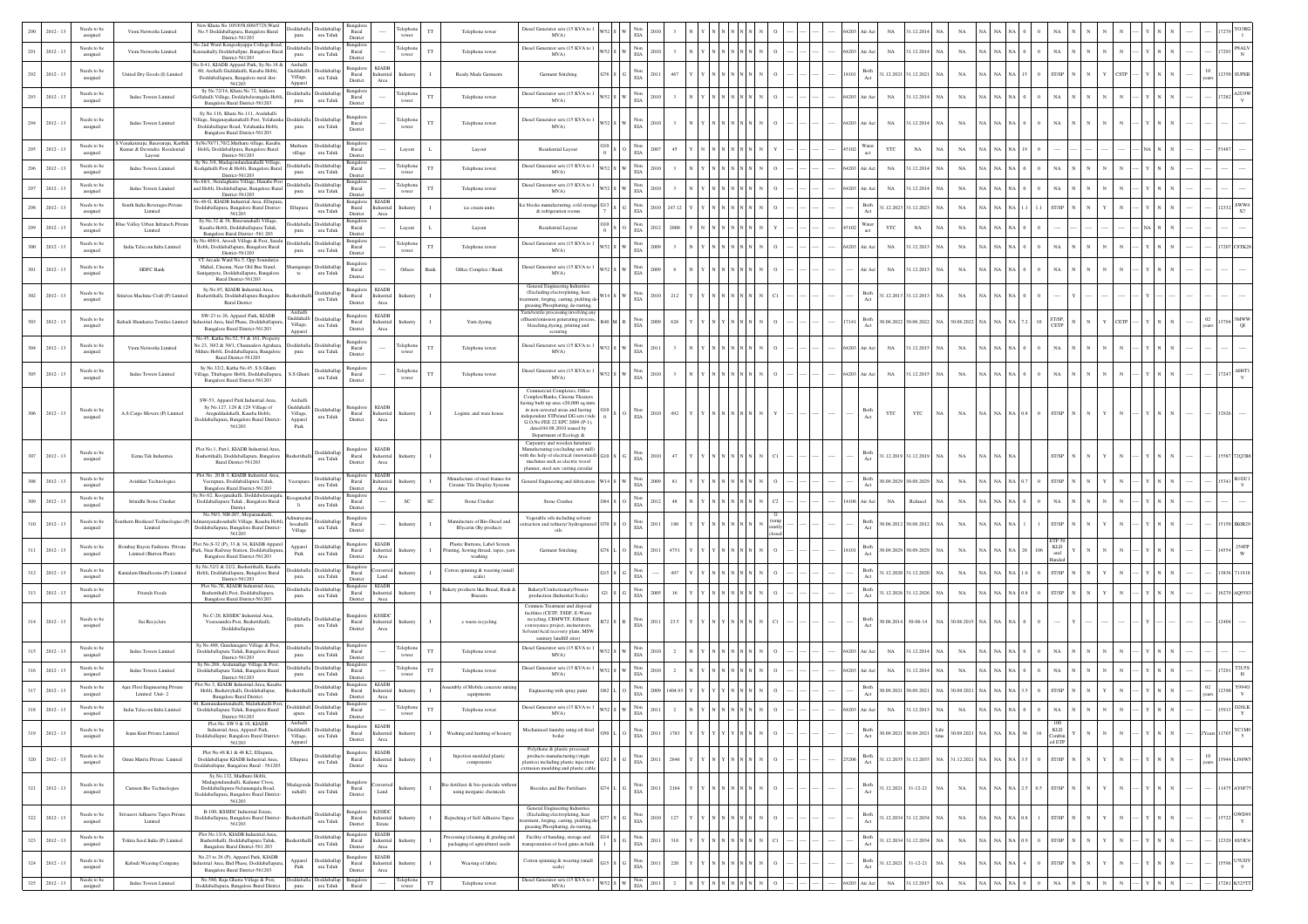|     | $2012 - 13$                | Needs to be<br>assigned | Viom Networks Limited                                            | New Khata No 105/658,609/5729, Ward<br>No.5 Doddaballapura, Bangalore Rural<br>District-561203                                                                                                  | pura                                                                                             | Doddaballa Doddaballan<br>ura Taluk     | 3ansalo<br>Rural<br>District                                                | 'elepho<br>tower                                                   |             | Telephone tower                                                             | Diesel Generator sets (15 KVA to 1<br>MVA)                                                                                                                                                                                                                               |     | EIA                                              |      |        |  |  |  |               |                                          | 1.12.201                 |           |                  |                |     |                         |  |  |  |       |                      |
|-----|----------------------------|-------------------------|------------------------------------------------------------------|-------------------------------------------------------------------------------------------------------------------------------------------------------------------------------------------------|--------------------------------------------------------------------------------------------------|-----------------------------------------|-----------------------------------------------------------------------------|--------------------------------------------------------------------|-------------|-----------------------------------------------------------------------------|--------------------------------------------------------------------------------------------------------------------------------------------------------------------------------------------------------------------------------------------------------------------------|-----|--------------------------------------------------|------|--------|--|--|--|---------------|------------------------------------------|--------------------------|-----------|------------------|----------------|-----|-------------------------|--|--|--|-------|----------------------|
| 291 | $2012 - 13$                | Needs to be<br>assigned | Viom Networks Limited                                            | No.2nd Ward Kongodiyappa College Road,<br>Karenahally Doddaballpur, Bangalore Rural<br>District-561203                                                                                          | pura                                                                                             | Doddaballa Doddaballap<br>ura Taluk     | Bangalo<br>Rural<br>District                                                | Telephone<br>tower                                                 |             | Telephone tower                                                             | Diesel Generator sets (15 KVA to 1<br>MVA)                                                                                                                                                                                                                               |     | $_{\rm EIA}^{\rm Non}$                           |      |        |  |  |  | 64203         | $_{\rm NA}$<br>ir Act                    | 31.12.2014 NA            |           | NA               |                |     |                         |  |  |  |       | <b>PSALV</b>         |
| 292 | $2012 - 13$                | Needs to be<br>assigned | United Dry Goods (I) Limited                                     | No.S-41, KIADB Apparel Park, Sy.No.18 &<br>80, Arehalli Guddahalli, Kasaba Hobli,<br>Doddaballapura, Bangalore rural dist-                                                                      | Archall<br>Village,                                                                              | Guddahalli Doddaballa<br>ura Taluk      | Bangalore KIADB<br>Rural<br>District                                        | Industria<br>ndustr<br>$\operatorname{Area}$                       |             | Ready Made Garments                                                         | Garment Stitching                                                                                                                                                                                                                                                        |     | $_{\rm EIA}^{\rm Non}$                           |      |        |  |  |  | 18101         | Both<br>Act<br>1.12.2021                 | 31.12.2021               | NA        | NA               |                |     |                         |  |  |  |       |                      |
| 293 | $2012 - 13$                | Needs to be<br>assigned | <b>Indus Towers Limited</b>                                      | 561203<br>Sy No.72/14, Khata No 72, Sakkara<br>dlahalli Village, Doddabelavangala Hobli,                                                                                                        | Apparel<br>pura                                                                                  | Doddaballa Doddaballa<br>ura Taluk      | 3angalor<br>Rural                                                           | elephon<br>tower                                                   | П           | Telephone tower                                                             | Diesel Generator sets (15 KVA to<br>MVA)                                                                                                                                                                                                                                 |     | $_{\rm EIA}^{\rm Non}$                           |      |        |  |  |  | 64203         | ir Act<br>$_{\rm NA}$                    | 31.12.2014               | NA        | $_{\rm NA}$      |                |     |                         |  |  |  |       | A2U9'                |
| 294 | $2012 - 13$                | Needs to be<br>assigned | Indus Towers Limited                                             | Bangalore Rural District-561203<br>Sy No.116, Khata No.111, Avalahalli<br>illage, Singanayakanahalli Post, Yelahanka<br>Doddaballapur Road, Yelahanka Hobli,<br>Bangalore Rural District-561203 | <b>boddaball</b><br>pura                                                                         | Doddaballa<br>ura Taluk                 | District<br><b>Bangalo</b><br>Rural<br>District                             | elephon<br>tower                                                   | П           | Telephone tower                                                             | Diesel Generator sets (15 KVA to 1<br>MVA)                                                                                                                                                                                                                               |     | $_{\rm EIA}^{\rm Non}$                           |      |        |  |  |  | 64203         | $_{\rm NA}$<br>ir Act                    | 31.12.2014               | NA        | $_{\rm NA}$      |                |     |                         |  |  |  |       |                      |
|     | $2012 - 13$                | Needs to be<br>assigned | 'enakataraju, Basavaraju, Karthi<br>Kumar & Devendra Residential | SyNo70/71,70/2,Mutharu village, Kasaba<br>Hobli, Doddaballpura, Bangalore Rural                                                                                                                 | Mutharu<br>village                                                                               | Doddaballap<br>ura Taluk                | Rural<br>District                                                           | Layout                                                             |             | Layout                                                                      | Residential Layout                                                                                                                                                                                                                                                       |     | $_{\rm EIA}^{\rm Non}$                           |      |        |  |  |  |               | Water<br>YTC<br>act                      | $_{\rm NA}$              |           | $_{\rm NA}$      |                |     |                         |  |  |  |       |                      |
|     | $2012 - 13$                | Needs to be<br>assigned | Layout<br><b>Indus Towers Limited</b>                            | District-561203<br>Sy No.3/4, Madagondandanahalli Village<br>Codigehalli Post & Hobli, Bangalore Rural<br>District-561203                                                                       | pura                                                                                             | Doddaballa Doddaballan<br>ura Taluk     | Bangalor<br>Rural<br>District                                               | Telephone<br>tower                                                 |             | Telephone tower                                                             | Diesel Generator sets (15 KVA to 1<br>MVA)                                                                                                                                                                                                                               |     | Non<br>$_{\rm EIA}$                              |      |        |  |  |  | 64203         | $_{\rm NA}$<br>ir Act                    | 31.12.2014               | NA        | $_{\rm NA}$      |                |     |                         |  |  |  |       |                      |
|     | $2012 - 13$                | Needs to be<br>assigned | Indus Towers Limited                                             | Vo.68/1, Neralaghatta Village, Hanabe Post<br>and Hobli, Doddaballapur, Bangalore Rural<br>District-561203                                                                                      | pura                                                                                             | Doddaballa Doddaballa<br>ura Taluk      | Rural<br>District                                                           | Telephor<br>tower                                                  |             | Telephone towe                                                              | Diesel Generator sets (15 KVA to 1<br>MVA)                                                                                                                                                                                                                               |     | $_{\rm Non}$<br>EIA                              |      |        |  |  |  | 64203         | $_{\rm NA}$<br>tir Act                   | 31.12.2014               | NA        | $_{\rm NA}$      |                |     |                         |  |  |  |       |                      |
|     | $2012 - 13$                | Needs to be<br>assigned | South India Beverages Private<br>Limited                         | o.48-G, KIADB Industrial.Area, Ellupura<br>Ooddaballapura, Bangalore Rural District-<br>561203                                                                                                  | Ellupun                                                                                          | Doddaballa<br>$\,$ ura Taluk            | 3angalor<br>Rural<br>District                                               | <b>KIADE</b><br>Industria<br>Industr<br>Area                       |             | ice cream units                                                             | ce blocks manufacturing, cold stora<br>$\&$ refrigeration rooms                                                                                                                                                                                                          |     | Non<br>$\rm EIA$                                 |      |        |  |  |  |               | Both                                     | 1.12.2023 31.12.2023     | <b>NA</b> | $_{\rm NA}$      |                |     | <b>T/SP</b>             |  |  |  |       | sww.<br>X7           |
|     | $2012 - 13$                | Needs to be<br>assigned | Blue Valley Urban Infratech Priv<br>Limited                      | Sy.No.32 & 38, Bisuvanahalli Village,<br>Kasaba Hobli, Doddaballapura Taluk,<br>Bangalore Rural District -561 203                                                                               | pura                                                                                             | Doddaballa Doddaballa<br>ura Taluk      | Bangalor<br>Rural<br>District                                               | Layout                                                             |             | Layout                                                                      | Residential Layout                                                                                                                                                                                                                                                       |     | Non<br>EIA                                       |      |        |  |  |  |               | Water<br>$_{\rm YTC}$<br>act             | $_{\rm NA}$              | NA        | NA               |                |     |                         |  |  |  |       |                      |
| 300 | $2012 - 13$                | Needs to be<br>assigned | India Telecom Infra Limited                                      | No.409/4, Aroodi Village & Post, Sasalt<br>Hobli, Doddaballapura, Bangalore Rural<br>District-561203<br>VT Arcade Ward No.5, Opp Soundarya                                                      | pura                                                                                             | Doddaballa Doddaballap<br>ura Taluk     | <b>Bangalo</b><br>Rural<br>District                                         | elephon<br>tower                                                   |             | Telephone tower                                                             | Diesel Generator sets (15 KVA to<br>MVA)                                                                                                                                                                                                                                 |     | $_{\rm EIA}^{\rm Non}$                           |      |        |  |  |  | 54203         | $_{\rm NA}$<br>ir Act                    | 31.12.2013 NA            |           | NA               |                |     |                         |  |  |  |       |                      |
|     | $2012 - 13$                | Needs to be<br>assigned | HDFC Bank                                                        | Mahal, Cinema, Near Old Bus Stand,<br>Sanigarpete, Doddaballapura, Bangalore<br>Rural District-561203                                                                                           | te                                                                                               | ura Taluk                               | Bangalore<br>Rural<br>District                                              | Others                                                             | 3ank        | Office Complex / Bank                                                       | Diesel Generator sets (15 KVA to 1<br>MVA)                                                                                                                                                                                                                               |     | $_{\rm EIA}^{\rm Non}$                           |      |        |  |  |  |               | $_{\rm NA}$                              | 1.12.2013                | NA        | $_{\rm NA}$      |                |     |                         |  |  |  |       |                      |
| 302 | $2012 - 13$                | Needs to be<br>assigned | Sriniyas Machine Craft (P) Limite                                | Sy.No.85, KIADB Industrial.Area,<br>Bashettihalli, Doddaballapura Bangalore<br>Rural District                                                                                                   |                                                                                                  | oddaballa<br>$\,$ ura Taluk             | Bangalore<br>Rural<br>District                                              | KIADB<br>Industrial<br>Industry<br>Area                            |             |                                                                             | General Engineering Industries<br>(Excluding electroplating, heat<br>ment, forging, casting, pickling d<br>greasing Phosphating, de-rusting,                                                                                                                             |     | $_{\rm EIA}$                                     |      | 212    |  |  |  |               | Both<br>Act                              | 1.12.2013 31.12.2013     | NA        | $_{\rm NA}$      |                |     |                         |  |  |  |       |                      |
| 303 | $2012 - 13$                | Needs to be<br>assigned | Kabadi Shankarsa Textiles Limite                                 | SW-23 to 26, Apparel Park, KIADB<br>strial.Area, Iind Phase, Doddaballapu<br>Bangalore Rural District-561203                                                                                    | Village,<br>Apparel                                                                              | Guddahalli Doddaballa<br>$\,$ ura Taluk | <b>Bangalore</b><br>$\rm{Rural}$<br>District                                | <b>KIADE</b><br>Industrial<br>Area                                 |             | Yarn dyeing                                                                 | Yarn/textile processing involving an<br>ffluent/emission generating process<br>bleaching, dyeing, printing and<br>scouring                                                                                                                                               |     | Non<br>$_{\rm EIA}$                              |      | 626    |  |  |  |               | Both                                     | 0.06.2022 30.06.2022 NA  |           | 0.6.2022         |                |     | <b>T/SP</b>             |  |  |  |       |                      |
| 304 | $2012 - 13$                | Needs to be<br>assigned | Viom Networks Limited                                            | No.45, Katha No.52, 53 & 161, Property<br>No.23, 30/2 & 30/1, Channadevi Agrahara, Doddaballa Doddaballa<br>Mdure Hobli, Doddaballapura, Bangalore<br>Rural District-561203                     | pura                                                                                             | ura Taluk                               | Bangalor<br>Rural<br>District                                               | elephor<br>tower                                                   | TT          | Telephone towe                                                              | Diesel Generator sets (15 KVA to 1<br>MVA)                                                                                                                                                                                                                               |     | Non<br>EIA                                       |      |        |  |  |  | 64203         | Air Act<br>$_{\rm NA}$                   | 31.12.2015 NA            |           | $_{\rm NA}$      |                |     |                         |  |  |  |       |                      |
|     | $2012 - 13$                | Needs to be<br>assigned | Indus Towers Limited                                             | Sy.No.32/2, Katha No.45, S.S.Ghatti<br>illage, Thubagere Hobli, Doddaballapura,<br>Bangalore Rural District-561203                                                                              | S.S.Ghatti                                                                                       | boddaballa<br>ura Taluk                 | 3angalor<br>Rural<br>District                                               | elephon<br>tower                                                   |             | Telephone tower                                                             | Diesel Generator sets (15 KVA to 1<br>MVA)                                                                                                                                                                                                                               |     | $_{\rm Non}$<br><b>EIA</b>                       |      |        |  |  |  | 64203         | $_{\rm NA}$<br>ir Act                    | 1.12.201                 | NA        | $_{\rm NA}$      |                |     |                         |  |  |  |       |                      |
|     | $306 - 2012 - 13$          | Needs to be<br>assigned | A.S.Cargo Movers (P) Limited                                     | SW-53. Apparel Park Industrial Area.<br>Sy.No.127, 128 & 129 Village of<br>Areguddadahalli, Kasaba Hobli,<br>Joddaballapura, Bangalore Rural Distric<br>561203                                  | Archall<br>Guddahalli<br>Village,<br>$\begin{array}{c} \text{Append} \\ \text{Park} \end{array}$ | Doddaballar<br>ura Taluk                | Bangalor<br>Rural<br>District                                               | <b>KIADE</b><br>Industrial<br>Industry<br>Area                     |             | Logistic and ware house                                                     | Commercial Complexes, Office<br>Complex/Banks, Cinema Theaters<br>aving built up area <20,000 sq.mtr<br>in non-sewered areas and having<br>dependent STPs/and DG sets (vide<br>G.O.No.FEE 22 EPC 2009 (P-1).<br>dated 04.08.2010 issued by<br>Department of Ecology $\&$ |     | $_{\rm EIA}$                                     | 2010 | 492    |  |  |  |               | YTC                                      | YTC                      | NA        | $_{\rm NA}$      |                |     | ST/SP                   |  |  |  |       |                      |
| 307 | $2012 - 13$                | Needs to be<br>assigned | Eema Tek Industries                                              | Plot No.1, Part1, KIADB Industrial.Area,<br>Bashettihalli, Doddaballapura, Bangalore<br>Rural District-561203                                                                                   |                                                                                                  | ddaball<br>ura Taluk                    | langalore<br>Rural<br>District                                              | <b>KIADE</b><br>Industrial<br>ndustry<br>$_{\rm Area}$             |             |                                                                             | Carpentry and wooden furnitur<br>Manufacturing (excluding saw mill)<br>with the help of electrical (motorize<br>machines such as electric wood<br>planner, steel saw cutting circular                                                                                    |     | $_{\rm EIA}^{\rm Non}$                           |      | 47     |  |  |  |               | Both<br>Act                              | 1.12.2019 31.12.2019 NA  |           | $_{\rm NA}$      |                |     | ST/SP                   |  |  |  |       |                      |
|     | $2012 - 13$                | Needs to b<br>assigned  | Avishkar Technologies                                            | Plot No. 20 B 3. KIADB Industrial Area.<br>Veerapura, Doddaballapura Taluk,<br>Bangalore Rural District-561203                                                                                  | erapu                                                                                            | Doddaballag<br>ura Taluk                | <b>Bangalor</b><br>Rural<br>District                                        | <b>KIADE</b><br>Industria<br>ndustr<br>Area                        |             | Manufacture of steel frames for<br>Ceramic Tile Display Systems             | General Engineering and fabrication                                                                                                                                                                                                                                      | V14 | $_{\rm EIA}^{\rm Non}$                           |      |        |  |  |  |               | Both<br>Act                              | 0.09.2029 30.09.2029     | NA        | NA               |                |     |                         |  |  |  |       |                      |
|     | $2012 - 13$                | Needs to be<br>assigned | Srinidhi Stone Crusher                                           | No.62, Kooganahalli, Doddabelavangala<br>Doddaballapura Taluk, Bangalore Rural<br>District                                                                                                      | oranahal<br>li.                                                                                  | Doddaballa<br>$\,$ ura Taluk            | 3angalor<br>Rural<br>District                                               | SC                                                                 | SC          | Stone Crusher                                                               | Stone Crusher                                                                                                                                                                                                                                                            |     | Non<br>$_{\rm EIA}$                              |      |        |  |  |  | 106           | ir Act<br>$_{\rm NA}$                    | Refused                  | NA        | NA               |                |     |                         |  |  |  |       |                      |
| 310 | $2012 - 13$                | Needs to be<br>assigned | thern Biodiesel Technologies (I<br>Limited                       | No.56/3, NH-207. Moparanahalli.<br>ayanahosahalli Village, Kasaba Hobli<br>Ooddaballapura, Bangalore Rural District-<br>561203                                                                  | hosahalli<br>Village                                                                             | ura Taluk                               | Bangalor<br>Rural<br>District                                               | Industr                                                            |             | Aanufacture of Bio-Diesel and<br>Blycerin (By product)                      | Vegetable oils including solvent<br>xtraction and refinery/ hydrogenated<br>oils                                                                                                                                                                                         |     | Non<br>$_{\rm EIA}$                              |      | 180    |  |  |  |               | Both                                     | 60.06.2012 30.06.2012 NA |           | $_{\rm NA}$      |                |     | ST/SP                   |  |  |  |       |                      |
| 311 | $2012 - 13$                | Needs to be<br>assigned | <b>Bombay Rayon Fashions Private</b><br>Limited (Button Plant)   | lot No.S-32 (P), 33 & 34, KIADB Apparel<br>rk, Near Railway Station, Doddaballapur<br>Bangalore Rural District-561203                                                                           | Apparel<br>Park                                                                                  | Doddaballag<br>ura Taluk                | <b>Bangalore</b><br>$\rm{Rural}$<br>District                                | <b>KIADE</b><br>Industria<br>Area                                  |             | Plastic Buttons, Label Screen<br>ting, Sewing thread, tapes, yar<br>washing | Garment Stitching                                                                                                                                                                                                                                                        |     | Non<br>$_{\rm EIA}$                              |      |        |  |  |  |               | Both                                     | 0.9.2029 30.09.2029      | NA        | $_{\rm NA}$      |                |     | KLD                     |  |  |  |       | 254F                 |
| 312 | $2012 - 13$                | Needs to be<br>assigned | Kamalam Handlooms (P) Limited                                    | Sy.No.52/2 & 22/2, Bashettihalli, Kasaba<br>Hobli, Doddaballapura, Bangalore Rural<br>District-561203                                                                                           | pura                                                                                             | Doddaballa Doddaballa<br>ura Taluk      | <b>Bangalor</b><br>Rural<br>District                                        | Industr<br>Land                                                    |             | Cotton spinning & weaving (small<br>scale)                                  |                                                                                                                                                                                                                                                                          |     | Non<br>$_{\rm EIA}$                              |      |        |  |  |  |               | Both<br>Act                              | 1.12.2020 31.12.2020 NA  |           | NA               |                |     |                         |  |  |  |       |                      |
| 313 | $2012 - 13$                | Needs to be<br>assigned | Friends Foods                                                    | Plot No.7E, KIADB Industrial.Area,<br>Bashettihalli Post, Doddaballapura,<br>Bangalore Rural District-561203                                                                                    | pura                                                                                             | Doddaballa Doddaballan<br>ura Taluk     | 3angalore<br>Rural<br>District                                              | KIADE<br>Industria<br>Area                                         |             | Bakery products like Bread, Rusk &<br><b>Biscuits</b>                       | Bakery/Confectionery/Sweets<br>production (Industrial Scale)                                                                                                                                                                                                             |     | Non<br>$_{\rm EIA}$                              |      |        |  |  |  |               | Both<br>Act                              | 1.12.2026 31.12.2026 NA  |           | $_{\rm NA}$      |                |     |                         |  |  |  |       |                      |
|     | 314 2012 - 13              | Needs to be<br>assigned | Sai Recyclers                                                    | No.C-20, KSSIDC Industrial Area,<br>Veerasandra Post, Bashettihalli,<br>Doddaballapura                                                                                                          | pura                                                                                             | oddaballa Doddaballap<br>ura Taluk      | ngalor<br>Rural<br>District                                                 | <b>KSSIDC</b><br>Industrial<br>Industry<br>Area                    |             | e waste recycling                                                           | Common Treatment and disposa<br>facilities (CETP, TSDF, E-Waste<br>recycling, CBMWTF, Effluent<br>nveyance project, incinerator<br>Solvent/Acid recovery plant, MSW<br>sanitary landfill sites)                                                                          |     | EIA                                              |      |        |  |  |  |               | Both                                     | 30.06.2014 30-06-14      |           | NA 30.06.2015 NA |                |     |                         |  |  |  |       |                      |
| 315 | $2012 - 13$                | Needs to be<br>assigned | <b>Indus Towers Limited</b>                                      | Sy.No.488, Gundanagere Village & Post,<br>Doddaballapura Taluk, Bangalore Rural<br>District-561203                                                                                              | pura                                                                                             | Doddaballa Doddaballa<br>ura Taluk      | 3angalor<br>Rural<br>District                                               | elephon<br>tower                                                   |             | Telephone tower                                                             | Diesel Generator sets (15 KVA to<br>MVA)                                                                                                                                                                                                                                 |     | $_{\rm EIA}^{\rm Non}$                           |      |        |  |  |  | 54203         | $_{\rm NA}$<br>ir Act                    | 1.12.2014                | NA        | $_{\rm NA}$      |                |     |                         |  |  |  |       |                      |
| 316 | $2012 - 13$                | Needs to be<br>assigned | Indus Towers Limited                                             | Sy.No.268, Aralumalige Village & Post,<br>Doddaballapura Taluk, Bangalore Rural<br>District-561203                                                                                              | Doddaballa<br>pura                                                                               | Doddaballap<br>ura Taluk                | Bangalo<br>Rural<br>District                                                | elephone<br>tower                                                  |             | Telephone tower                                                             | Diesel Generator sets (15 KVA to 1<br>MVA)                                                                                                                                                                                                                               |     | $_{\rm EIA}^{\rm Non}$                           |      |        |  |  |  | 54203         | $_{\rm NA}$<br>úr Act                    | 31.12.2014 NA            |           | NA               |                |     |                         |  |  |  |       |                      |
| 317 | $2012 - 13$                | Needs to be<br>assigned | Ajax Flori Engineering Private<br>Limited Unit-2                 | lot No.3, KIADB Industrial.Area, Kasaba<br>Hobli, Bashettyhalli, Doddaballapur,<br>Bangalore Rural District.                                                                                    |                                                                                                  | Doddaballap<br>ura Taluk                | Bangalore<br>Rural<br>District                                              | <b>KIADI</b><br>Industria<br>Area                                  |             | embly of Mobile concrete mixi<br>equipments                                 | Engineering with spray pain                                                                                                                                                                                                                                              |     | $_{\rm EIA}^{\rm Non}$                           |      | 404.93 |  |  |  |               | Both<br>Act                              | 0.09.2021 30.09.2021     | <b>NA</b> | 0.9.2021         |                |     | <b>ST/SP</b>            |  |  |  |       | Y994                 |
| 318 | $2012 - 13$                | Needs to be<br>assigned | India Telecom Infra Limited                                      | ), Kantanakuntenahalli, Malathahalli Post<br>Doddaballapura Taluk, Bangalore Rural<br>District-561203                                                                                           | apura                                                                                            | Dodddaball Doddaballar<br>ura Taluk     | Bangale<br>Rural<br>District                                                | elephor<br>1.11<br>tower                                           | TT          | Telephone tower                                                             | Diesel Generator sets (15 KVA to 1<br>MVA)                                                                                                                                                                                                                               |     | $_{\rm EIA}^{\rm Non}$                           |      |        |  |  |  |               | $_{\rm NA}$<br>ir Act                    | 1.12.201                 | NA        | $_{\rm NA}$      |                |     |                         |  |  |  |       |                      |
| 319 | $2012 - 13$                | Needs to be<br>assigned | Jeans Knit Private Limited                                       | Plot No. SW 9 & 10, KIADB<br>Industrial.Area, Apparel Park,<br>Doddaballapur, Bangalore Rural District-<br>561203                                                                               | Village,<br>Apparel                                                                              | Guddahalli Doddaballa<br>ura Taluk      | Bangalore<br>Rural<br>District                                              | KIADB<br>Industrial<br>Area                                        |             | Washing and knitting of hosiery                                             | Mechanized laundry using oil fired<br>boiler                                                                                                                                                                                                                             |     | Non<br>EIA                                       |      | 1783   |  |  |  |               | Both<br>0.09.2021<br>Act                 | 30.09.202                | Life      | .09.2021         |                |     | KLD<br>Combin<br>ed ETP |  |  |  |       | YC1M9<br>$\sim$ 5    |
|     | $320 - 2012 - 13$          | Needs to be<br>assigned | Omni Matrix Private Limited                                      | Plot No.48 K1 & 48 K2. Ellupura.<br>Doddaballapur KIADB Industrial.Area,<br>oddaballapur, Bangalore Rural - 561203.                                                                             | Ellupura                                                                                         | Doddaballa<br>ura Taluk                 | Bangalore<br>Rural<br>District                                              | <b>KIADB</b><br>Industrial<br>Industr<br>$_{\rm Area}$             |             | Injection moulded plastic<br>components                                     | Polythene & plastic processed<br>products manufacts<br>ring (virgin<br>lastics) including plastic injection/<br>rusion moulding and plastic cable                                                                                                                        |     | $_{\rm Non}$<br>$_{\rm EIA}$                     | 2011 | 2646   |  |  |  |               | Both                                     | 1.12.2035 31.12.2035 NA  |           | 31.12.2021 NA    |                |     | ST/SP                   |  |  |  |       | 15944 LJ98W5         |
|     | $321 - 2012 - 13$          | Needs to be<br>assigned | Camson Bio Technologies                                          | Sv.No.132. Madhure Hobli.<br>Madagondanahalli, Kadanur Cross.<br>Doddaballapura-Nelamangala Road,<br>Ooddaballapura, Bangalore Rural District-<br>561203                                        | nahalli                                                                                          | adagonda Doddaballar<br>ura Taluk       | langalor<br>Rural<br>District                                               | myerte<br>Industr<br>Land                                          |             | sio fertilizer & bio-pesticide witho<br>using inorganic chemicals           | <b>Biocides and Bio Fertilisers</b>                                                                                                                                                                                                                                      |     | $_{\rm EIA}^{\rm Non}$                           | 1011 | 2164   |  |  |  |               | Both                                     | $1.12.2021$ 31-12-21     | NA        | $_{\rm NA}$      |                | 0.5 | ST/SP                   |  |  |  |       | 1475 AY6F75          |
| 322 | $2012 - 13$                | Needs to be<br>assigned | Srivasavi Adhasive Tapes Private                                 | B-100, KSSIDC Industrial Estate,<br>Joddaballapura, Bangalore Rural District-<br>561203                                                                                                         |                                                                                                  | Doddaballa<br>ura Taluk                 | Bangalore<br>Rural<br>District                                              | <b>KSSIDC</b><br>Industrial<br>Industr<br>Estate                   |             | Repacking of Self Adhesive Taper                                            | General Engineering Industries<br>(Excluding electroplating, heat<br>tment, forging, casting, pickling de<br>greasing Phosphating, de-rusting                                                                                                                            |     | Non<br>$_{\rm EIA}$                              |      | 127    |  |  |  |               | Both<br>Act                              | 1.12.2034 31.12.2034 NA  |           | NA               |                |     | ST/SP                   |  |  |  | 15722 | OWD99<br>$\mathbf Y$ |
| 323 | $2012 - 13$                | Needs to be<br>assigned | Tokita Seed India (P) Limited                                    | Plot No.13/A, KIADB Industrial.Area,<br>Bashettihalli, Doddaballapura Taluk,<br>Bangalore Rural District-561 203                                                                                |                                                                                                  | Doddaballap<br>ura Taluk                | Bangalore<br>Rural<br>District                                              | <b>KIADE</b><br>Industrial<br>ndustr<br>Area                       |             | rocessing (cleaning & grading and<br>packaging of agricultural seeds        | Facility of handing, storage and<br>ranspoatation of food gains in bulk                                                                                                                                                                                                  |     | $_{\rm EIA}^{\rm Non}$                           |      | 316    |  |  |  |               | Both<br>Act                              | 1.12.2034 31.12.2034     | N/        | $_{\rm NA}$      |                |     | ST/SP                   |  |  |  |       | 12329 8S5JC4         |
| 324 | $2012 - 13$                | Needs to be<br>assigned | Kabadi Weaving Company                                           | No.23 to 26 (P). Apparel Park, KIADB<br>strial Area, IInd Phase, Doddaballapura<br>Bangalore Rural District-561203                                                                              | Apparel<br>Park                                                                                  | Doddaballar<br>ura Taluk                | $\begin{array}{c} \text{Bangalore} \\ \text{Rural} \end{array}$<br>District | <b>KIADB</b><br>$\label{thm:1} {\rm Industrial}$<br>ndustr<br>Area |             | Weaving of fabric                                                           | Cotton spinning & weaving (small<br>scale)                                                                                                                                                                                                                               |     | $_{\rm EIA}^{\rm Non}$                           |      | 220    |  |  |  |               | $\operatorname{Both}$<br>.12.2021<br>Act | $31 - 12 - 21$           |           | $_{\rm NA}$      |                |     | T/SP                    |  |  |  |       | <b>USUDY</b><br>9    |
|     | $325 \qquad 2012 \cdot 13$ | Needs to be<br>assigned | Indus Towers Limited                                             | No.580, Raja Ghatta Village & Post,<br><b>Ooddaballapura</b> , Bangalore Rural District                                                                                                         | pura                                                                                             | Doddaballa Doddaballa<br>ura Taluk      | langalor<br>Rural                                                           | Felephone<br>tower                                                 | $_{\rm TT}$ | Telephone tower                                                             | Diesel Generator sets (15 KVA to 1<br>MVA)                                                                                                                                                                                                                               |     | $_{\rm W52}$ s $_{\rm W}$ $_{\rm EIA}^{\rm Non}$ | 2011 | $2$ N  |  |  |  | 64203 Air Act | $_{\rm NA}$                              | 31.12.2015 NA            |           | $_{\rm NA}$      | $\rm NA-NA-NA$ |     | NA                      |  |  |  |       | 17281 K525TT         |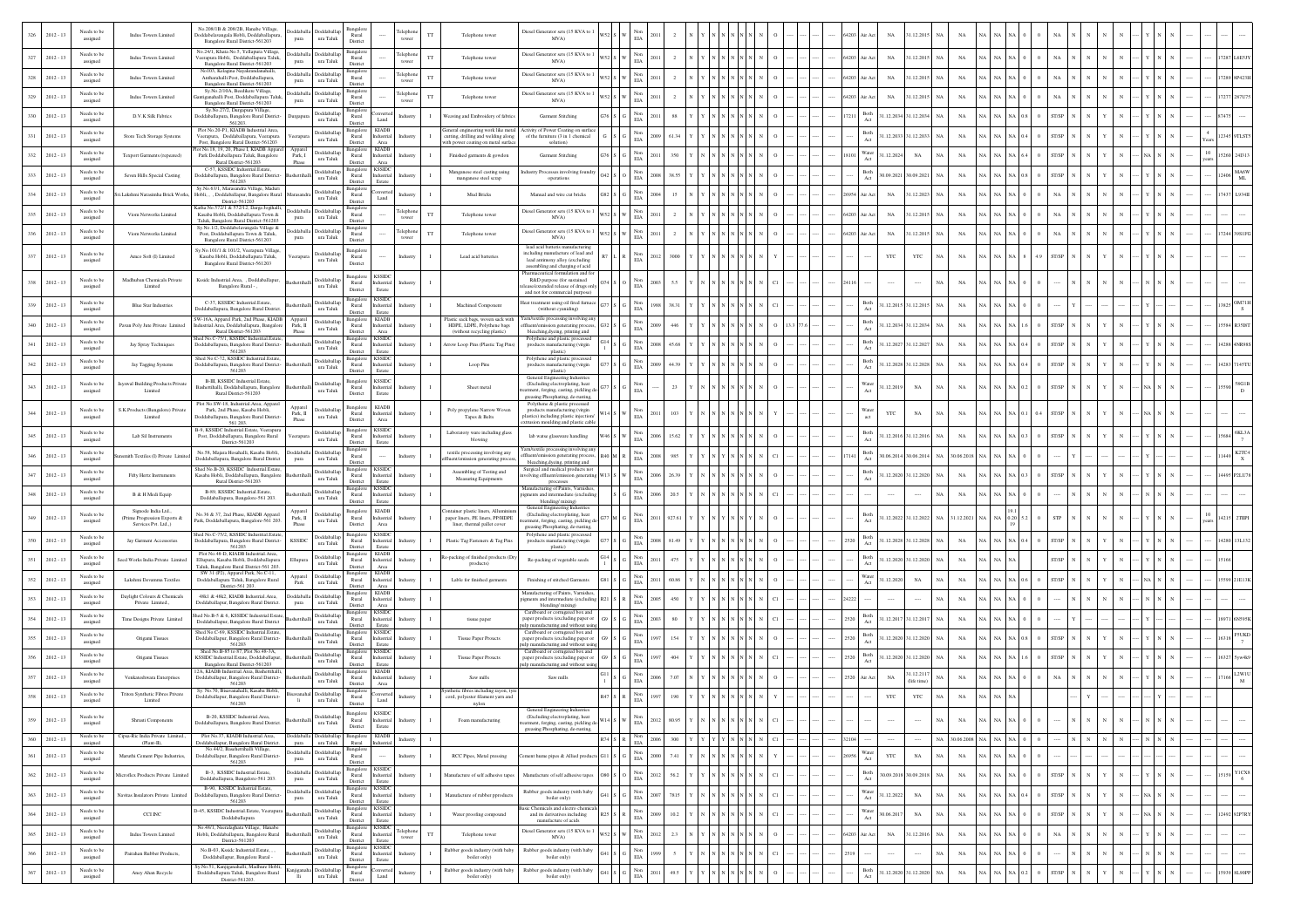| Needs to be<br>$2012 - 13$<br>assigned                       | Indus Towers Limited                                                       | No.208/1B & 208/2B, Hanabe Village,<br>Doddabelavangala Hobli, Doddaballapura<br>Bangalore Rural District-561203                                               | Doddaballa Doddaballap<br>$\,$ ura Taluk<br>pura               | Bangalore<br>Rural<br>District                                                           | TT<br>tower                             | Telephone towe                                                                                        | Diesel Generator sets (15 KVA to<br>MVA)                                                                                                           |                 | $\rm EIA$              |      |  |                        |  | 54203<br>ir Act                      | NA                  | 1.12.201              | NA                            |       |           |              |  |            |  |                                    |  |
|--------------------------------------------------------------|----------------------------------------------------------------------------|----------------------------------------------------------------------------------------------------------------------------------------------------------------|----------------------------------------------------------------|------------------------------------------------------------------------------------------|-----------------------------------------|-------------------------------------------------------------------------------------------------------|----------------------------------------------------------------------------------------------------------------------------------------------------|-----------------|------------------------|------|--|------------------------|--|--------------------------------------|---------------------|-----------------------|-------------------------------|-------|-----------|--------------|--|------------|--|------------------------------------|--|
| Needs to be<br>327<br>$2012 - 13$<br>assigned                | Indus Towers Limited                                                       | No.24/1, Khata No.5, Yellapura Village,<br>Veerapura Hobli. Doddaballapura Taluk.<br>Bangalore Rural District-561203                                           | oddaballa Doddaballap<br>$\,$ ura Taluk<br>pura                | Rural<br>District                                                                        | <b>Telephon</b><br>$_{\rm TT}$<br>tower | Telephone tower                                                                                       | Diesel Generator sets (15 KVA to 1<br>MVA)                                                                                                         |                 | $_{\rm Non}$<br>EIA    |      |  |                        |  | 64203 Air Act                        | NA                  | 1.12.2015             | $_{\rm NA}$<br>NA             | NA.   |           |              |  |            |  |                                    |  |
| Needs to be<br>328<br>$2012 - 13$<br>assigned                | Indus Towers Limited                                                       | No103, Kelagina Nayakrandanahalli,<br>Antharahalli Post, Doddaballapura<br>Bangalore Rural District-561203                                                     | boddaballa Doddaballa<br>ura Taluk<br>pura                     | Bangalor<br>Rural<br>District                                                            | Telephon<br>$_{\rm TT}$<br>tower        | Telephone tower                                                                                       | Diesel Generator sets (15 KVA to<br>MVA)                                                                                                           |                 | Non<br>EIA             |      |  |                        |  | 64203 Air Act                        | $_{\rm NA}$         | 1.12.2015             | NA<br>NA                      |       |           |              |  |            |  |                                    |  |
| Needs to be<br>329<br>$2012 - 13$<br>assigned                | Indus Towers Limited                                                       | Sv.No.2/10A. Beedikere Village.<br>ntiganahalli Post, Doddaballapura Taluk<br>Bangalore Rural District-561203                                                  | bddaballa<br>Doddaballa<br>ura Taluk<br>pura                   | Bangalo<br>Rural<br>District                                                             | Felephone<br>$_{\rm TT}$<br>tower       | Telephone tower                                                                                       | Diesel Generator sets (15 KVA to 1<br>MVA)                                                                                                         |                 | Non<br>EIA             |      |  |                        |  | 64203 Air Act                        | $_{\rm NA}$         | 1.12.2015             | NA                            |       |           |              |  |            |  |                                    |  |
| Needs to be<br>330<br>$2012 - 13$<br>assigned                | D.V.K Silk Fabrics                                                         | Sy.No.27/2, Durgapura Village,<br>Ooddaballapura, Bangalore Rural District-<br>561203.                                                                         | Doddaballap<br>Durgapur<br>ura Taluk                           | Bangalor<br>$\rm{Rural}$<br>Land<br>District                                             | Industry                                | Weaving and Embroidery of fabric                                                                      | Garment Stitching                                                                                                                                  |                 | $_{\rm EIA}^{\rm Non}$ |      |  |                        |  | Both<br>17211                        | 1.12.2034 31.12.203 |                       | NA                            |       |           |              |  |            |  |                                    |  |
| Needs to be<br>$2012 - 13$<br>assigned                       | Store Tech Storage Systems                                                 | Plot No.20-P1, KIADB Industrial Area,<br>Veerapura, Doddaballapura, Veerapura<br>Post, Bangalore Rural District-561203                                         | oddaballar<br>eerap<br>ura Taluk                               | <b>KIADB</b><br>Bangalore<br>Rural<br>dustrial<br>District<br>Area                       |                                         | cutting, drilling and welding along                                                                   | General engineering work like metal Activity of Power Coating on surface<br>of the furniture (3 in 1 chemical<br>solution)                         |                 | $_{\rm EIA}^{\rm Non}$ |      |  |                        |  | $\operatorname{Both}$<br>Act         | 1.12.2033           | 1.12.203              | NA                            |       |           |              |  |            |  |                                    |  |
| Needs to be<br>$2012 - 13$<br>332<br>assigned                | Texport Garments (repeated)                                                | ot No.18, 19, 20, Phase I, KIADB Appare<br>Park Doddaballapura Taluk, Bangalore<br>Rural District-561203                                                       | Appar<br><b>oddaballa</b><br>Park. I<br>ura Taluk<br>Phase     | KIADB<br>Bangalor<br>Rural<br>ndustrial<br>District<br>Area                              | Industry                                | vith power coating on metal surface<br>Finished garments & gowdon                                     | Garment Stitching                                                                                                                                  |                 | Non<br>$_{\rm EIA}$    |      |  |                        |  | $\ensuremath{\mathsf{Water}}$<br>Act | 1.12.202            | $_{\rm NA}$           | NA                            |       |           |              |  |            |  |                                    |  |
| Needs to be<br>$2012 - 13$<br>333<br>assigned                | Seven Hills Special Casting                                                | C-57, KSSIDC Industrial.Estate,<br>Doddaballapura, Bangalore Rural District-<br>561203                                                                         | Doddaballa<br>ura Taluk                                        | Bangalore<br><b>KSSIDC</b><br>Rural<br>dustrial<br>District<br>Estate                    | ndustr                                  | Manganese steel casting using<br>manganese steel scrap                                                | Industry Processes involving foundry<br>operations                                                                                                 |                 | $_{\rm EIA}^{\rm Non}$ |      |  |                        |  | Both<br>Act                          | 30.09.2021          | 0.09.2021             | $_{\rm NA}$<br>NA             |       |           |              |  |            |  | <b>MA6</b><br>2406<br>ML           |  |
| Needs to be<br>334<br>$2012 - 13$<br>assigned                |                                                                            | Sv.No.63/1. Marasandra Village. Maduri<br>ri.Lakshmi Narasimha Brick Works, Hobli, , , Doddaballapur, Bangalore Rural<br>District-561203                       | <b>b</b> ddaballap<br>ura Taluk                                | Bangalon<br>Rural<br>Land<br>District                                                    | Industry                                | Mud Bricks                                                                                            | Manual and wire cut bricks                                                                                                                         |                 | $_{\rm EIA}^{\rm Non}$ |      |  |                        |  | 26954 Air Act                        | $_{\rm NA}$         | 1.12.2023             | NA                            |       |           |              |  |            |  | L934                               |  |
| Needs to be<br>$2012 - 13$<br>assigned                       | Viom Networks Limited                                                      | Katha No.572/1 & 572/12, Darga Jogihalli,<br>Kasaba Hobli, Doddaballapura Town &<br>Taluk, Bangalore Rural District-561203                                     | <b>Ooddaballa</b><br>Doddaballap<br>ura Taluk<br>pura          | Bangalor<br>Rural<br>District                                                            | <b>Telephon</b><br>TT<br>tower          | Telephone tower                                                                                       | Diesel Generator sets (15 KVA to 1<br>MVA)                                                                                                         |                 | Non<br>$_{\rm EIA}$    |      |  |                        |  | 64203 Air Act                        | $_{\rm NA}$         | 1.12.2015             | $_{\rm NA}$                   |       |           |              |  |            |  |                                    |  |
| Needs to be<br>$2012 - 13$<br>assigned                       | Viom Networks Limited                                                      | Sv.No.1/2. Doddabelavangala Village &<br>Post, Doddaballapura Town & Taluk,<br>Bangalore Rural District-561203                                                 | Doddaballa Doddaballar<br>pura<br>ura Taluk                    | Bangalo<br>Rural<br>District                                                             | Telephon<br>$_{\rm TT}$<br>tower        | Telephone tower                                                                                       | Diesel Generator sets (15 KVA to 1<br>MVA)                                                                                                         |                 | $_{\rm Non}$<br>EIA    |      |  |                        |  | 64203 Air Act                        | $_{\rm NA}$         | 1.12.201              | $_{\rm NA}$                   |       |           |              |  |            |  |                                    |  |
| Needs to be<br>$2012 - 13$<br>assigned                       | Amco Soft (I) Limited                                                      | Sy.No.101/1 & 101/2, Veerapura Village<br>Kasaba Hobli, Doddaballapura Taluk,<br>Bangalore Rural District-561203                                               | Doddaballap<br>eerapura<br>ura Taluk                           | Bangalor<br>Rural<br>District                                                            | Industry                                | Lead acid batteries                                                                                   | lead acid batteris manuf<br>including manufacture of lead and<br>lead antimony alloy (excluding<br>assembling and charging of acid                 |                 | Non<br>$_{\rm EIA}$    |      |  |                        |  |                                      | YTC                 | $_{\rm YTC}$          | NA                            |       |           |              |  |            |  |                                    |  |
| Needs to be<br>$2012 - 13$<br>338<br>assigned                | Madhuban Chemicals Private<br>Limited                                      | Kssidc Industrial.Area, , Doddaballapur,<br>Bangalore Rural - ,                                                                                                | Doddaballa<br>ura Taluk                                        | Bangalor<br><b>KSSIDC</b><br>Rural<br>dustrial<br>District<br>Estate                     | lustr                                   |                                                                                                       | Pharmaceutical formulation and fo<br>R&D purpose (for sustained<br>case/extended release of drugs onl<br>and not for commercial purpose)           |                 | $_{\rm EIA}^{\rm Non}$ |      |  |                        |  |                                      |                     |                       | NA                            |       |           |              |  |            |  |                                    |  |
| Needs to be<br>$2012 - 13$<br>339<br>assigned                | <b>Blue Star Industries</b>                                                | C-37, KSSIDC Industrial Estate.<br>Ooddaballapura, Bangalore Rural District                                                                                    | Doddaballar<br>ura Taluk                                       | <b>KSSIDC</b><br>Bangalore<br>Rural<br>dustrial<br>District<br>Estate                    | ndustr                                  | Machined Componen                                                                                     | Heat treatment using oil fired furnac<br>(without cyaniding)                                                                                       |                 | $_{\rm EIA}^{\rm Non}$ |      |  |                        |  | Both<br>Act                          | 1.12.2015           | 31.12.2015            | <b>NA</b><br>NA               |       |           |              |  |            |  |                                    |  |
| Needs to be<br>340<br>$2012 - 13$<br>assigned                | Pavan Poly Jute Private Limited                                            | SW-16A. Apparel Park. 2nd Phase. KIADB Apparel<br>ndustrial.Area, Doddaballapura, Bangalore<br>Rural District-561203                                           | sddaballa<br>Park, II<br>ura Taluk<br>Phase                    | <b>KIADB</b><br>Bangalore<br>Rural<br>dustrial<br>District<br>Area                       |                                         | HDPE, LDPE, Polythene bags<br>(without recycling plastic)                                             | Plastic sack bags, woven sack with Yarn/textile processing involving an<br>effluent/emission generating process<br>bleaching, dyeing, printing and |                 | $_{\rm EIA}^{\rm Non}$ |      |  |                        |  | Both<br>Act                          |                     | 1.12.2034 31.12.2034  | NA                            |       |           |              |  |            |  |                                    |  |
| Needs to be<br>$2012 - 13$<br>assigned                       | Jay Spray Techniques                                                       | hed No.C-75/1, KSSIDC Industrial.Estat<br>Doddaballapura, Bangalore Rural District-<br>561203                                                                  | <b>Doddaballap</b><br>ura Taluk                                | KSSID<br>Bangalon<br>Rural<br>dustrial<br>District<br>Estate                             |                                         | arrow Loop Pins (Plastic Tag Pins)                                                                    | Polythene and plastic processed<br>products manufacturing (virgin<br>plastic)                                                                      |                 | Non<br>$_{\rm EIA}$    |      |  |                        |  | Both<br>Act                          |                     | 1.12.2027 31.12.2027  | $_{\rm NA}$                   |       |           |              |  |            |  |                                    |  |
| Needs to be<br>$2012 - 13$<br>342<br>assigned                | Jay Tagging Systems                                                        | Shed No.C-72, KSSIDC Industrial.Estate,<br>Doddaballapura, Bangalore Rural District-<br>561203                                                                 | Doddaballar<br>ura Taluk                                       | <b>KSSIDC</b><br>Bangalore<br>Rural<br>dustrial<br>District<br>Estate                    | dustry                                  | Loop Pins                                                                                             | Polythene and plastic processed<br>products manufacturing (virgin<br>plastic)                                                                      |                 | $_{\rm EIA}^{\rm Non}$ |      |  |                        |  | Both<br>Act                          | 1.12.2028           | 31.12.202             | $_{\rm NA}$                   |       |           |              |  |            |  |                                    |  |
| Needs to be<br>$2012 - 13$<br>343<br>assigned                | avswal Building Products Private<br>Limited                                | B-III, KSSIDC Industrial.Estate,<br>ashettihalli, Doddaballapura, Bangalore<br>Rural District 561203                                                           | Doddaballap<br>ura Taluk                                       | <b>KSSIDC</b><br>Bangalon<br>Rural<br>ndustrial<br>District<br>Estate                    | idustry                                 | Sheet metal                                                                                           | General Engineering Industries<br>(Excluding electroplating, heat<br>atment, forging, casting, pickling d<br>greasing Phosphating, de-rusting,     |                 | Non<br>$_{\rm EIA}$    |      |  |                        |  | Water<br>Act                         | 1.12.2019           | NA                    | NA                            |       |           |              |  |            |  |                                    |  |
| Needs to be<br>$2012 - 13$<br>344<br>assigned                | S.K.Products (Bangalore) Priva<br>Limited                                  | Plot No.SW-18, Industrial Area, Apparel<br>Park, 2nd Phase, Kasaba Hobli,<br>Doddaballapura, Bangalore Rural District<br>561 203.                              | Apparel<br>Doddaballa<br>Park, II<br>ura Taluk<br>Phase        | Bangalor<br><b>KIADB</b><br>Rural<br>dustrial<br>District<br>$_{\rm Area}$               | dustry                                  | Poly propylene Narrow Woven<br>Tapes & Belts                                                          | Polythene & plastic processed<br>products manufacturing (virgin<br>plastics) including plastic injection/<br>xtrusion moulding and plastic cable   |                 | $_{\rm EIA}^{\rm Non}$ |      |  |                        |  | Water<br>act                         | YTC                 | $_{\rm NA}$           | NA                            |       |           |              |  |            |  |                                    |  |
| Needs to be<br>345<br>$2012 - 13$<br>assigned                | Lab Sil Instruments                                                        | B-9, KSSIDC Industrial.Estate, Veerapura<br>Post, Doddaballapura, Bangalore Rural<br>District-561203                                                           | <b>Ooddaballar</b><br>erapur<br>ura Taluk                      | <b>KSSIDC</b><br>Bangalore<br>Rural<br>dustrial<br>District<br>Estate                    | Industry                                | Laboratory ware including glass<br>blowing                                                            | lab watse glassware handling                                                                                                                       |                 | Non<br>EIA             |      |  |                        |  | Both<br>Act                          |                     | 1.12.2016 31.12.2016  | NA<br><b>NA</b>               |       |           |              |  |            |  |                                    |  |
| Needs to be<br>$2012 - 13$<br>346<br>assigned                | mith Textiles (I) Private Limi                                             | No.58, Majara Hosahalli, Kasaba Hobli,<br>Doddaballapura, Bangalore Rural District                                                                             | oddabal<br>oddaballa<br>ura Taluk<br>pura                      | Bangalor<br>Rural<br>District                                                            | Industry                                | textile processing involving any<br>ffluent/emission generating proces                                | Yarn/textile processing involving any<br>ffluent/emission generating process,<br>bleaching, dyeing, printing and                                   |                 | Non<br>$_{\rm EIA}$    |      |  |                        |  | Both<br>Act                          |                     | 30.06.2014 30.06.2014 | 0.06.2018<br><b>NA</b>        |       |           |              |  |            |  | K2TC4<br>$\boldsymbol{\mathsf{x}}$ |  |
| Needs to be<br>$2012 - 13$<br>assigned                       | Fifty Hertz Instruments                                                    | Shed No.B-20, KSSIDC Industrial.Estate<br>Kasaba Hobli, Doddaballapura, Bangalore<br>Rural District-561203                                                     | Doddaballap<br>ura Taluk                                       | KSSIDO<br>Bangalon<br>Rural<br>ndustrial<br>District<br>Estate                           | Industry                                | Assembling of Testing and<br>Measuring Equipments                                                     | Surgical and medical products not<br>olving effluent/emission generating<br>processes                                                              |                 | Non<br>$_{\rm EIA}$    |      |  |                        |  | Both<br>Act                          |                     | 31.12.2020 31.12.2020 | $_{\rm NA}$                   |       |           |              |  |            |  |                                    |  |
| Needs to be<br>$2012 - 13$<br>assigned                       | B & H Medi Equip                                                           | B-89, KSSIDC Industrial Estate.<br>Doddaballapura, Bangalore-561 203.                                                                                          | Doddaballar<br>ura Taluk                                       | <b>KSSIDC</b><br>Bangalore<br>Rural<br>dustrial<br>District<br>Estate                    | dustry                                  |                                                                                                       | Manufacturing of Paints, Varnishes<br>gments and intermediate (excluding<br>blending/mixing)                                                       |                 | $_{\rm EIA}^{\rm Non}$ |      |  |                        |  |                                      | $\cdots$            |                       | $_{\rm NA}$                   |       |           |              |  |            |  |                                    |  |
| Needs to be<br>$2012 - 13$<br>assigned                       | Signode India Ltd.,<br>Prime Progression Exports &<br>Services Pvt. Ltd.,) | No.36 & 37, 2nd Phase, KIADB Apparel<br>Park, Doddaballapura, Bangalore-561 203                                                                                | Appare<br><b>Ooddaballar</b><br>Park, II<br>ura Taluk<br>Phase | <b>KIADB</b><br>Bangalon<br>Rural<br>ndustrial<br>District<br>$_{\rm Area}$              |                                         | 'ontainer plastic liners, Allumini<br>paper liners, PE liners, PP/HDPE<br>liner, thermal pallet cover | General Engineering Industrie<br>(Excluding electroplating, heat<br>stment, forging, casting, pickling d<br>greasing Phosphating, de-rusting,      |                 | Non<br>$_{\rm EIA}$    |      |  |                        |  | Both<br>Act                          | 1.12.2022           | 1.12.2022             | .12.2021                      |       |           |              |  |            |  |                                    |  |
| Needs to be<br>$2012 - 13$<br>assigned                       | Jay Garment Accessories                                                    | hed No.C-75/2, KSSIDC Industrial.Estate<br>Doddaballapura, Bangalore Rural District-<br>561203                                                                 | Doddaballap<br>KSSIDC<br>ura Taluk                             | KSSIDO<br>Bangalor<br>Rural<br>ndustrial<br>District<br>Estate                           |                                         | Plastic Tag Fasteners & Tag Pins                                                                      | Polythene and plastic processed<br>$\operatorname{products}$ manufacturing (virgin<br>plastic)                                                     |                 | Non<br>$_{\rm EIA}$    |      |  |                        |  | Both<br>252<br>$\operatorname{Act}$  |                     | 31.12.2028 31.12.2028 | $_{\rm NA}$                   | NA    | NA        |              |  |            |  | 4280                               |  |
| Needs to be<br>$2012 - 13$<br>assigned                       | eed Works India Private Limited                                            | Plot No.48-D, KIADB Industrial Area,<br>Ellupura, Kasaba Hobli, Doddaballapura<br>Taluk, Bangalore Rural District-561 203.                                     | <b>voddaballap</b><br>Ellupura<br>ura Taluk                    | Bangalore<br><b>KIADB</b><br>Rural<br>Industrial<br>District<br>Area                     | dustr                                   | Re-packing of finished products (Dr<br>products)                                                      | Re-packing of vegetable seeds                                                                                                                      |                 | $_{\rm EIA}^{\rm Non}$ | 475  |  |                        |  | $_{\rm Both}$<br>Act                 | 1.12.2020           | 31.12.202             | $_{\rm NA}$                   |       |           |              |  |            |  |                                    |  |
| Needs to be<br>$2012 - 13$<br>352<br>assigned                | Lakshmi Devamma Textiles                                                   | SW 31 (P2), Apparel Park, No.C-11,<br>Doddaballapura Taluk, Bangalore Rural<br>District-561 203.                                                               | <b>ddaballa</b><br>Apparel<br>$_{\rm Park}$<br>ura Taluk       | KIADB<br>Bangalor<br>Rural<br><b>Industrial</b><br>District<br>Area                      | Industr                                 | Lable for finished garments                                                                           | Finishing of stitched Garments                                                                                                                     |                 | Non<br>$\rm{EIA}$      |      |  |                        |  | Water<br>Act                         | 1.12.202            | $_{\rm NA}$           | $_{\rm NA}$                   |       |           |              |  |            |  |                                    |  |
| Needs to be<br>$2012 - 13$<br>353<br>assigned                | Daylight Colours & Chemicals<br>Private Limited.,                          | 48k1 & 48k2. KIADB Industrial.Area.<br>Doddaballapur, Bangalore Rural District.                                                                                | boddaballa Doddaballa<br>ura Taluk<br>pura                     | <b>KIADB</b><br>Bangalore<br>Rural<br>dustrial<br>District<br>Area                       | dustry                                  |                                                                                                       | Manufacturing of Paints, Varnishes<br>pigments and intermediate (excluding<br>blending/mixing)                                                     |                 | $_{\rm EIA}^{\rm Non}$ |      |  |                        |  |                                      |                     |                       | NA                            |       |           |              |  |            |  |                                    |  |
| Needs to be<br>354<br>$2012 - 13$<br>assigned                | Time Designs Private Limited                                               | Shed No.B-5 & 6, KSSIDC Industrial.Estat<br>Doddaballapur, Bangalore Rural District                                                                            | <b>Doddaballap</b><br>ura Taluk                                | <b>KSSIDC</b><br>Bangalore<br>Rural<br>ndustrial<br>District<br>Estate                   |                                         | tissue paper                                                                                          | Cardboard or corrugated box and<br>paper products (excluding paper or<br>pulp manufacturing and without using                                      |                 | $_{\rm EIA}^{\rm Non}$ |      |  |                        |  | Both<br>Act                          | 1.12.2017           | 31.12.2017            | NA                            |       |           |              |  |            |  |                                    |  |
| Needs to be<br>$2012 - 13$<br>assigned                       | Origami Tissues                                                            | Shed No.C-69, KSSIDC Industrial.Estate,<br>Doddaballapur, Bangalore Rural District-<br>561203                                                                  | Doddaballap<br>ura Taluk                                       | <b>CSSID</b><br>Bangalon<br>Rural<br>dustrial<br>District<br>Estate                      |                                         | <b>Tissue Paper Proucts</b>                                                                           | Cardboard or corrugated box and<br>paper products (excluding paper or<br>pulp manufacturing and without usin                                       |                 | Non<br>$_{\rm EIA}$    |      |  |                        |  | Both<br>2520                         |                     | 1.12.2020 31.12.202   | NA                            |       |           |              |  |            |  |                                    |  |
| Needs to be<br>$2012 - 13$<br>assigned                       | Origami Tissues                                                            | Shed No.B-85 to 87, Plot No.48-3A,<br>KSSIDC Industrial.Estate, Doddaballapur,<br>Bangalore Rural District-561203                                              | Doddaballar<br>ura Taluk                                       | Bangalore<br><b>KSSIDC</b><br>Rural<br>dustrial<br>District<br>Estate                    |                                         | <b>Tissue Paper Proucts</b>                                                                           | Cardboard or corrugated box and<br>paper products (excluding paper or<br>pulp manufacturing and without using                                      |                 | $_{\rm Non}$<br>EIA    |      |  |                        |  | $\operatorname{Both}$<br>2520<br>Act | 1.12.2020           | 31.12.202             | NA                            |       |           |              |  |            |  |                                    |  |
| Needs to be<br>$2012 - 13$<br>assigned                       | Venkateshwara Enterprises                                                  | 2A KIADR Industrial Area Rashettiba<br>Doddaballapur, Bangalore Rural District-<br>561203                                                                      | <b>Ooddaballap</b><br>ura Taluk                                | <b>KIADB</b><br>Rural<br>ndustrial<br>District<br>Area                                   | Industry                                | Saw mills                                                                                             | Saw mills                                                                                                                                          |                 | $_{\rm EIA}^{\rm Non}$ |      |  |                        |  | 2520 Air Act                         | NA                  | 1.12.211<br>ife tim   | $_{\rm NA}$                   |       |           |              |  |            |  |                                    |  |
| Needs to be<br>$2012 - 13$<br>358<br>assigned                | Triton Synthetic Fibres Private<br>Limited                                 | Sy. No.70, Bisavanahalli, Kasaba Hobli,<br>Doddaballapur, Bangalore Rural District-<br>561203                                                                  | Doddaballa<br>ura Taluk<br>li.                                 | Bangalore<br>nvert<br>Rural<br>Land<br>District                                          |                                         | nthetic fibres including rayon, tyr<br>cord, polyester filament yarn and<br>nylon                     |                                                                                                                                                    |                 | $_{\rm EIA}^{\rm Non}$ |      |  |                        |  |                                      | YTC                 | $_{\rm YTC}$          | $_{\rm NA}$                   |       |           |              |  |            |  |                                    |  |
| Needs to be<br>$2012 - 12$<br>assigned                       |                                                                            | B-20, KSSIDC Industrial Area.<br>Doddaballapura, Bangalore Rural District.                                                                                     | ura Taluk                                                      | <b>KSSIDC</b><br>Bangalore<br>Rural<br>District<br>Estate                                |                                         |                                                                                                       | General Engineering Industries<br>satment, forging, casting, pickling de<br>greasing Phosphating, de-rusting,                                      |                 | $_{\rm EIA}$           |      |  |                        |  |                                      |                     |                       | NA                            |       |           |              |  |            |  |                                    |  |
| Needs to be<br>360<br>$2012 - 13$<br>assigned<br>Needs to be | Cipsa-Ric India Private Limited.<br>(Plant-II).                            | Plot No.37, KIADB Industrial.Area,<br>Doddaballapur, Bangalore Rural District.<br>No.44/2, Basehettihalli Village,<br>Doddaballapur, Bangalore Rural District- | Doddaballa<br>pura<br>Doddaballa Doddaballap                   | KIADB<br>Bangalore<br>ura Taluk Rural<br>Industrial<br>Bangalore                         | Industry                                |                                                                                                       |                                                                                                                                                    | $R74$ S $R$ Non | 2006                   |      |  | 300 Y Y Y Y N N N N CI |  | 32104<br>Water                       |                     | $\cdots$              | NA 30.06.2008 NA NA NA 0      |       |           |              |  | $_{\rm N}$ |  |                                    |  |
| $2012 - 13$<br>assigned                                      | Maruthi Cement Pipe Industries,                                            | 561203<br>B-3, KSSIDC Industrial.Estate,                                                                                                                       | ura Taluk<br>pura                                              | Rural<br>District<br>KSSIDC<br>Bangalore                                                 | Industry                                | RCC Pipes, Metal pressing                                                                             | ment hume pipes & Allied products                                                                                                                  |                 | $_{\rm EIA}^{\rm Non}$ | 7.41 |  |                        |  | Act                                  | YTC                 | $_{\rm NA}$           | $_{\rm NA}$                   |       |           |              |  |            |  |                                    |  |
| Needs to be<br>362<br>$2012 - 13$<br>assigned                | Microflex Products Private Limited                                         | Doddaballapura, Bangalore-561 203.<br>B-90, KSSIDC Industrial Estate,                                                                                          | oddaballa Doddaballap<br>ura Taluk<br>pura                     | Rural<br>Industrial<br>District<br>Estate<br><b>KSSIDC</b><br>Bangalore                  | Industry<br>$\mathbf{I}$                | Manufacture of self adhesive tane                                                                     | Manufacture of self adhesive tapes                                                                                                                 |                 | $_{\rm EIA}^{\rm Non}$ | 56.2 |  |                        |  | Both<br>Act                          |                     | 30.09.2018 30.09.2018 | $_{\rm NA}$<br>NA             | NA NA |           | ST/SP        |  |            |  | <b>YICX8</b><br>15159<br>6         |  |
| Needs to be<br>363<br>$2012 - 13$<br>assigned                | <b>Navitas Insulators Private Limited</b>                                  | Doddaballapura, Bangalore Rural District-<br>561203                                                                                                            | Doddaballa Doddaballap<br>ura Taluk<br>pura                    | Rural<br>dustrial<br>District<br>Estate<br>Bangalore<br><b>KSSIDC</b>                    | $\mathbf I$<br>dustry                   | Manufacture of rubber pproduct                                                                        | Rubber goods industry (with baby<br>boiler only)<br>ic Chemicals and electro chemic                                                                |                 | Non<br>$_{\rm EIA}$    | 7815 |  |                        |  | Water<br>$_{\rm Act}$                | 1.12.2022           | $_{\rm NA}$           | $_{\rm NA}$                   | NA    | NA        | ST/SP        |  |            |  |                                    |  |
| Needs to be<br>364<br>$2012 - 13$<br>assigned                | CCI INC                                                                    | D-45, KSSIDC Industrial.Estate, Veerapura<br>Doddaballapura<br>No.48/1, Neeralaghata Village, Hanabe                                                           | <b>Ooddaballap</b><br>ura Taluk                                | Rural<br>Industrial<br>District<br>$\operatorname{Estate}$<br><b>KSSIDC</b><br>Bangalore | ndustry                                 | Water proofing compound                                                                               | and its derivatives including<br>manufacture of acids                                                                                              |                 | $_{\rm EIA}^{\rm Non}$ | 10.2 |  |                        |  | Water<br>$\operatorname{Act}$        | 0.06.201            | $_{\rm NA}$           | $_{\rm NA}$                   | NA    |           | <b>ST/SP</b> |  |            |  | 12492 92P7RY                       |  |
| Needs to be<br>$2012 - 13$<br>365<br>assigned                | Indus Towers Limited                                                       | Hobli, Doddaballapura, Bangalore Rural<br>District-561203                                                                                                      | Doddaballap<br>ura Taluk                                       | Rural<br>Industrial<br>District<br>Estate<br>Bangalore KSSIDC                            | Telephone<br>$_{\rm TT}$<br>tower       | Telephone tower                                                                                       | Diesel Generator sets (15 KVA to 1<br>MVA)                                                                                                         |                 | Non<br>$\rm EIA$       | 2.3  |  |                        |  | 64203 Air Act                        | $_{\rm NA}$         | 1.12.2016             | $_{\rm NA}$                   | NA    | <b>NA</b> |              |  |            |  |                                    |  |
| Needs to be<br>$2012 - 13$<br>assigned                       | Pairahan Rubber Products,                                                  | No.B-03, Ksside Industrial.Estate, ,<br>Doddaballapur, Bangalore Rural -<br>y.No.51, Kanjiganahalli, Madhure Hobli,                                            | Doddaballap<br>ura Taluk                                       | Rural<br>Industrial<br>District<br>Estate                                                |                                         | Rubber goods industry (with baby<br>boiler only)                                                      | Rubber goods industry (with baby<br>boiler only)                                                                                                   |                 | Non<br>EIA             |      |  |                        |  |                                      |                     |                       | $_{\rm NA}$                   |       |           |              |  |            |  |                                    |  |
| Needs to be<br>$2012 - 13$<br>assigned                       | Aney Ahan Recycle                                                          | Doddaballapura Taluk, Bangalore Rural<br>District-561203.                                                                                                      | Doddaballap<br>anjigana<br>ura Taluk<br>Шi                     | Bangalor<br>nvert<br>Rural<br>Land<br>District                                           | Industr                                 | Rubber goods industry (with baby<br>boiler only)                                                      | Rubber goods industry (with baby<br>boiler only                                                                                                    |                 | $_{\rm EIA}^{\rm Non}$ |      |  |                        |  | Both<br>Act                          | 1.12.2020           | 1.12.202              | $_{\rm NA}$<br>N <sub>A</sub> |       |           |              |  |            |  | <b>SL90PI</b>                      |  |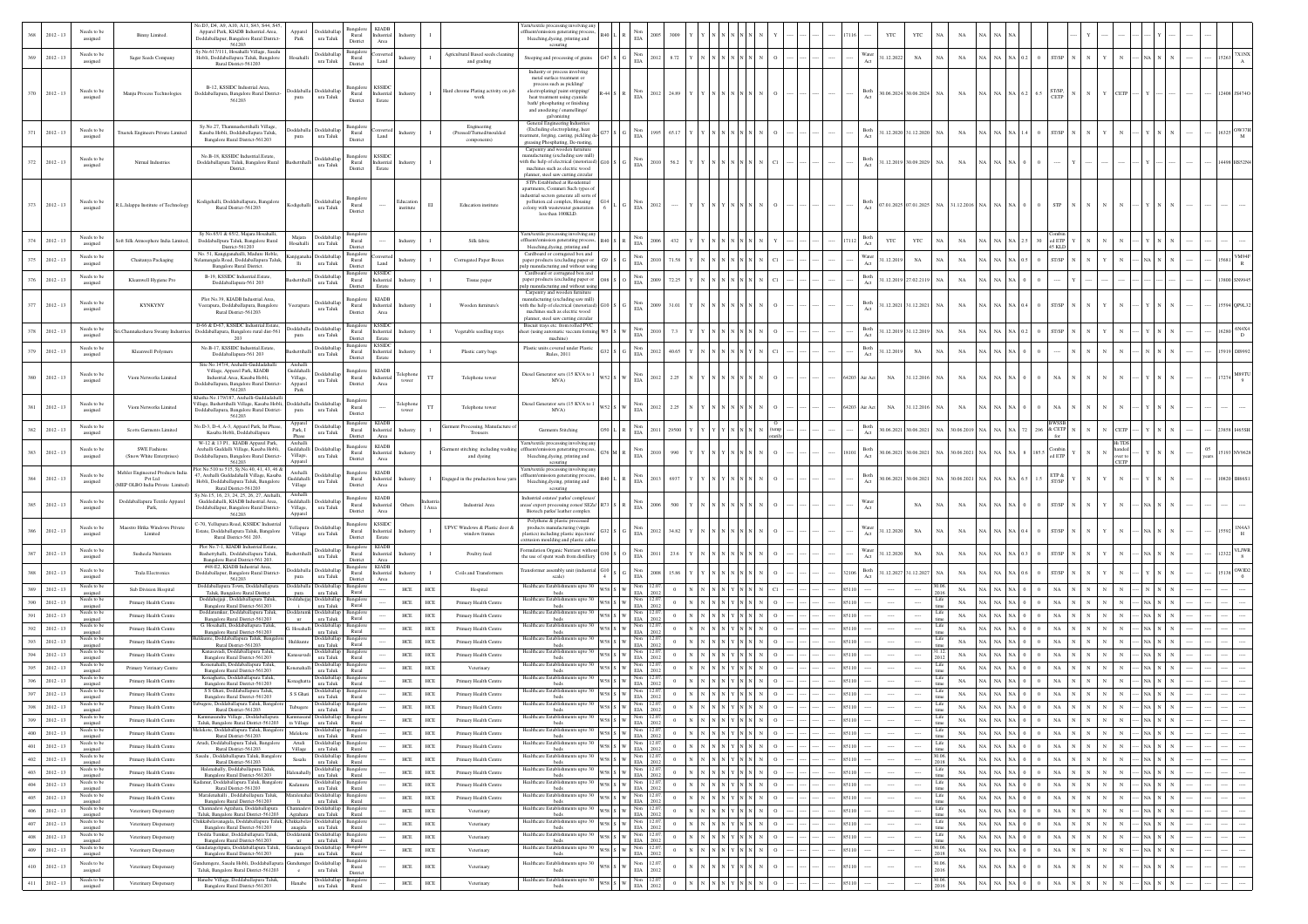|            |                            |                                        |                                                                             | o.D3, D4, A9, A10, A11, S43, S44, S45                                                                                                                        |                                   |                                                                                                                                                              |                                       |                                      |                          |              |                                                       |                                                                                                               |         |                                                           |                                  |                                                                                                                                          |  |  |                         |                      |                                          |                   |                                                                                    |                                                                |                                    |              |              |                                                        |             |                    |
|------------|----------------------------|----------------------------------------|-----------------------------------------------------------------------------|--------------------------------------------------------------------------------------------------------------------------------------------------------------|-----------------------------------|--------------------------------------------------------------------------------------------------------------------------------------------------------------|---------------------------------------|--------------------------------------|--------------------------|--------------|-------------------------------------------------------|---------------------------------------------------------------------------------------------------------------|---------|-----------------------------------------------------------|----------------------------------|------------------------------------------------------------------------------------------------------------------------------------------|--|--|-------------------------|----------------------|------------------------------------------|-------------------|------------------------------------------------------------------------------------|----------------------------------------------------------------|------------------------------------|--------------|--------------|--------------------------------------------------------|-------------|--------------------|
|            | $2012 - 13$                | Needs to be<br>assigned                | Binny Limited.                                                              | Apparel Park, KIADB Industrial.Area,<br>Doddaballapur, Bangalore Rural District-                                                                             | Park                              | <b>Ooddaballa</b><br>ura Taluk                                                                                                                               | Bangalore<br>Rural                    | <b>KIADB</b><br>adustria             |                          |              |                                                       | ffluent/emission generating process,<br>bleaching, dyeing, printing and                                       |         | EIA                                                       |                                  |                                                                                                                                          |  |  |                         | YTC                  | YTC                                      |                   |                                                                                    |                                                                |                                    |              |              |                                                        |             |                    |
|            |                            | Needs to be                            |                                                                             | 561203<br>ly.No.617/111, Hosahalli Village, Sasalu                                                                                                           |                                   | Doddaballap                                                                                                                                                  | District<br>Bangalo                   | Area<br>nverte                       |                          |              | Agricultural Based seeds cleanir                      | scouring                                                                                                      |         | Non                                                       |                                  |                                                                                                                                          |  |  | Vater                   |                      |                                          |                   |                                                                                    |                                                                |                                    |              |              |                                                        |             |                    |
| 369        | $2012 - 13$                | assigned                               | Sagar Seeds Company                                                         | Hobli, Doddaballapura Taluk, Bangalore<br>Rural District-561203                                                                                              | ssahal                            | $\,$ ura Taluk                                                                                                                                               | Rural<br>District                     | $\mbox{Land}$                        |                          |              | and grading                                           | Steeping and processing of grains<br>Industry or process involving                                            |         | 2012<br>EIA                                               | 8.72                             |                                                                                                                                          |  |  |                         | 1.12.2022            | $_{\rm NA}$<br>NA                        | $_{\rm NA}$       | NA NA                                                                              |                                                                | T/SP                               |              |              |                                                        |             |                    |
|            |                            |                                        |                                                                             |                                                                                                                                                              |                                   |                                                                                                                                                              |                                       |                                      |                          |              |                                                       | metal surface treatment or<br>process such as pickling/                                                       |         |                                                           |                                  |                                                                                                                                          |  |  |                         |                      |                                          |                   |                                                                                    |                                                                |                                    |              |              |                                                        |             |                    |
|            | $370 - 2012 - 13$          | Needs to be<br>assigned                | Manju Process Technologies                                                  | B-12, KSSIDC Industrial Area<br>Doddaballapura, Bangalore Rural District                                                                                     | pura                              | ddaballa Doddaballa<br>ura Taluk                                                                                                                             | langalor<br>Rural                     | <b>KSSID</b><br>Industrial<br>Estate | Industry                 | $\mathbf{I}$ | Hard chrome Plating activity on jo<br>work            | electroplating/paint stripping/<br>heat treatment using cyanide                                               |         | EIA                                                       | 2012 24.89                       |                                                                                                                                          |  |  |                         |                      | 80.06.2024 30.06.2024 NA                 | $_{\rm NA}$       | NA NA NA 6.2 6.5                                                                   |                                                                | $\frac{\text{ST/SP}}{\text{CETP}}$ |              | <b>CETP</b>  |                                                        | 12408 JS474 |                    |
|            |                            |                                        |                                                                             | 561203                                                                                                                                                       |                                   |                                                                                                                                                              | District                              |                                      |                          |              |                                                       | bath/phosphating or finishing<br>and anodizing / enamellings/                                                 |         |                                                           |                                  |                                                                                                                                          |  |  |                         |                      |                                          |                   |                                                                                    |                                                                |                                    |              |              |                                                        |             |                    |
|            |                            |                                        |                                                                             | Sy.No.27, Thammashettihalli Village,                                                                                                                         |                                   |                                                                                                                                                              |                                       |                                      |                          |              |                                                       | galvanizing<br>General Engineering Industries                                                                 |         |                                                           |                                  |                                                                                                                                          |  |  |                         |                      |                                          |                   |                                                                                    |                                                                |                                    |              |              |                                                        |             |                    |
| 371        | $2012 - 13$                | Needs to be<br>assigned                | Truetek Engineers Private Limited                                           | Kasaba Hobli, Doddaballapura Taluk,<br>Bangalore Rural District-561203                                                                                       | pura                              | oddaballa Doddaballa<br>ura Taluk                                                                                                                            | 3angalor<br>Rural<br>District         | Land                                 | Industr                  |              | Engineering<br>(Pressed/Turned/moulded<br>components) | (Excluding electroplating, heat<br>atment, forging, casting, pickling de                                      |         | 995                                                       | 65.17                            |                                                                                                                                          |  |  | Both                    |                      | 1.12.2020 31.12.2020 NA                  | $_{\rm NA}$       | NA NA<br>NA                                                                        |                                                                | ST/SP                              |              |              |                                                        | 16325       | $_{\rm M}$         |
|            |                            |                                        |                                                                             |                                                                                                                                                              |                                   |                                                                                                                                                              |                                       |                                      |                          |              |                                                       | greasing Phosphating, De-rusting,<br>Carpentry and wooden furniture                                           |         |                                                           |                                  |                                                                                                                                          |  |  |                         |                      |                                          |                   |                                                                                    |                                                                |                                    |              |              |                                                        |             |                    |
|            | $372 \t 2012 - 13$         | Needs to be<br>assigned                | Nirmal Industries                                                           | No.B-18, KSSIDC Industrial.Estate<br>Doddaballapura Taluk, Bangalore Rural                                                                                   |                                   | Doddaballag<br>ura Taluk                                                                                                                                     | ngalor<br>Rural                       | <b>KSSID</b><br>Industrial           | Industry                 |              |                                                       | anufacturing (excluding saw mill)<br>with the help of electrical (motorized                                   |         | Non<br>EIA<br>2010                                        | 56.2                             |                                                                                                                                          |  |  | Both                    |                      | 1.12.2019 30.09.2029 NA                  | $_{\rm NA}$       | NA NA                                                                              |                                                                |                                    |              |              |                                                        |             |                    |
|            |                            |                                        |                                                                             | District.                                                                                                                                                    |                                   |                                                                                                                                                              | District                              | Estate                               |                          |              |                                                       | machines such as electric wood<br>planner, steel saw cutting circular<br>STPs Established at Residential      |         |                                                           |                                  |                                                                                                                                          |  |  |                         |                      |                                          |                   |                                                                                    |                                                                |                                    |              |              |                                                        |             |                    |
|            |                            |                                        |                                                                             |                                                                                                                                                              |                                   |                                                                                                                                                              |                                       |                                      |                          |              |                                                       | partments, Commeri Such types of<br>dustrial sectors generate all sorts of                                    |         |                                                           |                                  |                                                                                                                                          |  |  |                         |                      |                                          |                   |                                                                                    |                                                                |                                    |              |              |                                                        |             |                    |
|            | $373 - 2012 - 13$          | Needs to be<br>assigned                | R.L.Jalappa Institute of Technology                                         | Kodigehalli, Doddaballapura, Bangalore<br>Rural District-561203                                                                                              | Codigehalli                       | Doddaballar<br>ura Taluk                                                                                                                                     | angalo<br>Rural<br>District           |                                      | Education<br>institute   | EI           | Education institute                                   | pollution.cal complex, Housing<br>colony with wastewater generation                                           |         | Non<br>EIA<br>2012                                        |                                  |                                                                                                                                          |  |  | Both<br>Act             |                      | 07.01.2025 07.01.2025 NA                 | 31.12.2016 NA     |                                                                                    |                                                                |                                    |              |              |                                                        |             |                    |
|            |                            |                                        |                                                                             |                                                                                                                                                              |                                   |                                                                                                                                                              |                                       |                                      |                          |              |                                                       | less than 100KLD.                                                                                             |         |                                                           |                                  |                                                                                                                                          |  |  |                         |                      |                                          |                   |                                                                                    |                                                                |                                    |              |              |                                                        |             |                    |
| 374        | $2012 - 13$                | Needs to be                            | oft Silk Atmosphere India Limit                                             | Sv No.65/1 & 65/2. Majara Hosahalli.<br>Doddaballpura Taluk, Bangalore Rural                                                                                 | Majara                            | Doddaballa                                                                                                                                                   | Bangalor<br>Rural                     |                                      | Industry                 |              | Silk fabric                                           | Yarn/textile processing involving any                                                                         |         | 2006                                                      | 432                              |                                                                                                                                          |  |  | 3oth                    | YTC                  | YTC<br>N                                 | NA                |                                                                                    |                                                                | ed ETP                             |              |              |                                                        |             |                    |
|            |                            | assigned                               |                                                                             | District-561203<br>No. 51, Kangiganahalli, Madure Hoble                                                                                                      | Hosahalli                         | ura Taluk                                                                                                                                                    | District<br>Bangalo                   |                                      |                          |              |                                                       | uent/emission generating process<br>bleaching, dyeing, printing and<br>Cardboard or corrugated box and        |         | Non<br>EIA                                                |                                  |                                                                                                                                          |  |  |                         |                      |                                          |                   |                                                                                    |                                                                | 45 KLI                             |              |              |                                                        |             |                    |
| 375        | $2012 - 13$                | Needs to be<br>assigned                | Chaitanya Packaging                                                         | Velamangala Road, Doddaballapura Taluk<br>Bangalore Rural District.                                                                                          | in jigan al<br>Πi                 | <b>Joddaballag</b><br>ura Taluk                                                                                                                              | Rural<br>District                     | Land                                 | Industr                  |              | Corrugated Paper Boxes                                | paper products (excluding paper or<br>lp manufacturing and without using                                      |         | $_{\rm EIA}^{\rm Non}$<br>2010                            | 71.5                             |                                                                                                                                          |  |  | Nater                   | 1.12.2019            | $_{\rm NA}$<br>NA                        | $_{\rm NA}$       | NA                                                                                 |                                                                | ST/SP                              |              |              |                                                        |             |                    |
| 376        | $2012 - 13$                | Needs to be<br>assigned                | Kleanwell Hygiene Pro                                                       | B-19, KSSIDC Industrial Estate.<br>Doddaballapura-561 203                                                                                                    |                                   | Doddaballap<br>ura Taluk                                                                                                                                     | Bangalore<br>Rural                    | <b>KSSID</b><br>dustria              |                          |              | Tissue paper                                          | Cardboard or corrugated box and<br>paper products (excluding paper or                                         |         | Non<br>1009<br>$\rm EIA$                                  | 72.2                             |                                                                                                                                          |  |  | Both                    |                      | 1.12.2019 27.02.2119                     | $_{\rm NA}$       |                                                                                    |                                                                |                                    |              |              |                                                        |             |                    |
|            |                            |                                        |                                                                             |                                                                                                                                                              |                                   |                                                                                                                                                              | District                              | Estate                               |                          |              |                                                       | Ip manufacturing and without usin<br>Carpentry and wooden furnitur                                            |         |                                                           |                                  |                                                                                                                                          |  |  |                         |                      |                                          |                   |                                                                                    |                                                                |                                    |              |              |                                                        |             |                    |
| 377        | $2012 - 13$                | Needs to be<br>assigned                | <b>KYNKYNY</b>                                                              | Plot No.39, KIADB Industrial.Area.<br>Veerapura, Doddaballapura, Bangalore<br>Rural District-561203                                                          | erapur                            | <b>Ooddaballa</b><br>ura Taluk                                                                                                                               | <b>Bangalore</b><br>Rural<br>District | <b>KIADB</b><br>adustria<br>Area     | ndustr                   |              | Wooden furniture's                                    | anufacturing (excluding saw mill)<br>with the help of electrical (motorizer<br>machines such as electric wood |         | 1009<br><b>FIA</b>                                        | 31.0                             |                                                                                                                                          |  |  | Both                    |                      | 1.12.2021 31.12.2021<br>NA               | NA                | NA NA                                                                              |                                                                | ST/SP                              |              |              |                                                        |             |                    |
|            |                            |                                        |                                                                             | D-66 & D-67, KSSIDC Industrial Estate                                                                                                                        |                                   |                                                                                                                                                              |                                       | <b>KSSID</b>                         |                          |              |                                                       | planner, steel saw cutting circular<br>Biscuit trays etc. from rolled PVC                                     |         |                                                           |                                  |                                                                                                                                          |  |  |                         |                      |                                          |                   |                                                                                    |                                                                |                                    |              |              |                                                        |             |                    |
| 378        | $2012 - 13$                | Needs to be<br>assigned                | i.Channakeshaya Swamy Indust                                                | Doddaballapura, Bangalore rural dist-561<br>203                                                                                                              | pura                              | Doddaballa Doddaballag<br>ura Taluk                                                                                                                          | Rural<br>District                     | Industrial                           | ndustr                   |              | Vegetable seedling trays                              | heet (using automatic vaccum formin<br>machine)                                                               |         | 2010<br>EIA                                               | 7.3                              |                                                                                                                                          |  |  | Both                    |                      | 1.12.2019 31.12.2019<br>N/               | NA                |                                                                                    |                                                                |                                    |              |              |                                                        |             |                    |
| 379        | $2012 - 13$                | Needs to be<br>assigned                | Kleanwell Polymers                                                          | No.B-17, KSSIDC Industrial.Estate<br>Doddaballapura-561 203                                                                                                  |                                   | Doddaballap<br>ura Taluk                                                                                                                                     | Bangalore<br>Rural                    | <b>KSSIDC</b><br>Industrial          | Industr                  |              | Plastic carry bags                                    | Plastic units covered under Plastic<br>Rules, 2011                                                            |         | 2012<br>$\rm EIA$                                         | 40.65                            |                                                                                                                                          |  |  | Both                    | 1.12.2019            | $_{\rm NA}$<br>N <sub>A</sub>            | $_{\rm NA}$       | NA NA                                                                              |                                                                |                                    |              |              |                                                        |             |                    |
|            |                            |                                        |                                                                             | Site No.147/4. Arehalli-Guddadahalli                                                                                                                         | Archalli                          |                                                                                                                                                              | District                              | Estate                               |                          |              |                                                       |                                                                                                               |         |                                                           |                                  |                                                                                                                                          |  |  |                         |                      |                                          |                   |                                                                                    |                                                                |                                    |              |              |                                                        |             |                    |
| 380        | $2012 - 1$                 | Needs to be<br>assigned                | Viom Networks Limited                                                       | Village, Apparel Park, KIADB<br>Industrial.Area, Kasaba Hobli,                                                                                               | Guddahalli<br>Village,            | Doddaballar<br>ura Taluk                                                                                                                                     | angalor<br>Rural                      | <b>KIADE</b><br>dustrial             | elephot<br>tower         |              | Telephone tower                                       | Diesel Generator sets (15 KVA to 1<br>MVA)                                                                    |         | Non<br>2012<br>$_{\rm EIA}$                               | 2.25                             |                                                                                                                                          |  |  | <b>Vir Act</b><br>64203 | $_{\rm NA}$          | 1.12.2016<br>NA                          | $_{\mathrm{NA}}$  |                                                                                    |                                                                |                                    |              |              |                                                        |             |                    |
|            |                            |                                        |                                                                             | Doddaballapura, Bangalore Rural District<br>561203<br>Khatha No.179/187. Arehalli-Guddadahall                                                                | Apparel<br>Park                   |                                                                                                                                                              | District                              | Area                                 |                          |              |                                                       |                                                                                                               |         |                                                           |                                  |                                                                                                                                          |  |  |                         |                      |                                          |                   |                                                                                    |                                                                |                                    |              |              |                                                        |             |                    |
| 381        | $2012 - 13$                | Needs to be<br>assigned                | Viom Networks Limited                                                       | Village, Bashettihalli Village, Kasaba Hobli,<br>Doddaballapura, Bangalore Rural District-                                                                   | pura                              | oddaballa Doddaballa<br>$\,$ ura Taluk                                                                                                                       | Bangalo<br>Rural                      |                                      | elephon<br>tower         | TT           | Telephone tower                                       | Diesel Generator sets (15 KVA to 1<br>MVA)                                                                    |         | 2012<br>$\rm EIA$                                         | 2.25                             |                                                                                                                                          |  |  | 64203<br>Air Act        | NA                   | 1.12.2016 NA                             | $_{\rm NA}$       |                                                                                    |                                                                |                                    |              |              |                                                        |             |                    |
|            |                            | Needs to be                            |                                                                             | 561203<br>No.D-3, D-4, A-3, Apparel Park, Ist Phase,                                                                                                         |                                   | Doddaballag                                                                                                                                                  | District<br>Bangalore                 | <b>KIADE</b>                         |                          |              | arment Processing, Manufacture                        |                                                                                                               |         | Non                                                       |                                  |                                                                                                                                          |  |  | Both                    |                      |                                          |                   |                                                                                    |                                                                |                                    |              |              |                                                        |             |                    |
| 382        | $2012 - 13$                | assigned                               | Scotts Garments Limited                                                     | Kasaba Hobli, Doddaballapura                                                                                                                                 | Park, I<br>Phase                  | ura Taluk                                                                                                                                                    | Rural<br>District                     | Industrial<br>Area                   | Industry                 |              | Trousers                                              | Garments Stitching                                                                                            |         | 2011<br>EIA                                               | 2950                             |                                                                                                                                          |  |  | Act                     |                      | 0.06.2021 30.06.2021<br>NA               | 30.06.2019 NA     |                                                                                    |                                                                | & CETF<br>296                      |              | CETP         |                                                        |             |                    |
| 383        | $2012 - 13$                | Needs to be                            | <b>SWE Fashions</b><br>(Snow White Enterprises)                             | W-12 & 13 P1, KIADB Apparel Park,<br>Arehalli Guddalli Village, Kasaba Hobli,<br>Doddaballapura, Bangalore Rural District-                                   | Archalli<br>Village,              | Guddahalli Doddaballap<br>ura Taluk                                                                                                                          | Bangalore<br>Rural                    | <b>KIADB</b><br>Industrial           | Industr                  |              | nent stitching including washi<br>and dyeing          | arn/textile processing involving any<br>ission generating process                                             |         | Non<br>2010<br><b>EIA</b>                                 | 990                              |                                                                                                                                          |  |  | Both<br>Act             |                      | 0.06.2021 30.06.2021 NA                  | 30.06.2021 NA     |                                                                                    |                                                                | 185.5<br>ed ETP                    |              | wer to       |                                                        |             |                    |
|            |                            | assigned                               |                                                                             | 561203<br>lot No.510 to 515, Sy.No.40, 41, 43, 46 &                                                                                                          | Apparel                           |                                                                                                                                                              | District                              | Area                                 |                          |              |                                                       | bleaching, dyeing, printing and<br>scouring<br>arn/textile processing involving any                           |         |                                                           |                                  |                                                                                                                                          |  |  |                         |                      |                                          |                   |                                                                                    |                                                                |                                    |              | CETP         |                                                        |             |                    |
| 384        | $2012 - 13$                | Needs to be<br>assigned                | Mehler Engineered Products India<br>Pvt Ltd<br>MEP OLBO India Private Limit | 7, Arehalli Guddadahalli Village, Kasaba<br>Hobli, Doddaballapura Taluk, Bangalore                                                                           | Archalli<br>Guddahalli<br>Village | oddaballag<br>$\,$ ura Taluk                                                                                                                                 | Bangalore<br>Rural<br>District        | <b>KIADB</b><br>ndustrial<br>Area    | Industry                 | $\mathbf{I}$ | ingaged in the pruduction hose yar                    | nt/emission generating process<br>bleaching, dyeing, printing and                                             |         | Non<br>2013<br><b>FIA</b>                                 | 6937                             |                                                                                                                                          |  |  | 3oth                    |                      | 0.06.2021 30.06.2021 NA 30.06.2021 NA NA |                   |                                                                                    | NA 6.5                                                         | ETP &<br>1.5                       |              |              |                                                        |             |                    |
|            |                            |                                        |                                                                             | Rural District-561203<br>Sv.No.15, 16, 23, 24, 25, 26, 27, Arehalli,                                                                                         | Archalli                          |                                                                                                                                                              | Bangalo                               | <b>KIADE</b>                         |                          |              |                                                       | scouring<br>ndustrial estates/ parks/ complexes                                                               |         |                                                           |                                  |                                                                                                                                          |  |  |                         |                      |                                          |                   |                                                                                    |                                                                |                                    |              |              |                                                        |             |                    |
| 385        | $2012 - 13$                | Needs to be<br>assigned                | Doddaballapura Textile Apparel<br>Park,                                     | Guddedahalli, KIADB Industrial.Area,<br>Ooddaballapur, Bangalore Rural District-                                                                             | Village,                          | Guddahalli Doddaballar<br>ura Taluk                                                                                                                          | Rural<br>District                     | Industrial<br>Area                   | Others                   |              | Industrial Area                                       | eas/ export processing zones/ SEZs/ R73<br>Biotech parks/ leather complex                                     |         | Non<br>2006                                               | 500                              |                                                                                                                                          |  |  |                         |                      | $_{\rm NA}$<br>NA                        | $_{\rm NA}$       | NA NA<br>NA.                                                                       |                                                                | ST/SP                              |              |              |                                                        |             |                    |
|            |                            | Needs to be                            | Maestro Hrika Windows Privat-                                               | 561203<br>2-70, Yellupura Road, KSSIDC Industrial                                                                                                            | Apparel                           | Yellapura Doddaballag                                                                                                                                        | Bangalon                              | <b>KSSID</b>                         |                          |              | UPVC Windows & Plastic door &                         | Polythene & plastic processed<br>products manufacturing (virgin                                               |         | Non                                                       |                                  |                                                                                                                                          |  |  |                         |                      |                                          |                   |                                                                                    |                                                                |                                    |              |              |                                                        |             |                    |
| 386        | $2012 - 13$                | assigned                               | Limited                                                                     | Estate, Doddaballapura Taluk, Bangalore<br>Rural District-561 203.                                                                                           | Village                           | ura Taluk                                                                                                                                                    | Rural<br>District                     | ndustrial<br>Estate                  | ndustr                   |              | window frames                                         | lastics) including plastic injection/<br>sion moulding and plastic cable                                      |         | 2012<br>$\rm EIA$                                         | 34.82                            |                                                                                                                                          |  |  | Nater                   | 1.12.2020            | $_{\rm NA}$                              | $_{\rm NA}$       |                                                                                    |                                                                |                                    |              |              |                                                        |             |                    |
| 387        | $2012 - 13$                | Needs to be                            | Susheela Nutrients                                                          | Plot No.7-1, KIADB Industrial.Estate<br>Bashettyhalli, Doddaballapura Taluk,                                                                                 |                                   | Doddaballap<br>ura Taluk                                                                                                                                     | Bangalor<br>Rural                     | <b>KIADB</b><br>Industrial           | Industr                  |              | Poultry feed                                          | mulation Organic Nutrient without<br>he use of spent wash from distillery                                     |         | Non<br>2011<br>$\rm EIA$                                  | 23.6                             |                                                                                                                                          |  |  | Nater                   | 1.12.2020            | $_{\rm NA}$<br>N/                        | $_{\rm NA}$       |                                                                                    |                                                                |                                    |              |              |                                                        |             | LJW                |
|            |                            | assigned<br>Needs to be                |                                                                             | Bangalore Rural District-561 203.<br>#48-E2, KIADB Industrial Area,                                                                                          |                                   | boddaballa Doddaballap                                                                                                                                       | District<br>Bangalor                  | Area<br><b>KIADE</b>                 |                          |              |                                                       | ransformer assembly unit (industrial                                                                          |         | Non                                                       |                                  |                                                                                                                                          |  |  | Both                    |                      |                                          |                   |                                                                                    |                                                                |                                    |              |              |                                                        |             |                    |
| 388        | $2012 - 13$                | assigned                               | Trala Electronics                                                           | Ooddaballapur, Bangalore Rural District-<br>561203<br>Doddaballapura Town, Doddaball                                                                         | pura                              | ura Taluk<br>Ooddaballa Doddaballap Bangal                                                                                                                   | Rural<br>District                     | ndustria                             | ndustr                   |              | Coils and Transformers                                | scale)                                                                                                        |         | 2008<br>$_{\rm{EIA}}$                                     | 15.8                             |                                                                                                                                          |  |  |                         |                      | 1.12.2027 31.12.2027                     | NA                |                                                                                    |                                                                |                                    |              |              |                                                        |             |                    |
| 389        | $2012 - 13$                | Needs to be<br>assigned<br>Needs to be | Sub Division Hospital                                                       | Taluk, Bangalore Rural District<br>Doddahejjaji, Doddaballapura Taluk,                                                                                       | pura                              | ura Taluk<br>oddahejjaj Doddaballap                                                                                                                          | Rural<br>Bangalo                      |                                      | HCE                      | ${\rm HCE}$  | Hospital                                              | Healthcare Establishments upto 30<br>wss s w<br>beds<br>Healthcare Establishments upto 30                     |         | Non<br><b>EIA</b><br>Non                                  |                                  |                                                                                                                                          |  |  | 85110                   |                      |                                          | $_{\rm NA}$       | N <sub>A</sub>                                                                     |                                                                |                                    |              |              |                                                        |             |                    |
| 190        | $2012 - 13$                | assigned<br>Needs to be                | Primary Health Centre                                                       | Bangalore Rural District-561203<br>atumkur, Doddaballapura Taluk,                                                                                            |                                   | ura Taluk                                                                                                                                                    | Rural                                 |                                      | HCE                      | HCE          | Primary Health Centre                                 | wss s w<br>beds<br>Healthcare Establishments upto 30                                                          |         | EIA<br>2012<br>Non                                        |                                  |                                                                                                                                          |  |  | 85110                   |                      |                                          | $_{\rm NA}$       | NA                                                                                 |                                                                |                                    |              |              |                                                        |             |                    |
|            | $2012 - 13$<br>$2012 - 13$ | assigned<br>Needs to be                | Primary Health Centre<br>Primary Health Centre                              | Bangalore Rural District-561203<br>G. Hosahalli, Doddaballapura Taluk,                                                                                       | ur.<br>. Hosahall                 | ura Taluk<br>Doddaballap                                                                                                                                     | Rural<br>Bansale                      |                                      | $_{\mathrm{HCE}}$<br>HCE | HCE<br>HCF   | Primary Health Centre<br>Primary Health Centre        | N58 S W<br>beds<br>Healthcare Establishments upto 30<br>arse l                                                |         | 12.07.<br>2012<br><b>EIA</b><br>Non<br>12.07              |                                  | NNYNN                                                                                                                                    |  |  | 85110<br>8511           |                      | Lif                                      | $_{\rm NA}$<br>NA |                                                                                    |                                                                |                                    |              |              |                                                        |             |                    |
|            | $2012 - 13$                | assigned<br>Needs to be                | Primary Health Centre                                                       | Bangalore Rural District-561203<br>unte, Doddaballapura Taluk, Bangal                                                                                        |                                   | ura Taluk<br>Joddaballap                                                                                                                                     | Rural<br>Bangalo                      |                                      | HCE                      | <b>HCE</b>   | Primary Health Centre                                 | beds<br>lealthcare Establishments upto 30                                                                     |         | <b>EIA</b><br>Non<br>12.07.                               |                                  |                                                                                                                                          |  |  | 85110                   |                      |                                          | NA                |                                                                                    |                                                                |                                    |              |              |                                                        |             |                    |
| 394        | $2012 - 13$                | assigned<br>Needs to be<br>assigned    | Primary Health Centre                                                       | Rural District-561203<br>Kanasavadi, Doddaballapura Talul<br>Bangalore Rural District-561203                                                                 |                                   | ura Taluk<br>Doddaballap<br>ura Taluk                                                                                                                        | Rural<br>Rural                        |                                      | HCE                      | <b>HCE</b>   | Primary Health Centr                                  | beds<br>Healthcare Establishments upto 30<br>wss s w<br>beds                                                  |         | <b>FIA</b><br>2012<br>Non<br>  2.07<br>2012<br><b>EIA</b> |                                  | NNYNN                                                                                                                                    |  |  | 85110                   |                      |                                          | $_{\rm NA}$       | NA                                                                                 |                                                                |                                    |              |              |                                                        |             |                    |
|            | $2012 - 13$                | Needs to be<br>assigned                | Primary Vetrinary Centre                                                    | Konenahalli, Doddaballapura Taluk,<br>Bangalore Rural District-561203                                                                                        |                                   | Doddaballap<br>ura Taluk                                                                                                                                     | Bangalo<br>Rural                      |                                      | $_{\mathrm{HCE}}$        | HCE          | Veterinary                                            | Healthcare Establishments upto 30<br>wss s w<br>beds                                                          |         | Non<br>2.07<br>EIA<br>012                                 |                                  | NNYNN                                                                                                                                    |  |  | 85110                   |                      | - Lif                                    | $_{\rm NA}$       | NA                                                                                 |                                                                |                                    |              |              |                                                        |             |                    |
|            | $2012 - 13$                | leeds to b<br>assigned                 | Primary Health Centre                                                       | naghatta, Doddaballapura Talu<br>Bangalore Rural District-561203                                                                                             | onaghatt                          | ura Taluk                                                                                                                                                    | Rural                                 |                                      | $_{\mathrm{HCE}}$        | <b>HCE</b>   | Primary Health Centre                                 | lealthcare Establish<br>beds                                                                                  | /58 S W | 2012<br><b>EIA</b>                                        |                                  |                                                                                                                                          |  |  | 8511                    |                      |                                          | $_{\rm NA}$       | NA                                                                                 |                                                                |                                    |              |              |                                                        |             |                    |
|            | $2012 - 13$                | Needs to be<br>assigned                | Primary Health Centre                                                       | S S Ghati, Doddaballapura Taluk,<br>Bangalore Rural District-561203                                                                                          | S S Ghati                         | <b>Doddaballar</b><br>ura Taluk                                                                                                                              | Rural                                 |                                      | HCE                      | <b>HCE</b>   | Primary Health Centre                                 | lealthcare Establishments upto 30<br>wss s w<br>beds                                                          |         | Non<br>12.07<br>2012<br>EIA                               | $\Omega$                         |                                                                                                                                          |  |  |                         |                      | Lif                                      | $_{\rm NA}$       | N                                                                                  |                                                                |                                    |              |              |                                                        |             |                    |
|            | $2012 - 13$                | Needs to be<br>assigned                | Primary Health Centre                                                       | ibugere, Doddaballapura Taluk, Bangalo<br>Rural District-561203                                                                                              |                                   | Doddaballap<br>ura Taluk                                                                                                                                     | Bangalor<br>Rural                     |                                      | HCE                      | <b>HCE</b>   | Primary Health Centre                                 | lealthcare Establishments upto 30<br>wss s w<br>beds                                                          |         | Non 12.07.<br><b>FIA</b><br>2012                          | $\theta$                         | $\,$ N $\,$ N $\,$ N $\,$ N $\,$ N $\,$                                                                                                  |  |  |                         |                      | <b>Lib</b>                               | NA                | NA                                                                                 |                                                                |                                    |              |              |                                                        |             |                    |
|            | $399 - 2012 - 13$          | assigned<br>Needs to be                | Primary Health Centre                                                       | Taluk, Bangalore Rural District-561203<br>felekote, Doddaballapura Taluk, Bangalon                                                                           |                                   | ra Village ura Taluk Rural<br>Doddaballap Bangalon                                                                                                           |                                       |                                      | HCE                      | HCE          | Primary Health Centre                                 | из ирго э<br>W58 S W<br>beds<br>Healthcare Establishments upto 30                                             |         | EIA 2012<br>12.07<br>Non                                  | $\theta$                         |                                                                                                                                          |  |  | 85110                   |                      | tim<br>Life                              | $_{\rm NA}$       | NA NA NA 0 0                                                                       |                                                                | $_{\rm NA}$                        |              |              |                                                        |             |                    |
| 400        | $2012 - 13$                | assigned<br>Needs to be                | Primary Health Centre                                                       | Rural District-561203<br>Arudi, Doddaballapura Taluk, Bangalor                                                                                               | Melekote<br>Arudi                 | ura Taluk Rural                                                                                                                                              |                                       |                                      | ${\rm HCE}$              | HCE          | Primary Health Centre                                 | wss s w<br>beds<br>Healthcare Establishments upto 30                                                          |         | $_{\rm EIA}$<br>2012                                      | $\overline{0}$                   | $\,$ N $\,$ N $\,$ N $\,$ N $\,$ N $\,$ N $\,$ N $\,$ N $\,$ N $\,$                                                                      |  |  | 85110                   | $\cdots$             | <br>Life                                 | $_{\rm NA}$       | NA NA NA 0 0                                                                       |                                                                | $_{\rm NA}$                        | $_{\rm N}$   | N I          | $-NA$ N                                                |             |                    |
| 401<br>402 | $2012 - 13$                | assigned<br>Needs to be                | Primary Health Centre                                                       | Rural District-561203<br>asalu, Doddaballapura Taluk, Bangalore                                                                                              | Village                           | Doddaballap<br>ura Taluk<br>Doddaballap                                                                                                                      | Rural<br>Bangalor                     |                                      | $_{\mathrm{HCE}}$        | $HCE$<br>HCE | Primary Health Centre                                 | wss s w<br>beds<br>Healthcare Establishments upto 30<br>wss s w                                               |         | Non 12.07.<br>EIA 2012                                    | $\overline{0}$<br>$\overline{0}$ | $\begin{array}{c c c c c c} \mathbf{N} & \mathbf{N} & \mathbf{N} & \mathbf{N} & \mathbf{N} & \mathbf{N} & \mathbf{N} \end{array}$        |  |  | 85110<br>85110          | $\cdots$<br>$\cdots$ | $\cdots$<br>tim<br>30.0<br>$\cdots$      | $_{\rm NA}$       | NA NA NA<br>NA NA                                                                  |                                                                | NA<br>NA                           | $_{\rm N}$   | N            | $\ldots$ NA $\,$ N $\,$<br>N --- NA                    |             | $\cdots$<br>$\sim$ |
| 403        | $2012 - 13$<br>$2012 - 13$ | assigned<br>Needs to be                | Primary Health Centre<br>Primary Health Centre                              | Rural District-561203<br>Halenahally, Doddaballapura Taluk,                                                                                                  | Sasalu<br>falenahally             | $_{\rm{ura\,Taluk}}$ Rural<br>Doddaballap Bangalori                                                                                                          |                                       |                                      | HCE<br>HCE               | HCE          | Primary Health Centre<br>Primary Health Centre        | beds<br>Iealthcare Establishments upto 30<br>wss s w                                                          |         | Non 12.07.<br>EIA 2012<br>Non 12.07.                      | $\overline{0}$                   | $\mathbf{N}=\mathbf{N}-\mathbf{N}-\mathbf{N}-\mathbf{N}-\mathbf{N}-\mathbf{N}$<br>N N N Y N N N                                          |  |  | 85110                   |                      | 201<br>Life<br>$\cdots$                  | $_{\rm NA}$<br>NA | NA NA                                                                              | NA $\begin{array}{ c c c } \hline 0 & 0 \\ \hline \end{array}$ | NA.                                |              | $\mathbf{N}$ | I NA                                                   |             |                    |
| 404        | $2012 - 13$                | assigned<br>Needs to be                | Primary Health Centre                                                       | Bangalore Rural District-561203<br>idanur, Doddaballapura Taluk, Bangalor<br>Rural District-561203                                                           | Kadanuru                          | ura Taluk<br>$\begin{tabular}{ll} \multicolumn{1}{l}{{\bf Doddaballap}} & {\bf Bangalor} \\ \multicolumn{1}{l}{{\bf wra Taluk}} & {\bf Rural} \end{tabular}$ | Rural                                 |                                      | $_{\mathrm{HCE}}$        | ${\rm HCE}$  | Primary Health Centre                                 | beds<br>Healthcare Establishments upto 30<br>wss s w                                                          |         | <b>FIA</b><br>2012<br>Non 12.07.<br>EIA 2012              | $\overline{0}$                   | N N N Y N N N                                                                                                                            |  |  | 85110                   |                      | Life<br>time<br>$\cdots$                 | $_{\rm NA}$       |                                                                                    |                                                                | $_{\rm NA}$                        |              | $_{\rm N}$   | $\sim$ NA                                              |             |                    |
|            | $405$ 2012 - 13            | assigned<br>Needs to be<br>assigned    | Primary Health Centre                                                       | Maralenahalli, Doddaballapura Taluk,<br>Bangalore Rural District-561203                                                                                      | $\mathbf{h}$                      | aralenahal Doddaballap<br>ura Taluk                                                                                                                          | Bangalor<br>Rural                     |                                      | HCE                      | HCE          | Primary Health Centre                                 | beds<br>Healthcare Establishments upto 30<br>wss s w<br>beds                                                  |         | 12.07<br>Non<br>$_{\rm EIA}$<br>2012                      | $\overline{0}$                   | $\mathbf{N}=\mathbf{N}=\mathbf{N}-\mathbf{N}-\mathbf{N}-\mathbf{N}-\mathbf{N}$                                                           |  |  | 85110                   | $\cdots$             | Life<br>$\cdots$                         | $_{\rm NA}$       | NA NA NA 0 0                                                                       |                                                                | NA                                 | $_{\rm N}$   | N            | $-NA$ N                                                |             | $\cdots$           |
| 406        | $2012 - 13$                | Needs to be<br>assigned                | Veterinary Dispensary                                                       | Channadevi Agrahara, Doddaballapura<br>Taluk, Bangalore Rural District-561203                                                                                |                                   | <b>Ooddaballa</b><br>Agrahara ura Taluk                                                                                                                      | Bangalo<br>Rural                      |                                      | $_{\mathrm{HCE}}$        | HCE          | Veterinary                                            | Healthcare Establishments upto 30<br>wss s w<br>beds                                                          |         | Non<br>12.07.<br>2012<br><b>EIA</b>                       | $\overline{0}$                   | $\,$ N $\,$ N $\,$ N $\,$ N $\,$ N $\,$ N $\,$ N $\,$ N                                                                                  |  |  | 85110                   | $\cdots$             | Lif<br>$\cdots$                          | $_{\rm NA}$       | $\rm NA-NA-NA$                                                                     |                                                                | NA                                 |              | $\mathbf{N}$ | $-$ NA                                                 |             |                    |
| 407        | $2012 - 13$                | Needs to be<br>assigned                | Veterinary Dispensary                                                       | hikkabelavanagala, Doddaballapura Taluk, Chikkabelav Doddaballap<br>Bangalore Rural District-561203                                                          |                                   | anagala ura Taluk                                                                                                                                            | Bangalor<br>Rural                     |                                      | HCE                      | $HCE$        | Veterinary                                            | Healthcare Establishments upto 30<br>$ws$ s $w$<br>beds                                                       |         | Non 12.07.<br>EIA 2012<br>$_{\rm EIA}$                    | $\theta$                         | $\mathbb N$   $\mathbb N$   $\mathbb N$   $\mathbb N$   $\mathbb N$                                                                      |  |  | 85110                   | $\cdots$             | Life<br>$\cdots$                         | $_{\rm NA}$       | $\mathrm{NA}$ $\hphantom{1}$ NA $\hphantom{1}$ NA $\hphantom{1}0$                  |                                                                | $_{\rm NA}$                        | $\mathbb{N}$ |              | N --- NA                                               |             | $\sim$             |
| 408        | $2012 - 13$                | Needs to be<br>assigned                | Veterinary Dispensary                                                       | Dodda Tumkur, Doddaballapura Taluk,<br>Bangalore Rural District-561203                                                                                       | $_{\rm ur}$                       | Joddatumk Doddaballap<br>ura Taluk                                                                                                                           | Bangalor<br>Rural                     |                                      | HCE                      | HCE          | Veterinary                                            | Healthcare Establishments upto 30<br>wsslslw<br>beds                                                          |         | Non<br>12.07<br><b>EIA</b><br>2012                        | $\theta$                         | N N Y N N N                                                                                                                              |  |  | 85110                   |                      | Life                                     | NA                | NA NA                                                                              |                                                                | NA                                 |              | $\mathbf{N}$ | NA                                                     |             |                    |
| 409        | $2012 - 13$                | Needs to be<br>assigned                | Veterinary Dispensary                                                       | Gandaragolipura, Doddaballapura Taluk,<br>Bangalore Rural District-561203                                                                                    | pura                              | andaragoli Doddaballap<br>ura Taluk                                                                                                                          | Bangalon<br>Rural                     |                                      | $_{\mathrm{HCE}}$        | $HCE$        | Veterinary                                            | Healthcare Establishments upto 30<br>wss s w<br>beds                                                          |         | Non<br>EIA<br>$\frac{12.07}{2012}$                        | $\theta$                         | $\mathbb N$   $\mathbb N$   $\mathbb N$   $\mathbb N$   $\mathbb N$   $\mathbb N$   $\mathbb N$                                          |  |  | 85110                   | $\cdots$             | 30.06<br>2018<br>$\cdots$                | $_{\rm NA}$       | NA NA NA 0 0                                                                       |                                                                | $_{\rm NA}$                        | $_{\rm N}$   |              | $\mathbf{N}$ – $\cdots$ - $\mathbf{NA}$ – $\mathbf{N}$ |             | $\cdots$           |
| 410        | $2012 - 13$                | Needs to be<br>assigned                | Veterinary Dispensary                                                       | Gundumgere, Sasalu Hobli, Doddaballapura<br>Taluk, Bangalore Rural District-561203                                                                           | $^{\circ}$                        | Gundumger Doddaballan<br>ura Taluk                                                                                                                           | Bangalor<br>Rural<br>District         |                                      | ${\rm HCE}$              | ${\tt HCE}$  | Veterinary                                            | Healthcare Establishments upto 30<br>W58 S W<br>beds                                                          |         | Non 12.07.<br>EIA 2012                                    | $\theta$                         | $\mathbf{N} \parallel \mathbf{N} \parallel \mathbf{Y} \parallel \mathbf{N} \parallel \mathbf{N}$                                         |  |  | 85110                   |                      | 30.06<br>$\cdots$<br>2016                | $_{\rm NA}$       | NA NA<br>$_{\rm NA}$                                                               |                                                                | $_{\rm NA}$                        |              | $_{\rm N}$   | $-$ NA                                                 |             |                    |
|            | $411$ $2012 - 13$          | Needs to be<br>assigned                | Veterinary Dispensary                                                       | $\begin{minipage}{.4\linewidth} \textbf{Hanabe} \textbf{Village}, \textbf{Doddaballapura Taluk}, \\ \textbf{Bangalore Rural District-561203} \end{minipage}$ | Hanabe                            | $\begin{tabular}{ll} \multicolumn{1}{l}{{\bf Doddaballap}} & {\bf Bangalor} \\ \multicolumn{1}{l}{{\bf wra Taluk}} & {\bf Rural} \end{tabular}$              |                                       |                                      | ${\rm HCE}$              | HCE          | Veterinary                                            | Healthcare Establishments upto 30<br>beds                                                                     |         |                                                           | $\hspace{0.1mm}$ 0               | $\begin{array}{ccccc} \textbf{N} & \textbf{N} & \textbf{N} & \textbf{N} & \textbf{Y} & \textbf{N} & \textbf{N} & \textbf{N} \end{array}$ |  |  | 85110                   |                      | 30.06<br>                                |                   | $\mathrm{NA}$ $\qquad$ NA $\mathrm{NA}$ $\qquad$ NA $\qquad$ 0 $\qquad$ 0 $\qquad$ |                                                                | $_{\rm NA}$                        | $_{\rm N}$   |              | $\mathbf{N}$ – $\cdots$ - $\mathbf{NA}$ – $\mathbf{N}$ |             |                    |
|            |                            |                                        |                                                                             |                                                                                                                                                              |                                   |                                                                                                                                                              |                                       |                                      |                          |              |                                                       |                                                                                                               |         |                                                           |                                  |                                                                                                                                          |  |  |                         |                      |                                          |                   |                                                                                    |                                                                |                                    |              |              |                                                        |             |                    |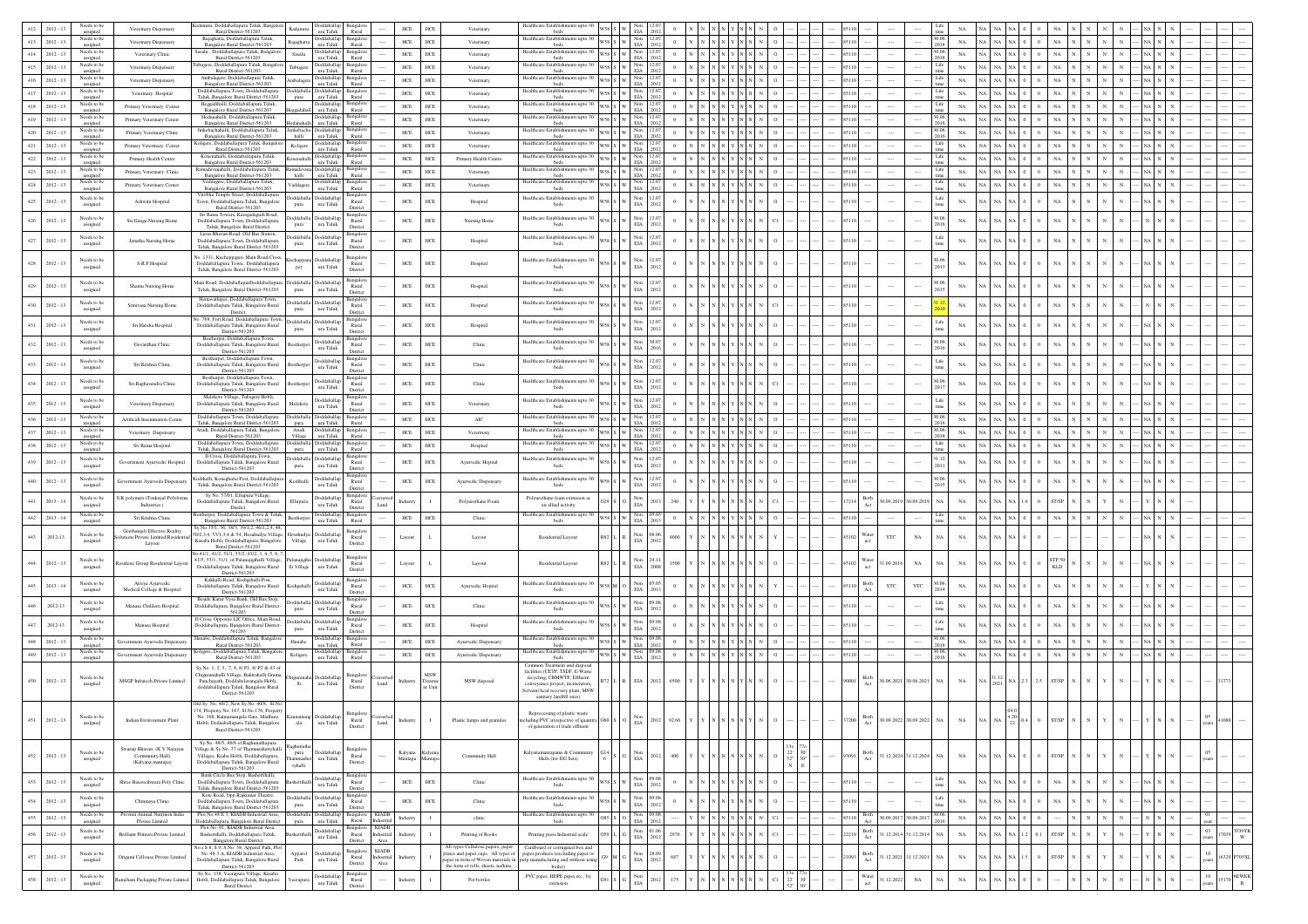| Needs to be<br>$2012 - 13$                        | Veterinary Dispensary                                    | anuru, Doddaballapura Taluk, Bangalo<br>Rural District-561203                                             | <b>ddaballap</b><br>Kadanuru<br>ura Taluk        | 3angalo<br>Rural             | $HEE$                                        | ${\rm HCE}$        | Veterinary                                                               | Healthcare Establishments upto                                           |                 |                                                                   |                        |                                                 |  |       |                                         |              |             |                |           |                         |                                         |              |  |                 |       |                  |
|---------------------------------------------------|----------------------------------------------------------|-----------------------------------------------------------------------------------------------------------|--------------------------------------------------|------------------------------|----------------------------------------------|--------------------|--------------------------------------------------------------------------|--------------------------------------------------------------------------|-----------------|-------------------------------------------------------------------|------------------------|-------------------------------------------------|--|-------|-----------------------------------------|--------------|-------------|----------------|-----------|-------------------------|-----------------------------------------|--------------|--|-----------------|-------|------------------|
| assigned<br>Needs to be<br>413<br>$2012 - 13$     | Veterinary Dispensary                                    | Rajaghatta, Doddaballapura Taluk,<br>Bangalore Rural District-561203                                      | shlaballa<br>Rajaghatta<br>ura Taluk             | 3angal<br>Rural              | HCE                                          | ${\rm HCE}$        | Veterinary                                                               | Healthcare Establishments upto 30<br>beds                                | $\sqrt{ }$      | Non<br>$_{\rm EIA}$                                               | 2012                   |                                                 |  |       |                                         | 2018         | NA          |                |           |                         |                                         |              |  |                 |       |                  |
| assigned<br>Needs to be<br>$2012 - 13$<br>414     | Veterinary Clinic                                        | salu, Doddaballapura Taluk, Bangalor                                                                      | oddaballap<br>Sasalu                             | Bangalor                     | HCE                                          | HCE                | Veterinary                                                               | Healthcare Establishments upto 30                                        | $58\,$ S $\,$ W | Non 12.07                                                         | $\theta$               |                                                 |  | 85110 |                                         |              | NA          | <b>A</b> NA NA |           |                         | NA                                      |              |  |                 |       |                  |
| assigned<br>Needs to be<br>415<br>$2012 - 13$     | Veterinary Dispensary                                    | Rural District-561203<br>re, Doddaballapura Taluk, Bangal                                                 | ura Taluk<br>Fubugere                            | Rural<br>angalor             | $HCE$                                        | ${\rm HCE}$        | Veterinary                                                               | beds<br>Healthcare Establishments upto 30                                | $\mathbf{w}$    | $\rm EIA$<br>Non<br>EIA                                           | 2012                   |                                                 |  | 85110 |                                         |              | NA          | A NA           |           |                         |                                         |              |  |                 |       |                  |
| assigned<br>Needs to be<br>416<br>$2012 - 13$     |                                                          | Rural District 561203<br>Ambalagere, Doddaballapura Taluk,                                                | ura Taluk<br>Doddaballa                          | Rural<br>mgale               |                                              |                    | Veterinary                                                               | beds<br>Healthcare Establishments upto 30                                |                 |                                                                   | 2013<br>$\theta$       |                                                 |  | 85110 |                                         | Life         | NA          | <b>A</b> NA NA |           |                         | NA                                      |              |  |                 |       |                  |
| assigned<br>Needs to be                           | Veterinary Dispensary                                    | Bangalore Rural District-561203<br><b>Joddaballapura Town</b> , Doddaballapura                            | Ambalagere<br>ura Taluk<br>ddaball<br>əddaballaş | Rural<br>langalo             | HCE                                          | HCE                |                                                                          | beds<br>Healthcare Establishments upto 30                                |                 | $V58$ S W $\frac{\text{Non}}{\text{EIA}}$                         |                        |                                                 |  |       |                                         | Life         |             |                |           |                         |                                         |              |  |                 |       |                  |
| 417<br>$2012 - 13$<br>assigned<br>Needs to be     | Veterinary Hospital                                      | aluk, Bangalore Rural District-561203<br>talli. Doddaballapura Taluk                                      | ura Taluk<br>pura<br>disdebbol                   | Rural<br>lansal              | HCE                                          | HCE                | Veterinary                                                               | beds<br>Healthcare Establishments upto 30                                | 58 S W          | <b>FIA</b><br>Non                                                 |                        |                                                 |  | 85110 |                                         | Life         | NA          | <b>A</b> NA NA |           |                         | NA                                      |              |  |                 |       |                  |
| $418\,$<br>$2012 - 13$<br>assigned                | Primary Veterinary Center                                | Bangalore Rural District-561203                                                                           | ura Taluk                                        | Rural                        | $HCE$                                        | ${\rm HCE}$        | Veterinary                                                               | beds                                                                     | $\sqrt{ }$      | $_{\rm EIA}$                                                      | 2012                   |                                                 |  |       |                                         |              | NA          |                |           |                         |                                         |              |  |                 |       |                  |
| Needs to be<br>$2012 - 1$<br>419<br>assigned      | Primary Veterinary Cenetr                                | Hodanahalli, Doddaballapura Taluk.<br>Bangalore Rural District-561203                                     | Doddaballap<br>ura Taluk                         | 3angalor<br>Rural            | HCE                                          | HCE                | Veterinary                                                               | Healthcare Establishments upto 30<br>beds                                | 58 S W          | Non 12.0<br>$\rm EIA$                                             | $\Omega$               |                                                 |  | 85110 |                                         |              | NA          | A NA           | NA.       |                         |                                         |              |  |                 |       |                  |
| Needs to be<br>420<br>$2012 - 13$<br>assigned     | Primary Veterinary Clinic                                | inkebachahalli, Doddaballapura Taluk<br>Bangalore Rural District-561203                                   | kebacha<br>halli<br>ura Taluk                    | angalor<br>Rural             | $HCE$                                        | ${\rm HCE}$        | Veterinary                                                               | Healthcare Establishments upto 30<br>beds                                | V58 S W         | Non<br>EIA                                                        | 2012                   |                                                 |  | 85110 |                                         |              | NA          | A NA           | <b>NA</b> |                         | NA                                      |              |  |                 |       |                  |
| Needs to be<br>421<br>$2012 - 13$                 | Primary Veterinary Center                                | oligere, Doddaballapura Taluk, Bangal<br>Rural District-561203                                            | Doddaballa<br>Koligere<br>ura Taluk              | ngalo<br>Rural               | HCE                                          | HCE                | Veterinary                                                               | Healthcare Establishments upto 30                                        |                 | $W58$ S W $\frac{Non}{EIA}$                                       | 12.0<br>$\overline{0}$ |                                                 |  | 85110 |                                         | Life<br>time | NA          | <b>A</b> NA NA |           |                         | NA                                      |              |  |                 |       |                  |
| assigned<br>Needs to be<br>422<br>$2012 - 13$     | Primary Health Center                                    | Konenahalli, Doddaballapura Taluk,                                                                        | <b>Joddaballap</b><br>Conenahalli                | 3angalo                      | HCE                                          | HCE                | Primary Health Centre                                                    | beds<br>Healthcare Establishments upto 30                                | 58 S W          |                                                                   |                        |                                                 |  | 85110 |                                         | Life         | NA          | <b>A</b> NA NA |           |                         | NA                                      |              |  |                 |       |                  |
| assigned<br>Needs to be<br>$423\,$<br>$2012 - 13$ | Primary Veterinary Clinic                                | Bangalore Rural District-561203<br>madevanahalli, Doddaballapura Taluk<br>Bangalore Rural District-561203 | ura Taluk<br>oddaball                            | Rural<br>3an sal             | $HCE$                                        | ${\rm HCE}$        | Veterinary                                                               | beds<br>Healthcare Establishments upto 30                                |                 | <b>EIA</b><br>Non<br>EIA                                          |                        |                                                 |  |       |                                         | Life         | NA          |                |           |                         |                                         |              |  |                 |       |                  |
| assigned<br>Needs to be                           |                                                          | Vaddagere, Doddaballapura Taluk.                                                                          | halli ura Taluk<br>Doddaballap                   | Rural<br>Bangalor            |                                              |                    |                                                                          | beds<br>Healthcare Establishments upto 30                                |                 | $\mathbf{w}$<br>Non                                               | 2012<br>12.0           |                                                 |  |       |                                         | Life         |             |                |           |                         |                                         |              |  |                 |       |                  |
| 424<br>$2012 - 1$<br>assigned                     | Primary Veterinary Center                                | Bangalore Rural District-561203<br>/itobha Temple Street, Doddaballapur                                   | Vaddagere<br>ura Taluk                           | Rural<br>ngalo               | HCE                                          | HCE                | Veterinary                                                               | beds                                                                     | $\sqrt{ }$      | $\rm EIA$                                                         |                        |                                                 |  |       |                                         |              | NA          | A NA NA        |           |                         | NA.                                     |              |  |                 |       |                  |
| Needs to be<br>$425\,$<br>$2012 - 13$<br>assigned | Ashwini Hospital                                         | Town, Doddaballapura Taluk, Bangalon                                                                      | Doddaballa Doddaballap<br>ura Taluk<br>pura      | Rural                        | HCE                                          | ${\rm HCE}$        | Hospital                                                                 | Healthcare Establishments upto 30<br>beds                                |                 | Non<br>$_{\rm EIA}$                                               | 12.0<br>2013           |                                                 |  |       |                                         | Life         | NA          | <b>NA</b>      | <b>NA</b> |                         | NA                                      |              |  |                 |       |                  |
| Needs to be                                       |                                                          | Rural District-561203<br>Sri Rama Towers, Karagadagudi Road,                                              | Doddaballa Doddaballa                            | District<br>Bangalor         |                                              |                    |                                                                          | Healthcare Establishments upto 30                                        |                 | Non                                                               | 12.0                   |                                                 |  |       |                                         |              |             |                |           |                         |                                         |              |  |                 |       |                  |
| 426<br>$2012 - 13$<br>assigned                    | Sri.Ganga Nursing Home                                   | Doddaballapura Town, Doddaballapura<br>Taluk, Bangalore Rural District                                    | ura Taluk<br>pura                                | Rural<br>District            | $HCE$                                        | HCE                | Nursing Home                                                             | beds                                                                     |                 | $_{\rm{EIA}}$                                                     | 2012                   |                                                 |  |       |                                         |              | NA          | NA             |           |                         | NA                                      |              |  |                 |       |                  |
| Needs to be<br>427<br>$2012 - 13$                 | Janatha Nursing Home                                     | Lions Bhavan Road, Old Bus Station,<br>Doddaballapura Town, Doddaballapura                                | Doddaballa Doddaballap                           | langalo<br>Rural             | ${\rm HCE}$                                  | ${\rm HCE}$        | Hospital                                                                 | Healthcare Establishments upto 30                                        |                 | $_{\rm EIA}^{\rm Non}$                                            | 12.07<br>$\theta$      |                                                 |  | 85110 |                                         | Life         | $_{\rm NA}$ | <b>A</b> NA NA |           |                         | $_{\rm NA}$                             |              |  |                 |       |                  |
| assigned                                          |                                                          | Taluk, Bangalore Rural District-561203                                                                    | ura Taluk<br>pura                                | District                     |                                              |                    |                                                                          | beds                                                                     |                 |                                                                   | 2012                   |                                                 |  |       |                                         |              |             |                |           |                         |                                         |              |  |                 |       |                  |
| Needs to be<br>428<br>$2012 - 13$                 | S.R.P.Hospital                                           | No. 1331, Kucheppapet, Main Road Cross<br>Doddaballapura Town, Doddaballapura                             | Doddaballa                                       | Bangalor<br>Rural            | ${\rm HCE}$                                  | ${\rm HCE}$        | Hospital                                                                 | Healthcare Establishments upto 30                                        |                 | Non                                                               | 12.0                   |                                                 |  | 35110 |                                         |              | NA          | A NA           |           |                         | NA                                      |              |  |                 |       |                  |
| assigned                                          |                                                          | Taluk, Bangalore Rural District-561203                                                                    | ura Taluk<br>pct                                 | District                     |                                              |                    |                                                                          | beds                                                                     |                 | EIA                                                               | 2012                   |                                                 |  |       |                                         |              |             |                |           |                         |                                         |              |  |                 |       |                  |
| Needs to be<br>429<br>$2012 - 13$                 | Shamu Nursing Home                                       | Main Road, DoddaballapurDoddaballapur                                                                     | Doddaballa Doddaballa                            | Bangalor<br>Rural            | ${\tt HCE}$                                  | ${\tt HCE}$        | Hospital                                                                 | Healthcare Establishments upto 30                                        |                 | Non<br>EIA                                                        | 12.0                   |                                                 |  |       |                                         |              | NA          |                |           |                         |                                         |              |  |                 |       |                  |
| assigned                                          |                                                          | Taluk, Bangalore Rural District-561203                                                                    | ura Taluk<br>pura                                | Distric                      |                                              |                    |                                                                          | beds                                                                     |                 |                                                                   | 2012                   |                                                 |  |       |                                         |              |             |                |           |                         |                                         |              |  |                 |       |                  |
| Needs to be<br>430<br>$2012 - 13$<br>assigned     | Srinivasa Nursing Home                                   | Hemavathipet, Doddaballapura Town<br>Doddaballapura Taluk, Bangalore Rural<br>District                    | oddaballa Doddaballa<br>ura Taluk<br>pura        | langalo<br>Rural<br>District | $_{\mathrm{HCE}}$                            | ${\rm HCE}$        | Hospital                                                                 | Healthcare Establishments upto 30<br>beds                                |                 | $_{\rm EIA}^{\rm Non}$                                            | 12.07<br>2012          |                                                 |  | 85110 |                                         |              | NA          | A NA NA        |           |                         | NA                                      |              |  |                 |       |                  |
| Needs to be                                       |                                                          | . 769, Fort Road, Doddaballapura Town,                                                                    | Doddaballa Doddaballar                           | 3angalo                      |                                              |                    |                                                                          | Healthcare Establishments upto 30                                        |                 | 12.07                                                             |                        |                                                 |  |       |                                         | Life         |             |                |           |                         |                                         |              |  |                 |       |                  |
| 431<br>$2012 - 13$<br>assigned                    | Sri.Harsha Hospital                                      | Doddaballapura Taluk, Bangalore Rural<br>District-561203                                                  | ura Taluk<br>pura                                | Rural<br>District            | HCE                                          | ${\tt HCE}$        | Hospital                                                                 | beds                                                                     |                 | Non<br>EIA                                                        | 2012                   |                                                 |  |       |                                         |              | $_{\rm NA}$ | <b>NA</b>      |           |                         | NA                                      |              |  |                 |       |                  |
| Needs to be<br>432<br>$2012 - 13$                 | Govardhan Clinic                                         | Bestherpet, Doddaballapura Town<br>Doddaballapura Taluk, Bangalore Rural                                  | Doddaballar<br>lestherp                          | angale<br>Rural              | HCE                                          | $HCE$              | Clinic                                                                   | Healthcare Establishments upto 30                                        |                 | Non<br>EIA<br>30.07                                               |                        |                                                 |  | 35110 |                                         |              | $_{\rm NA}$ |                |           |                         | NA                                      |              |  |                 |       |                  |
| assigned                                          |                                                          | District-561203                                                                                           | ura Taluk                                        | district                     |                                              |                    |                                                                          | beds                                                                     |                 |                                                                   | 2016                   |                                                 |  |       |                                         |              |             |                |           |                         |                                         |              |  |                 |       |                  |
| Needs to be<br>433<br>$2012 - 13$<br>assigned     | Sri.Krishna Clinic                                       | Bestharpet, Doddaballapura Town<br>Doddaballapura Taluk, Bangalore Rural                                  | Doddaballag<br>Resthern<br>$\,$ ura Taluk        | Rural                        | $_{\mathrm{HCE}}$                            | ${\rm HCE}$        | Clinic                                                                   | Healthcare Establishments upto 30<br>beds                                |                 | Non<br>$_{\rm EIA}$                                               | 12.0<br>2012           |                                                 |  | 85110 |                                         | Life         | NA          | A NA           |           |                         | NA                                      |              |  |                 |       |                  |
| Needs to be                                       |                                                          | District-561203<br>Bestharpet, Doddaballapura Town.                                                       | Doddaballap                                      | District<br>3angalor         |                                              |                    |                                                                          | Healthcare Establishments upto 30                                        |                 |                                                                   | 12.0                   |                                                 |  |       |                                         |              |             |                |           |                         |                                         |              |  |                 |       |                  |
| 434<br>$2012 - 13$<br>assigned                    | Sri.Raghavendra Clinic                                   | Doddaballapura Taluk, Bangalore Rural<br>District-561203                                                  | ura Taluk                                        | Rural<br>District            | $HCE$                                        | ${\tt HCE}$        | Clinic                                                                   | beds                                                                     |                 | Non<br>ELA                                                        | 2012                   |                                                 |  |       |                                         |              | NA          |                |           |                         |                                         |              |  |                 |       |                  |
| Needs to be<br>435<br>$2012 - 13$                 | Veterinary Dispensary                                    | Melekote Village, Tubagere Hobli,<br>Doddaballapura Taluk, Bangalore Rural                                | <b>boddaballap</b><br>Melekot                    | Bangalo<br>Rural             | $HEE$                                        | ${\rm HCE}$        | Veterinary                                                               | Healthcare Establishments upto 30                                        |                 | Non<br>EIA                                                        | 12.07                  |                                                 |  |       |                                         | Life         | NA          |                |           |                         |                                         |              |  |                 |       |                  |
| assigned                                          |                                                          | District-561203                                                                                           | ura Taluk                                        | District                     |                                              |                    |                                                                          | beds                                                                     |                 |                                                                   | 2012                   |                                                 |  |       |                                         |              |             |                |           |                         |                                         |              |  |                 |       |                  |
| Needs to be<br>436<br>$2012 - 13$<br>assigned     | Artificali Insemination Centre                           | Doddaballapura Town, Doddaballapura<br>Taluk, Bangalore Rural District-561203                             | oddaball<br>ura Taluk<br>pura                    | Bangalo<br>Rural             | $HEE$                                        | HCE                | AIC                                                                      | Healthcare Establishments upto 30<br>beds                                | 58 S W          | <b>EIA</b>                                                        |                        |                                                 |  | 85110 |                                         |              | NA          | A NA NA        |           |                         |                                         |              |  |                 |       |                  |
| Needs to be<br>437<br>$2012 - 13$<br>assigned     | Veterinary Dispensary                                    | Arudi, Doddaballapura Taluk, Bangalore<br>Rural District-561203                                           | Doddaballa<br>Arudi<br>Village ura Taluk         | Bangal<br>Rural              | $HCE$                                        | $HCE$              | Veterinary                                                               | Healthcare Establishments upto 30<br>beds                                |                 | Non<br>EIA<br>$\mathbf{w}$                                        | 2012                   |                                                 |  |       |                                         | 2018         | NA          | A NA           |           |                         |                                         |              |  |                 |       |                  |
| Needs to be<br>438<br>$2012 - 13$                 | Sri Rama Hospital                                        | Doddaballapura Town, Doddaballapura<br>Taluk, Bangalore Rural District-561203                             | Doddaballa Doddaballap<br>pura ura Taluk         | Bangalor<br>Rural            | HCE                                          | HCE                | Hospital                                                                 | Healthcare Establishments upto 30<br>beds                                |                 | Non 12.0<br>$\mathbf{w}$<br>$_{\rm EIA}$                          |                        |                                                 |  |       |                                         | Life         | NA          | <b>A</b> NA NA |           |                         | NA.                                     |              |  |                 |       |                  |
| assigned<br>Needs to be<br>439                    | Government Avurvedic Hospital                            | D Cross, Doddaballapura Town.                                                                             | Doddaballa Doddaballap                           | angalo                       |                                              |                    |                                                                          | Healthcare Establishments upto 30                                        |                 | Non                                                               | 12.0                   |                                                 |  |       |                                         | 31.12        |             |                |           |                         | NA                                      |              |  |                 |       |                  |
| $2012 - 13$<br>assigned                           |                                                          | Doddaballapura Taluk, Bangalore Rural<br>District-561203                                                  | ura Taluk<br>pura                                | Rural<br>District            | HCE                                          | $HCE$              | Ayurvedic Hopital                                                        | beds                                                                     |                 | $_{\rm EIA}$                                                      | 2013                   |                                                 |  | 5110  |                                         |              | NA          | I NA           |           |                         |                                         |              |  |                 |       |                  |
| Needs to be<br>440<br>$2012 - 13$                 | vernment Ayurveda Dispensary                             | Codihalli, Koneghatta Post, Doddaballapı<br>Taluk, Bangalore Rural District-561203                        | Doddaballa<br>Kodihalli<br>ura Taluk             | Bangalor<br>Rural            | ${\tt HCE}$                                  | ${\rm HCE}$        | Ayurvedic Dispensary                                                     | Healthcare Establishments upto 30                                        |                 | Non<br>$_{\rm EIA}$                                               | 12.0<br>2012           |                                                 |  |       |                                         | 30.06        | NA          |                |           |                         | $_{\rm NA}$                             |              |  |                 |       |                  |
| assigned                                          |                                                          | Sy No: 57/01, Ellupura Village                                                                            |                                                  | Distric<br>angalo            |                                              |                    |                                                                          | beds                                                                     |                 |                                                                   |                        |                                                 |  |       |                                         |              |             |                |           |                         |                                         |              |  |                 |       |                  |
| Needs to be<br>441<br>$2013 - 14$<br>assigned     | S.K polymers (Tenkayal Polyforn<br>$\text{Industries}$ ) | Doddaballapura Taluk, Bangalore Rural<br>District                                                         | <b>Joddaballa</b><br>Ellupura<br>ura Taluk       | Rural<br>District            | ndustr<br>Land                               | $\mathbf{I}$       | Polyurethane Foam                                                        | Polyurethane foam extrusion as<br>an allied activity                     |                 | $_{\rm EIA}^{\rm Non}$                                            | 2013<br>240            |                                                 |  | 7214  | Both<br>80.09.2019 30.09.2019<br>Act    | <b>NA</b>    | $_{\rm NA}$ | A NA           |           |                         | ST/SP                                   |              |  |                 |       |                  |
| Needs to be<br>442<br>$2013 - 14$                 | Sri Krishna Clinic                                       | therpet, Doddaballapura Town & Taluk,                                                                     | <b>ddaballap</b><br>Bestherpet                   | Bangalo                      | HCE                                          | ${\rm HCE}$        | Clinic                                                                   | Healthcare Establishments upto 30                                        | 58 S W          | Non                                                               | $\Omega$               |                                                 |  | 85110 |                                         | Life         | NA          | A NA NA        |           |                         | NA                                      |              |  |                 |       |                  |
| assigned                                          | Geethanjali Effective Reality                            | Bangalore Rural District-561203<br>šy.No.35/1, 36, 38/3, 39/1,2, 46/1,2,4, 48,                            | ura Taluk                                        | Rural<br>langalori           |                                              |                    |                                                                          | heds                                                                     |                 | EIA                                                               | 2013                   |                                                 |  |       |                                         |              |             |                |           |                         |                                         |              |  |                 |       |                  |
| Needs to be<br>443<br>$2012 - 13$<br>assigned     | tions Private Limited Resider                            | 0/2,3,4, 53/1,3,4 & 54, Hosahudya Village<br>Kasaba Hobli, Doddaballapura, Bangalore                      | ssahudva Doddaballa<br>Village<br>ura Taluk      | Rural                        | Layout                                       | $\mathbf L$        | Layout                                                                   | Residential Layout                                                       | 82 L R          | Non<br>EIA 2012                                                   | 08.06                  |                                                 |  | 5102  | Vater<br>$_{\rm YTC}$<br>$_{\rm NA}$    | $_{\rm NA}$  | $_{\rm NA}$ | 1 NA           |           |                         |                                         |              |  |                 |       |                  |
|                                                   | Layout                                                   | Rural District-561203<br>0.41/1, 41/2, 51/1, 53/2, 43/2, 3, 4, 5, 6,                                      |                                                  | District                     |                                              |                    |                                                                          |                                                                          |                 |                                                                   |                        |                                                 |  |       |                                         |              |             |                |           |                         |                                         |              |  |                 |       |                  |
| Needs to be<br>$444\,$<br>$2012 - 13$             | esidenz Group Residential Layout                         | 41/5, 53/1, 51/1, of Palanajigihalli Village                                                              | Doddaballa                                       | 3angalor<br>Rural            | Layout                                       | $\mathbf L$        | Layout                                                                   | Residential Layout                                                       |                 | $\mathop{\rm Non}\nolimits$<br>24.11                              |                        |                                                 |  |       | <b>Nater</b><br>1.09.201<br>$_{\rm NA}$ |              | $_{\rm NA}$ |                |           |                         | STP 50                                  |              |  |                 |       |                  |
| assigned                                          |                                                          | Doddaballapura Taluk, Bangalore Rural<br>District-561203                                                  | lli Village<br>ura Taluk                         | District                     |                                              |                    |                                                                          |                                                                          |                 | $\rm{EIA}$                                                        | 2008                   |                                                 |  |       |                                         |              |             |                |           |                         | <b>KLD</b>                              |              |  |                 |       |                  |
| Needs to be<br>445<br>$2013 - 14$                 | Atreva Avurvedic                                         | Kakkalli Road, Kodigehalli Post,<br>Doddaballapura Taluk, Bangalore Rural                                 | Doddaballap<br>Kodigehalli                       | langalor<br>Rural            | HCE                                          | HCE                | Ayurvedic Hopital                                                        | Healthcare Establishments upto 30                                        |                 | Non 05.05                                                         |                        |                                                 |  |       | Both<br>Act<br>YTC<br>YTC               |              | $_{\rm NA}$ |                |           |                         | NA                                      |              |  |                 |       |                  |
| assigned                                          | Medical College & Hospital                               | District-561203<br>Beside Karur Vysa Bank, Old Bus Stop,                                                  | ura Taluk                                        | District<br>ansalo           |                                              |                    |                                                                          | beds                                                                     |                 | $_{\rm EIA}$                                                      | 2013                   |                                                 |  |       |                                         |              |             |                |           |                         |                                         |              |  |                 |       |                  |
| Needs to be<br>446<br>2012-13<br>assigned         | Manasa Childern Hospital                                 | Joddaballapura, Bangalore Rural District-<br>561203                                                       | Doddaballa Doddaballa<br>pura<br>ura Taluk       | Rural                        | HCE                                          | $HCE$              | Clinic                                                                   | Healthcare Establishments upto 30<br>beds                                |                 | Non<br>EIA<br>0908                                                | 2012                   |                                                 |  | 85110 |                                         | Life         | $_{\rm NA}$ |                |           |                         | NA                                      |              |  |                 |       |                  |
| Needs to be                                       |                                                          | D Cross, Opposite LIC Office, Main Road.                                                                  | Doddaballa Doddaballa                            | district                     |                                              |                    |                                                                          | Healthcare Establishments upto 30                                        |                 | Non                                                               | 09.08                  |                                                 |  |       |                                         | Life         |             |                |           |                         |                                         |              |  |                 |       |                  |
| 447<br>2012-13<br>assigned                        | Manasa Hospital                                          | Doddaballapura, Bangalore Rural District-<br>561203                                                       | ura Taluk<br>pura                                | Rural<br>District            | $_{\mathrm{HCE}}$                            | ${\rm HCE}$        | Hospital                                                                 | beds                                                                     |                 | $_{\rm EIA}$                                                      | 2012                   |                                                 |  | 85110 |                                         |              | NA          | a I na         |           |                         | NA                                      |              |  |                 |       |                  |
| Needs to be<br>448<br>$2012 - 13$<br>assigned     | iovernment Ayurveda Dispensa                             | lanabe, Doddaballapura Taluk, Bangalor<br>Rural District-561203                                           | <b>boddaballap</b><br>Hanabe<br>ura Taluk        | 3angalor<br>Rural            | HCE                                          | HCE                | Ayurvedic Dispensary                                                     | Healthcare Establishments upto 30<br>beds                                | 58 S W          | Non 09.08<br>$_{\rm EIA}$                                         | 2013                   |                                                 |  | 85110 |                                         |              | $_{\rm NA}$ | A NA           |           |                         | $_{\rm NA}$                             |              |  |                 |       |                  |
| Needs to be<br>449<br>$2012 - 13$<br>assigned     | overnment Ayurveda Dispensar                             | ligere, Doddaballapura Taluk, Bangalo<br>Rural District-561203                                            | Koligere<br>ura Taluk                            | ingalor<br>Rural             | $HCE$                                        | $HCE$              | Avurvedic Dispensary                                                     | Healthcare Establishments upto 30<br>beds                                | s   w           | Non 09.08<br>EIA 2012                                             | $\theta$               |                                                 |  | 85110 |                                         |              | $_{\rm NA}$ | A NA           | NA        |                         | $_{\rm NA}$                             | $\mathbf{N}$ |  |                 |       |                  |
|                                                   |                                                          | Sy.No. 1, 2, 3, 7, 8, 8/ P1, 8/ P2 & 43 of                                                                |                                                  |                              |                                              |                    |                                                                          | Common Treatment and dispose                                             |                 |                                                                   |                        |                                                 |  |       |                                         |              |             |                |           |                         |                                         |              |  |                 |       |                  |
| Needs to be<br>$450$ $2012 - 13$                  | MSGP Infratech Private Limited                           | .<br>Thiguranahalli Village, Baktrahalli Grama<br>Panchayath, Doddabelayangala Hobli,                     |                                                  | Rural                        | Industry                                     | MSW                | MSW disposal                                                             | facilities (CETP, TSDF, E-Waste<br>recycling, CBMWTF, Effluent           |                 | $\rm L-R-EIA=2012$                                                | 6500                   |                                                 |  | 90001 | Both<br>30.06.2021 30.06.2021 NA        |              | $_{\rm NA}$ |                |           | $2.5\,$ $\,$ ST/SP $\,$ |                                         |              |  |                 |       |                  |
| assigned                                          |                                                          | doddaballapura Taluk, Bangalore Rural<br>District-561203                                                  | ura Taluk<br>lli                                 | District                     | $\mbox{\textsf{Land}}$                       | Treatme<br>nt Unit |                                                                          | nveyance project, incinerators,<br>Solvent/Acid recovery plant, MSW      |                 |                                                                   |                        |                                                 |  |       |                                         |              |             |                |           |                         |                                         |              |  |                 |       |                  |
|                                                   |                                                          | Old Sv. No. 40/2, New Sv.No. 40/8, SLNo.                                                                  |                                                  |                              |                                              |                    |                                                                          | sanitary landfill sites)                                                 |                 |                                                                   |                        |                                                 |  |       |                                         |              |             |                |           |                         |                                         |              |  |                 |       |                  |
|                                                   |                                                          | 74, Property No. 167, Sl.No.176, Propert                                                                  |                                                  |                              |                                              |                    |                                                                          | Reprocessing of plastic waste                                            |                 |                                                                   |                        |                                                 |  |       |                                         |              |             |                |           |                         |                                         |              |  |                 |       |                  |
| $451 - 2012 - 13$<br>assigned                     | Indian Environment Plant                                 | Hobli, Dodaaballapura Taluk, Bangalore                                                                    | ala<br>ura Taluk                                 | Rural<br>District            | Industry<br>Land                             | -1                 | Plastic lumps and granules                                               | of generation of trade effluent                                          |                 |                                                                   |                        |                                                 |  |       |                                         |              |             |                |           |                         |                                         |              |  |                 |       |                  |
|                                                   |                                                          | Rural District-561203                                                                                     |                                                  |                              |                                              |                    |                                                                          |                                                                          |                 |                                                                   |                        |                                                 |  |       |                                         |              |             |                |           |                         |                                         |              |  |                 |       |                  |
|                                                   | Swarup Bhavan (K V Narayan                               | Sy.No. 48/5, 48/6 of Raghunathapura<br>Village & Sy.No. 37 of Thammashettyhall                            | Rachunatha                                       | langalor                     |                                              |                    |                                                                          |                                                                          |                 |                                                                   |                        |                                                 |  |       |                                         |              |             |                |           |                         |                                         |              |  |                 |       |                  |
| Needs to be<br>452<br>$2012 - 13$<br>assigned     | Community Hall)                                          | Villages, Ksaba Hobli, Doddaballapura,                                                                    | <b>boddaballan</b><br>pura<br>ura Taluk          | Rural                        | Kalyana<br>Mantapa                           | al yar<br>antaş    | Community Hall                                                           | Kalyanamantapams & Community<br>Halls (for DG Sets)                      |                 | Non<br>$\rm EIA$                                                  | 2012<br>400            |                                                 |  | 93091 | Both<br>31.12.2024 31.12.2024 NA        |              | NA          | <b>A</b> NA NA |           |                         | ST/SP                                   |              |  | 05              |       |                  |
|                                                   | (Kalyana mantapa)                                        | Doddaballapura Taluk, Bangalore Rural<br>District-561203                                                  | tyhalli                                          | District                     |                                              |                    |                                                                          |                                                                          |                 |                                                                   |                        |                                                 |  |       |                                         |              |             |                |           |                         |                                         |              |  |                 |       |                  |
| Needs to be<br>453<br>$2012 - 13$                 | Shree Basaveshwara Poly Clinic                           | Bank Circle Bus Stop, Bashettihalli,<br>Doddaballapura Town, Doddaballapura                               | Doddaballap<br>ettibal                           | Bangalor<br>Rural            | HCE                                          | ${\rm HCE}$        | Clinic                                                                   | Healthcare Establishments upto 30                                        |                 | $\begin{tabular}{ll} Non & 09.08. \\ ELA & 2012 \\ \end{tabular}$ | $\theta$               |                                                 |  | 85110 |                                         | Life         | $_{\rm NA}$ | IA NA          | <b>NA</b> |                         | $_{\rm NA}$                             |              |  |                 |       |                  |
| assigned                                          |                                                          | Taluk, Bangalore Rural District-561203<br>Kote Road, Opp.Rajkumar Theatre,                                | ura Taluk                                        | District<br>Bangalor         |                                              |                    |                                                                          | beds                                                                     |                 |                                                                   |                        |                                                 |  |       |                                         |              |             |                |           |                         |                                         |              |  |                 |       |                  |
| Needs to be<br>454<br>$2012 - 13$<br>assigned     | Chinmaya Clinic                                          | Doddaballapura Town, Doddaballapura<br>Taluk, Bangalore Rural District-561203                             | Doddaballa Doddaballar<br>pura<br>ura Taluk      | Rural                        | $HEE$<br>$\cdots$                            | ${\rm HCE}$        | ${\bf C}$                                                                | Healthcare Establishments upto 30<br>beds                                |                 | $\begin{tabular}{ll} Non & 09.08. \\ ELA & 2012 \\ \end{tabular}$ | $\theta$               |                                                 |  | 85110 | ----<br>$\cdots$                        | Life         | $_{\rm NA}$ | <b>A</b> NA NA |           |                         | $_{\rm NA}$                             |              |  |                 |       |                  |
| Needs to be<br>455<br>$2012 - 13$                 | Provimi Animal Nutrition India                           | Plot No.48 E 3, KIADB Industrial Area,                                                                    | Doddaballa Doddaballap                           | District<br>Bangalore        | KIADB<br>Industry                            | $\mathbf{I}$       | clinic                                                                   | Healthcare Establishments upto 30                                        |                 | $_{\rm EIA}^{\rm Non}$                                            | 09.08                  | $\mathbb N$ $\mathbb N$ $\mathbb N$ $\mathbb N$ |  |       | Both<br>Act<br>30.09.2017 30.09.2017    | 30.06.       | NA          | <b>A</b> NA NA |           |                         |                                         | $\mathbf{N}$ |  | $_{01}$         |       |                  |
| assigned<br>Needs to be                           | Private Limited                                          | Doddaballapura, Bangalore Rural District<br>Plot No. 01, KIADB Industrial Area.                           | ura Taluk<br>pura<br>Doddaballap                 | Bangalore                    | Rural Industrial<br><b>KIADB</b>             |                    |                                                                          | beds                                                                     |                 | Non $01.06$ .                                                     | 2013                   |                                                 |  |       | $\operatorname{Both}$                   |              |             |                |           |                         |                                         |              |  | 03              |       | YO9YK            |
| 456<br>$2012 - 13$<br>assigned                    | Brilliant Printers Private Limited                       | Bashettihalli, Doddaballapura Taluk,<br><b>Bangalore Rural District</b>                                   | hettih<br>ura Taluk                              | Rural<br>District            | Industrial<br>Industry<br>Area               | $\,$ I             | Printing of Books                                                        | Printing press Industrial scale                                          |                 | EIA 2012                                                          | 2976                   |                                                 |  |       | 1.12.2014 31.12.2014 NA<br>Act          |              | NA          | A I NA         | <b>NA</b> | 0.1                     | $\operatorname{ST}/\!\operatorname{SP}$ |              |  | cars            | 17039 | W                |
| Needs to be                                       |                                                          | o.s S 8, S 9, S.No. 38, Apparel Park, Plot<br>No. 48 3 A, KIADB Industrial Area,                          | <b>hodelshall</b> an                             | Bangalore                    | <b>KIADB</b>                                 |                    | All types Cellulose papers, paper<br>plates and paper cups. All types of | Cardboard or corrugated box and<br>paper products (excluding paper or    |                 | Non<br>28.09                                                      |                        |                                                 |  |       | $_{\rm Both}$                           |              |             |                |           |                         |                                         |              |  | 10 <sup>1</sup> |       |                  |
| 457<br>$2012 - 13$<br>assigned                    | Origami Cellouse Private Limited                         | Doddaballapura Taluk, Bangalore Rural<br>District-561203                                                  | Park<br>ura Taluk                                | Rural<br>District            | dustrial<br>ndustry<br>$\operatorname{Area}$ | $\mathbf{I}$       | the form of rolls, sheets, nafkins,                                      | paper in form of Woven materials in pulp manufacturing and without using |                 | EIA 2012                                                          | 687                    |                                                 |  |       | 1.12.2021 31.12.2021<br>Act             | $_{\rm NA}$  | $_{\rm NA}$ |                |           |                         | ST/SP                                   |              |  | cars            |       | 16329 P705XL     |
| Needs to be                                       |                                                          | iy.No. 138, Veerapura Village, Kasaba                                                                     | Doddaballap                                      | 3angalo                      |                                              |                    |                                                                          | boiler)<br>PVC pipes, HDPE pipes etc., by                                |                 |                                                                   |                        |                                                 |  |       | Water                                   |              |             |                |           |                         |                                         |              |  |                 |       | $10$ 15170 6EWEK |
| $458\,$<br>$2012 - 13$<br>assigned                | amcham Packaging Private Limited                         | Hobli, Doddaballapura Taluk, Bangalore<br>Rural District                                                  | eerapur.<br>ura Taluk                            | Rural<br>District            | Industry                                     |                    | Pet bottles                                                              | extrusion                                                                |                 | Non<br>EIA                                                        | 2012<br>175            |                                                 |  |       | $_{\rm NA}$<br>1.12.2022                | NA           | $_{\rm NA}$ |                |           |                         |                                         |              |  |                 |       |                  |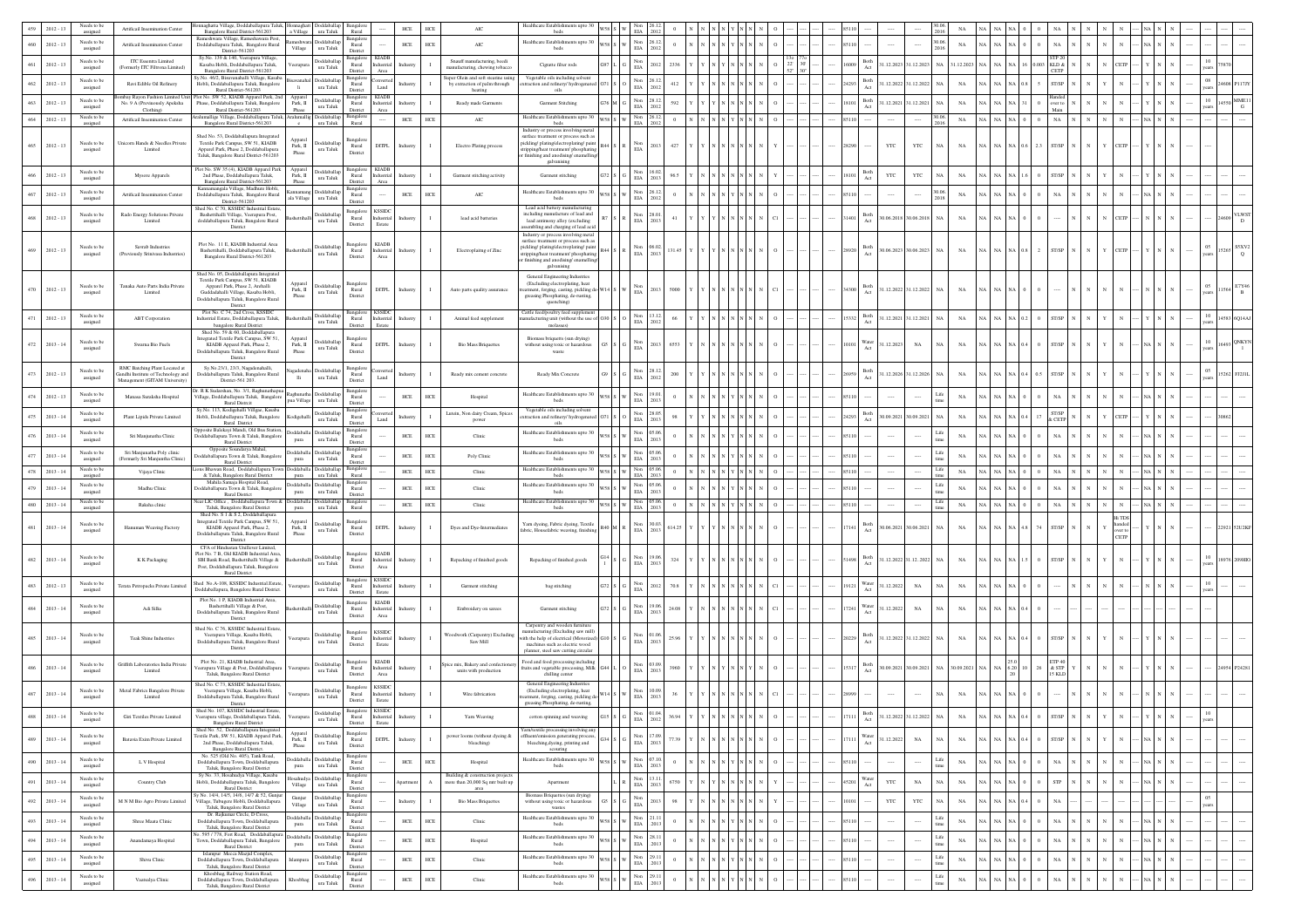|     | $2012 - 13$ | Needs to be<br>assigned | Artificail Insemination Center                                                                       | maghatta Village, Doddaballapura Taluk,<br>Bangalore Rural District-561203                                                                                                                        | Ionnaghatt Doddaballap<br>a Village ura Taluk | Bangalori<br>Rural                                                        | HCE               | <b>HCE</b><br>AIC                                                                         | Iealthcare Establishments upto 3<br>beds                                                                                                                                          |         |                                                                           |          |  |  |                       |              |                      |               |             |                                                          |           |                |                                                            |            |  |                 |                                       |
|-----|-------------|-------------------------|------------------------------------------------------------------------------------------------------|---------------------------------------------------------------------------------------------------------------------------------------------------------------------------------------------------|-----------------------------------------------|---------------------------------------------------------------------------|-------------------|-------------------------------------------------------------------------------------------|-----------------------------------------------------------------------------------------------------------------------------------------------------------------------------------|---------|---------------------------------------------------------------------------|----------|--|--|-----------------------|--------------|----------------------|---------------|-------------|----------------------------------------------------------|-----------|----------------|------------------------------------------------------------|------------|--|-----------------|---------------------------------------|
|     | $2012 - 13$ | Needs to be<br>assigned | Artificail Insemination Center                                                                       | teshwara Village, Rameshawara Post<br>Doddaballapura Taluk, Bangalore Rural<br>Village                                                                                                            | Rameshwara Doddaballap<br>ura Taluk           | 3angalor<br>Rural                                                         | ${\rm HCE}$       | ${\tt HCE}$<br>AIC                                                                        | Healthcare Establishments upto 30<br>beds                                                                                                                                         |         | Non<br>26.12<br>$_{\rm EIA}$<br>2012                                      |          |  |  |                       |              |                      | 0.06.         | $_{\rm NA}$ |                                                          |           |                | NA                                                         |            |  |                 |                                       |
|     | $2012 - 13$ | Needs to be<br>assigned | ITC Essentra Limited<br>(Formerly ITC Filtrona Limited)                                              | District-561203<br>Sy.No. 139 & 140, Veerapura Village.<br>Kasaba Hobli, Doddaballapura Taluk,<br>eerapura                                                                                        | Doddaballa<br>ura Taluk                       | District<br>Bangalore<br><b>KIADE</b><br>Rural<br>dustrial                |                   | Snauff manufacturing, beedi<br>nanufacturing, chewing tobacco                             | Cigratte filter rods                                                                                                                                                              |         | Non<br>EIA<br>2012                                                        |          |  |  | Both<br>Act           |              | 1.12.2023 31.12.2023 | NA 31.12.2023 |             |                                                          |           |                | KLD &                                                      |            |  |                 |                                       |
| 462 | $2012 - 13$ | Needs to be             | Ravi Edible Oil Refinery                                                                             | Bangalore Rural District-561203<br>y.No. 46/2, Bisuvanahalli Village, Kasaba<br>vanaha<br>Hobli, Doddaballapura Taluk, Bangalore                                                                  | <b>Ooddaballa</b>                             | District<br>Area<br>langalor<br>Rural                                     | Industry          | super Olein and soft stearine usin<br>by extraction of palm through                       | Vegetable oils including solver<br>raction and refinery/ hydrogenated                                                                                                             |         | $_{\rm EIA}^{\rm Non}$<br>26.12                                           | 412      |  |  | Both<br>24293         |              | 1.12.2022 31.12.2022 | NA            | NA          | NA.                                                      |           |                | CETP<br>ST/SP                                              |            |  |                 |                                       |
|     |             | assigned<br>Needs to be | abay Rayon Fashion Limited Un                                                                        | li.<br>Rural District-561203<br>lot No. SW 52, KIADB Apparel Park, 2nd<br>Apparel                                                                                                                 | ura Taluk<br>Doddaballap                      | Land<br>District<br><b>KIADE</b><br>Bangalore                             |                   | heating                                                                                   | oils                                                                                                                                                                              |         | 2012                                                                      |          |  |  | Act<br>Both           |              |                      |               |             |                                                          |           |                |                                                            |            |  | $10\,$          | $\overline{\mathbf{I}_{14550}}$ MME11 |
| 463 | $2012 - 13$ | assigned<br>Needs to be | No. 9 A (Previnously Apeksha<br>Clothing)                                                            | Phase, Doddaballapura Taluk, Bangalore<br>Park, $\rm{II}$<br>Rural District-561203<br>Phase<br>umallige Village, Doddaballapura Taluk,<br>Aralumalli                                              | ura Taluk<br>Doddaballa                       | dustrial<br>Rural<br>District<br>Area                                     |                   | Ready made Garments                                                                       | Garment Stitching<br>Healthcare Establishments upto 30                                                                                                                            |         | $\begin{tabular}{ll} Non & 28.12 \\ ELA & 2012 \\ \end{tabular}$<br>26.12 |          |  |  | 8101<br>Act           |              | 1.12.2021 31.12.2021 |               | $_{\rm NA}$ |                                                          |           |                |                                                            |            |  |                 | $_{\rm G}$                            |
| 464 | $2012 - 13$ | assigned                | Artificail Insemination Center                                                                       | Bangalore Rural District-561203<br>$\mathbf{c}$                                                                                                                                                   | ura Taluk                                     | Rural                                                                     | HCE               | HCE<br>$\rm AIC$                                                                          | beds<br>Industry or process involving metal                                                                                                                                       | V58 S W | Non<br>EIA<br>2012                                                        |          |  |  | 85110                 |              |                      |               | $_{\rm NA}$ | NA                                                       |           | $^{\circ}$     | NA                                                         |            |  |                 |                                       |
| 465 | $2012 - 13$ | Needs to be<br>assigned | Unicorn Hands & Needles Private<br>Limited                                                           | Shed No. 53, Doddaballapura Integrated<br>Apparel<br>Textile Park Campus, SW 51, KIADB<br>Park, II<br>Apparel Park, Phase 2, Doddaballapura<br>Phase<br>Taluk, Bangalore Rural District-561203    | Doddaballar<br>ura Taluk                      | 3angalor<br>DITPL.<br>Rural<br>District                                   | Industry          | Electro Plating process                                                                   | surface treatment or process such as<br>pickling/plating/electroplating/pain<br>ipping/heat treatment/ phosphatin<br>finishing and anodising/enamelling<br>galvanising            |         | Non<br>EIA<br>2013                                                        | 427      |  |  | 8290                  | $_{\rm YTC}$ | $_{\rm YTC}$         | NA            | $_{\rm NA}$ |                                                          |           | 2.3            | ST/SP                                                      |            |  |                 |                                       |
| 466 | $2012 - 13$ | Needs to be<br>assigned | Mysore Apparels                                                                                      | Plot No. SW 35 (4), KIADB Apparel Park<br>Apparel<br>2nd Phase, Doddaballapura Taluk,<br>Bangalore Rural District-561203<br>Park, II                                                              | Doddaballag<br>ura Taluk                      | <b>KIADB</b><br>Bangalon<br>Rural<br>Industrial<br>Area                   | Industry          | I.<br>Garment stitching activity                                                          | Garment stitching                                                                                                                                                                 |         | Non<br>16.02<br>$_{\rm EIA}$<br>2013                                      | 96.5     |  |  | Both<br>Act<br>8101   | YTC          | YTC                  | NA.           | $_{\rm NA}$ |                                                          |           |                | <b>ST/SP</b>                                               |            |  |                 |                                       |
| 467 | $2012 - 13$ | Needs to be<br>assigned | <b>Artificail Insemination Center</b>                                                                | Phase<br>Kannamangala Village, Madhure Hobli,<br>Doddaballapura Taluk, Bangalore Rural<br>ala Village<br>District-561203                                                                          | Doddaball<br>ura Taluk                        | District<br>3angalor<br>Rural<br>Distric                                  | ${\rm HCE}$       | ${\sf HCE}$<br>AIC                                                                        | Healthcare Establishments upto 30<br>beds                                                                                                                                         |         | $\begin{tabular}{c} Non & 26.12\\ EIA & 2012\\ \end{tabular}$             |          |  |  |                       |              |                      | 2018          | NA          |                                                          |           |                |                                                            |            |  |                 |                                       |
| 468 | $2012 - 13$ | Needs to be<br>assigned | Rado Energy Solutions Private<br>Limited                                                             | Shed No. C 70, KSSIDC Industrial Estate<br>Bashettihalli Village, Veerapura Post,<br>doddaballapura Taluk, Bangalore Rural                                                                        | Doddaballa<br>ura Taluk                       | Bangalore<br><b>KSSIDC</b><br>Rural<br>dustrial<br>District<br>Estate     | Industry          | lead acid batteries                                                                       | Lead acid battery manufacturin<br>including manufacture of lead and<br>lead antimony alloy (excluding                                                                             |         | Non<br>28.0<br>$_{\rm EIA}$<br>2013                                       | 41       |  |  | Both<br>Act<br>1401   |              | 0.06.2018 30.06.2018 | $_{\rm NA}$   | $_{\rm NA}$ |                                                          |           |                |                                                            |            |  |                 |                                       |
|     |             |                         |                                                                                                      | District<br>Plot No. 11 E, KIADB Industrial Area                                                                                                                                                  |                                               | <b>KIADB</b><br>Bangalor                                                  |                   |                                                                                           | embling and charging of lead aci<br>Industry or process involving metal<br>surface treatment or process such as                                                                   |         |                                                                           |          |  |  |                       |              |                      |               |             |                                                          |           |                |                                                            |            |  |                 |                                       |
| 469 | $2012 - 13$ | Needs to be<br>assigned | Savrab Industries<br>(Previously Srinivasa Industries)                                               | Bashettihalli, Doddaballapura Taluk,<br>Bangalore Rural District-561203<br>Shed No. 05, Doddaballapura Integrate                                                                                  | Doddaballa<br>ura Taluk                       | Rural<br>Industrial<br>District<br>Area                                   | Industry          | Electroplaitng of Zinc                                                                    | pickling/plating/electroplating/pain<br>ripping/heat treatment/ phosphating<br>finishing and anodising/enamelling<br>galvanising<br>General Engineering Industries                |         | Non<br>EIA<br>06.0<br>2013                                                | 31.45    |  |  | Both<br>Act<br>28920  |              | 0.06.2023 30.06.2023 | $_{\rm NA}$   | $_{\rm NA}$ | $\mathrm{NA}$ $\mathrm{NA}$ $\mathrm{NA}$ $\mathrm{0.8}$ |           | $\overline{2}$ | $\ensuremath{\mathrm{ST}}\xspace/\ensuremath{\mathrm{SP}}$ | <b>ETP</b> |  |                 |                                       |
| 470 | $2012 - 13$ | Needs to be<br>assigned | Tanaka Auto Parts India Private<br>Limited                                                           | Textile Park Campus, SW 51, KIADB<br>Appare<br>Apparel Park, Phase 2, Arehalli<br>Park, II<br>Phase<br>Guddadahalli Village, Kasaba Hobli,<br>Doddaballapura Taluk, Bangalore Rural<br>District   | Doddaballag<br>ura Taluk                      | langalo<br>Rural<br>DITPL.<br>District                                    | Industry          | Auto parts quality assurance                                                              | (Excluding electroplating, heat<br>tment, forging, casting, pickling d<br>greasing Phosphating, de-rusting,<br>quenching)                                                         |         | Non<br>EIA                                                                |          |  |  | Both<br>4300<br>Act   |              | 1.12.2022 31.12.2022 |               | $_{\rm NA}$ |                                                          |           |                |                                                            |            |  |                 |                                       |
|     | $2012 - 13$ | Needs to be<br>assigned | <b>ABT</b> Corporation                                                                               | Plot No. C 74, 2nd Cross, KSSIDC<br>Industrial Estate, Doddaballapura Taluk,<br>bangalore Rural District                                                                                          | Doddaballar<br>ura Taluk                      | <b>KSSID</b><br>Rural<br>dustrial<br>Estate<br>District                   | ndustry           | Animal feed supplement                                                                    | Cattle feed/poultry feed supplemer<br>ufacturing unit (without the use<br>molasses)                                                                                               |         | Non<br>EIA<br>13.12<br>2012                                               |          |  |  | Both<br>Act<br>5332   |              | 1.12.2021 31.12.2021 |               | $_{\rm NA}$ |                                                          |           |                | ST/SP                                                      |            |  |                 |                                       |
| 472 | $2013 - 14$ | Needs to be<br>assigned | Swarna Bio Fuels                                                                                     | Shed No. 59 & 60, Doddaballapura<br>Integrated Textile Park Campus, SW 51,<br>Apparel<br>KIADB Apparel Park, Phase 2,<br>Park, II<br>Doddaballapura Taluk, Bangalore Rural<br>Phase<br>District   | Doddaballag<br>ura Taluk                      | angalori<br>DITPL<br>Rural<br>District                                    | Industry          | <b>Bio Mass Briquettes</b>                                                                | Biomass briquetts (sun drying)<br>without using toxic or hazardou<br>waste                                                                                                        |         | Non<br>EIA<br>2013                                                        | 6553     |  |  | Nater<br>Act          | 1.12.2023    | NA                   |               | NA          | NA                                                       |           |                | ST/SP                                                      |            |  |                 |                                       |
|     | $2012 - 13$ | Needs to be<br>assigned | RMC Batching Plant Located at<br>landhi Institute of Technology and<br>Management (GITAM University) | Sy.No.23/1, 23/3, Nagadenahalli,<br>Doddaballapura Taluk, Bangalore Rural<br>lli<br>District-561 203.                                                                                             | Doddaballa<br>ura Taluk                       | Bangalor<br>Rural<br>Land<br>District                                     | ndustry           | Ready mix cement concrete                                                                 | Ready Mix Concrete                                                                                                                                                                |         | $_{\rm EIA}^{\rm Non}$<br>28.12<br>2012                                   |          |  |  | 3oth<br>Act           |              | 1.12.2026 31.12.2026 |               | NA          |                                                          |           |                | T/SP                                                       |            |  |                 |                                       |
| 474 | $2012 - 13$ | Needs to be<br>assigned | Manasa Suraksha Hospital                                                                             | r. R K Sudarshan, No. 3/1, Raghunathapua<br>Village, Doddaballapura Taluk, Bangalore<br>pua Village<br>Rural Distrcit                                                                             | Rachunatha Doddaballan<br>ura Taluk           | 3angalor<br>Rural<br>District                                             | HCE               | $HCE$<br>Hospital                                                                         | Healthcare Establishments upto 30<br>beds                                                                                                                                         |         | Non 19.01<br>$_{\rm EIA}$<br>2013                                         |          |  |  |                       |              |                      | Life          | NA          |                                                          |           |                |                                                            |            |  |                 |                                       |
|     | $2013 - 14$ | Needs to be<br>assigned | Plant Lipids Private Limited                                                                         | Sy.No. 113, Kodigehalli Villgae, Kasaba<br>Hobli, Doddaballapura Taluk, Bangalore<br>Kodigehall<br>Rural District                                                                                 | Doddaballar<br>ura Taluk                      | 3angalor<br>Rural<br>Land<br>District                                     | ndustr            | Lutein, Non dairy Cream, Spice<br>power                                                   | Vegetable oils including solvent<br>traction and refinery/ hydrogenate<br>oils                                                                                                    |         | $\mathop{\mathrm{Non}}$<br>28.05<br>EIA<br>2013                           |          |  |  | Both<br>Act           | 0.09.2021    | 30.09.2021           | NA            | $_{\rm NA}$ |                                                          |           |                | ST/SP<br>& CETI                                            |            |  |                 |                                       |
| 476 | $2013 - 14$ | Needs to be<br>assigned | Sri Manjunatha Clinic                                                                                | Opposite Balekayi Mandi, Old Bus Station,<br>Doddaballapura Town & Taluk, Bangalore<br>pura<br>Rural District                                                                                     | Doddaballa Doddaballa<br>ura Taluk            | Bangalori<br>Rural<br>District                                            | ${\rm HCE}$       | ${\tt HCE}$<br>Clinic                                                                     | Healthcare Establishments upto 30<br>beds                                                                                                                                         |         | Non<br>05.0<br>$_{\rm EIA}$<br>2013                                       |          |  |  |                       |              |                      |               | <b>NA</b>   |                                                          |           |                | NA                                                         |            |  |                 |                                       |
| 477 | $2013 - 14$ | Needs to be<br>assigned | Sri Manjunatha Poly clinic<br>Formarly Sri Maniuntha Clinic)                                         | Opposite Soundarya Mahal,<br>Idaballapura Town & Taluk, Bangalor<br>pura<br>Rural District                                                                                                        | boddaballa Doddaballa<br>ura Taluk            | 3angalor<br>Rural<br>District                                             | ${\rm HCE}$       | ${\tt HCE}$<br>Poly Clinic                                                                | Healthcare Establishments upto 30<br>beds                                                                                                                                         |         | Non<br>EIA<br>05.0<br>2013                                                |          |  |  |                       |              |                      |               | NA          |                                                          |           |                |                                                            |            |  |                 |                                       |
| 478 | $2013 - 14$ | Needs to be<br>assigned | Vijaya Clinia                                                                                        | ons Bhawan Road, Doddaballapura Town<br><b>oddaballa</b><br>& Taluk, Bangalore Rural District<br>pura                                                                                             | Doddaball<br>ura Taluk                        | angalor<br>Rural                                                          | ${\rm HCE}$       | ${\tt HCE}$<br>Clinic                                                                     | Healthcare Establishments upto 30<br>heds                                                                                                                                         |         | Non<br>05.06<br><b>EIA</b><br>2013                                        |          |  |  |                       |              |                      |               | NA          |                                                          |           |                |                                                            |            |  |                 |                                       |
|     | $2013 - 14$ | Needs to be<br>assigned | Madhu Clinic                                                                                         | Mahila Samaja Hospital Road,<br>oddaballapura Town & Taluk, Bangalore<br>pura<br>Rural District                                                                                                   | Doddaballa Doddaballa<br>ura Taluk            | Bangalor<br>Rural<br>District                                             | ${\rm HCE}$       | ${\tt HCE}$<br>Clinic                                                                     | Healthcare Establishments upto 30<br>beds                                                                                                                                         |         | $_{\rm EIA}^{\rm Non}$<br>05.06<br>2013                                   |          |  |  | 5110                  |              |                      |               | NA          |                                                          |           |                |                                                            |            |  |                 |                                       |
|     | $2013 - 14$ | Needs to b<br>assigned  | Raksha clinic                                                                                        | lear LIC Office, Doddaballapura Town &<br><b>oddaballa</b><br>Taluk, Bangalore Rural District<br>pura                                                                                             | Doddaball<br>ura Taluk                        | Rural                                                                     | ${\rm HCE}$       | ${\tt HCE}$<br>Clinic                                                                     | Healthcare Establishmen<br>beds                                                                                                                                                   |         | Non<br>EIA<br>2013                                                        |          |  |  |                       |              |                      |               | NA          |                                                          |           |                |                                                            |            |  |                 |                                       |
| 481 | $2013 - 14$ | Needs to be<br>assigned | Hanuman Weaving Factory                                                                              | Shed No. S 1 & S 2. Doddaballapura<br>Integrated Textile Park Campus, SW 51,<br>Apparel<br>KIADB Apparel Park, Phase 2,<br>Park, II<br>Doddaballapura Taluk, Bangalore Rural<br>Phase<br>District | Doddaballar<br>ura Taluk                      | langalor<br>Rural<br>DITPL<br>District                                    | Industry          | Dyes and Dye-Intermediates                                                                | Yarn dyeing, Fabric dyeing, Textile<br>fabric, Housefabric weaving, finishin                                                                                                      |         | Non<br>30.03<br>$_{\rm{EIA}}$<br>2013                                     | 614.25   |  |  | Both<br>Act           |              | 0.06.2021 30.06.2021 | $_{\rm NA}$   | $_{\rm NA}$ | NA I<br>NA NA                                            |           | 74             | ST/SP                                                      | nded       |  |                 |                                       |
| 482 | $2013 - 14$ | Needs to be<br>assigned | K K Packaging                                                                                        | CFA of Hindustan Unillever Limited.<br>Plot No. 7 B, Old KIADB Industrial Area<br>SBI Bank Road, Bashettihalli Village &<br>Post, Doddaballapura Taluk, Bangalore<br>Rural District               | Doddaballar<br>ura Taluk                      | <b>Bangalore</b><br><b>KIADE</b><br>Rural<br>dustrial<br>District<br>Area | idustr            | Repacking of finished goods                                                               | Repacking of finished goods                                                                                                                                                       |         | Non<br>EIA<br>19.06<br>2013                                               | 324      |  |  | Both<br>Act           |              | 1.12.2022 31.12.2022 |               | $_{\rm NA}$ |                                                          |           |                | <b>ST/SP</b>                                               |            |  |                 |                                       |
| 483 | $2012 - 13$ | Needs to be<br>assigned | <b>Terata Petropacks Private Limited</b>                                                             | Shed No.A-108, KSSIDC Industrial.Estate<br>Doddaballapura, Bangalore Rural District                                                                                                               | Doddaballa<br>ura Taluk                       | Bangalore<br><b>KSSIDC</b><br>Rural<br>dustrial<br>District<br>Estate     | dustry            | Garment stitching                                                                         | bag stitching                                                                                                                                                                     |         | Non<br>EIA<br>2012                                                        |          |  |  | Nater<br>Act<br>19121 | 1.12.2022    | $_{\rm NA}$          | NA            | NA          |                                                          |           |                |                                                            |            |  |                 |                                       |
| 484 | $2013 - 14$ | Needs to be<br>assigned | Adi Silks                                                                                            | Plot No. 1 P. KIADB Industrial Area<br>Bashettihalli Village & Post.<br>Doddaballapura Taluk, Bangalore Rural<br>District                                                                         | Doddaballa<br>ura Taluk                       | KIADB<br>Bangalor<br>Rural<br>dustrial<br>District<br>Area                | Industry          | Embroidery on sarees                                                                      | Garment stitching                                                                                                                                                                 |         | Non<br>19.06<br>$_{\rm EIA}$<br>2013                                      | 24.08    |  |  | Nater<br>Act<br>17241 | 1.12.2022    | $_{\rm NA}$          | NA            | $_{\rm NA}$ |                                                          |           |                |                                                            |            |  |                 |                                       |
| 485 | $2013 - 14$ | Needs to be<br>assigned | Teak Shine Industries                                                                                | Shed No. C 76, KSSIDC Industrial Estate,<br>Veerapura Village, Kasaba Hobli,<br>/eerapur<br>Doddaballapura Taluk, Bangalore Rural<br>District                                                     | Doddaballa<br>$\,$ ura Taluk                  | <b>KSSIDC</b><br>angalor<br>Rural<br>ndustrial<br>Estate<br>District      | Industry          | Voodwork (Carpentry) Excluding<br>$\mathbf{I}$<br>Saw Mill                                | Carpentry and wooden furr<br>anufacturing (Excluding saw mill)<br>with the help of electrical (Motorized<br>machines such as electric wood<br>planner, steel saw cutting circular |         | Non<br>01.06<br>$\rm{EIA}$<br>2013                                        | 25.96    |  |  | 3oth<br>Act           |              | 1.12.2022 31.12.2022 | NA            | $_{\rm NA}$ | NA NA NA 0                                               |           |                | ST/SP                                                      |            |  |                 |                                       |
|     | $2013 - 14$ | Needs to be<br>assigned | Griffith Laboratories India Private<br>Limited                                                       | Plot No. 21, KIADB Industrial Area,<br>erapura Village & Post, Doddaballapura<br>Taluk, Bangalore Rural District                                                                                  | <b>Ooddaballa</b><br>ura Taluk                | <b>KIADB</b><br>Bangalor<br>Rural<br>dustrial<br>District<br>Area         |                   | tice mix. Bakery and confection<br>units with production                                  | Food and food processing including<br>ruits and vegetable processing, Milk<br>chilling center                                                                                     |         | Non<br>03.09<br>EIA<br>2013                                               |          |  |  | Both<br>Act           |              | 0.09.2021 30.09.2021 | $_{\rm NA}$   | 0.09.2021   |                                                          |           |                | ETP 40<br>& STP<br>15 KLE                                  |            |  |                 |                                       |
| 487 | $2013 - 14$ | Needs to be<br>assigned | Metal Fabrics Bangalore Private<br>Limited                                                           | Shed No. C 73, KSSIDC Industrial Estate,<br>Veerapura Village, Kasaba Hobli,<br>Doddaballapura Taluk, Bangalore Rural                                                                             | Doddaballag<br>$\,$ ura Taluk                 | Bansalore<br><b>KSSIDC</b><br>Rural<br>dustrial<br>District<br>Estate     |                   | Wire fabrication                                                                          | General Engineering Industries<br>(Excluding electroplating, heat<br>atment, forging, casting, pickling d                                                                         |         | Non<br>10.09<br>$\rm{EIA}$<br>2013                                        |          |  |  |                       |              |                      | NA            | $_{\rm NA}$ |                                                          |           |                |                                                            |            |  |                 |                                       |
|     | $2013 - 14$ | Needs to be<br>assigned | Giri Textiles Private Limited                                                                        | District<br>Shed No. 107, KSSIDC Industrial Estate,<br>/eerapura village, Doddab<br>pura Taluk<br><b>Bangalore Rural District</b>                                                                 | Doddaballap<br>ura Taluk                      | <b>KSSIDC</b><br>Bangalore<br>Rural<br>lustrial<br>District<br>Estate     |                   | Yarn Weaving                                                                              | greasing Phosphating, de-rusting,<br>veaving                                                                                                                                      |         | Non<br>01.04<br>EIA 2012                                                  |          |  |  | Act                   |              |                      |               |             |                                                          |           |                |                                                            |            |  | years           |                                       |
| 489 | $2013 - 14$ | Needs to be<br>assigned | Batavia Exim Private Limited                                                                         | Shed No. 52, Doddaballapura Integrated<br>Apparel<br>Fextile Park, SW 51, KIADB Apparel Park.<br>Park, II<br>2nd Phase, Doddaballapura Taluk,<br>Phase<br>Bangalore Rural District.               | Doddaballa<br>ura Taluk                       | Bangalor<br>DITPL<br>Rural<br>District                                    | Industry          | sower looms (without dyeing &<br>bleaching)                                               | Yarn/textile processing involving a<br>ffluent/emission generating process<br>bleaching, dyeing, printing and<br>scouring                                                         |         | Non<br>17.09<br>EIA 2013                                                  | 77.39    |  |  | Nater<br>Act<br>7111  | 1.12.2022    | $_{\rm NA}$          | $_{\rm NA}$   | $_{\rm NA}$ |                                                          |           |                | ST/SP                                                      |            |  |                 |                                       |
| 490 | $2013 - 14$ | Needs to be<br>assigned | L V Hospital                                                                                         | No. 525 (Old No. 405), Tank Road,<br>Doddaballapura Town, Doddaballapura<br>pura<br>Taluk, Bangalore Rural District                                                                               | Doddaballa Doddaballap<br>$\,$ ura Taluk      | Bangalor<br>Rural<br>District                                             | ${\rm HCE}$       | ${\sf HCE}$<br>Hospital                                                                   | Healthcare Establishments upto 30                                                                                                                                                 |         | 07.10<br>Non<br>$_{\rm EIA}$<br>2013                                      | $\Omega$ |  |  | 85110                 |              |                      | Life          | NA          | NA.<br>NA NA                                             |           |                | $_{\rm NA}$                                                |            |  |                 |                                       |
| 491 | $2013 - 14$ | Needs to be<br>assigned | Country Club                                                                                         | Sy No. 33, Hosahudya Village, Kasaba<br>Hobli, Doddaballapura Taluk, Bangalore<br>Village<br>Rural District                                                                                       | Iosahudya Doddaballa<br>ura Taluk             | Bangalor<br>Rural<br>District                                             | partme            | Building & construction projects<br>more than 20,000 Sq mtr built up<br>$\Lambda$<br>area | Apartment                                                                                                                                                                         |         | $\begin{tabular}{ll} Non & 13.11. \\ ELA & 2013 \\ \end{tabular}$         | 6750     |  |  | Nater<br>Act<br>45201 | $_{\rm YTC}$ | $_{\rm NA}$          | $_{\rm NA}$   | $_{\rm NA}$ | NA                                                       |           |                | ${\rm STP}$                                                |            |  |                 |                                       |
| 492 | $2013 - 14$ | Needs to be<br>assigned | M N M Bio Agro Private Limited                                                                       | y No. 14/4, 14/5, 14/6, 14/7 & 52, Gunju<br>Gunjur<br>Village, Tubugere Hobli, Doddaballapura<br>Village<br>Taluk, Bangalore Rural District                                                       | <b>Joddaballag</b><br>ura Taluk               | <b>Bangalo</b><br>Rural<br>District                                       | Industry          | <b>Bio Mass Briquettes</b>                                                                | Biomass Briquettes (sun drying)<br>without using toxic or hazardous<br>wastes                                                                                                     |         | $_{\rm EIA}^{\rm Non}$<br>2013                                            | 98       |  |  | 10101                 | $_{\rm YTC}$ | YTC                  | NA            | $_{\rm NA}$ | NA I                                                     | NA NA 0.4 |                | $_{\rm NA}$                                                |            |  | $05\,$<br>years |                                       |
| 493 | $2013 - 14$ | Needs to be<br>assigned | Shree Maata Clinic                                                                                   | Dr. Rajkumar Circle, D Cross,<br>Doddaballapura Town, Doddaballapura<br>pura<br>Taluk, Bangalore Rural District                                                                                   | Doddaballa Doddaballap<br>ura Taluk           | Bangalore<br>Rural<br>District                                            | ${\rm HCE}$       | ${\tt HCE}$<br>Clinic                                                                     | Healthcare Establishments upto 30<br>beds                                                                                                                                         |         | $\begin{tabular}{ll} Non & 21.11 \\ ELA & .2013 \\ \end{tabular}$         |          |  |  | 85110                 |              |                      | Life          | $_{\rm NA}$ | NA.                                                      |           |                | $_{\rm NA}$                                                |            |  |                 |                                       |
| 494 | $2013 - 14$ | Needs to be<br>assigned | Anandamaya Hospital                                                                                  | 5.595 / 778, Fort Road, Doddaballapura<br>Town, Doddaballapura Taluk, Bangalore<br>pura<br>Rural District                                                                                         | Doddaballa Doddaballa<br>ura Taluk            | nsalo<br>Rural<br>District                                                | ${\rm HCE}$       | $HCE$<br>Hospital                                                                         | Healthcare Establishments upto 30<br>beds                                                                                                                                         |         | 28.11<br>Non<br>EIA<br>.2013                                              |          |  |  | 85110                 | $\cdots$     | $\cdots$             |               | $_{\rm NA}$ | NA                                                       |           |                | NA                                                         |            |  |                 |                                       |
| 495 | $2013 - 14$ | Needs to be<br>assigned | Shiyu Clinic                                                                                         | Islampur Mecca Mazjid Complex,<br>Doddaballapura Town, Doddaballapura<br>Islampu<br>Taluk, Bangalore Rural District                                                                               | Doddaballa<br>$\,$ ura Taluk                  | 3angalor<br>Rural<br>District                                             | ${\rm HCE}$       | HCE<br>Clinic                                                                             | Healthcare Establishments upto 30<br>beds                                                                                                                                         |         | $_{\rm EIA}^{\rm Non}$<br>29.1<br>.201                                    |          |  |  | 85110                 |              |                      |               | NA          | NA I<br>NA NA                                            |           | $\overline{0}$ | $_{\rm NA}$                                                |            |  |                 |                                       |
| 496 | $2013 - 14$ | Needs to be<br>assigned | Vaatsalya Clinic                                                                                     | Khosbhag, Railway Station Road,<br>Doddaballapura Town, Doddaballapura<br>Khosbha<br>Taluk, Bangalore Rural District                                                                              | Doddaballa<br>ura Taluk                       | Bangalor<br>Rural<br>District                                             | $_{\mathrm{HCE}}$ | ${\tt HCE}$<br>${\rm Clinic}$                                                             | Healthcare Establishments upto 30<br>beds                                                                                                                                         |         | $_{\rm EIA}^{\rm Non}$<br>29.1<br>.2013                                   |          |  |  |                       |              |                      | Life          | $_{\rm NA}$ |                                                          |           |                | <b>NA</b>                                                  |            |  |                 |                                       |